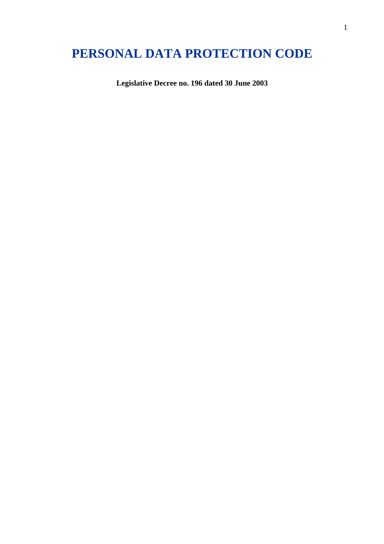# **PERSONAL DATA PROTECTION CODE**

**Legislative Decree no. 196 dated 30 June 2003**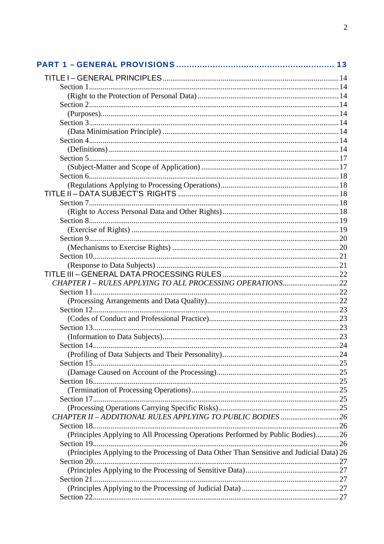| (Principles Applying to All Processing Operations Performed by Public Bodies)26           |  |
|-------------------------------------------------------------------------------------------|--|
|                                                                                           |  |
| (Principles Applying to the Processing of Data Other Than Sensitive and Judicial Data) 26 |  |
|                                                                                           |  |
|                                                                                           |  |
|                                                                                           |  |
|                                                                                           |  |
|                                                                                           |  |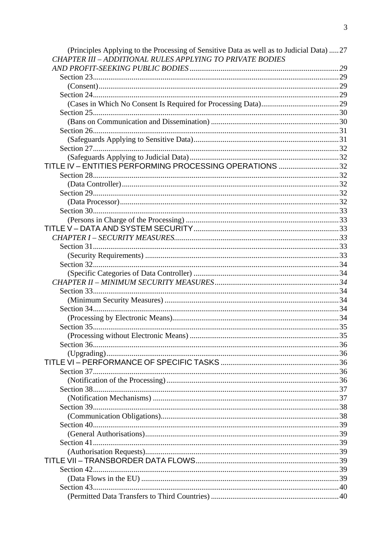| (Principles Applying to the Processing of Sensitive Data as well as to Judicial Data) 27<br><b>CHAPTER III - ADDITIONAL RULES APPLYING TO PRIVATE BODIES</b> |  |
|--------------------------------------------------------------------------------------------------------------------------------------------------------------|--|
|                                                                                                                                                              |  |
|                                                                                                                                                              |  |
|                                                                                                                                                              |  |
|                                                                                                                                                              |  |
|                                                                                                                                                              |  |
|                                                                                                                                                              |  |
|                                                                                                                                                              |  |
|                                                                                                                                                              |  |
|                                                                                                                                                              |  |
|                                                                                                                                                              |  |
|                                                                                                                                                              |  |
|                                                                                                                                                              |  |
| TITLE IV - ENTITIES PERFORMING PROCESSING OPERATIONS 32                                                                                                      |  |
|                                                                                                                                                              |  |
|                                                                                                                                                              |  |
|                                                                                                                                                              |  |
|                                                                                                                                                              |  |
|                                                                                                                                                              |  |
|                                                                                                                                                              |  |
|                                                                                                                                                              |  |
|                                                                                                                                                              |  |
|                                                                                                                                                              |  |
|                                                                                                                                                              |  |
|                                                                                                                                                              |  |
|                                                                                                                                                              |  |
|                                                                                                                                                              |  |
|                                                                                                                                                              |  |
|                                                                                                                                                              |  |
|                                                                                                                                                              |  |
|                                                                                                                                                              |  |
|                                                                                                                                                              |  |
|                                                                                                                                                              |  |
|                                                                                                                                                              |  |
|                                                                                                                                                              |  |
|                                                                                                                                                              |  |
|                                                                                                                                                              |  |
|                                                                                                                                                              |  |
|                                                                                                                                                              |  |
|                                                                                                                                                              |  |
|                                                                                                                                                              |  |
|                                                                                                                                                              |  |
|                                                                                                                                                              |  |
|                                                                                                                                                              |  |
|                                                                                                                                                              |  |
| Section 41.                                                                                                                                                  |  |
|                                                                                                                                                              |  |
|                                                                                                                                                              |  |
| Section 42.                                                                                                                                                  |  |
|                                                                                                                                                              |  |
|                                                                                                                                                              |  |
|                                                                                                                                                              |  |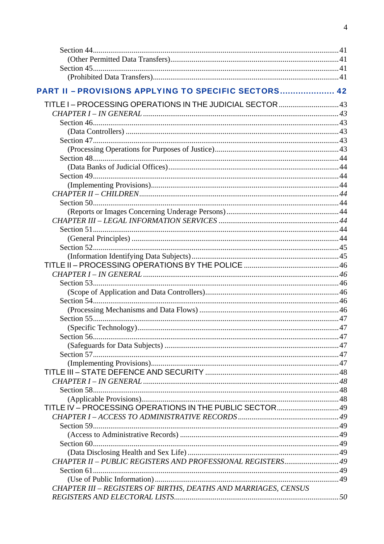| PART II - PROVISIONS APPLYING TO SPECIFIC SECTORS 42            |  |
|-----------------------------------------------------------------|--|
| TITLE I-PROCESSING OPERATIONS IN THE JUDICIAL SECTOR  43        |  |
|                                                                 |  |
|                                                                 |  |
|                                                                 |  |
|                                                                 |  |
|                                                                 |  |
|                                                                 |  |
|                                                                 |  |
|                                                                 |  |
|                                                                 |  |
|                                                                 |  |
|                                                                 |  |
|                                                                 |  |
|                                                                 |  |
|                                                                 |  |
|                                                                 |  |
|                                                                 |  |
|                                                                 |  |
|                                                                 |  |
|                                                                 |  |
|                                                                 |  |
|                                                                 |  |
|                                                                 |  |
|                                                                 |  |
|                                                                 |  |
|                                                                 |  |
|                                                                 |  |
|                                                                 |  |
|                                                                 |  |
|                                                                 |  |
|                                                                 |  |
|                                                                 |  |
|                                                                 |  |
|                                                                 |  |
|                                                                 |  |
|                                                                 |  |
|                                                                 |  |
|                                                                 |  |
|                                                                 |  |
| CHAPTER II - PUBLIC REGISTERS AND PROFESSIONAL REGISTERS 49     |  |
|                                                                 |  |
|                                                                 |  |
| CHAPTER III - REGISTERS OF BIRTHS, DEATHS AND MARRIAGES, CENSUS |  |
|                                                                 |  |
|                                                                 |  |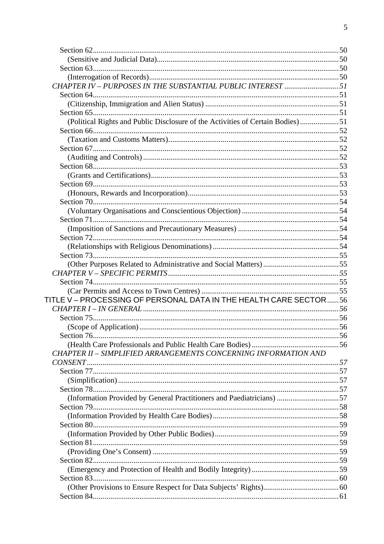| CHAPTER IV - PURPOSES IN THE SUBSTANTIAL PUBLIC INTEREST 51                    |  |
|--------------------------------------------------------------------------------|--|
|                                                                                |  |
|                                                                                |  |
|                                                                                |  |
| (Political Rights and Public Disclosure of the Activities of Certain Bodies)51 |  |
|                                                                                |  |
|                                                                                |  |
|                                                                                |  |
|                                                                                |  |
|                                                                                |  |
|                                                                                |  |
|                                                                                |  |
|                                                                                |  |
|                                                                                |  |
|                                                                                |  |
|                                                                                |  |
|                                                                                |  |
|                                                                                |  |
|                                                                                |  |
|                                                                                |  |
|                                                                                |  |
|                                                                                |  |
|                                                                                |  |
| TITLE V-PROCESSING OF PERSONAL DATA IN THE HEALTH CARE SECTOR56                |  |
|                                                                                |  |
|                                                                                |  |
|                                                                                |  |
|                                                                                |  |
|                                                                                |  |
| CHAPTER II - SIMPLIFIED ARRANGEMENTS CONCERNING INFORMATION AND                |  |
|                                                                                |  |
|                                                                                |  |
|                                                                                |  |
|                                                                                |  |
| (Information Provided by General Practitioners and Paediatricians) 57          |  |
|                                                                                |  |
|                                                                                |  |
|                                                                                |  |
|                                                                                |  |
|                                                                                |  |
|                                                                                |  |
|                                                                                |  |
|                                                                                |  |
|                                                                                |  |
|                                                                                |  |
|                                                                                |  |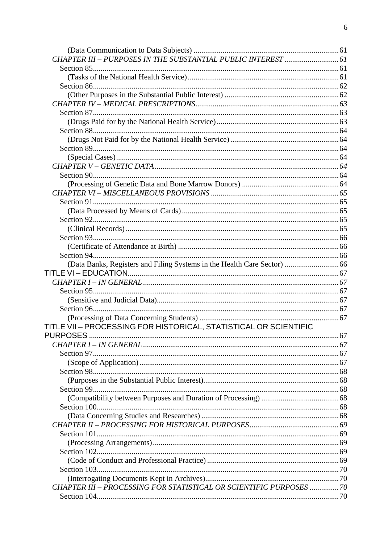| (Data Banks, Registers and Filing Systems in the Health Care Sector)  66 |  |
|--------------------------------------------------------------------------|--|
|                                                                          |  |
|                                                                          |  |
|                                                                          |  |
|                                                                          |  |
|                                                                          |  |
|                                                                          |  |
| TITLE VII - PROCESSING FOR HISTORICAL, STATISTICAL OR SCIENTIFIC         |  |
|                                                                          |  |
|                                                                          |  |
|                                                                          |  |
|                                                                          |  |
|                                                                          |  |
|                                                                          |  |
|                                                                          |  |
|                                                                          |  |
|                                                                          |  |
|                                                                          |  |
|                                                                          |  |
|                                                                          |  |
|                                                                          |  |
|                                                                          |  |
|                                                                          |  |
|                                                                          |  |
|                                                                          |  |
| CHAPTER III - PROCESSING FOR STATISTICAL OR SCIENTIFIC PURPOSES  70      |  |
|                                                                          |  |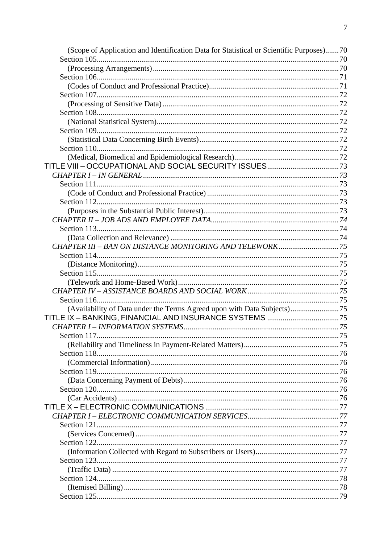| (Scope of Application and Identification Data for Statistical or Scientific Purposes)70 |  |
|-----------------------------------------------------------------------------------------|--|
|                                                                                         |  |
|                                                                                         |  |
|                                                                                         |  |
|                                                                                         |  |
|                                                                                         |  |
|                                                                                         |  |
|                                                                                         |  |
|                                                                                         |  |
|                                                                                         |  |
|                                                                                         |  |
|                                                                                         |  |
|                                                                                         |  |
|                                                                                         |  |
|                                                                                         |  |
|                                                                                         |  |
|                                                                                         |  |
|                                                                                         |  |
|                                                                                         |  |
|                                                                                         |  |
|                                                                                         |  |
|                                                                                         |  |
|                                                                                         |  |
|                                                                                         |  |
|                                                                                         |  |
|                                                                                         |  |
|                                                                                         |  |
|                                                                                         |  |
|                                                                                         |  |
| (Availability of Data under the Terms Agreed upon with Data Subjects)75                 |  |
|                                                                                         |  |
|                                                                                         |  |
|                                                                                         |  |
|                                                                                         |  |
|                                                                                         |  |
|                                                                                         |  |
|                                                                                         |  |
|                                                                                         |  |
|                                                                                         |  |
|                                                                                         |  |
|                                                                                         |  |
|                                                                                         |  |
|                                                                                         |  |
|                                                                                         |  |
|                                                                                         |  |
|                                                                                         |  |
|                                                                                         |  |
|                                                                                         |  |
|                                                                                         |  |
|                                                                                         |  |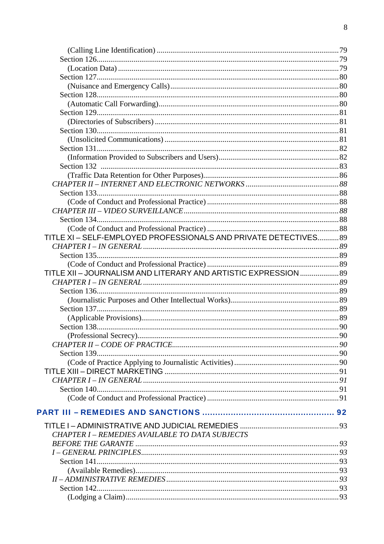| TITLE XI-SELF-EMPLOYED PROFESSIONALS AND PRIVATE DETECTIVES 89  |  |
|-----------------------------------------------------------------|--|
|                                                                 |  |
|                                                                 |  |
|                                                                 |  |
| TITLE XII - JOURNALISM AND LITERARY AND ARTISTIC EXPRESSION  89 |  |
|                                                                 |  |
|                                                                 |  |
|                                                                 |  |
|                                                                 |  |
|                                                                 |  |
|                                                                 |  |
|                                                                 |  |
|                                                                 |  |
|                                                                 |  |
|                                                                 |  |
|                                                                 |  |
|                                                                 |  |
|                                                                 |  |
|                                                                 |  |
|                                                                 |  |
|                                                                 |  |
|                                                                 |  |
| <b>CHAPTER I - REMEDIES AVAILABLE TO DATA SUBJECTS</b>          |  |
|                                                                 |  |
|                                                                 |  |
|                                                                 |  |
|                                                                 |  |
|                                                                 |  |
| Section 142.                                                    |  |
|                                                                 |  |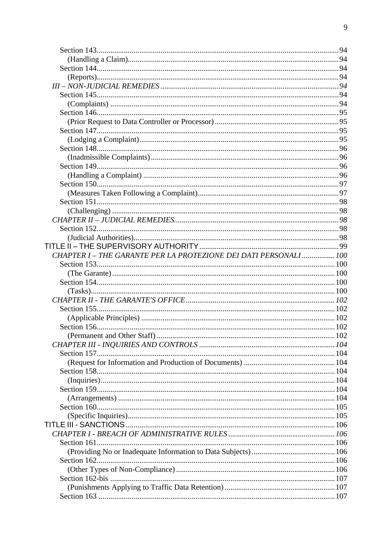| CHAPTER I - THE GARANTE PER LA PROTEZIONE DEI DATI PERSONALI  100 |
|-------------------------------------------------------------------|
|                                                                   |
|                                                                   |
|                                                                   |
|                                                                   |
|                                                                   |
|                                                                   |
|                                                                   |
|                                                                   |
|                                                                   |
|                                                                   |
|                                                                   |
|                                                                   |
|                                                                   |
|                                                                   |
|                                                                   |
|                                                                   |
|                                                                   |
|                                                                   |
|                                                                   |
|                                                                   |
|                                                                   |
|                                                                   |
|                                                                   |
|                                                                   |
|                                                                   |
|                                                                   |
|                                                                   |
|                                                                   |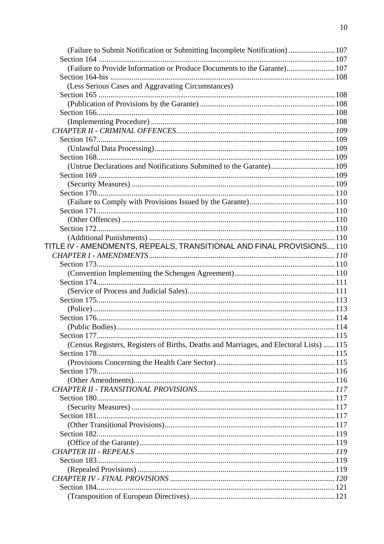| (Failure to Submit Notification or Submitting Incomplete Notification) 107             |  |
|----------------------------------------------------------------------------------------|--|
|                                                                                        |  |
| (Failure to Provide Information or Produce Documents to the Garante) 107               |  |
|                                                                                        |  |
| (Less Serious Cases and Aggravating Circumstances)                                     |  |
|                                                                                        |  |
|                                                                                        |  |
|                                                                                        |  |
|                                                                                        |  |
|                                                                                        |  |
|                                                                                        |  |
|                                                                                        |  |
|                                                                                        |  |
| (Untrue Declarations and Notifications Submitted to the Garante) 109                   |  |
|                                                                                        |  |
|                                                                                        |  |
|                                                                                        |  |
|                                                                                        |  |
|                                                                                        |  |
|                                                                                        |  |
|                                                                                        |  |
|                                                                                        |  |
| TITLE IV - AMENDMENTS, REPEALS, TRANSITIONAL AND FINAL PROVISIONS110                   |  |
|                                                                                        |  |
|                                                                                        |  |
|                                                                                        |  |
|                                                                                        |  |
|                                                                                        |  |
|                                                                                        |  |
|                                                                                        |  |
|                                                                                        |  |
|                                                                                        |  |
|                                                                                        |  |
| (Census Registers, Registers of Births, Deaths and Marriages, and Electoral Lists) 115 |  |
|                                                                                        |  |
|                                                                                        |  |
|                                                                                        |  |
|                                                                                        |  |
|                                                                                        |  |
|                                                                                        |  |
|                                                                                        |  |
|                                                                                        |  |
|                                                                                        |  |
| Section 182                                                                            |  |
|                                                                                        |  |
|                                                                                        |  |
|                                                                                        |  |
|                                                                                        |  |
|                                                                                        |  |
|                                                                                        |  |
|                                                                                        |  |
|                                                                                        |  |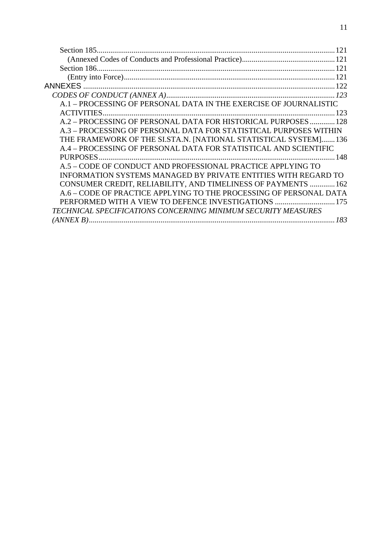|                                                                    | 121 |
|--------------------------------------------------------------------|-----|
|                                                                    |     |
|                                                                    |     |
|                                                                    |     |
| <b>ANNEXES</b>                                                     |     |
|                                                                    |     |
| A.1 - PROCESSING OF PERSONAL DATA IN THE EXERCISE OF JOURNALISTIC  |     |
|                                                                    |     |
| A.2 - PROCESSING OF PERSONAL DATA FOR HISTORICAL PURPOSES  128     |     |
| A.3 - PROCESSING OF PERSONAL DATA FOR STATISTICAL PURPOSES WITHIN  |     |
| THE FRAMEWORK OF THE SI.STA.N. [NATIONAL STATISTICAL SYSTEM]136    |     |
| A.4 – PROCESSING OF PERSONAL DATA FOR STATISTICAL AND SCIENTIFIC   |     |
|                                                                    |     |
| A.5 - CODE OF CONDUCT AND PROFESSIONAL PRACTICE APPLYING TO        |     |
| INFORMATION SYSTEMS MANAGED BY PRIVATE ENTITIES WITH REGARD TO     |     |
| CONSUMER CREDIT, RELIABILITY, AND TIMELINESS OF PAYMENTS  162      |     |
| A.6 - CODE OF PRACTICE APPLYING TO THE PROCESSING OF PERSONAL DATA |     |
| PERFORMED WITH A VIEW TO DEFENCE INVESTIGATIONS  175               |     |
| TECHNICAL SPECIFICATIONS CONCERNING MINIMUM SECURITY MEASURES      |     |
|                                                                    | 183 |
|                                                                    |     |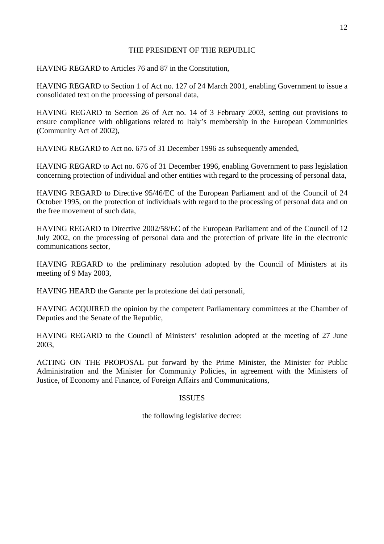# THE PRESIDENT OF THE REPUBLIC

HAVING REGARD to Articles 76 and 87 in the Constitution,

HAVING REGARD to Section 1 of Act no. 127 of 24 March 2001, enabling Government to issue a consolidated text on the processing of personal data,

HAVING REGARD to Section 26 of Act no. 14 of 3 February 2003, setting out provisions to ensure compliance with obligations related to Italy's membership in the European Communities (Community Act of 2002),

HAVING REGARD to Act no. 675 of 31 December 1996 as subsequently amended,

HAVING REGARD to Act no. 676 of 31 December 1996, enabling Government to pass legislation concerning protection of individual and other entities with regard to the processing of personal data,

HAVING REGARD to Directive 95/46/EC of the European Parliament and of the Council of 24 October 1995, on the protection of individuals with regard to the processing of personal data and on the free movement of such data,

HAVING REGARD to Directive 2002/58/EC of the European Parliament and of the Council of 12 July 2002, on the processing of personal data and the protection of private life in the electronic communications sector,

HAVING REGARD to the preliminary resolution adopted by the Council of Ministers at its meeting of 9 May 2003,

HAVING HEARD the Garante per la protezione dei dati personali,

HAVING ACQUIRED the opinion by the competent Parliamentary committees at the Chamber of Deputies and the Senate of the Republic,

HAVING REGARD to the Council of Ministers' resolution adopted at the meeting of 27 June 2003,

ACTING ON THE PROPOSAL put forward by the Prime Minister, the Minister for Public Administration and the Minister for Community Policies, in agreement with the Ministers of Justice, of Economy and Finance, of Foreign Affairs and Communications,

# ISSUES

the following legislative decree: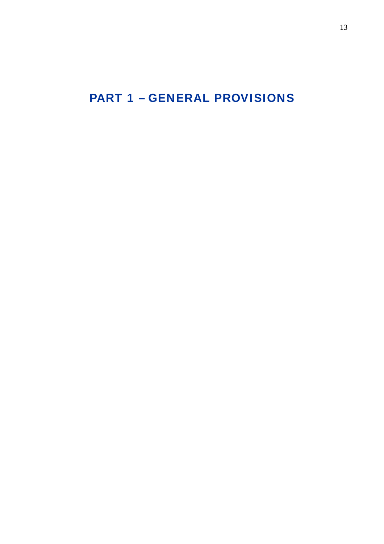<span id="page-12-0"></span>PART 1 – GENERAL PROVISIONS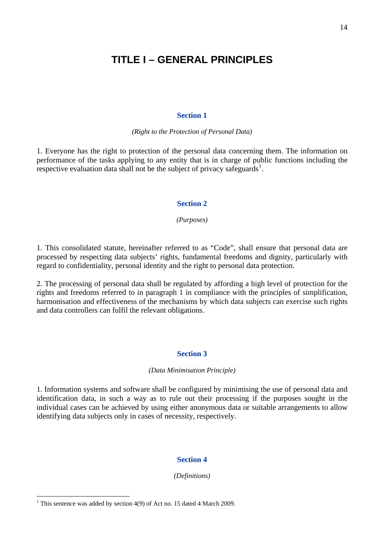# <span id="page-13-0"></span>**TITLE I – GENERAL PRINCIPLES**

#### **Section 1**

*(Right to the Protection of Personal Data)* 

1. Everyone has the right to protection of the personal data concerning them. The information on performance of the tasks applying to any entity that is in charge of public functions including the respective evaluation data shall not be the subject of privacy safeguards<sup>[1](#page-13-1)</sup>.

### **Section 2**

*(Purposes)*

1. This consolidated statute, hereinafter referred to as "Code", shall ensure that personal data are processed by respecting data subjects' rights, fundamental freedoms and dignity, particularly with regard to confidentiality, personal identity and the right to personal data protection.

2. The processing of personal data shall be regulated by affording a high level of protection for the rights and freedoms referred to in paragraph 1 in compliance with the principles of simplification, harmonisation and effectiveness of the mechanisms by which data subjects can exercise such rights and data controllers can fulfil the relevant obligations.

#### **Section 3**

#### *(Data Minimisation Principle)*

1. Information systems and software shall be configured by minimising the use of personal data and identification data, in such a way as to rule out their processing if the purposes sought in the individual cases can be achieved by using either anonymous data or suitable arrangements to allow identifying data subjects only in cases of necessity, respectively.

#### **Section 4**

*(Definitions)* 

 $\overline{a}$ 

<span id="page-13-1"></span><sup>&</sup>lt;sup>1</sup> This sentence was added by section 4(9) of Act no. 15 dated 4 March 2009.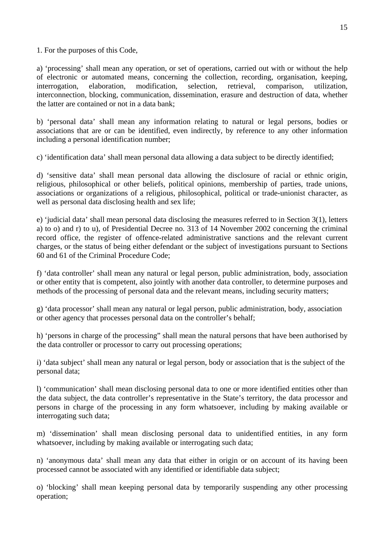1. For the purposes of this Code,

a) 'processing' shall mean any operation, or set of operations, carried out with or without the help of electronic or automated means, concerning the collection, recording, organisation, keeping, interrogation, elaboration, modification, selection, retrieval, comparison, utilization, interconnection, blocking, communication, dissemination, erasure and destruction of data, whether the latter are contained or not in a data bank;

b) 'personal data' shall mean any information relating to natural or legal persons, bodies or associations that are or can be identified, even indirectly, by reference to any other information including a personal identification number;

c) 'identification data' shall mean personal data allowing a data subject to be directly identified;

d) 'sensitive data' shall mean personal data allowing the disclosure of racial or ethnic origin, religious, philosophical or other beliefs, political opinions, membership of parties, trade unions, associations or organizations of a religious, philosophical, political or trade-unionist character, as well as personal data disclosing health and sex life;

e) 'judicial data' shall mean personal data disclosing the measures referred to in Section 3(1), letters a) to o) and r) to u), of Presidential Decree no. 313 of 14 November 2002 concerning the criminal record office, the register of offence-related administrative sanctions and the relevant current charges, or the status of being either defendant or the subject of investigations pursuant to Sections 60 and 61 of the Criminal Procedure Code;

f) 'data controller' shall mean any natural or legal person, public administration, body, association or other entity that is competent, also jointly with another data controller, to determine purposes and methods of the processing of personal data and the relevant means, including security matters;

g) 'data processor' shall mean any natural or legal person, public administration, body, association or other agency that processes personal data on the controller's behalf;

h) 'persons in charge of the processing" shall mean the natural persons that have been authorised by the data controller or processor to carry out processing operations;

i) 'data subject' shall mean any natural or legal person, body or association that is the subject of the personal data;

l) 'communication' shall mean disclosing personal data to one or more identified entities other than the data subject, the data controller's representative in the State's territory, the data processor and persons in charge of the processing in any form whatsoever, including by making available or interrogating such data;

m) 'dissemination' shall mean disclosing personal data to unidentified entities, in any form whatsoever, including by making available or interrogating such data;

n) 'anonymous data' shall mean any data that either in origin or on account of its having been processed cannot be associated with any identified or identifiable data subject;

o) 'blocking' shall mean keeping personal data by temporarily suspending any other processing operation;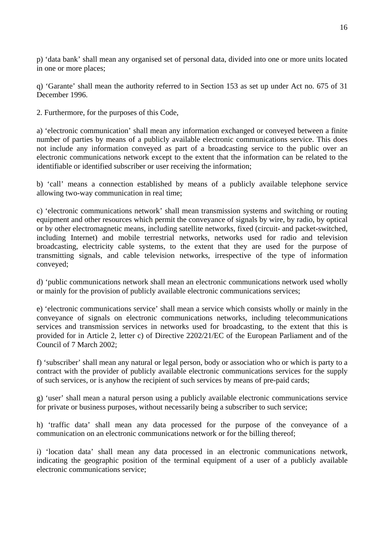p) 'data bank' shall mean any organised set of personal data, divided into one or more units located in one or more places;

q) 'Garante' shall mean the authority referred to in Section 153 as set up under Act no. 675 of 31 December 1996.

2. Furthermore, for the purposes of this Code,

a) 'electronic communication' shall mean any information exchanged or conveyed between a finite number of parties by means of a publicly available electronic communications service. This does not include any information conveyed as part of a broadcasting service to the public over an electronic communications network except to the extent that the information can be related to the identifiable or identified subscriber or user receiving the information;

b) 'call' means a connection established by means of a publicly available telephone service allowing two-way communication in real time;

c) 'electronic communications network' shall mean transmission systems and switching or routing equipment and other resources which permit the conveyance of signals by wire, by radio, by optical or by other electromagnetic means, including satellite networks, fixed (circuit- and packet-switched, including Internet) and mobile terrestrial networks, networks used for radio and television broadcasting, electricity cable systems, to the extent that they are used for the purpose of transmitting signals, and cable television networks, irrespective of the type of information conveyed;

d) 'public communications network shall mean an electronic communications network used wholly or mainly for the provision of publicly available electronic communications services;

e) 'electronic communications service' shall mean a service which consists wholly or mainly in the conveyance of signals on electronic communications networks, including telecommunications services and transmission services in networks used for broadcasting, to the extent that this is provided for in Article 2, letter c) of Directive 2202/21/EC of the European Parliament and of the Council of 7 March 2002;

f) 'subscriber' shall mean any natural or legal person, body or association who or which is party to a contract with the provider of publicly available electronic communications services for the supply of such services, or is anyhow the recipient of such services by means of pre-paid cards;

g) 'user' shall mean a natural person using a publicly available electronic communications service for private or business purposes, without necessarily being a subscriber to such service;

h) 'traffic data' shall mean any data processed for the purpose of the conveyance of a communication on an electronic communications network or for the billing thereof;

i) 'location data' shall mean any data processed in an electronic communications network, indicating the geographic position of the terminal equipment of a user of a publicly available electronic communications service;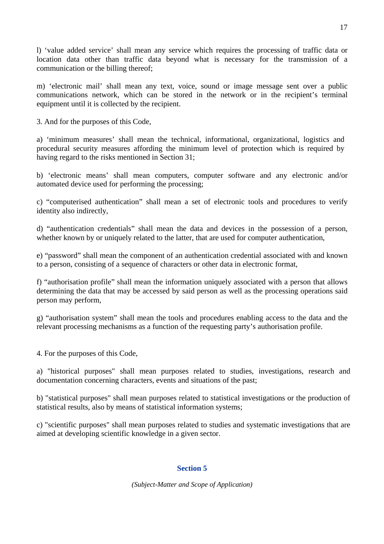<span id="page-16-0"></span>l) 'value added service' shall mean any service which requires the processing of traffic data or location data other than traffic data beyond what is necessary for the transmission of a communication or the billing thereof;

m) 'electronic mail' shall mean any text, voice, sound or image message sent over a public communications network, which can be stored in the network or in the recipient's terminal equipment until it is collected by the recipient.

3. And for the purposes of this Code,

a) 'minimum measures' shall mean the technical, informational, organizational, logistics and procedural security measures affording the minimum level of protection which is required by having regard to the risks mentioned in Section 31;

b) 'electronic means' shall mean computers, computer software and any electronic and/or automated device used for performing the processing;

c) "computerised authentication" shall mean a set of electronic tools and procedures to verify identity also indirectly,

d) "authentication credentials" shall mean the data and devices in the possession of a person, whether known by or uniquely related to the latter, that are used for computer authentication,

e) "password" shall mean the component of an authentication credential associated with and known to a person, consisting of a sequence of characters or other data in electronic format,

f) "authorisation profile" shall mean the information uniquely associated with a person that allows determining the data that may be accessed by said person as well as the processing operations said person may perform,

g) "authorisation system" shall mean the tools and procedures enabling access to the data and the relevant processing mechanisms as a function of the requesting party's authorisation profile.

4. For the purposes of this Code,

a) "historical purposes" shall mean purposes related to studies, investigations, research and documentation concerning characters, events and situations of the past;

b) "statistical purposes" shall mean purposes related to statistical investigations or the production of statistical results, also by means of statistical information systems;

c) "scientific purposes" shall mean purposes related to studies and systematic investigations that are aimed at developing scientific knowledge in a given sector.

# **Section 5**

*(Subject-Matter and Scope of Application)*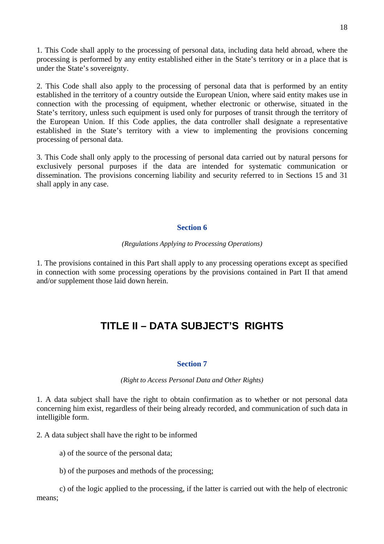<span id="page-17-0"></span>1. This Code shall apply to the processing of personal data, including data held abroad, where the processing is performed by any entity established either in the State's territory or in a place that is under the State's sovereignty.

2. This Code shall also apply to the processing of personal data that is performed by an entity established in the territory of a country outside the European Union, where said entity makes use in connection with the processing of equipment, whether electronic or otherwise, situated in the State's territory, unless such equipment is used only for purposes of transit through the territory of the European Union. If this Code applies, the data controller shall designate a representative established in the State's territory with a view to implementing the provisions concerning processing of personal data.

3. This Code shall only apply to the processing of personal data carried out by natural persons for exclusively personal purposes if the data are intended for systematic communication or dissemination. The provisions concerning liability and security referred to in Sections 15 and 31 shall apply in any case.

# **Section 6**

### *(Regulations Applying to Processing Operations)*

1. The provisions contained in this Part shall apply to any processing operations except as specified in connection with some processing operations by the provisions contained in Part II that amend and/or supplement those laid down herein.

# **TITLE II – DATA SUBJECT'S RIGHTS**

# **Section 7**

# *(Right to Access Personal Data and Other Rights)*

1. A data subject shall have the right to obtain confirmation as to whether or not personal data concerning him exist, regardless of their being already recorded, and communication of such data in intelligible form.

2. A data subject shall have the right to be informed

a) of the source of the personal data;

b) of the purposes and methods of the processing;

c) of the logic applied to the processing, if the latter is carried out with the help of electronic means;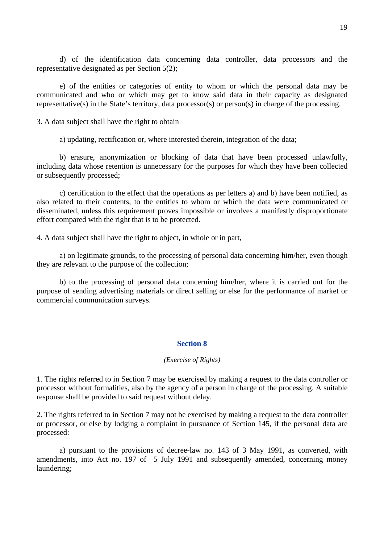<span id="page-18-0"></span>d) of the identification data concerning data controller, data processors and the representative designated as per Section 5(2);

e) of the entities or categories of entity to whom or which the personal data may be communicated and who or which may get to know said data in their capacity as designated representative(s) in the State's territory, data processor(s) or person(s) in charge of the processing.

3. A data subject shall have the right to obtain

a) updating, rectification or, where interested therein, integration of the data;

b) erasure, anonymization or blocking of data that have been processed unlawfully, including data whose retention is unnecessary for the purposes for which they have been collected or subsequently processed;

c) certification to the effect that the operations as per letters a) and b) have been notified, as also related to their contents, to the entities to whom or which the data were communicated or disseminated, unless this requirement proves impossible or involves a manifestly disproportionate effort compared with the right that is to be protected.

4. A data subject shall have the right to object, in whole or in part,

 a) on legitimate grounds, to the processing of personal data concerning him/her, even though they are relevant to the purpose of the collection;

 b) to the processing of personal data concerning him/her, where it is carried out for the purpose of sending advertising materials or direct selling or else for the performance of market or commercial communication surveys.

#### **Section 8**

## *(Exercise of Rights)*

1. The rights referred to in Section 7 may be exercised by making a request to the data controller or processor without formalities, also by the agency of a person in charge of the processing. A suitable response shall be provided to said request without delay.

2. The rights referred to in Section 7 may not be exercised by making a request to the data controller or processor, or else by lodging a complaint in pursuance of Section 145, if the personal data are processed:

 a) pursuant to the provisions of decree-law no. 143 of 3 May 1991, as converted, with amendments, into Act no. 197 of 5 July 1991 and subsequently amended, concerning money laundering;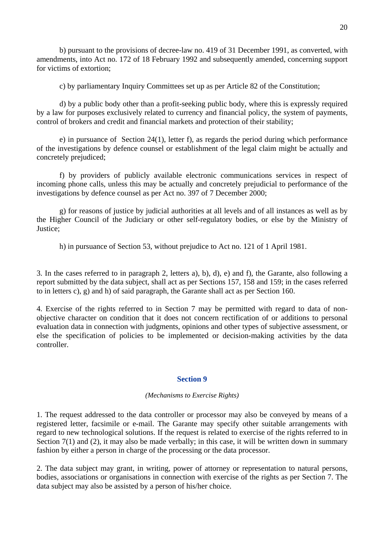<span id="page-19-0"></span> b) pursuant to the provisions of decree-law no. 419 of 31 December 1991, as converted, with amendments, into Act no. 172 of 18 February 1992 and subsequently amended, concerning support for victims of extortion;

c) by parliamentary Inquiry Committees set up as per Article 82 of the Constitution;

 d) by a public body other than a profit-seeking public body, where this is expressly required by a law for purposes exclusively related to currency and financial policy, the system of payments, control of brokers and credit and financial markets and protection of their stability;

 e) in pursuance of Section 24(1), letter f), as regards the period during which performance of the investigations by defence counsel or establishment of the legal claim might be actually and concretely prejudiced;

 f) by providers of publicly available electronic communications services in respect of incoming phone calls, unless this may be actually and concretely prejudicial to performance of the investigations by defence counsel as per Act no. 397 of 7 December 2000;

 g) for reasons of justice by judicial authorities at all levels and of all instances as well as by the Higher Council of the Judiciary or other self-regulatory bodies, or else by the Ministry of Justice;

h) in pursuance of Section 53, without prejudice to Act no. 121 of 1 April 1981.

3. In the cases referred to in paragraph 2, letters a), b), d), e) and f), the Garante, also following a report submitted by the data subject, shall act as per Sections 157, 158 and 159; in the cases referred to in letters c), g) and h) of said paragraph, the Garante shall act as per Section 160.

4. Exercise of the rights referred to in Section 7 may be permitted with regard to data of nonobjective character on condition that it does not concern rectification of or additions to personal evaluation data in connection with judgments, opinions and other types of subjective assessment, or else the specification of policies to be implemented or decision-making activities by the data controller.

# **Section 9**

*(Mechanisms to Exercise Rights)* 

1. The request addressed to the data controller or processor may also be conveyed by means of a registered letter, facsimile or e-mail. The Garante may specify other suitable arrangements with regard to new technological solutions. If the request is related to exercise of the rights referred to in Section 7(1) and (2), it may also be made verbally; in this case, it will be written down in summary fashion by either a person in charge of the processing or the data processor.

2. The data subject may grant, in writing, power of attorney or representation to natural persons, bodies, associations or organisations in connection with exercise of the rights as per Section 7. The data subject may also be assisted by a person of his/her choice.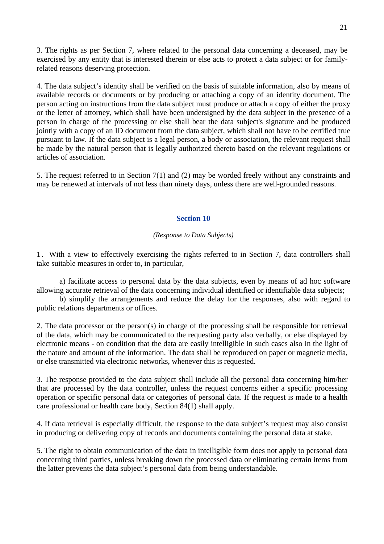<span id="page-20-0"></span>3. The rights as per Section 7, where related to the personal data concerning a deceased, may be exercised by any entity that is interested therein or else acts to protect a data subject or for familyrelated reasons deserving protection.

4. The data subject's identity shall be verified on the basis of suitable information, also by means of available records or documents or by producing or attaching a copy of an identity document. The person acting on instructions from the data subject must produce or attach a copy of either the proxy or the letter of attorney, which shall have been undersigned by the data subject in the presence of a person in charge of the processing or else shall bear the data subject's signature and be produced jointly with a copy of an ID document from the data subject, which shall not have to be certified true pursuant to law. If the data subject is a legal person, a body or association, the relevant request shall be made by the natural person that is legally authorized thereto based on the relevant regulations or articles of association.

5. The request referred to in Section 7(1) and (2) may be worded freely without any constraints and may be renewed at intervals of not less than ninety days, unless there are well-grounded reasons.

# **Section 10**

#### *(Response to Data Subjects)*

1. With a view to effectively exercising the rights referred to in Section 7, data controllers shall take suitable measures in order to, in particular,

a) facilitate access to personal data by the data subjects, even by means of ad hoc software allowing accurate retrieval of the data concerning individual identified or identifiable data subjects;

 b) simplify the arrangements and reduce the delay for the responses, also with regard to public relations departments or offices.

2. The data processor or the person(s) in charge of the processing shall be responsible for retrieval of the data, which may be communicated to the requesting party also verbally, or else displayed by electronic means - on condition that the data are easily intelligible in such cases also in the light of the nature and amount of the information. The data shall be reproduced on paper or magnetic media, or else transmitted via electronic networks, whenever this is requested.

3. The response provided to the data subject shall include all the personal data concerning him/her that are processed by the data controller, unless the request concerns either a specific processing operation or specific personal data or categories of personal data. If the request is made to a health care professional or health care body, Section 84(1) shall apply.

4. If data retrieval is especially difficult, the response to the data subject's request may also consist in producing or delivering copy of records and documents containing the personal data at stake.

5. The right to obtain communication of the data in intelligible form does not apply to personal data concerning third parties, unless breaking down the processed data or eliminating certain items from the latter prevents the data subject's personal data from being understandable.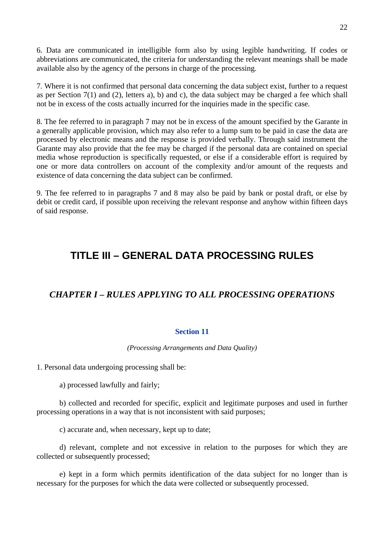<span id="page-21-0"></span>6. Data are communicated in intelligible form also by using legible handwriting. If codes or abbreviations are communicated, the criteria for understanding the relevant meanings shall be made available also by the agency of the persons in charge of the processing.

7. Where it is not confirmed that personal data concerning the data subject exist, further to a request as per Section 7(1) and (2), letters a), b) and c), the data subject may be charged a fee which shall not be in excess of the costs actually incurred for the inquiries made in the specific case.

8. The fee referred to in paragraph 7 may not be in excess of the amount specified by the Garante in a generally applicable provision, which may also refer to a lump sum to be paid in case the data are processed by electronic means and the response is provided verbally. Through said instrument the Garante may also provide that the fee may be charged if the personal data are contained on special media whose reproduction is specifically requested, or else if a considerable effort is required by one or more data controllers on account of the complexity and/or amount of the requests and existence of data concerning the data subject can be confirmed.

9. The fee referred to in paragraphs 7 and 8 may also be paid by bank or postal draft, or else by debit or credit card, if possible upon receiving the relevant response and anyhow within fifteen days of said response.

# **TITLE III – GENERAL DATA PROCESSING RULES**

# *CHAPTER I – RULES APPLYING TO ALL PROCESSING OPERATIONS*

#### **Section 11**

#### *(Processing Arrangements and Data Quality)*

1. Personal data undergoing processing shall be:

a) processed lawfully and fairly;

 b) collected and recorded for specific, explicit and legitimate purposes and used in further processing operations in a way that is not inconsistent with said purposes;

c) accurate and, when necessary, kept up to date;

 d) relevant, complete and not excessive in relation to the purposes for which they are collected or subsequently processed:

 e) kept in a form which permits identification of the data subject for no longer than is necessary for the purposes for which the data were collected or subsequently processed.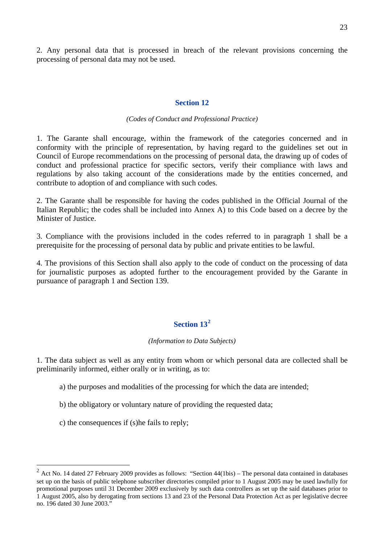<span id="page-22-0"></span>2. Any personal data that is processed in breach of the relevant provisions concerning the processing of personal data may not be used.

## **Section 12**

#### *(Codes of Conduct and Professional Practice)*

1. The Garante shall encourage, within the framework of the categories concerned and in conformity with the principle of representation, by having regard to the guidelines set out in Council of Europe recommendations on the processing of personal data, the drawing up of codes of conduct and professional practice for specific sectors, verify their compliance with laws and regulations by also taking account of the considerations made by the entities concerned, and contribute to adoption of and compliance with such codes.

2. The Garante shall be responsible for having the codes published in the Official Journal of the Italian Republic; the codes shall be included into Annex A) to this Code based on a decree by the Minister of Justice.

3. Compliance with the provisions included in the codes referred to in paragraph 1 shall be a prerequisite for the processing of personal data by public and private entities to be lawful.

4. The provisions of this Section shall also apply to the code of conduct on the processing of data for journalistic purposes as adopted further to the encouragement provided by the Garante in pursuance of paragraph 1 and Section 139.

# **Section 13[2](#page-22-1)**

#### *(Information to Data Subjects)*

1. The data subject as well as any entity from whom or which personal data are collected shall be preliminarily informed, either orally or in writing, as to:

- a) the purposes and modalities of the processing for which the data are intended;
- b) the obligatory or voluntary nature of providing the requested data;
- c) the consequences if (s)he fails to reply;

 $\overline{a}$ 

<span id="page-22-1"></span> $2$  Act No. 14 dated 27 February 2009 provides as follows: "Section 44(1bis) – The personal data contained in databases set up on the basis of public telephone subscriber directories compiled prior to 1 August 2005 may be used lawfully for promotional purposes until 31 December 2009 exclusively by such data controllers as set up the said databases prior to 1 August 2005, also by derogating from sections 13 and 23 of the Personal Data Protection Act as per legislative decree no. 196 dated 30 June 2003."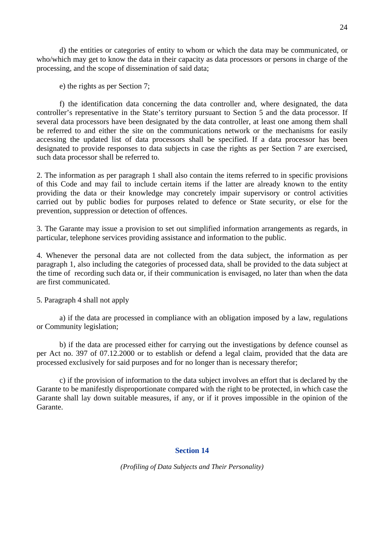<span id="page-23-0"></span> d) the entities or categories of entity to whom or which the data may be communicated, or who/which may get to know the data in their capacity as data processors or persons in charge of the processing, and the scope of dissemination of said data;

e) the rights as per Section 7;

 f) the identification data concerning the data controller and, where designated, the data controller's representative in the State's territory pursuant to Section 5 and the data processor. If several data processors have been designated by the data controller, at least one among them shall be referred to and either the site on the communications network or the mechanisms for easily accessing the updated list of data processors shall be specified. If a data processor has been designated to provide responses to data subjects in case the rights as per Section 7 are exercised, such data processor shall be referred to.

2. The information as per paragraph 1 shall also contain the items referred to in specific provisions of this Code and may fail to include certain items if the latter are already known to the entity providing the data or their knowledge may concretely impair supervisory or control activities carried out by public bodies for purposes related to defence or State security, or else for the prevention, suppression or detection of offences.

3. The Garante may issue a provision to set out simplified information arrangements as regards, in particular, telephone services providing assistance and information to the public.

4. Whenever the personal data are not collected from the data subject, the information as per paragraph 1, also including the categories of processed data, shall be provided to the data subject at the time of recording such data or, if their communication is envisaged, no later than when the data are first communicated.

5. Paragraph 4 shall not apply

a) if the data are processed in compliance with an obligation imposed by a law, regulations or Community legislation;

b) if the data are processed either for carrying out the investigations by defence counsel as per Act no. 397 of 07.12.2000 or to establish or defend a legal claim, provided that the data are processed exclusively for said purposes and for no longer than is necessary therefor;

c) if the provision of information to the data subject involves an effort that is declared by the Garante to be manifestly disproportionate compared with the right to be protected, in which case the Garante shall lay down suitable measures, if any, or if it proves impossible in the opinion of the Garante.

# **Section 14**

*(Profiling of Data Subjects and Their Personality)*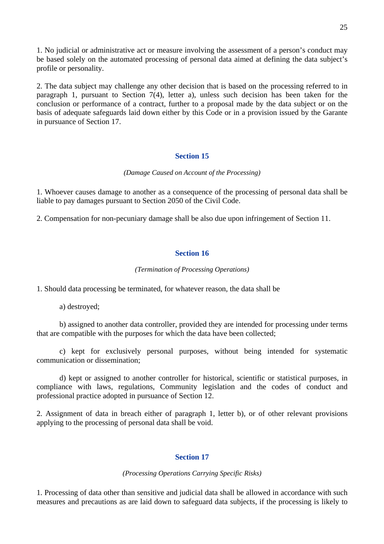<span id="page-24-0"></span>1. No judicial or administrative act or measure involving the assessment of a person's conduct may be based solely on the automated processing of personal data aimed at defining the data subject's profile or personality.

2. The data subject may challenge any other decision that is based on the processing referred to in paragraph 1, pursuant to Section 7(4), letter a), unless such decision has been taken for the conclusion or performance of a contract, further to a proposal made by the data subject or on the basis of adequate safeguards laid down either by this Code or in a provision issued by the Garante in pursuance of Section 17.

### **Section 15**

#### *(Damage Caused on Account of the Processing)*

1. Whoever causes damage to another as a consequence of the processing of personal data shall be liable to pay damages pursuant to Section 2050 of the Civil Code.

2. Compensation for non-pecuniary damage shall be also due upon infringement of Section 11.

## **Section 16**

#### *(Termination of Processing Operations)*

1. Should data processing be terminated, for whatever reason, the data shall be

a) destroyed;

 b) assigned to another data controller, provided they are intended for processing under terms that are compatible with the purposes for which the data have been collected;

 c) kept for exclusively personal purposes, without being intended for systematic communication or dissemination;

 d) kept or assigned to another controller for historical, scientific or statistical purposes, in compliance with laws, regulations, Community legislation and the codes of conduct and professional practice adopted in pursuance of Section 12.

2. Assignment of data in breach either of paragraph 1, letter b), or of other relevant provisions applying to the processing of personal data shall be void.

# **Section 17**

*(Processing Operations Carrying Specific Risks)* 

1. Processing of data other than sensitive and judicial data shall be allowed in accordance with such measures and precautions as are laid down to safeguard data subjects, if the processing is likely to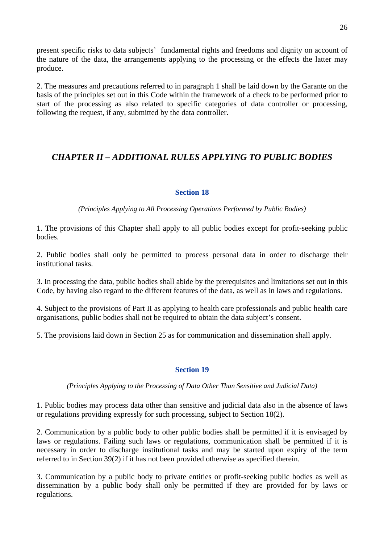<span id="page-25-0"></span>present specific risks to data subjects' fundamental rights and freedoms and dignity on account of the nature of the data, the arrangements applying to the processing or the effects the latter may produce.

2. The measures and precautions referred to in paragraph 1 shall be laid down by the Garante on the basis of the principles set out in this Code within the framework of a check to be performed prior to start of the processing as also related to specific categories of data controller or processing, following the request, if any, submitted by the data controller.

# *CHAPTER II – ADDITIONAL RULES APPLYING TO PUBLIC BODIES*

# **Section 18**

*(Principles Applying to All Processing Operations Performed by Public Bodies)* 

1. The provisions of this Chapter shall apply to all public bodies except for profit-seeking public bodies.

2. Public bodies shall only be permitted to process personal data in order to discharge their institutional tasks.

3. In processing the data, public bodies shall abide by the prerequisites and limitations set out in this Code, by having also regard to the different features of the data, as well as in laws and regulations.

4. Subject to the provisions of Part II as applying to health care professionals and public health care organisations, public bodies shall not be required to obtain the data subject's consent.

5. The provisions laid down in Section 25 as for communication and dissemination shall apply.

# **Section 19**

# *(Principles Applying to the Processing of Data Other Than Sensitive and Judicial Data)*

1. Public bodies may process data other than sensitive and judicial data also in the absence of laws or regulations providing expressly for such processing, subject to Section 18(2).

2. Communication by a public body to other public bodies shall be permitted if it is envisaged by laws or regulations. Failing such laws or regulations, communication shall be permitted if it is necessary in order to discharge institutional tasks and may be started upon expiry of the term referred to in Section 39(2) if it has not been provided otherwise as specified therein.

3. Communication by a public body to private entities or profit-seeking public bodies as well as dissemination by a public body shall only be permitted if they are provided for by laws or regulations.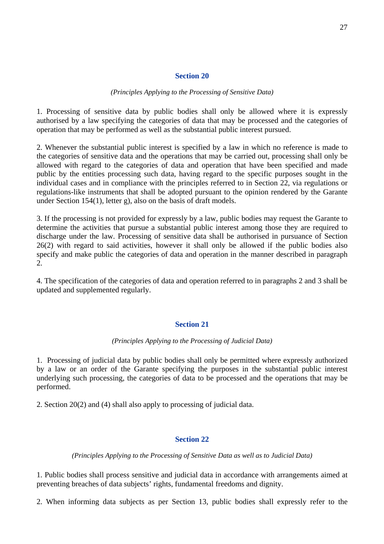#### **Section 20**

#### *(Principles Applying to the Processing of Sensitive Data)*

<span id="page-26-0"></span>1. Processing of sensitive data by public bodies shall only be allowed where it is expressly authorised by a law specifying the categories of data that may be processed and the categories of operation that may be performed as well as the substantial public interest pursued.

2. Whenever the substantial public interest is specified by a law in which no reference is made to the categories of sensitive data and the operations that may be carried out, processing shall only be allowed with regard to the categories of data and operation that have been specified and made public by the entities processing such data, having regard to the specific purposes sought in the individual cases and in compliance with the principles referred to in Section 22, via regulations or regulations-like instruments that shall be adopted pursuant to the opinion rendered by the Garante under Section 154(1), letter g), also on the basis of draft models.

3. If the processing is not provided for expressly by a law, public bodies may request the Garante to determine the activities that pursue a substantial public interest among those they are required to discharge under the law. Processing of sensitive data shall be authorised in pursuance of Section 26(2) with regard to said activities, however it shall only be allowed if the public bodies also specify and make public the categories of data and operation in the manner described in paragraph 2.

4. The specification of the categories of data and operation referred to in paragraphs 2 and 3 shall be updated and supplemented regularly.

#### **Section 21**

#### *(Principles Applying to the Processing of Judicial Data)*

1. Processing of judicial data by public bodies shall only be permitted where expressly authorized by a law or an order of the Garante specifying the purposes in the substantial public interest underlying such processing, the categories of data to be processed and the operations that may be performed.

2. Section 20(2) and (4) shall also apply to processing of judicial data.

#### **Section 22**

#### *(Principles Applying to the Processing of Sensitive Data as well as to Judicial Data)*

1. Public bodies shall process sensitive and judicial data in accordance with arrangements aimed at preventing breaches of data subjects' rights, fundamental freedoms and dignity.

2. When informing data subjects as per Section 13, public bodies shall expressly refer to the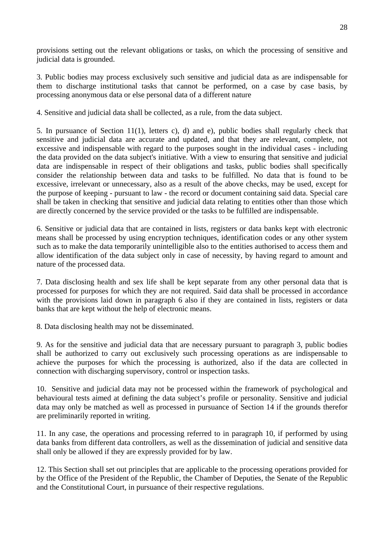provisions setting out the relevant obligations or tasks, on which the processing of sensitive and judicial data is grounded.

3. Public bodies may process exclusively such sensitive and judicial data as are indispensable for them to discharge institutional tasks that cannot be performed, on a case by case basis, by processing anonymous data or else personal data of a different nature

4. Sensitive and judicial data shall be collected, as a rule, from the data subject.

5. In pursuance of Section 11(1), letters c), d) and e), public bodies shall regularly check that sensitive and judicial data are accurate and updated, and that they are relevant, complete, not excessive and indispensable with regard to the purposes sought in the individual cases - including the data provided on the data subject's initiative. With a view to ensuring that sensitive and judicial data are indispensable in respect of their obligations and tasks, public bodies shall specifically consider the relationship between data and tasks to be fulfilled. No data that is found to be excessive, irrelevant or unnecessary, also as a result of the above checks, may be used, except for the purpose of keeping - pursuant to law - the record or document containing said data. Special care shall be taken in checking that sensitive and judicial data relating to entities other than those which are directly concerned by the service provided or the tasks to be fulfilled are indispensable.

6. Sensitive or judicial data that are contained in lists, registers or data banks kept with electronic means shall be processed by using encryption techniques, identification codes or any other system such as to make the data temporarily unintelligible also to the entities authorised to access them and allow identification of the data subject only in case of necessity, by having regard to amount and nature of the processed data.

7. Data disclosing health and sex life shall be kept separate from any other personal data that is processed for purposes for which they are not required. Said data shall be processed in accordance with the provisions laid down in paragraph 6 also if they are contained in lists, registers or data banks that are kept without the help of electronic means.

8. Data disclosing health may not be disseminated.

9. As for the sensitive and judicial data that are necessary pursuant to paragraph 3, public bodies shall be authorized to carry out exclusively such processing operations as are indispensable to achieve the purposes for which the processing is authorized, also if the data are collected in connection with discharging supervisory, control or inspection tasks.

10. Sensitive and judicial data may not be processed within the framework of psychological and behavioural tests aimed at defining the data subject's profile or personality. Sensitive and judicial data may only be matched as well as processed in pursuance of Section 14 if the grounds therefor are preliminarily reported in writing.

11. In any case, the operations and processing referred to in paragraph 10, if performed by using data banks from different data controllers, as well as the dissemination of judicial and sensitive data shall only be allowed if they are expressly provided for by law.

12. This Section shall set out principles that are applicable to the processing operations provided for by the Office of the President of the Republic, the Chamber of Deputies, the Senate of the Republic and the Constitutional Court, in pursuance of their respective regulations.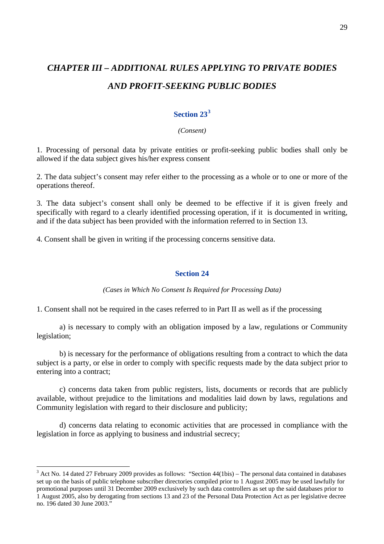# <span id="page-28-0"></span>*CHAPTER III – ADDITIONAL RULES APPLYING TO PRIVATE BODIES AND PROFIT-SEEKING PUBLIC BODIES*

# **Section 23[3](#page-28-1)**

#### *(Consent)*

1. Processing of personal data by private entities or profit-seeking public bodies shall only be allowed if the data subject gives his/her express consent

2. The data subject's consent may refer either to the processing as a whole or to one or more of the operations thereof.

3. The data subject's consent shall only be deemed to be effective if it is given freely and specifically with regard to a clearly identified processing operation, if it is documented in writing, and if the data subject has been provided with the information referred to in Section 13.

4. Consent shall be given in writing if the processing concerns sensitive data.

#### **Section 24**

*(Cases in Which No Consent Is Required for Processing Data)* 

1. Consent shall not be required in the cases referred to in Part II as well as if the processing

a) is necessary to comply with an obligation imposed by a law, regulations or Community legislation;

 b) is necessary for the performance of obligations resulting from a contract to which the data subject is a party, or else in order to comply with specific requests made by the data subject prior to entering into a contract;

 c) concerns data taken from public registers, lists, documents or records that are publicly available, without prejudice to the limitations and modalities laid down by laws, regulations and Community legislation with regard to their disclosure and publicity;

 d) concerns data relating to economic activities that are processed in compliance with the legislation in force as applying to business and industrial secrecy;

 $\overline{a}$ 

<span id="page-28-1"></span> $3$  Act No. 14 dated 27 February 2009 provides as follows: "Section  $44(1 \text{bis})$  – The personal data contained in databases set up on the basis of public telephone subscriber directories compiled prior to 1 August 2005 may be used lawfully for promotional purposes until 31 December 2009 exclusively by such data controllers as set up the said databases prior to 1 August 2005, also by derogating from sections 13 and 23 of the Personal Data Protection Act as per legislative decree no. 196 dated 30 June 2003."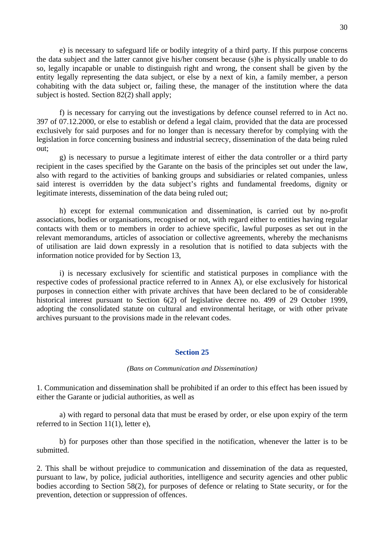<span id="page-29-0"></span> e) is necessary to safeguard life or bodily integrity of a third party. If this purpose concerns the data subject and the latter cannot give his/her consent because (s)he is physically unable to do so, legally incapable or unable to distinguish right and wrong, the consent shall be given by the entity legally representing the data subject, or else by a next of kin, a family member, a person cohabiting with the data subject or, failing these, the manager of the institution where the data subject is hosted. Section 82(2) shall apply;

 f) is necessary for carrying out the investigations by defence counsel referred to in Act no. 397 of 07.12.2000, or else to establish or defend a legal claim, provided that the data are processed exclusively for said purposes and for no longer than is necessary therefor by complying with the legislation in force concerning business and industrial secrecy, dissemination of the data being ruled out;

 g) is necessary to pursue a legitimate interest of either the data controller or a third party recipient in the cases specified by the Garante on the basis of the principles set out under the law, also with regard to the activities of banking groups and subsidiaries or related companies, unless said interest is overridden by the data subject's rights and fundamental freedoms, dignity or legitimate interests, dissemination of the data being ruled out;

h) except for external communication and dissemination, is carried out by no-profit associations, bodies or organisations, recognised or not, with regard either to entities having regular contacts with them or to members in order to achieve specific, lawful purposes as set out in the relevant memorandums, articles of association or collective agreements, whereby the mechanisms of utilisation are laid down expressly in a resolution that is notified to data subjects with the information notice provided for by Section 13,

 i) is necessary exclusively for scientific and statistical purposes in compliance with the respective codes of professional practice referred to in Annex A), or else exclusively for historical purposes in connection either with private archives that have been declared to be of considerable historical interest pursuant to Section 6(2) of legislative decree no. 499 of 29 October 1999, adopting the consolidated statute on cultural and environmental heritage, or with other private archives pursuant to the provisions made in the relevant codes.

#### **Section 25**

#### *(Bans on Communication and Dissemination)*

1. Communication and dissemination shall be prohibited if an order to this effect has been issued by either the Garante or judicial authorities, as well as

a) with regard to personal data that must be erased by order, or else upon expiry of the term referred to in Section 11(1), letter e),

b) for purposes other than those specified in the notification, whenever the latter is to be submitted.

2. This shall be without prejudice to communication and dissemination of the data as requested, pursuant to law, by police, judicial authorities, intelligence and security agencies and other public bodies according to Section 58(2), for purposes of defence or relating to State security, or for the prevention, detection or suppression of offences.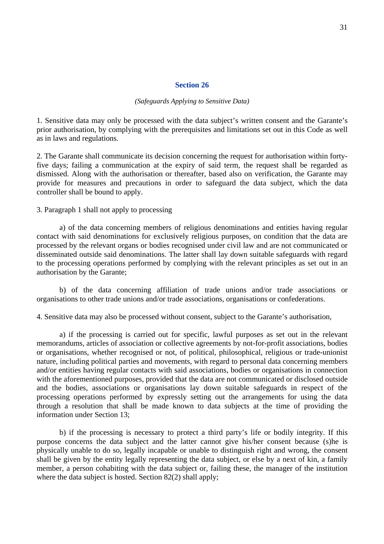#### **Section 26**

#### *(Safeguards Applying to Sensitive Data)*

<span id="page-30-0"></span>1. Sensitive data may only be processed with the data subject's written consent and the Garante's prior authorisation, by complying with the prerequisites and limitations set out in this Code as well as in laws and regulations.

2. The Garante shall communicate its decision concerning the request for authorisation within fortyfive days; failing a communication at the expiry of said term, the request shall be regarded as dismissed. Along with the authorisation or thereafter, based also on verification, the Garante may provide for measures and precautions in order to safeguard the data subject, which the data controller shall be bound to apply.

3. Paragraph 1 shall not apply to processing

 a) of the data concerning members of religious denominations and entities having regular contact with said denominations for exclusively religious purposes, on condition that the data are processed by the relevant organs or bodies recognised under civil law and are not communicated or disseminated outside said denominations. The latter shall lay down suitable safeguards with regard to the processing operations performed by complying with the relevant principles as set out in an authorisation by the Garante;

b) of the data concerning affiliation of trade unions and/or trade associations or organisations to other trade unions and/or trade associations, organisations or confederations.

4. Sensitive data may also be processed without consent, subject to the Garante's authorisation,

a) if the processing is carried out for specific, lawful purposes as set out in the relevant memorandums, articles of association or collective agreements by not-for-profit associations, bodies or organisations, whether recognised or not, of political, philosophical, religious or trade-unionist nature, including political parties and movements, with regard to personal data concerning members and/or entities having regular contacts with said associations, bodies or organisations in connection with the aforementioned purposes, provided that the data are not communicated or disclosed outside and the bodies, associations or organisations lay down suitable safeguards in respect of the processing operations performed by expressly setting out the arrangements for using the data through a resolution that shall be made known to data subjects at the time of providing the information under Section 13;

b) if the processing is necessary to protect a third party's life or bodily integrity. If this purpose concerns the data subject and the latter cannot give his/her consent because (s)he is physically unable to do so, legally incapable or unable to distinguish right and wrong, the consent shall be given by the entity legally representing the data subject, or else by a next of kin, a family member, a person cohabiting with the data subject or, failing these, the manager of the institution where the data subject is hosted. Section 82(2) shall apply: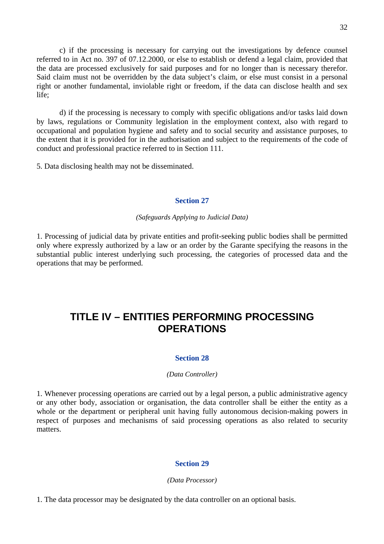<span id="page-31-0"></span>c) if the processing is necessary for carrying out the investigations by defence counsel referred to in Act no. 397 of 07.12.2000, or else to establish or defend a legal claim, provided that the data are processed exclusively for said purposes and for no longer than is necessary therefor. Said claim must not be overridden by the data subject's claim, or else must consist in a personal right or another fundamental, inviolable right or freedom, if the data can disclose health and sex life;

d) if the processing is necessary to comply with specific obligations and/or tasks laid down by laws, regulations or Community legislation in the employment context, also with regard to occupational and population hygiene and safety and to social security and assistance purposes, to the extent that it is provided for in the authorisation and subject to the requirements of the code of conduct and professional practice referred to in Section 111.

5. Data disclosing health may not be disseminated.

### **Section 27**

### *(Safeguards Applying to Judicial Data)*

1. Processing of judicial data by private entities and profit-seeking public bodies shall be permitted only where expressly authorized by a law or an order by the Garante specifying the reasons in the substantial public interest underlying such processing, the categories of processed data and the operations that may be performed.

# **TITLE IV – ENTITIES PERFORMING PROCESSING OPERATIONS**

# **Section 28**

#### *(Data Controller)*

1. Whenever processing operations are carried out by a legal person, a public administrative agency or any other body, association or organisation, the data controller shall be either the entity as a whole or the department or peripheral unit having fully autonomous decision-making powers in respect of purposes and mechanisms of said processing operations as also related to security matters.

# **Section 29**

#### *(Data Processor)*

1. The data processor may be designated by the data controller on an optional basis.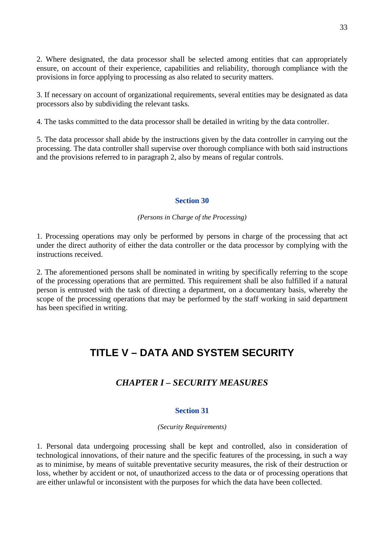<span id="page-32-0"></span>2. Where designated, the data processor shall be selected among entities that can appropriately ensure, on account of their experience, capabilities and reliability, thorough compliance with the provisions in force applying to processing as also related to security matters.

3. If necessary on account of organizational requirements, several entities may be designated as data processors also by subdividing the relevant tasks.

4. The tasks committed to the data processor shall be detailed in writing by the data controller.

5. The data processor shall abide by the instructions given by the data controller in carrying out the processing. The data controller shall supervise over thorough compliance with both said instructions and the provisions referred to in paragraph 2, also by means of regular controls.

### **Section 30**

# *(Persons in Charge of the Processing)*

1. Processing operations may only be performed by persons in charge of the processing that act under the direct authority of either the data controller or the data processor by complying with the instructions received.

2. The aforementioned persons shall be nominated in writing by specifically referring to the scope of the processing operations that are permitted. This requirement shall be also fulfilled if a natural person is entrusted with the task of directing a department, on a documentary basis, whereby the scope of the processing operations that may be performed by the staff working in said department has been specified in writing.

# **TITLE V – DATA AND SYSTEM SECURITY**

# *CHAPTER I – SECURITY MEASURES*

# **Section 31**

#### *(Security Requirements)*

1. Personal data undergoing processing shall be kept and controlled, also in consideration of technological innovations, of their nature and the specific features of the processing, in such a way as to minimise, by means of suitable preventative security measures, the risk of their destruction or loss, whether by accident or not, of unauthorized access to the data or of processing operations that are either unlawful or inconsistent with the purposes for which the data have been collected.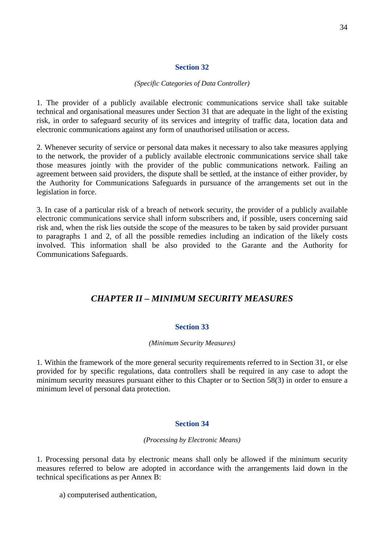### **Section 32**

#### *(Specific Categories of Data Controller)*

<span id="page-33-0"></span>1. The provider of a publicly available electronic communications service shall take suitable technical and organisational measures under Section 31 that are adequate in the light of the existing risk, in order to safeguard security of its services and integrity of traffic data, location data and electronic communications against any form of unauthorised utilisation or access.

2. Whenever security of service or personal data makes it necessary to also take measures applying to the network, the provider of a publicly available electronic communications service shall take those measures jointly with the provider of the public communications network. Failing an agreement between said providers, the dispute shall be settled, at the instance of either provider, by the Authority for Communications Safeguards in pursuance of the arrangements set out in the legislation in force.

3. In case of a particular risk of a breach of network security, the provider of a publicly available electronic communications service shall inform subscribers and, if possible, users concerning said risk and, when the risk lies outside the scope of the measures to be taken by said provider pursuant to paragraphs 1 and 2, of all the possible remedies including an indication of the likely costs involved. This information shall be also provided to the Garante and the Authority for Communications Safeguards.

# *CHAPTER II – MINIMUM SECURITY MEASURES*

# **Section 33**

#### *(Minimum Security Measures)*

1. Within the framework of the more general security requirements referred to in Section 31, or else provided for by specific regulations, data controllers shall be required in any case to adopt the minimum security measures pursuant either to this Chapter or to Section 58(3) in order to ensure a minimum level of personal data protection.

# **Section 34**

# *(Processing by Electronic Means)*

1. Processing personal data by electronic means shall only be allowed if the minimum security measures referred to below are adopted in accordance with the arrangements laid down in the technical specifications as per Annex B:

a) computerised authentication,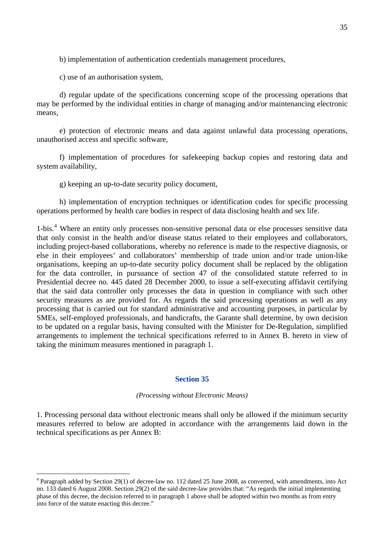<span id="page-34-0"></span>b) implementation of authentication credentials management procedures,

c) use of an authorisation system,

 $\overline{a}$ 

 d) regular update of the specifications concerning scope of the processing operations that may be performed by the individual entities in charge of managing and/or maintenancing electronic means,

 e) protection of electronic means and data against unlawful data processing operations, unauthorised access and specific software,

 f) implementation of procedures for safekeeping backup copies and restoring data and system availability,

g) keeping an up-to-date security policy document,

 h) implementation of encryption techniques or identification codes for specific processing operations performed by health care bodies in respect of data disclosing health and sex life.

1-bis.<sup>[4](#page-34-1)</sup> Where an entity only processes non-sensitive personal data or else processes sensitive data that only consist in the health and/or disease status related to their employees and collaborators, including project-based collaborations, whereby no reference is made to the respective diagnosis, or else in their employees' and collaborators' membership of trade union and/or trade union-like organisations, keeping an up-to-date security policy document shall be replaced by the obligation for the data controller, in pursuance of section 47 of the consolidated statute referred to in Presidential decree no. 445 dated 28 December 2000, to issue a self-executing affidavit certifying that the said data controller only processes the data in question in compliance with such other security measures as are provided for. As regards the said processing operations as well as any processing that is carried out for standard administrative and accounting purposes, in particular by SMEs, self-employed professionals, and handicrafts, the Garante shall determine, by own decision to be updated on a regular basis, having consulted with the Minister for De-Regulation, simplified arrangements to implement the technical specifications referred to in Annex B. hereto in view of taking the minimum measures mentioned in paragraph 1.

#### **Section 35**

*(Processing without Electronic Means)* 

1. Processing personal data without electronic means shall only be allowed if the minimum security measures referred to below are adopted in accordance with the arrangements laid down in the technical specifications as per Annex B:

<span id="page-34-1"></span><sup>&</sup>lt;sup>4</sup> Paragraph added by Section 29(1) of decree-law no. 112 dated 25 June 2008, as converted, with amendments, into Act no. 133 dated 6 August 2008. Section 29(2) of the said decree-law provides that: "As regards the initial implementing phase of this decree, the decision referred to in paragraph 1 above shall be adopted within two months as from entry into force of the statute enacting this decree."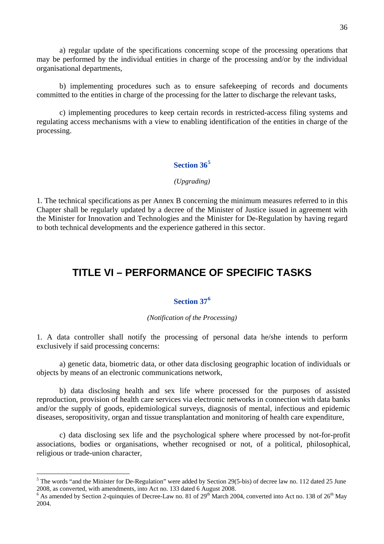<span id="page-35-0"></span> a) regular update of the specifications concerning scope of the processing operations that may be performed by the individual entities in charge of the processing and/or by the individual organisational departments,

 b) implementing procedures such as to ensure safekeeping of records and documents committed to the entities in charge of the processing for the latter to discharge the relevant tasks,

 c) implementing procedures to keep certain records in restricted-access filing systems and regulating access mechanisms with a view to enabling identification of the entities in charge of the processing.

# **Section 36[5](#page-35-1)**

### *(Upgrading)*

1. The technical specifications as per Annex B concerning the minimum measures referred to in this Chapter shall be regularly updated by a decree of the Minister of Justice issued in agreement with the Minister for Innovation and Technologies and the Minister for De-Regulation by having regard to both technical developments and the experience gathered in this sector.

# **TITLE VI – PERFORMANCE OF SPECIFIC TASKS**

# **Section 37[6](#page-35-2)**

#### *(Notification of the Processing)*

1. A data controller shall notify the processing of personal data he/she intends to perform exclusively if said processing concerns:

 a) genetic data, biometric data, or other data disclosing geographic location of individuals or objects by means of an electronic communications network,

 b) data disclosing health and sex life where processed for the purposes of assisted reproduction, provision of health care services via electronic networks in connection with data banks and/or the supply of goods, epidemiological surveys, diagnosis of mental, infectious and epidemic diseases, seropositivity, organ and tissue transplantation and monitoring of health care expenditure,

 c) data disclosing sex life and the psychological sphere where processed by not-for-profit associations, bodies or organisations, whether recognised or not, of a political, philosophical, religious or trade-union character,

 $\overline{a}$ 

<span id="page-35-1"></span> $<sup>5</sup>$  The words "and the Minister for De-Regulation" were added by Section 29(5-bis) of decree law no. 112 dated 25 June</sup> 2008, as converted, with amendments, into Act no. 133 dated 6 August 2008.

<span id="page-35-2"></span><sup>&</sup>lt;sup>6</sup> As amended by Section 2-quinquies of Decree-Law no. 81 of 29<sup>th</sup> March 2004, converted into Act no. 138 of 26<sup>th</sup> May 2004.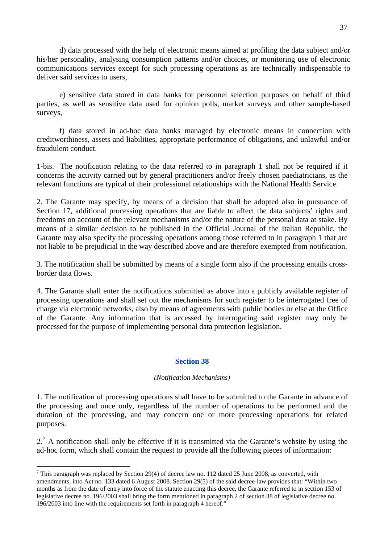d) data processed with the help of electronic means aimed at profiling the data subject and/or his/her personality, analysing consumption patterns and/or choices, or monitoring use of electronic communications services except for such processing operations as are technically indispensable to deliver said services to users,

 e) sensitive data stored in data banks for personnel selection purposes on behalf of third parties, as well as sensitive data used for opinion polls, market surveys and other sample-based surveys,

 f) data stored in ad-hoc data banks managed by electronic means in connection with creditworthiness, assets and liabilities, appropriate performance of obligations, and unlawful and/or fraudulent conduct.

1-bis. The notification relating to the data referred to in paragraph 1 shall not be required if it concerns the activity carried out by general practitioners and/or freely chosen paediatricians, as the relevant functions are typical of their professional relationships with the National Health Service.

2. The Garante may specify, by means of a decision that shall be adopted also in pursuance of Section 17, additional processing operations that are liable to affect the data subjects' rights and freedoms on account of the relevant mechanisms and/or the nature of the personal data at stake. By means of a similar decision to be published in the Official Journal of the Italian Republic, the Garante may also specify the processing operations among those referred to in paragraph 1 that are not liable to be prejudicial in the way described above and are therefore exempted from notification.

3. The notification shall be submitted by means of a single form also if the processing entails crossborder data flows.

4. The Garante shall enter the notifications submitted as above into a publicly available register of processing operations and shall set out the mechanisms for such register to be interrogated free of charge via electronic networks, also by means of agreements with public bodies or else at the Office of the Garante. Any information that is accessed by interrogating said register may only be processed for the purpose of implementing personal data protection legislation.

## **Section 38**

### *(Notification Mechanisms)*

1. The notification of processing operations shall have to be submitted to the Garante in advance of the processing and once only, regardless of the number of operations to be performed and the duration of the processing, and may concern one or more processing operations for related purposes.

 $2<sup>7</sup>$  $2<sup>7</sup>$  $2<sup>7</sup>$  A notification shall only be effective if it is transmitted via the Garante's website by using the ad-hoc form, which shall contain the request to provide all the following pieces of information:

 $\overline{a}$ 

<span id="page-36-0"></span><sup>&</sup>lt;sup>7</sup> This paragraph was replaced by Section 29(4) of decree law no. 112 dated 25 June 2008, as converted, with amendments, into Act no. 133 dated 6 August 2008. Section 29(5) of the said decree-law provides that: "Within two months as from the date of entry into force of the statute enacting this decree, the Garante referred to in section 153 of legislative decree no. 196/2003 shall bring the form mentioned in paragraph 2 of section 38 of legislative decree no. 196/2003 into line with the requirements set forth in paragraph 4 hereof."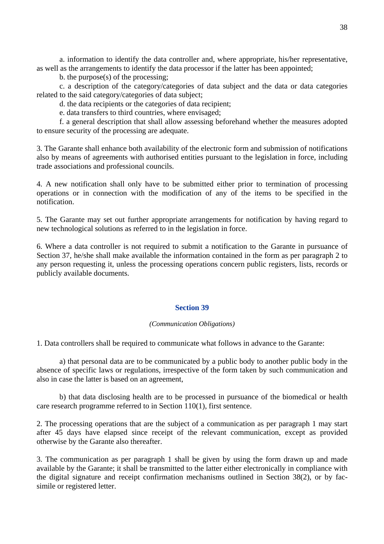a. information to identify the data controller and, where appropriate, his/her representative, as well as the arrangements to identify the data processor if the latter has been appointed;

b. the purpose(s) of the processing;

c. a description of the category/categories of data subject and the data or data categories related to the said category/categories of data subject;

d. the data recipients or the categories of data recipient;

e. data transfers to third countries, where envisaged;

f. a general description that shall allow assessing beforehand whether the measures adopted to ensure security of the processing are adequate.

3. The Garante shall enhance both availability of the electronic form and submission of notifications also by means of agreements with authorised entities pursuant to the legislation in force, including trade associations and professional councils.

4. A new notification shall only have to be submitted either prior to termination of processing operations or in connection with the modification of any of the items to be specified in the notification.

5. The Garante may set out further appropriate arrangements for notification by having regard to new technological solutions as referred to in the legislation in force.

6. Where a data controller is not required to submit a notification to the Garante in pursuance of Section 37, he/she shall make available the information contained in the form as per paragraph 2 to any person requesting it, unless the processing operations concern public registers, lists, records or publicly available documents.

### **Section 39**

### *(Communication Obligations)*

1. Data controllers shall be required to communicate what follows in advance to the Garante:

 a) that personal data are to be communicated by a public body to another public body in the absence of specific laws or regulations, irrespective of the form taken by such communication and also in case the latter is based on an agreement,

 b) that data disclosing health are to be processed in pursuance of the biomedical or health care research programme referred to in Section 110(1), first sentence.

2. The processing operations that are the subject of a communication as per paragraph 1 may start after 45 days have elapsed since receipt of the relevant communication, except as provided otherwise by the Garante also thereafter.

3. The communication as per paragraph 1 shall be given by using the form drawn up and made available by the Garante; it shall be transmitted to the latter either electronically in compliance with the digital signature and receipt confirmation mechanisms outlined in Section 38(2), or by facsimile or registered letter.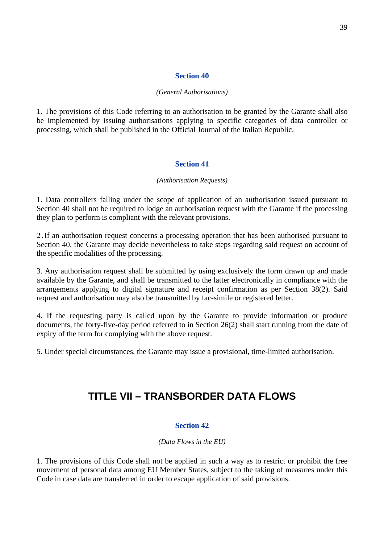### *(General Authorisations)*

1. The provisions of this Code referring to an authorisation to be granted by the Garante shall also be implemented by issuing authorisations applying to specific categories of data controller or processing, which shall be published in the Official Journal of the Italian Republic.

### **Section 41**

### *(Authorisation Requests)*

1. Data controllers falling under the scope of application of an authorisation issued pursuant to Section 40 shall not be required to lodge an authorisation request with the Garante if the processing they plan to perform is compliant with the relevant provisions.

2.If an authorisation request concerns a processing operation that has been authorised pursuant to Section 40, the Garante may decide nevertheless to take steps regarding said request on account of the specific modalities of the processing.

3. Any authorisation request shall be submitted by using exclusively the form drawn up and made available by the Garante, and shall be transmitted to the latter electronically in compliance with the arrangements applying to digital signature and receipt confirmation as per Section 38(2). Said request and authorisation may also be transmitted by fac-simile or registered letter.

4. If the requesting party is called upon by the Garante to provide information or produce documents, the forty-five-day period referred to in Section 26(2) shall start running from the date of expiry of the term for complying with the above request.

5. Under special circumstances, the Garante may issue a provisional, time-limited authorisation.

# **TITLE VII – TRANSBORDER DATA FLOWS**

## **Section 42**

### *(Data Flows in the EU)*

1. The provisions of this Code shall not be applied in such a way as to restrict or prohibit the free movement of personal data among EU Member States, subject to the taking of measures under this Code in case data are transferred in order to escape application of said provisions.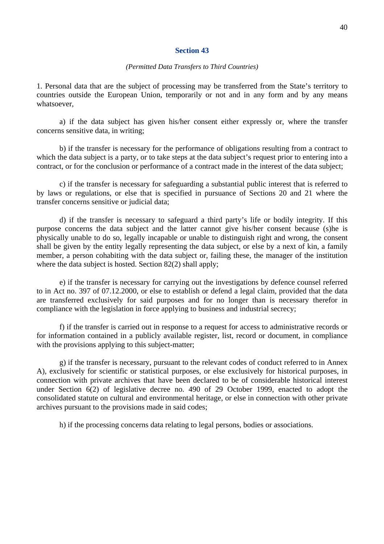### *(Permitted Data Transfers to Third Countries)*

1. Personal data that are the subject of processing may be transferred from the State's territory to countries outside the European Union, temporarily or not and in any form and by any means whatsoever,

 a) if the data subject has given his/her consent either expressly or, where the transfer concerns sensitive data, in writing;

 b) if the transfer is necessary for the performance of obligations resulting from a contract to which the data subject is a party, or to take steps at the data subject's request prior to entering into a contract, or for the conclusion or performance of a contract made in the interest of the data subject;

 c) if the transfer is necessary for safeguarding a substantial public interest that is referred to by laws or regulations, or else that is specified in pursuance of Sections 20 and 21 where the transfer concerns sensitive or judicial data;

d) if the transfer is necessary to safeguard a third party's life or bodily integrity. If this purpose concerns the data subject and the latter cannot give his/her consent because (s)he is physically unable to do so, legally incapable or unable to distinguish right and wrong, the consent shall be given by the entity legally representing the data subject, or else by a next of kin, a family member, a person cohabiting with the data subject or, failing these, the manager of the institution where the data subject is hosted. Section 82(2) shall apply;

 e) if the transfer is necessary for carrying out the investigations by defence counsel referred to in Act no. 397 of 07.12.2000, or else to establish or defend a legal claim, provided that the data are transferred exclusively for said purposes and for no longer than is necessary therefor in compliance with the legislation in force applying to business and industrial secrecy;

 f) if the transfer is carried out in response to a request for access to administrative records or for information contained in a publicly available register, list, record or document, in compliance with the provisions applying to this subject-matter;

g) if the transfer is necessary, pursuant to the relevant codes of conduct referred to in Annex A), exclusively for scientific or statistical purposes, or else exclusively for historical purposes, in connection with private archives that have been declared to be of considerable historical interest under Section 6(2) of legislative decree no. 490 of 29 October 1999, enacted to adopt the consolidated statute on cultural and environmental heritage, or else in connection with other private archives pursuant to the provisions made in said codes;

h) if the processing concerns data relating to legal persons, bodies or associations.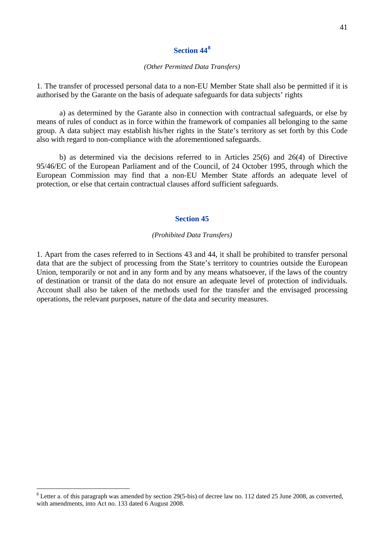### *(Other Permitted Data Transfers)*

1. The transfer of processed personal data to a non-EU Member State shall also be permitted if it is authorised by the Garante on the basis of adequate safeguards for data subjects' rights

 a) as determined by the Garante also in connection with contractual safeguards, or else by means of rules of conduct as in force within the framework of companies all belonging to the same group. A data subject may establish his/her rights in the State's territory as set forth by this Code also with regard to non-compliance with the aforementioned safeguards.

 b) as determined via the decisions referred to in Articles 25(6) and 26(4) of Directive 95/46/EC of the European Parliament and of the Council, of 24 October 1995, through which the European Commission may find that a non-EU Member State affords an adequate level of protection, or else that certain contractual clauses afford sufficient safeguards.

### **Section 45**

#### *(Prohibited Data Transfers)*

1. Apart from the cases referred to in Sections 43 and 44, it shall be prohibited to transfer personal data that are the subject of processing from the State's territory to countries outside the European Union, temporarily or not and in any form and by any means whatsoever, if the laws of the country of destination or transit of the data do not ensure an adequate level of protection of individuals. Account shall also be taken of the methods used for the transfer and the envisaged processing operations, the relevant purposes, nature of the data and security measures.

 $\overline{a}$ 

<span id="page-40-0"></span> $8$  Letter a. of this paragraph was amended by section 29(5-bis) of decree law no. 112 dated 25 June 2008, as converted, with amendments, into Act no. 133 dated 6 August 2008.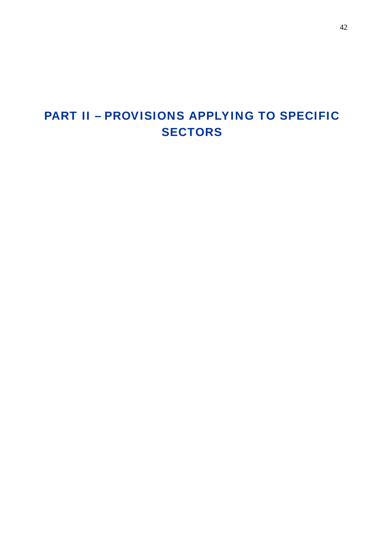# PART II – PROVISIONS APPLYING TO SPECIFIC **SECTORS**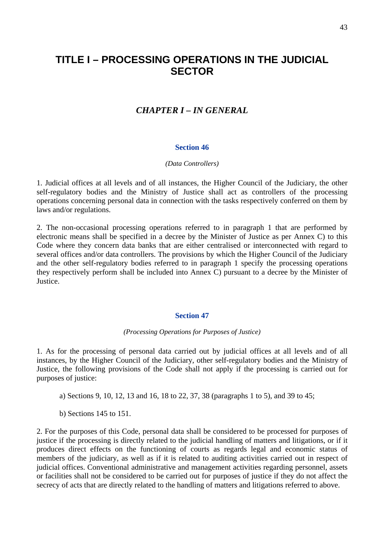# **TITLE I – PROCESSING OPERATIONS IN THE JUDICIAL SECTOR**

## *CHAPTER I – IN GENERAL*

### **Section 46**

#### *(Data Controllers)*

1. Judicial offices at all levels and of all instances, the Higher Council of the Judiciary, the other self-regulatory bodies and the Ministry of Justice shall act as controllers of the processing operations concerning personal data in connection with the tasks respectively conferred on them by laws and/or regulations.

2. The non-occasional processing operations referred to in paragraph 1 that are performed by electronic means shall be specified in a decree by the Minister of Justice as per Annex C) to this Code where they concern data banks that are either centralised or interconnected with regard to several offices and/or data controllers. The provisions by which the Higher Council of the Judiciary and the other self-regulatory bodies referred to in paragraph 1 specify the processing operations they respectively perform shall be included into Annex C) pursuant to a decree by the Minister of Justice.

### **Section 47**

### *(Processing Operations for Purposes of Justice)*

1. As for the processing of personal data carried out by judicial offices at all levels and of all instances, by the Higher Council of the Judiciary, other self-regulatory bodies and the Ministry of Justice, the following provisions of the Code shall not apply if the processing is carried out for purposes of justice:

a) Sections 9, 10, 12, 13 and 16, 18 to 22, 37, 38 (paragraphs 1 to 5), and 39 to 45;

b) Sections 145 to 151.

2. For the purposes of this Code, personal data shall be considered to be processed for purposes of justice if the processing is directly related to the judicial handling of matters and litigations, or if it produces direct effects on the functioning of courts as regards legal and economic status of members of the judiciary, as well as if it is related to auditing activities carried out in respect of judicial offices. Conventional administrative and management activities regarding personnel, assets or facilities shall not be considered to be carried out for purposes of justice if they do not affect the secrecy of acts that are directly related to the handling of matters and litigations referred to above.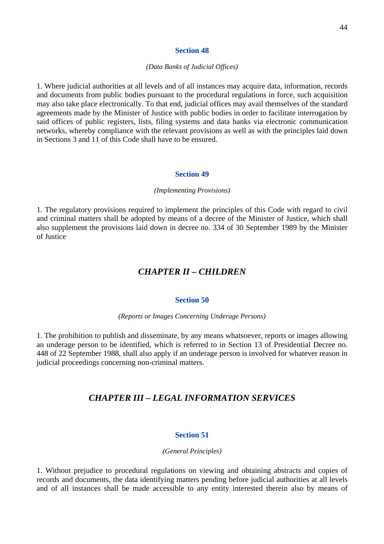### *(Data Banks of Judicial Offices)*

1. Where judicial authorities at all levels and of all instances may acquire data, information, records and documents from public bodies pursuant to the procedural regulations in force, such acquisition may also take place electronically. To that end, judicial offices may avail themselves of the standard agreements made by the Minister of Justice with public bodies in order to facilitate interrogation by said offices of public registers, lists, filing systems and data banks via electronic communication networks, whereby compliance with the relevant provisions as well as with the principles laid down in Sections 3 and 11 of this Code shall have to be ensured.

### **Section 49**

### *(Implementing Provisions)*

1. The regulatory provisions required to implement the principles of this Code with regard to civil and criminal matters shall be adopted by means of a decree of the Minister of Justice, which shall also supplement the provisions laid down in decree no. 334 of 30 September 1989 by the Minister of Justice

## *CHAPTER II – CHILDREN*

### **Section 50**

*(Reports or Images Concerning Underage Persons)* 

1. The prohibition to publish and disseminate, by any means whatsoever, reports or images allowing an underage person to be identified, which is referred to in Section 13 of Presidential Decree no. 448 of 22 September 1988, shall also apply if an underage person is involved for whatever reason in judicial proceedings concerning non-criminal matters.

## *CHAPTER III – LEGAL INFORMATION SERVICES*

### **Section 51**

#### *(General Principles)*

1. Without prejudice to procedural regulations on viewing and obtaining abstracts and copies of records and documents, the data identifying matters pending before judicial authorities at all levels and of all instances shall be made accessible to any entity interested therein also by means of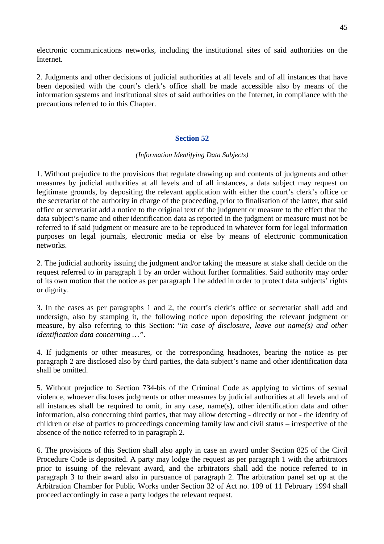electronic communications networks, including the institutional sites of said authorities on the Internet.

2. Judgments and other decisions of judicial authorities at all levels and of all instances that have been deposited with the court's clerk's office shall be made accessible also by means of the information systems and institutional sites of said authorities on the Internet, in compliance with the precautions referred to in this Chapter.

## **Section 52**

## *(Information Identifying Data Subjects)*

1. Without prejudice to the provisions that regulate drawing up and contents of judgments and other measures by judicial authorities at all levels and of all instances, a data subject may request on legitimate grounds, by depositing the relevant application with either the court's clerk's office or the secretariat of the authority in charge of the proceeding, prior to finalisation of the latter, that said office or secretariat add a notice to the original text of the judgment or measure to the effect that the data subject's name and other identification data as reported in the judgment or measure must not be referred to if said judgment or measure are to be reproduced in whatever form for legal information purposes on legal journals, electronic media or else by means of electronic communication networks.

2. The judicial authority issuing the judgment and/or taking the measure at stake shall decide on the request referred to in paragraph 1 by an order without further formalities. Said authority may order of its own motion that the notice as per paragraph 1 be added in order to protect data subjects' rights or dignity.

3. In the cases as per paragraphs 1 and 2, the court's clerk's office or secretariat shall add and undersign, also by stamping it, the following notice upon depositing the relevant judgment or measure, by also referring to this Section: "*In case of disclosure, leave out name(s) and other identification data concerning …"*.

4. If judgments or other measures, or the corresponding headnotes, bearing the notice as per paragraph 2 are disclosed also by third parties, the data subject's name and other identification data shall be omitted.

5. Without prejudice to Section 734-bis of the Criminal Code as applying to victims of sexual violence, whoever discloses judgments or other measures by judicial authorities at all levels and of all instances shall be required to omit, in any case, name(s), other identification data and other information, also concerning third parties, that may allow detecting - directly or not - the identity of children or else of parties to proceedings concerning family law and civil status – irrespective of the absence of the notice referred to in paragraph 2.

6. The provisions of this Section shall also apply in case an award under Section 825 of the Civil Procedure Code is deposited. A party may lodge the request as per paragraph 1 with the arbitrators prior to issuing of the relevant award, and the arbitrators shall add the notice referred to in paragraph 3 to their award also in pursuance of paragraph 2. The arbitration panel set up at the Arbitration Chamber for Public Works under Section 32 of Act no. 109 of 11 February 1994 shall proceed accordingly in case a party lodges the relevant request.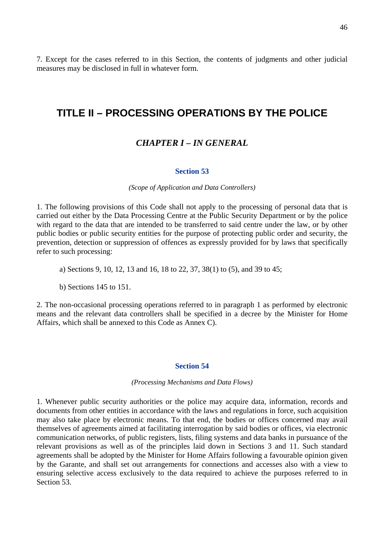7. Except for the cases referred to in this Section, the contents of judgments and other judicial measures may be disclosed in full in whatever form.

## **TITLE II – PROCESSING OPERATIONS BY THE POLICE**

## *CHAPTER I – IN GENERAL*

### **Section 53**

### *(Scope of Application and Data Controllers)*

1. The following provisions of this Code shall not apply to the processing of personal data that is carried out either by the Data Processing Centre at the Public Security Department or by the police with regard to the data that are intended to be transferred to said centre under the law, or by other public bodies or public security entities for the purpose of protecting public order and security, the prevention, detection or suppression of offences as expressly provided for by laws that specifically refer to such processing:

a) Sections 9, 10, 12, 13 and 16, 18 to 22, 37, 38(1) to (5), and 39 to 45;

b) Sections 145 to 151.

2. The non-occasional processing operations referred to in paragraph 1 as performed by electronic means and the relevant data controllers shall be specified in a decree by the Minister for Home Affairs, which shall be annexed to this Code as Annex C).

### **Section 54**

*(Processing Mechanisms and Data Flows)* 

1. Whenever public security authorities or the police may acquire data, information, records and documents from other entities in accordance with the laws and regulations in force, such acquisition may also take place by electronic means. To that end, the bodies or offices concerned may avail themselves of agreements aimed at facilitating interrogation by said bodies or offices, via electronic communication networks, of public registers, lists, filing systems and data banks in pursuance of the relevant provisions as well as of the principles laid down in Sections 3 and 11. Such standard agreements shall be adopted by the Minister for Home Affairs following a favourable opinion given by the Garante, and shall set out arrangements for connections and accesses also with a view to ensuring selective access exclusively to the data required to achieve the purposes referred to in Section 53.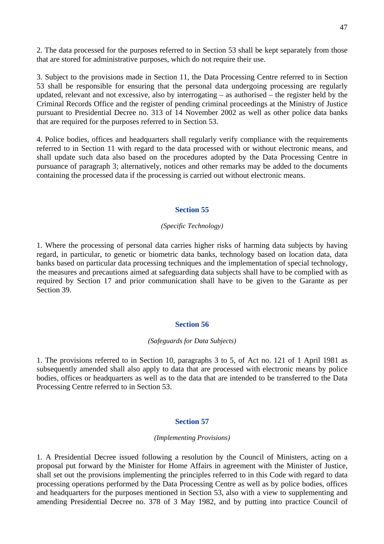2. The data processed for the purposes referred to in Section 53 shall be kept separately from those that are stored for administrative purposes, which do not require their use.

3. Subject to the provisions made in Section 11, the Data Processing Centre referred to in Section 53 shall be responsible for ensuring that the personal data undergoing processing are regularly updated, relevant and not excessive, also by interrogating – as authorised – the register held by the Criminal Records Office and the register of pending criminal proceedings at the Ministry of Justice pursuant to Presidential Decree no. 313 of 14 November 2002 as well as other police data banks that are required for the purposes referred to in Section 53.

4. Police bodies, offices and headquarters shall regularly verify compliance with the requirements referred to in Section 11 with regard to the data processed with or without electronic means, and shall update such data also based on the procedures adopted by the Data Processing Centre in pursuance of paragraph 3; alternatively, notices and other remarks may be added to the documents containing the processed data if the processing is carried out without electronic means.

## **Section 55**

### *(Specific Technology)*

1. Where the processing of personal data carries higher risks of harming data subjects by having regard, in particular, to genetic or biometric data banks, technology based on location data, data banks based on particular data processing techniques and the implementation of special technology, the measures and precautions aimed at safeguarding data subjects shall have to be complied with as required by Section 17 and prior communication shall have to be given to the Garante as per Section 39.

### **Section 56**

#### *(Safeguards for Data Subjects)*

1. The provisions referred to in Section 10, paragraphs 3 to 5, of Act no. 121 of 1 April 1981 as subsequently amended shall also apply to data that are processed with electronic means by police bodies, offices or headquarters as well as to the data that are intended to be transferred to the Data Processing Centre referred to in Section 53.

## **Section 57**

#### *(Implementing Provisions)*

1. A Presidential Decree issued following a resolution by the Council of Ministers, acting on a proposal put forward by the Minister for Home Affairs in agreement with the Minister of Justice, shall set out the provisions implementing the principles referred to in this Code with regard to data processing operations performed by the Data Processing Centre as well as by police bodies, offices and headquarters for the purposes mentioned in Section 53, also with a view to supplementing and amending Presidential Decree no. 378 of 3 May 1982, and by putting into practice Council of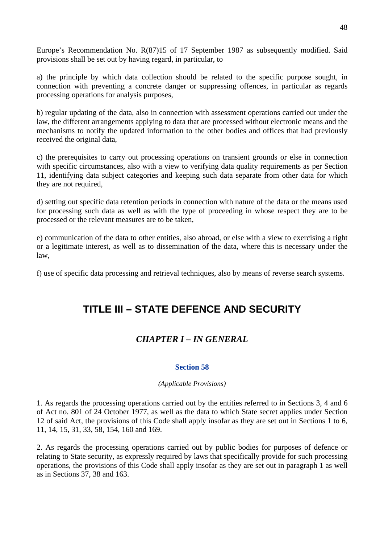Europe's Recommendation No. R(87)15 of 17 September 1987 as subsequently modified. Said provisions shall be set out by having regard, in particular, to

a) the principle by which data collection should be related to the specific purpose sought, in connection with preventing a concrete danger or suppressing offences, in particular as regards processing operations for analysis purposes,

b) regular updating of the data, also in connection with assessment operations carried out under the law, the different arrangements applying to data that are processed without electronic means and the mechanisms to notify the updated information to the other bodies and offices that had previously received the original data,

c) the prerequisites to carry out processing operations on transient grounds or else in connection with specific circumstances, also with a view to verifying data quality requirements as per Section 11, identifying data subject categories and keeping such data separate from other data for which they are not required,

d) setting out specific data retention periods in connection with nature of the data or the means used for processing such data as well as with the type of proceeding in whose respect they are to be processed or the relevant measures are to be taken,

e) communication of the data to other entities, also abroad, or else with a view to exercising a right or a legitimate interest, as well as to dissemination of the data, where this is necessary under the law,

f) use of specific data processing and retrieval techniques, also by means of reverse search systems.

# **TITLE III – STATE DEFENCE AND SECURITY**

## *CHAPTER I – IN GENERAL*

## **Section 58**

## *(Applicable Provisions)*

1. As regards the processing operations carried out by the entities referred to in Sections 3, 4 and 6 of Act no. 801 of 24 October 1977, as well as the data to which State secret applies under Section 12 of said Act, the provisions of this Code shall apply insofar as they are set out in Sections 1 to 6, 11, 14, 15, 31, 33, 58, 154, 160 and 169.

2. As regards the processing operations carried out by public bodies for purposes of defence or relating to State security, as expressly required by laws that specifically provide for such processing operations, the provisions of this Code shall apply insofar as they are set out in paragraph 1 as well as in Sections 37, 38 and 163.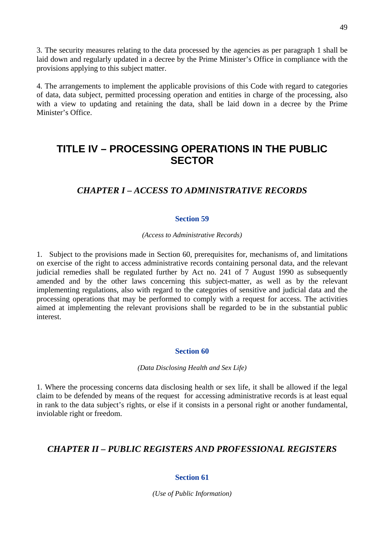3. The security measures relating to the data processed by the agencies as per paragraph 1 shall be laid down and regularly updated in a decree by the Prime Minister's Office in compliance with the provisions applying to this subject matter.

4. The arrangements to implement the applicable provisions of this Code with regard to categories of data, data subject, permitted processing operation and entities in charge of the processing, also with a view to updating and retaining the data, shall be laid down in a decree by the Prime Minister's Office.

# **TITLE IV – PROCESSING OPERATIONS IN THE PUBLIC SECTOR**

## *CHAPTER I – ACCESS TO ADMINISTRATIVE RECORDS*

## **Section 59**

## *(Access to Administrative Records)*

1. Subject to the provisions made in Section 60, prerequisites for, mechanisms of, and limitations on exercise of the right to access administrative records containing personal data, and the relevant judicial remedies shall be regulated further by Act no. 241 of 7 August 1990 as subsequently amended and by the other laws concerning this subject-matter, as well as by the relevant implementing regulations, also with regard to the categories of sensitive and judicial data and the processing operations that may be performed to comply with a request for access. The activities aimed at implementing the relevant provisions shall be regarded to be in the substantial public interest.

## **Section 60**

*(Data Disclosing Health and Sex Life)* 

1. Where the processing concerns data disclosing health or sex life, it shall be allowed if the legal claim to be defended by means of the request for accessing administrative records is at least equal in rank to the data subject's rights, or else if it consists in a personal right or another fundamental, inviolable right or freedom.

## *CHAPTER II – PUBLIC REGISTERS AND PROFESSIONAL REGISTERS*

## **Section 61**

*(Use of Public Information)*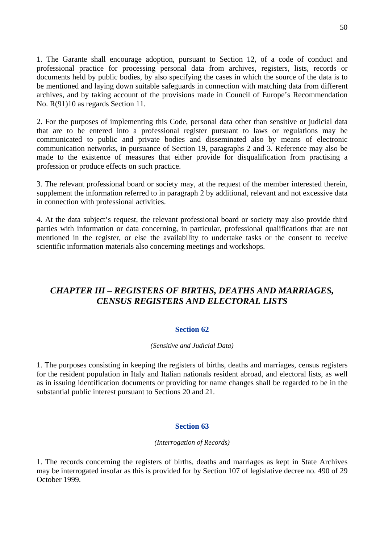1. The Garante shall encourage adoption, pursuant to Section 12, of a code of conduct and professional practice for processing personal data from archives, registers, lists, records or documents held by public bodies, by also specifying the cases in which the source of the data is to be mentioned and laying down suitable safeguards in connection with matching data from different archives, and by taking account of the provisions made in Council of Europe's Recommendation No. R(91)10 as regards Section 11.

2. For the purposes of implementing this Code, personal data other than sensitive or judicial data that are to be entered into a professional register pursuant to laws or regulations may be communicated to public and private bodies and disseminated also by means of electronic communication networks, in pursuance of Section 19, paragraphs 2 and 3. Reference may also be made to the existence of measures that either provide for disqualification from practising a profession or produce effects on such practice.

3. The relevant professional board or society may, at the request of the member interested therein, supplement the information referred to in paragraph 2 by additional, relevant and not excessive data in connection with professional activities.

4. At the data subject's request, the relevant professional board or society may also provide third parties with information or data concerning, in particular, professional qualifications that are not mentioned in the register, or else the availability to undertake tasks or the consent to receive scientific information materials also concerning meetings and workshops.

## *CHAPTER III – REGISTERS OF BIRTHS, DEATHS AND MARRIAGES, CENSUS REGISTERS AND ELECTORAL LISTS*

## **Section 62**

### *(Sensitive and Judicial Data)*

1. The purposes consisting in keeping the registers of births, deaths and marriages, census registers for the resident population in Italy and Italian nationals resident abroad, and electoral lists, as well as in issuing identification documents or providing for name changes shall be regarded to be in the substantial public interest pursuant to Sections 20 and 21.

### **Section 63**

### *(Interrogation of Records)*

1. The records concerning the registers of births, deaths and marriages as kept in State Archives may be interrogated insofar as this is provided for by Section 107 of legislative decree no. 490 of 29 October 1999.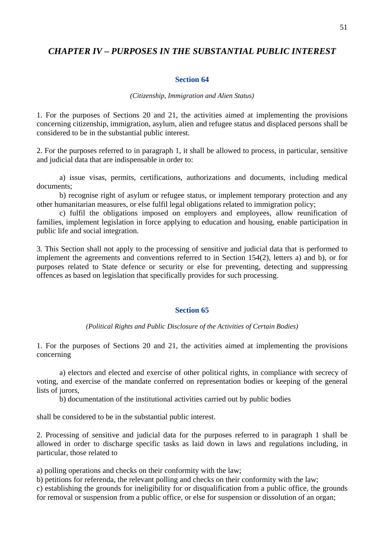## *CHAPTER IV – PURPOSES IN THE SUBSTANTIAL PUBLIC INTEREST*

### **Section 64**

#### *(Citizenship, Immigration and Alien Status)*

1. For the purposes of Sections 20 and 21, the activities aimed at implementing the provisions concerning citizenship, immigration, asylum, alien and refugee status and displaced persons shall be considered to be in the substantial public interest.

2. For the purposes referred to in paragraph 1, it shall be allowed to process, in particular, sensitive and judicial data that are indispensable in order to:

a) issue visas, permits, certifications, authorizations and documents, including medical documents;

b) recognise right of asylum or refugee status, or implement temporary protection and any other humanitarian measures, or else fulfil legal obligations related to immigration policy;

c) fulfil the obligations imposed on employers and employees, allow reunification of families, implement legislation in force applying to education and housing, enable participation in public life and social integration.

3. This Section shall not apply to the processing of sensitive and judicial data that is performed to implement the agreements and conventions referred to in Section 154(2), letters a) and b), or for purposes related to State defence or security or else for preventing, detecting and suppressing offences as based on legislation that specifically provides for such processing.

### **Section 65**

*(Political Rights and Public Disclosure of the Activities of Certain Bodies)* 

1. For the purposes of Sections 20 and 21, the activities aimed at implementing the provisions concerning

a) electors and elected and exercise of other political rights, in compliance with secrecy of voting, and exercise of the mandate conferred on representation bodies or keeping of the general lists of jurors,

b) documentation of the institutional activities carried out by public bodies

shall be considered to be in the substantial public interest.

2. Processing of sensitive and judicial data for the purposes referred to in paragraph 1 shall be allowed in order to discharge specific tasks as laid down in laws and regulations including, in particular, those related to

a) polling operations and checks on their conformity with the law;

b) petitions for referenda, the relevant polling and checks on their conformity with the law;

c) establishing the grounds for ineligibility for or disqualification from a public office, the grounds for removal or suspension from a public office, or else for suspension or dissolution of an organ;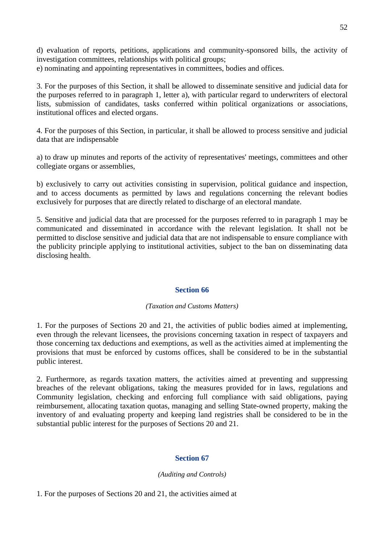d) evaluation of reports, petitions, applications and community-sponsored bills, the activity of investigation committees, relationships with political groups; e) nominating and appointing representatives in committees, bodies and offices.

3. For the purposes of this Section, it shall be allowed to disseminate sensitive and judicial data for the purposes referred to in paragraph 1, letter a), with particular regard to underwriters of electoral lists, submission of candidates, tasks conferred within political organizations or associations, institutional offices and elected organs.

4. For the purposes of this Section, in particular, it shall be allowed to process sensitive and judicial data that are indispensable

a) to draw up minutes and reports of the activity of representatives' meetings, committees and other collegiate organs or assemblies,

b) exclusively to carry out activities consisting in supervision, political guidance and inspection, and to access documents as permitted by laws and regulations concerning the relevant bodies exclusively for purposes that are directly related to discharge of an electoral mandate.

5. Sensitive and judicial data that are processed for the purposes referred to in paragraph 1 may be communicated and disseminated in accordance with the relevant legislation. It shall not be permitted to disclose sensitive and judicial data that are not indispensable to ensure compliance with the publicity principle applying to institutional activities, subject to the ban on disseminating data disclosing health.

## **Section 66**

## *(Taxation and Customs Matters)*

1. For the purposes of Sections 20 and 21, the activities of public bodies aimed at implementing, even through the relevant licensees, the provisions concerning taxation in respect of taxpayers and those concerning tax deductions and exemptions, as well as the activities aimed at implementing the provisions that must be enforced by customs offices, shall be considered to be in the substantial public interest.

2. Furthermore, as regards taxation matters, the activities aimed at preventing and suppressing breaches of the relevant obligations, taking the measures provided for in laws, regulations and Community legislation, checking and enforcing full compliance with said obligations, paying reimbursement, allocating taxation quotas, managing and selling State-owned property, making the inventory of and evaluating property and keeping land registries shall be considered to be in the substantial public interest for the purposes of Sections 20 and 21.

## **Section 67**

## *(Auditing and Controls)*

1. For the purposes of Sections 20 and 21, the activities aimed at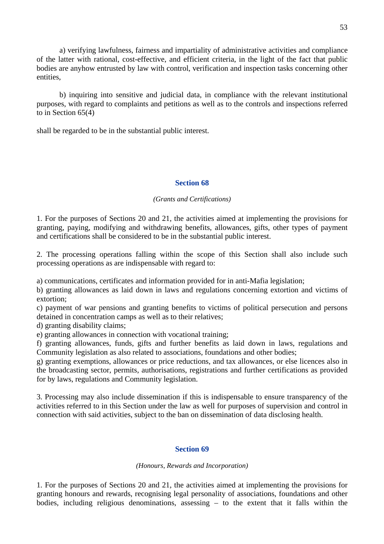a) verifying lawfulness, fairness and impartiality of administrative activities and compliance of the latter with rational, cost-effective, and efficient criteria, in the light of the fact that public bodies are anyhow entrusted by law with control, verification and inspection tasks concerning other entities,

b) inquiring into sensitive and judicial data, in compliance with the relevant institutional purposes, with regard to complaints and petitions as well as to the controls and inspections referred to in Section 65(4)

shall be regarded to be in the substantial public interest.

### **Section 68**

## *(Grants and Certifications)*

1. For the purposes of Sections 20 and 21, the activities aimed at implementing the provisions for granting, paying, modifying and withdrawing benefits, allowances, gifts, other types of payment and certifications shall be considered to be in the substantial public interest.

2. The processing operations falling within the scope of this Section shall also include such processing operations as are indispensable with regard to:

a) communications, certificates and information provided for in anti-Mafia legislation;

b) granting allowances as laid down in laws and regulations concerning extortion and victims of extortion;

c) payment of war pensions and granting benefits to victims of political persecution and persons detained in concentration camps as well as to their relatives;

d) granting disability claims;

e) granting allowances in connection with vocational training;

f) granting allowances, funds, gifts and further benefits as laid down in laws, regulations and Community legislation as also related to associations, foundations and other bodies;

g) granting exemptions, allowances or price reductions, and tax allowances, or else licences also in the broadcasting sector, permits, authorisations, registrations and further certifications as provided for by laws, regulations and Community legislation.

3. Processing may also include dissemination if this is indispensable to ensure transparency of the activities referred to in this Section under the law as well for purposes of supervision and control in connection with said activities, subject to the ban on dissemination of data disclosing health.

### **Section 69**

### *(Honours, Rewards and Incorporation)*

1. For the purposes of Sections 20 and 21, the activities aimed at implementing the provisions for granting honours and rewards, recognising legal personality of associations, foundations and other bodies, including religious denominations, assessing – to the extent that it falls within the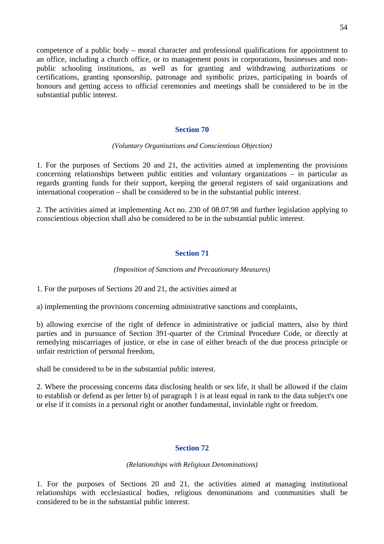competence of a public body – moral character and professional qualifications for appointment to an office, including a church office, or to management posts in corporations, businesses and nonpublic schooling institutions, as well as for granting and withdrawing authorizations or certifications, granting sponsorship, patronage and symbolic prizes, participating in boards of honours and getting access to official ceremonies and meetings shall be considered to be in the substantial public interest.

## **Section 70**

### *(Voluntary Organisations and Conscientious Objection)*

1. For the purposes of Sections 20 and 21, the activities aimed at implementing the provisions concerning relationships between public entities and voluntary organizations – in particular as regards granting funds for their support, keeping the general registers of said organizations and international cooperation – shall be considered to be in the substantial public interest.

2. The activities aimed at implementing Act no. 230 of 08.07.98 and further legislation applying to conscientious objection shall also be considered to be in the substantial public interest.

## **Section 71**

### *(Imposition of Sanctions and Precautionary Measures)*

1. For the purposes of Sections 20 and 21, the activities aimed at

a) implementing the provisions concerning administrative sanctions and complaints,

b) allowing exercise of the right of defence in administrative or judicial matters, also by third parties and in pursuance of Section 391-quarter of the Criminal Procedure Code, or directly at remedying miscarriages of justice, or else in case of either breach of the due process principle or unfair restriction of personal freedom,

shall be considered to be in the substantial public interest.

2. Where the processing concerns data disclosing health or sex life, it shall be allowed if the claim to establish or defend as per letter b) of paragraph 1 is at least equal in rank to the data subject's one or else if it consists in a personal right or another fundamental, inviolable right or freedom.

## **Section 72**

### *(Relationships with Religious Denominations)*

1. For the purposes of Sections 20 and 21, the activities aimed at managing institutional relationships with ecclesiastical bodies, religious denominations and communities shall be considered to be in the substantial public interest.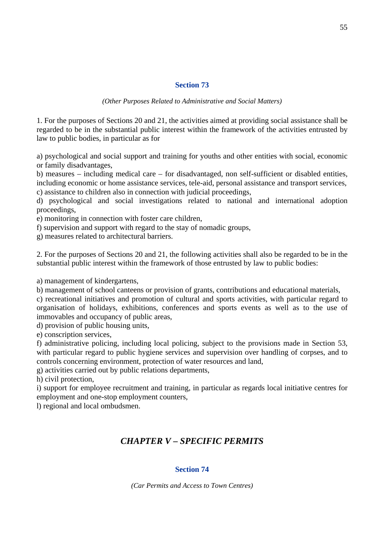*(Other Purposes Related to Administrative and Social Matters)* 

1. For the purposes of Sections 20 and 21, the activities aimed at providing social assistance shall be regarded to be in the substantial public interest within the framework of the activities entrusted by law to public bodies, in particular as for

a) psychological and social support and training for youths and other entities with social, economic or family disadvantages,

b) measures – including medical care – for disadvantaged, non self-sufficient or disabled entities, including economic or home assistance services, tele-aid, personal assistance and transport services, c) assistance to children also in connection with judicial proceedings,

d) psychological and social investigations related to national and international adoption proceedings,

e) monitoring in connection with foster care children,

f) supervision and support with regard to the stay of nomadic groups,

g) measures related to architectural barriers.

2. For the purposes of Sections 20 and 21, the following activities shall also be regarded to be in the substantial public interest within the framework of those entrusted by law to public bodies:

a) management of kindergartens,

b) management of school canteens or provision of grants, contributions and educational materials,

c) recreational initiatives and promotion of cultural and sports activities, with particular regard to organisation of holidays, exhibitions, conferences and sports events as well as to the use of immovables and occupancy of public areas,

d) provision of public housing units,

e) conscription services,

f) administrative policing, including local policing, subject to the provisions made in Section 53, with particular regard to public hygiene services and supervision over handling of corpses, and to controls concerning environment, protection of water resources and land,

g) activities carried out by public relations departments,

h) civil protection,

i) support for employee recruitment and training, in particular as regards local initiative centres for employment and one-stop employment counters,

l) regional and local ombudsmen.

## *CHAPTER V – SPECIFIC PERMITS*

## **Section 74**

*(Car Permits and Access to Town Centres)*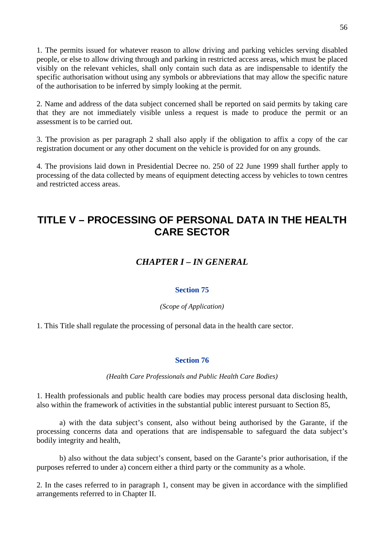1. The permits issued for whatever reason to allow driving and parking vehicles serving disabled people, or else to allow driving through and parking in restricted access areas, which must be placed visibly on the relevant vehicles, shall only contain such data as are indispensable to identify the specific authorisation without using any symbols or abbreviations that may allow the specific nature of the authorisation to be inferred by simply looking at the permit.

2. Name and address of the data subject concerned shall be reported on said permits by taking care that they are not immediately visible unless a request is made to produce the permit or an assessment is to be carried out.

3. The provision as per paragraph 2 shall also apply if the obligation to affix a copy of the car registration document or any other document on the vehicle is provided for on any grounds.

4. The provisions laid down in Presidential Decree no. 250 of 22 June 1999 shall further apply to processing of the data collected by means of equipment detecting access by vehicles to town centres and restricted access areas.

# **TITLE V – PROCESSING OF PERSONAL DATA IN THE HEALTH CARE SECTOR**

## *CHAPTER I – IN GENERAL*

## **Section 75**

*(Scope of Application)* 

1. This Title shall regulate the processing of personal data in the health care sector.

## **Section 76**

*(Health Care Professionals and Public Health Care Bodies)* 

1. Health professionals and public health care bodies may process personal data disclosing health, also within the framework of activities in the substantial public interest pursuant to Section 85,

a) with the data subject's consent, also without being authorised by the Garante, if the processing concerns data and operations that are indispensable to safeguard the data subject's bodily integrity and health,

b) also without the data subject's consent, based on the Garante's prior authorisation, if the purposes referred to under a) concern either a third party or the community as a whole.

2. In the cases referred to in paragraph 1, consent may be given in accordance with the simplified arrangements referred to in Chapter II.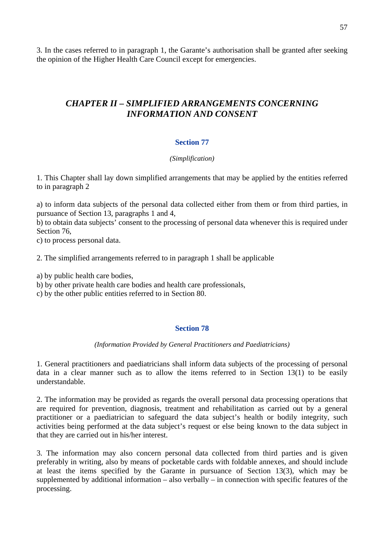3. In the cases referred to in paragraph 1, the Garante's authorisation shall be granted after seeking the opinion of the Higher Health Care Council except for emergencies.

## *CHAPTER II – SIMPLIFIED ARRANGEMENTS CONCERNING INFORMATION AND CONSENT*

## **Section 77**

## *(Simplification)*

1. This Chapter shall lay down simplified arrangements that may be applied by the entities referred to in paragraph 2

a) to inform data subjects of the personal data collected either from them or from third parties, in pursuance of Section 13, paragraphs 1 and 4,

b) to obtain data subjects' consent to the processing of personal data whenever this is required under Section 76,

c) to process personal data.

2. The simplified arrangements referred to in paragraph 1 shall be applicable

a) by public health care bodies,

b) by other private health care bodies and health care professionals,

c) by the other public entities referred to in Section 80.

## **Section 78**

## *(Information Provided by General Practitioners and Paediatricians)*

1. General practitioners and paediatricians shall inform data subjects of the processing of personal data in a clear manner such as to allow the items referred to in Section 13(1) to be easily understandable.

2. The information may be provided as regards the overall personal data processing operations that are required for prevention, diagnosis, treatment and rehabilitation as carried out by a general practitioner or a paediatrician to safeguard the data subject's health or bodily integrity, such activities being performed at the data subject's request or else being known to the data subject in that they are carried out in his/her interest.

3. The information may also concern personal data collected from third parties and is given preferably in writing, also by means of pocketable cards with foldable annexes, and should include at least the items specified by the Garante in pursuance of Section 13(3), which may be supplemented by additional information – also verbally – in connection with specific features of the processing.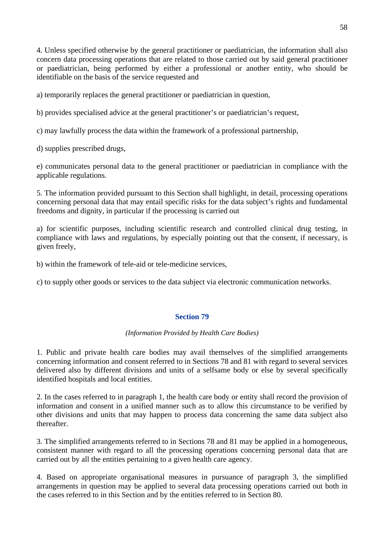4. Unless specified otherwise by the general practitioner or paediatrician, the information shall also concern data processing operations that are related to those carried out by said general practitioner or paediatrician, being performed by either a professional or another entity, who should be identifiable on the basis of the service requested and

a) temporarily replaces the general practitioner or paediatrician in question,

b) provides specialised advice at the general practitioner's or paediatrician's request,

c) may lawfully process the data within the framework of a professional partnership,

d) supplies prescribed drugs,

e) communicates personal data to the general practitioner or paediatrician in compliance with the applicable regulations.

5. The information provided pursuant to this Section shall highlight, in detail, processing operations concerning personal data that may entail specific risks for the data subject's rights and fundamental freedoms and dignity, in particular if the processing is carried out

a) for scientific purposes, including scientific research and controlled clinical drug testing, in compliance with laws and regulations, by especially pointing out that the consent, if necessary, is given freely,

b) within the framework of tele-aid or tele-medicine services,

c) to supply other goods or services to the data subject via electronic communication networks.

## **Section 79**

## *(Information Provided by Health Care Bodies)*

1. Public and private health care bodies may avail themselves of the simplified arrangements concerning information and consent referred to in Sections 78 and 81 with regard to several services delivered also by different divisions and units of a selfsame body or else by several specifically identified hospitals and local entities.

2. In the cases referred to in paragraph 1, the health care body or entity shall record the provision of information and consent in a unified manner such as to allow this circumstance to be verified by other divisions and units that may happen to process data concerning the same data subject also thereafter.

3. The simplified arrangements referred to in Sections 78 and 81 may be applied in a homogeneous, consistent manner with regard to all the processing operations concerning personal data that are carried out by all the entities pertaining to a given health care agency.

4. Based on appropriate organisational measures in pursuance of paragraph 3, the simplified arrangements in question may be applied to several data processing operations carried out both in the cases referred to in this Section and by the entities referred to in Section 80.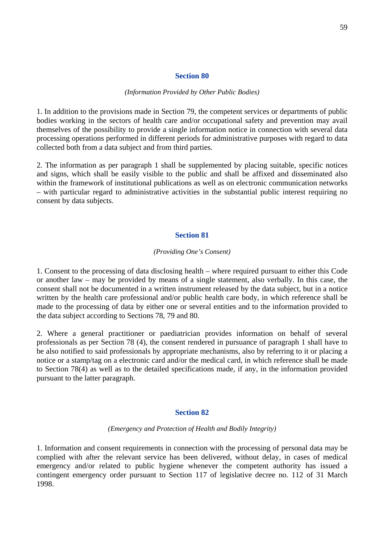#### *(Information Provided by Other Public Bodies)*

1. In addition to the provisions made in Section 79, the competent services or departments of public bodies working in the sectors of health care and/or occupational safety and prevention may avail themselves of the possibility to provide a single information notice in connection with several data processing operations performed in different periods for administrative purposes with regard to data collected both from a data subject and from third parties.

2. The information as per paragraph 1 shall be supplemented by placing suitable, specific notices and signs, which shall be easily visible to the public and shall be affixed and disseminated also within the framework of institutional publications as well as on electronic communication networks – with particular regard to administrative activities in the substantial public interest requiring no consent by data subjects.

### **Section 81**

### *(Providing One's Consent)*

1. Consent to the processing of data disclosing health – where required pursuant to either this Code or another law – may be provided by means of a single statement, also verbally. In this case, the consent shall not be documented in a written instrument released by the data subject, but in a notice written by the health care professional and/or public health care body, in which reference shall be made to the processing of data by either one or several entities and to the information provided to the data subject according to Sections 78, 79 and 80.

2. Where a general practitioner or paediatrician provides information on behalf of several professionals as per Section 78 (4), the consent rendered in pursuance of paragraph 1 shall have to be also notified to said professionals by appropriate mechanisms, also by referring to it or placing a notice or a stamp/tag on a electronic card and/or the medical card, in which reference shall be made to Section 78(4) as well as to the detailed specifications made, if any, in the information provided pursuant to the latter paragraph.

#### **Section 82**

#### *(Emergency and Protection of Health and Bodily Integrity)*

1. Information and consent requirements in connection with the processing of personal data may be complied with after the relevant service has been delivered, without delay, in cases of medical emergency and/or related to public hygiene whenever the competent authority has issued a contingent emergency order pursuant to Section 117 of legislative decree no. 112 of 31 March 1998.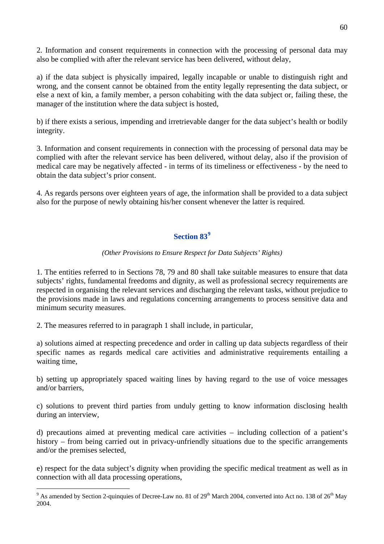2. Information and consent requirements in connection with the processing of personal data may also be complied with after the relevant service has been delivered, without delay,

a) if the data subject is physically impaired, legally incapable or unable to distinguish right and wrong, and the consent cannot be obtained from the entity legally representing the data subject, or else a next of kin, a family member, a person cohabiting with the data subject or, failing these, the manager of the institution where the data subject is hosted,

b) if there exists a serious, impending and irretrievable danger for the data subject's health or bodily integrity.

3. Information and consent requirements in connection with the processing of personal data may be complied with after the relevant service has been delivered, without delay, also if the provision of medical care may be negatively affected - in terms of its timeliness or effectiveness - by the need to obtain the data subject's prior consent.

4. As regards persons over eighteen years of age, the information shall be provided to a data subject also for the purpose of newly obtaining his/her consent whenever the latter is required.

## **Section 83[9](#page-59-0)**

## *(Other Provisions to Ensure Respect for Data Subjects' Rights)*

1. The entities referred to in Sections 78, 79 and 80 shall take suitable measures to ensure that data subjects' rights, fundamental freedoms and dignity, as well as professional secrecy requirements are respected in organising the relevant services and discharging the relevant tasks, without prejudice to the provisions made in laws and regulations concerning arrangements to process sensitive data and minimum security measures.

2. The measures referred to in paragraph 1 shall include, in particular,

 $\overline{a}$ 

a) solutions aimed at respecting precedence and order in calling up data subjects regardless of their specific names as regards medical care activities and administrative requirements entailing a waiting time,

b) setting up appropriately spaced waiting lines by having regard to the use of voice messages and/or barriers,

c) solutions to prevent third parties from unduly getting to know information disclosing health during an interview,

d) precautions aimed at preventing medical care activities – including collection of a patient's history – from being carried out in privacy-unfriendly situations due to the specific arrangements and/or the premises selected,

e) respect for the data subject's dignity when providing the specific medical treatment as well as in connection with all data processing operations,

<span id="page-59-0"></span><sup>&</sup>lt;sup>9</sup> As amended by Section 2-quinquies of Decree-Law no. 81 of 29<sup>th</sup> March 2004, converted into Act no. 138 of 26<sup>th</sup> May 2004.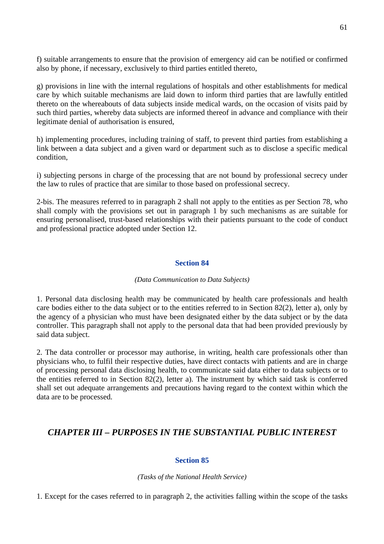f) suitable arrangements to ensure that the provision of emergency aid can be notified or confirmed also by phone, if necessary, exclusively to third parties entitled thereto,

g) provisions in line with the internal regulations of hospitals and other establishments for medical care by which suitable mechanisms are laid down to inform third parties that are lawfully entitled thereto on the whereabouts of data subjects inside medical wards, on the occasion of visits paid by such third parties, whereby data subjects are informed thereof in advance and compliance with their legitimate denial of authorisation is ensured,

h) implementing procedures, including training of staff, to prevent third parties from establishing a link between a data subject and a given ward or department such as to disclose a specific medical condition,

i) subjecting persons in charge of the processing that are not bound by professional secrecy under the law to rules of practice that are similar to those based on professional secrecy.

2-bis. The measures referred to in paragraph 2 shall not apply to the entities as per Section 78, who shall comply with the provisions set out in paragraph 1 by such mechanisms as are suitable for ensuring personalised, trust-based relationships with their patients pursuant to the code of conduct and professional practice adopted under Section 12.

## **Section 84**

### *(Data Communication to Data Subjects)*

1. Personal data disclosing health may be communicated by health care professionals and health care bodies either to the data subject or to the entities referred to in Section 82(2), letter a), only by the agency of a physician who must have been designated either by the data subject or by the data controller. This paragraph shall not apply to the personal data that had been provided previously by said data subject.

2. The data controller or processor may authorise, in writing, health care professionals other than physicians who, to fulfil their respective duties, have direct contacts with patients and are in charge of processing personal data disclosing health, to communicate said data either to data subjects or to the entities referred to in Section 82(2), letter a). The instrument by which said task is conferred shall set out adequate arrangements and precautions having regard to the context within which the data are to be processed.

## *CHAPTER III – PURPOSES IN THE SUBSTANTIAL PUBLIC INTEREST*

## **Section 85**

*(Tasks of the National Health Service)* 

1. Except for the cases referred to in paragraph 2, the activities falling within the scope of the tasks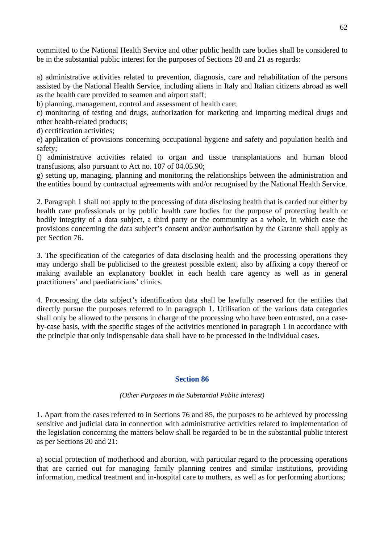committed to the National Health Service and other public health care bodies shall be considered to be in the substantial public interest for the purposes of Sections 20 and 21 as regards:

a) administrative activities related to prevention, diagnosis, care and rehabilitation of the persons assisted by the National Health Service, including aliens in Italy and Italian citizens abroad as well as the health care provided to seamen and airport staff;

b) planning, management, control and assessment of health care;

c) monitoring of testing and drugs, authorization for marketing and importing medical drugs and other health-related products;

d) certification activities;

e) application of provisions concerning occupational hygiene and safety and population health and safety;

f) administrative activities related to organ and tissue transplantations and human blood transfusions, also pursuant to Act no. 107 of 04.05.90;

g) setting up, managing, planning and monitoring the relationships between the administration and the entities bound by contractual agreements with and/or recognised by the National Health Service.

2. Paragraph 1 shall not apply to the processing of data disclosing health that is carried out either by health care professionals or by public health care bodies for the purpose of protecting health or bodily integrity of a data subject, a third party or the community as a whole, in which case the provisions concerning the data subject's consent and/or authorisation by the Garante shall apply as per Section 76.

3. The specification of the categories of data disclosing health and the processing operations they may undergo shall be publicised to the greatest possible extent, also by affixing a copy thereof or making available an explanatory booklet in each health care agency as well as in general practitioners' and paediatricians' clinics.

4. Processing the data subject's identification data shall be lawfully reserved for the entities that directly pursue the purposes referred to in paragraph 1. Utilisation of the various data categories shall only be allowed to the persons in charge of the processing who have been entrusted, on a caseby-case basis, with the specific stages of the activities mentioned in paragraph 1 in accordance with the principle that only indispensable data shall have to be processed in the individual cases.

## **Section 86**

## *(Other Purposes in the Substantial Public Interest)*

1. Apart from the cases referred to in Sections 76 and 85, the purposes to be achieved by processing sensitive and judicial data in connection with administrative activities related to implementation of the legislation concerning the matters below shall be regarded to be in the substantial public interest as per Sections 20 and 21:

a) social protection of motherhood and abortion, with particular regard to the processing operations that are carried out for managing family planning centres and similar institutions, providing information, medical treatment and in-hospital care to mothers, as well as for performing abortions;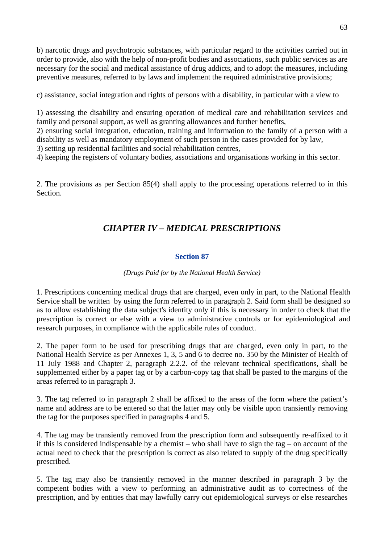b) narcotic drugs and psychotropic substances, with particular regard to the activities carried out in order to provide, also with the help of non-profit bodies and associations, such public services as are necessary for the social and medical assistance of drug addicts, and to adopt the measures, including preventive measures, referred to by laws and implement the required administrative provisions;

c) assistance, social integration and rights of persons with a disability, in particular with a view to

1) assessing the disability and ensuring operation of medical care and rehabilitation services and family and personal support, as well as granting allowances and further benefits,

2) ensuring social integration, education, training and information to the family of a person with a disability as well as mandatory employment of such person in the cases provided for by law,

3) setting up residential facilities and social rehabilitation centres,

4) keeping the registers of voluntary bodies, associations and organisations working in this sector.

2. The provisions as per Section 85(4) shall apply to the processing operations referred to in this Section.

## *CHAPTER IV – MEDICAL PRESCRIPTIONS*

## **Section 87**

## *(Drugs Paid for by the National Health Service)*

1. Prescriptions concerning medical drugs that are charged, even only in part, to the National Health Service shall be written by using the form referred to in paragraph 2. Said form shall be designed so as to allow establishing the data subject's identity only if this is necessary in order to check that the prescription is correct or else with a view to administrative controls or for epidemiological and research purposes, in compliance with the applicabile rules of conduct.

2. The paper form to be used for prescribing drugs that are charged, even only in part, to the National Health Service as per Annexes 1, 3, 5 and 6 to decree no. 350 by the Minister of Health of 11 July 1988 and Chapter 2, paragraph 2.2.2. of the relevant technical specifications, shall be supplemented either by a paper tag or by a carbon-copy tag that shall be pasted to the margins of the areas referred to in paragraph 3.

3. The tag referred to in paragraph 2 shall be affixed to the areas of the form where the patient's name and address are to be entered so that the latter may only be visible upon transiently removing the tag for the purposes specified in paragraphs 4 and 5.

4. The tag may be transiently removed from the prescription form and subsequently re-affixed to it if this is considered indispensable by a chemist – who shall have to sign the tag – on account of the actual need to check that the prescription is correct as also related to supply of the drug specifically prescribed.

5. The tag may also be transiently removed in the manner described in paragraph 3 by the competent bodies with a view to performing an administrative audit as to correctness of the prescription, and by entities that may lawfully carry out epidemiological surveys or else researches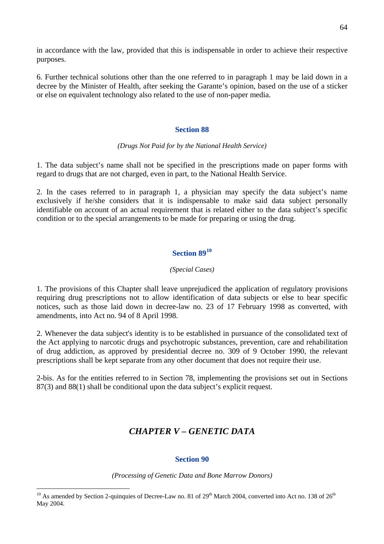in accordance with the law, provided that this is indispensable in order to achieve their respective purposes.

6. Further technical solutions other than the one referred to in paragraph 1 may be laid down in a decree by the Minister of Health, after seeking the Garante's opinion, based on the use of a sticker or else on equivalent technology also related to the use of non-paper media.

## **Section 88**

## *(Drugs Not Paid for by the National Health Service)*

1. The data subject's name shall not be specified in the prescriptions made on paper forms with regard to drugs that are not charged, even in part, to the National Health Service.

2. In the cases referred to in paragraph 1, a physician may specify the data subject's name exclusively if he/she considers that it is indispensable to make said data subject personally identifiable on account of an actual requirement that is related either to the data subject's specific condition or to the special arrangements to be made for preparing or using the drug.

## **Section 89[10](#page-63-0)**

## *(Special Cases)*

1. The provisions of this Chapter shall leave unprejudiced the application of regulatory provisions requiring drug prescriptions not to allow identification of data subjects or else to bear specific notices, such as those laid down in decree-law no. 23 of 17 February 1998 as converted, with amendments, into Act no. 94 of 8 April 1998.

2. Whenever the data subject's identity is to be established in pursuance of the consolidated text of the Act applying to narcotic drugs and psychotropic substances, prevention, care and rehabilitation of drug addiction, as approved by presidential decree no. 309 of 9 October 1990, the relevant prescriptions shall be kept separate from any other document that does not require their use.

2-bis. As for the entities referred to in Section 78, implementing the provisions set out in Sections 87(3) and 88(1) shall be conditional upon the data subject's explicit request.

## *CHAPTER V – GENETIC DATA*

## **Section 90**

*(Processing of Genetic Data and Bone Marrow Donors)* 

 $\overline{a}$ 

<span id="page-63-0"></span><sup>&</sup>lt;sup>10</sup> As amended by Section 2-quinquies of Decree-Law no. 81 of  $29<sup>th</sup>$  March 2004, converted into Act no. 138 of  $26<sup>th</sup>$ May 2004.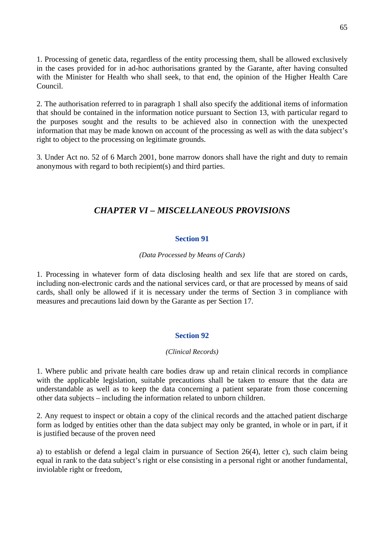1. Processing of genetic data, regardless of the entity processing them, shall be allowed exclusively in the cases provided for in ad-hoc authorisations granted by the Garante, after having consulted with the Minister for Health who shall seek, to that end, the opinion of the Higher Health Care Council.

2. The authorisation referred to in paragraph 1 shall also specify the additional items of information that should be contained in the information notice pursuant to Section 13, with particular regard to the purposes sought and the results to be achieved also in connection with the unexpected information that may be made known on account of the processing as well as with the data subject's right to object to the processing on legitimate grounds.

3. Under Act no. 52 of 6 March 2001, bone marrow donors shall have the right and duty to remain anonymous with regard to both recipient(s) and third parties.

## *CHAPTER VI – MISCELLANEOUS PROVISIONS*

## **Section 91**

## *(Data Processed by Means of Cards)*

1. Processing in whatever form of data disclosing health and sex life that are stored on cards, including non-electronic cards and the national services card, or that are processed by means of said cards, shall only be allowed if it is necessary under the terms of Section 3 in compliance with measures and precautions laid down by the Garante as per Section 17.

## **Section 92**

## *(Clinical Records)*

1. Where public and private health care bodies draw up and retain clinical records in compliance with the applicable legislation, suitable precautions shall be taken to ensure that the data are understandable as well as to keep the data concerning a patient separate from those concerning other data subjects – including the information related to unborn children.

2. Any request to inspect or obtain a copy of the clinical records and the attached patient discharge form as lodged by entities other than the data subject may only be granted, in whole or in part, if it is justified because of the proven need

a) to establish or defend a legal claim in pursuance of Section 26(4), letter c), such claim being equal in rank to the data subject's right or else consisting in a personal right or another fundamental, inviolable right or freedom,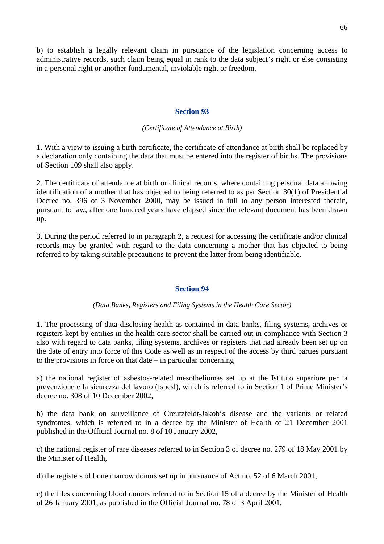b) to establish a legally relevant claim in pursuance of the legislation concerning access to administrative records, such claim being equal in rank to the data subject's right or else consisting in a personal right or another fundamental, inviolable right or freedom.

### **Section 93**

### *(Certificate of Attendance at Birth)*

1. With a view to issuing a birth certificate, the certificate of attendance at birth shall be replaced by a declaration only containing the data that must be entered into the register of births. The provisions of Section 109 shall also apply.

2. The certificate of attendance at birth or clinical records, where containing personal data allowing identification of a mother that has objected to being referred to as per Section 30(1) of Presidential Decree no. 396 of 3 November 2000, may be issued in full to any person interested therein, pursuant to law, after one hundred years have elapsed since the relevant document has been drawn up.

3. During the period referred to in paragraph 2, a request for accessing the certificate and/or clinical records may be granted with regard to the data concerning a mother that has objected to being referred to by taking suitable precautions to prevent the latter from being identifiable.

## **Section 94**

### *(Data Banks, Registers and Filing Systems in the Health Care Sector)*

1. The processing of data disclosing health as contained in data banks, filing systems, archives or registers kept by entities in the health care sector shall be carried out in compliance with Section 3 also with regard to data banks, filing systems, archives or registers that had already been set up on the date of entry into force of this Code as well as in respect of the access by third parties pursuant to the provisions in force on that date – in particular concerning

a) the national register of asbestos-related mesotheliomas set up at the Istituto superiore per la prevenzione e la sicurezza del lavoro (Ispesl), which is referred to in Section 1 of Prime Minister's decree no. 308 of 10 December 2002,

b) the data bank on surveillance of Creutzfeldt-Jakob's disease and the variants or related syndromes, which is referred to in a decree by the Minister of Health of 21 December 2001 published in the Official Journal no. 8 of 10 January 2002,

c) the national register of rare diseases referred to in Section 3 of decree no. 279 of 18 May 2001 by the Minister of Health,

d) the registers of bone marrow donors set up in pursuance of Act no. 52 of 6 March 2001,

e) the files concerning blood donors referred to in Section 15 of a decree by the Minister of Health of 26 January 2001, as published in the Official Journal no. 78 of 3 April 2001.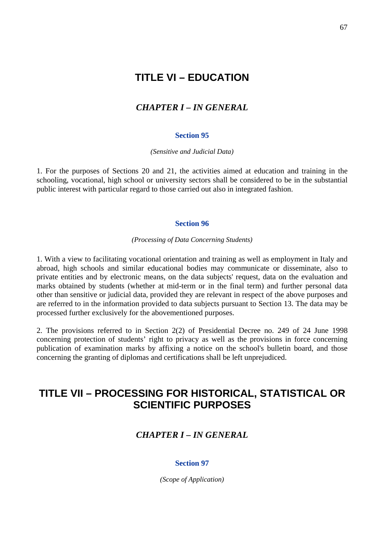# **TITLE VI – EDUCATION**

## *CHAPTER I – IN GENERAL*

## **Section 95**

*(Sensitive and Judicial Data)* 

1. For the purposes of Sections 20 and 21, the activities aimed at education and training in the schooling, vocational, high school or university sectors shall be considered to be in the substantial public interest with particular regard to those carried out also in integrated fashion.

### **Section 96**

### *(Processing of Data Concerning Students)*

1. With a view to facilitating vocational orientation and training as well as employment in Italy and abroad, high schools and similar educational bodies may communicate or disseminate, also to private entities and by electronic means, on the data subjects' request, data on the evaluation and marks obtained by students (whether at mid-term or in the final term) and further personal data other than sensitive or judicial data, provided they are relevant in respect of the above purposes and are referred to in the information provided to data subjects pursuant to Section 13. The data may be processed further exclusively for the abovementioned purposes.

2. The provisions referred to in Section 2(2) of Presidential Decree no. 249 of 24 June 1998 concerning protection of students' right to privacy as well as the provisions in force concerning publication of examination marks by affixing a notice on the school's bulletin board, and those concerning the granting of diplomas and certifications shall be left unprejudiced.

# **TITLE VII – PROCESSING FOR HISTORICAL, STATISTICAL OR SCIENTIFIC PURPOSES**

## *CHAPTER I – IN GENERAL*

### **Section 97**

*(Scope of Application)*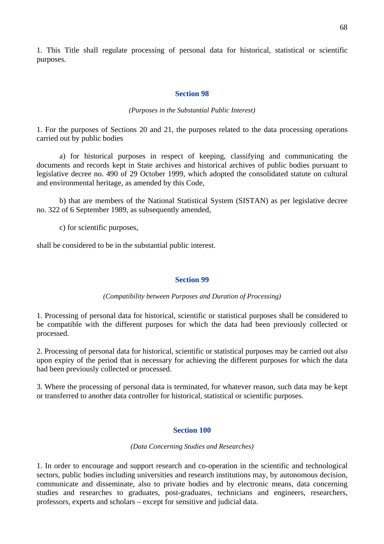1. This Title shall regulate processing of personal data for historical, statistical or scientific purposes.

### **Section 98**

### *(Purposes in the Substantial Public Interest)*

1. For the purposes of Sections 20 and 21, the purposes related to the data processing operations carried out by public bodies

a) for historical purposes in respect of keeping, classifying and communicating the documents and records kept in State archives and historical archives of public bodies pursuant to legislative decree no. 490 of 29 October 1999, which adopted the consolidated statute on cultural and environmental heritage, as amended by this Code,

b) that are members of the National Statistical System (SISTAN) as per legislative decree no. 322 of 6 September 1989, as subsequently amended,

c) for scientific purposes,

shall be considered to be in the substantial public interest.

### **Section 99**

## *(Compatibility between Purposes and Duration of Processing)*

1. Processing of personal data for historical, scientific or statistical purposes shall be considered to be compatible with the different purposes for which the data had been previously collected or processed.

2. Processing of personal data for historical, scientific or statistical purposes may be carried out also upon expiry of the period that is necessary for achieving the different purposes for which the data had been previously collected or processed.

3. Where the processing of personal data is terminated, for whatever reason, such data may be kept or transferred to another data controller for historical, statistical or scientific purposes.

### **Section 100**

### *(Data Concerning Studies and Researches)*

1. In order to encourage and support research and co-operation in the scientific and technological sectors, public bodies including universities and research institutions may, by autonomous decision, communicate and disseminate, also to private bodies and by electronic means, data concerning studies and researches to graduates, post-graduates, technicians and engineers, researchers, professors, experts and scholars – except for sensitive and judicial data.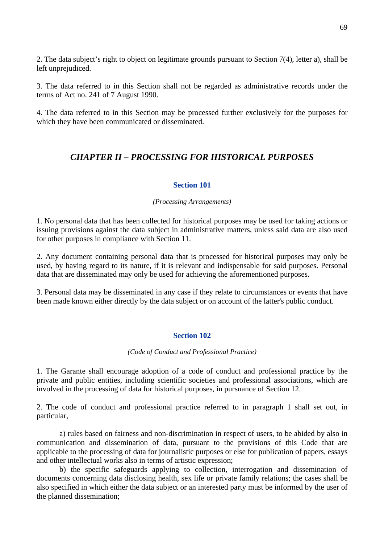2. The data subject's right to object on legitimate grounds pursuant to Section 7(4), letter a), shall be left unprejudiced.

3. The data referred to in this Section shall not be regarded as administrative records under the terms of Act no. 241 of 7 August 1990.

4. The data referred to in this Section may be processed further exclusively for the purposes for which they have been communicated or disseminated.

## *CHAPTER II – PROCESSING FOR HISTORICAL PURPOSES*

## **Section 101**

### *(Processing Arrangements)*

1. No personal data that has been collected for historical purposes may be used for taking actions or issuing provisions against the data subject in administrative matters, unless said data are also used for other purposes in compliance with Section 11.

2. Any document containing personal data that is processed for historical purposes may only be used, by having regard to its nature, if it is relevant and indispensable for said purposes. Personal data that are disseminated may only be used for achieving the aforementioned purposes.

3. Personal data may be disseminated in any case if they relate to circumstances or events that have been made known either directly by the data subject or on account of the latter's public conduct.

## **Section 102**

### *(Code of Conduct and Professional Practice)*

1. The Garante shall encourage adoption of a code of conduct and professional practice by the private and public entities, including scientific societies and professional associations, which are involved in the processing of data for historical purposes, in pursuance of Section 12.

2. The code of conduct and professional practice referred to in paragraph 1 shall set out, in particular,

 a) rules based on fairness and non-discrimination in respect of users, to be abided by also in communication and dissemination of data, pursuant to the provisions of this Code that are applicable to the processing of data for journalistic purposes or else for publication of papers, essays and other intellectual works also in terms of artistic expression;

 b) the specific safeguards applying to collection, interrogation and dissemination of documents concerning data disclosing health, sex life or private family relations; the cases shall be also specified in which either the data subject or an interested party must be informed by the user of the planned dissemination;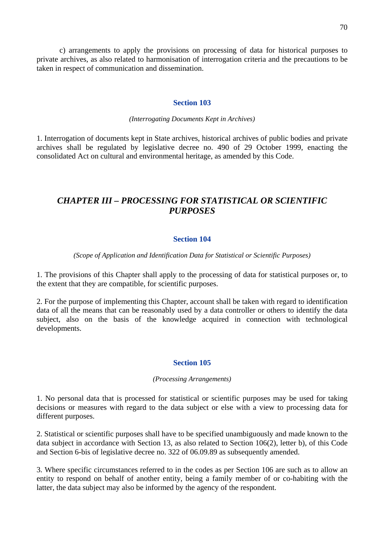c) arrangements to apply the provisions on processing of data for historical purposes to private archives, as also related to harmonisation of interrogation criteria and the precautions to be taken in respect of communication and dissemination.

## **Section 103**

## *(Interrogating Documents Kept in Archives)*

1. Interrogation of documents kept in State archives, historical archives of public bodies and private archives shall be regulated by legislative decree no. 490 of 29 October 1999, enacting the consolidated Act on cultural and environmental heritage, as amended by this Code.

## *CHAPTER III – PROCESSING FOR STATISTICAL OR SCIENTIFIC PURPOSES*

## **Section 104**

*(Scope of Application and Identification Data for Statistical or Scientific Purposes)* 

1. The provisions of this Chapter shall apply to the processing of data for statistical purposes or, to the extent that they are compatible, for scientific purposes.

2. For the purpose of implementing this Chapter, account shall be taken with regard to identification data of all the means that can be reasonably used by a data controller or others to identify the data subject, also on the basis of the knowledge acquired in connection with technological developments.

## **Section 105**

### *(Processing Arrangements)*

1. No personal data that is processed for statistical or scientific purposes may be used for taking decisions or measures with regard to the data subject or else with a view to processing data for different purposes.

2. Statistical or scientific purposes shall have to be specified unambiguously and made known to the data subject in accordance with Section 13, as also related to Section 106(2), letter b), of this Code and Section 6-bis of legislative decree no. 322 of 06.09.89 as subsequently amended.

3. Where specific circumstances referred to in the codes as per Section 106 are such as to allow an entity to respond on behalf of another entity, being a family member of or co-habiting with the latter, the data subject may also be informed by the agency of the respondent.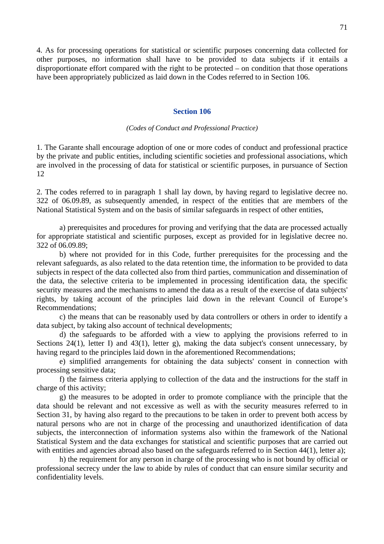4. As for processing operations for statistical or scientific purposes concerning data collected for other purposes, no information shall have to be provided to data subjects if it entails a disproportionate effort compared with the right to be protected – on condition that those operations have been appropriately publicized as laid down in the Codes referred to in Section 106.

### **Section 106**

#### *(Codes of Conduct and Professional Practice)*

1. The Garante shall encourage adoption of one or more codes of conduct and professional practice by the private and public entities, including scientific societies and professional associations, which are involved in the processing of data for statistical or scientific purposes, in pursuance of Section 12

2. The codes referred to in paragraph 1 shall lay down, by having regard to legislative decree no. 322 of 06.09.89, as subsequently amended, in respect of the entities that are members of the National Statistical System and on the basis of similar safeguards in respect of other entities,

 a) prerequisites and procedures for proving and verifying that the data are processed actually for appropriate statistical and scientific purposes, except as provided for in legislative decree no. 322 of 06.09.89;

 b) where not provided for in this Code, further prerequisites for the processing and the relevant safeguards, as also related to the data retention time, the information to be provided to data subjects in respect of the data collected also from third parties, communication and dissemination of the data, the selective criteria to be implemented in processing identification data, the specific security measures and the mechanisms to amend the data as a result of the exercise of data subjects' rights, by taking account of the principles laid down in the relevant Council of Europe's Recommendations;

 c) the means that can be reasonably used by data controllers or others in order to identify a data subject, by taking also account of technical developments;

 d) the safeguards to be afforded with a view to applying the provisions referred to in Sections 24(1), letter I) and 43(1), letter g), making the data subject's consent unnecessary, by having regard to the principles laid down in the aforementioned Recommendations;

 e) simplified arrangements for obtaining the data subjects' consent in connection with processing sensitive data;

 f) the fairness criteria applying to collection of the data and the instructions for the staff in charge of this activity;

 g) the measures to be adopted in order to promote compliance with the principle that the data should be relevant and not excessive as well as with the security measures referred to in Section 31, by having also regard to the precautions to be taken in order to prevent both access by natural persons who are not in charge of the processing and unauthorized identification of data subjects, the interconnection of information systems also within the framework of the National Statistical System and the data exchanges for statistical and scientific purposes that are carried out with entities and agencies abroad also based on the safeguards referred to in Section 44(1), letter a);

 h) the requirement for any person in charge of the processing who is not bound by official or professional secrecy under the law to abide by rules of conduct that can ensure similar security and confidentiality levels.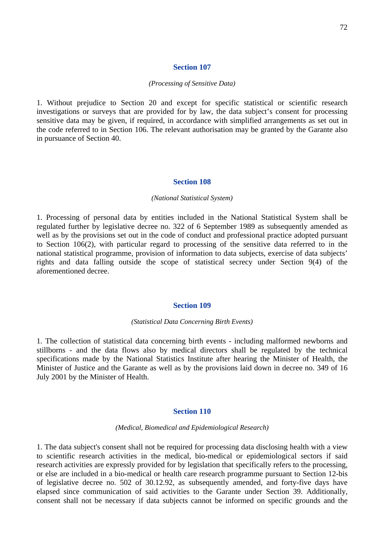#### *(Processing of Sensitive Data)*

1. Without prejudice to Section 20 and except for specific statistical or scientific research investigations or surveys that are provided for by law, the data subject's consent for processing sensitive data may be given, if required, in accordance with simplified arrangements as set out in the code referred to in Section 106. The relevant authorisation may be granted by the Garante also in pursuance of Section 40.

### **Section 108**

#### *(National Statistical System)*

1. Processing of personal data by entities included in the National Statistical System shall be regulated further by legislative decree no. 322 of 6 September 1989 as subsequently amended as well as by the provisions set out in the code of conduct and professional practice adopted pursuant to Section 106(2), with particular regard to processing of the sensitive data referred to in the national statistical programme, provision of information to data subjects, exercise of data subjects' rights and data falling outside the scope of statistical secrecy under Section 9(4) of the aforementioned decree.

#### **Section 109**

#### *(Statistical Data Concerning Birth Events)*

1. The collection of statistical data concerning birth events - including malformed newborns and stillborns - and the data flows also by medical directors shall be regulated by the technical specifications made by the National Statistics Institute after hearing the Minister of Health, the Minister of Justice and the Garante as well as by the provisions laid down in decree no. 349 of 16 July 2001 by the Minister of Health.

#### **Section 110**

*(Medical, Biomedical and Epidemiological Research)* 

1. The data subject's consent shall not be required for processing data disclosing health with a view to scientific research activities in the medical, bio-medical or epidemiological sectors if said research activities are expressly provided for by legislation that specifically refers to the processing, or else are included in a bio-medical or health care research programme pursuant to Section 12-bis of legislative decree no. 502 of 30.12.92, as subsequently amended, and forty-five days have elapsed since communication of said activities to the Garante under Section 39. Additionally, consent shall not be necessary if data subjects cannot be informed on specific grounds and the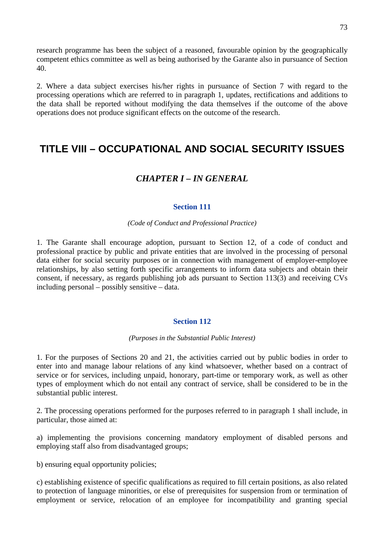research programme has been the subject of a reasoned, favourable opinion by the geographically competent ethics committee as well as being authorised by the Garante also in pursuance of Section 40.

2. Where a data subject exercises his/her rights in pursuance of Section 7 with regard to the processing operations which are referred to in paragraph 1, updates, rectifications and additions to the data shall be reported without modifying the data themselves if the outcome of the above operations does not produce significant effects on the outcome of the research.

# **TITLE VIII – OCCUPATIONAL AND SOCIAL SECURITY ISSUES**

# *CHAPTER I – IN GENERAL*

## **Section 111**

#### *(Code of Conduct and Professional Practice)*

1. The Garante shall encourage adoption, pursuant to Section 12, of a code of conduct and professional practice by public and private entities that are involved in the processing of personal data either for social security purposes or in connection with management of employer-employee relationships, by also setting forth specific arrangements to inform data subjects and obtain their consent, if necessary, as regards publishing job ads pursuant to Section 113(3) and receiving CVs including personal – possibly sensitive – data.

## **Section 112**

#### *(Purposes in the Substantial Public Interest)*

1. For the purposes of Sections 20 and 21, the activities carried out by public bodies in order to enter into and manage labour relations of any kind whatsoever, whether based on a contract of service or for services, including unpaid, honorary, part-time or temporary work, as well as other types of employment which do not entail any contract of service, shall be considered to be in the substantial public interest.

2. The processing operations performed for the purposes referred to in paragraph 1 shall include, in particular, those aimed at:

a) implementing the provisions concerning mandatory employment of disabled persons and employing staff also from disadvantaged groups;

b) ensuring equal opportunity policies;

c) establishing existence of specific qualifications as required to fill certain positions, as also related to protection of language minorities, or else of prerequisites for suspension from or termination of employment or service, relocation of an employee for incompatibility and granting special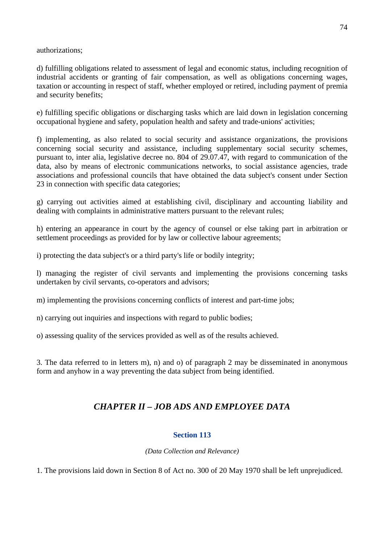authorizations;

d) fulfilling obligations related to assessment of legal and economic status, including recognition of industrial accidents or granting of fair compensation, as well as obligations concerning wages, taxation or accounting in respect of staff, whether employed or retired, including payment of premia and security benefits;

e) fulfilling specific obligations or discharging tasks which are laid down in legislation concerning occupational hygiene and safety, population health and safety and trade-unions' activities;

f) implementing, as also related to social security and assistance organizations, the provisions concerning social security and assistance, including supplementary social security schemes, pursuant to, inter alia, legislative decree no. 804 of 29.07.47, with regard to communication of the data, also by means of electronic communications networks, to social assistance agencies, trade associations and professional councils that have obtained the data subject's consent under Section 23 in connection with specific data categories;

g) carrying out activities aimed at establishing civil, disciplinary and accounting liability and dealing with complaints in administrative matters pursuant to the relevant rules;

h) entering an appearance in court by the agency of counsel or else taking part in arbitration or settlement proceedings as provided for by law or collective labour agreements;

i) protecting the data subject's or a third party's life or bodily integrity;

l) managing the register of civil servants and implementing the provisions concerning tasks undertaken by civil servants, co-operators and advisors;

m) implementing the provisions concerning conflicts of interest and part-time jobs;

n) carrying out inquiries and inspections with regard to public bodies;

o) assessing quality of the services provided as well as of the results achieved.

3. The data referred to in letters m), n) and o) of paragraph 2 may be disseminated in anonymous form and anyhow in a way preventing the data subject from being identified.

# *CHAPTER II – JOB ADS AND EMPLOYEE DATA*

# **Section 113**

*(Data Collection and Relevance)* 

1. The provisions laid down in Section 8 of Act no. 300 of 20 May 1970 shall be left unprejudiced.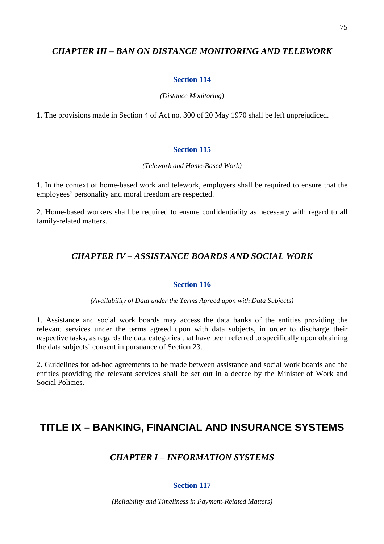# *CHAPTER III – BAN ON DISTANCE MONITORING AND TELEWORK*

#### **Section 114**

#### *(Distance Monitoring)*

1. The provisions made in Section 4 of Act no. 300 of 20 May 1970 shall be left unprejudiced.

#### **Section 115**

#### *(Telework and Home-Based Work)*

1. In the context of home-based work and telework, employers shall be required to ensure that the employees' personality and moral freedom are respected.

2. Home-based workers shall be required to ensure confidentiality as necessary with regard to all family-related matters.

# *CHAPTER IV – ASSISTANCE BOARDS AND SOCIAL WORK*

#### **Section 116**

#### *(Availability of Data under the Terms Agreed upon with Data Subjects)*

1. Assistance and social work boards may access the data banks of the entities providing the relevant services under the terms agreed upon with data subjects, in order to discharge their respective tasks, as regards the data categories that have been referred to specifically upon obtaining the data subjects' consent in pursuance of Section 23.

2. Guidelines for ad-hoc agreements to be made between assistance and social work boards and the entities providing the relevant services shall be set out in a decree by the Minister of Work and Social Policies.

# **TITLE IX – BANKING, FINANCIAL AND INSURANCE SYSTEMS**

# *CHAPTER I – INFORMATION SYSTEMS*

## **Section 117**

*(Reliability and Timeliness in Payment-Related Matters)*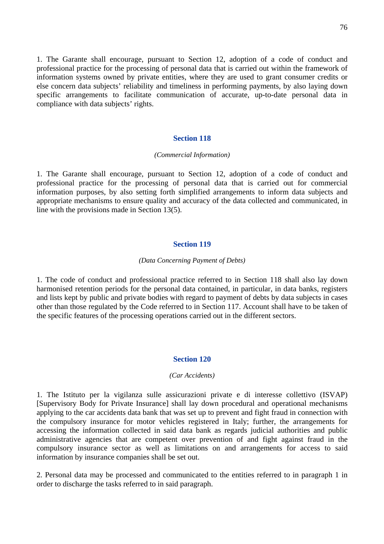1. The Garante shall encourage, pursuant to Section 12, adoption of a code of conduct and professional practice for the processing of personal data that is carried out within the framework of information systems owned by private entities, where they are used to grant consumer credits or else concern data subjects' reliability and timeliness in performing payments, by also laying down specific arrangements to facilitate communication of accurate, up-to-date personal data in compliance with data subjects' rights.

#### **Section 118**

#### *(Commercial Information)*

1. The Garante shall encourage, pursuant to Section 12, adoption of a code of conduct and professional practice for the processing of personal data that is carried out for commercial information purposes, by also setting forth simplified arrangements to inform data subjects and appropriate mechanisms to ensure quality and accuracy of the data collected and communicated, in line with the provisions made in Section 13(5).

#### **Section 119**

#### *(Data Concerning Payment of Debts)*

1. The code of conduct and professional practice referred to in Section 118 shall also lay down harmonised retention periods for the personal data contained, in particular, in data banks, registers and lists kept by public and private bodies with regard to payment of debts by data subjects in cases other than those regulated by the Code referred to in Section 117. Account shall have to be taken of the specific features of the processing operations carried out in the different sectors.

#### **Section 120**

#### *(Car Accidents)*

1. The Istituto per la vigilanza sulle assicurazioni private e di interesse collettivo (ISVAP) [Supervisory Body for Private Insurance] shall lay down procedural and operational mechanisms applying to the car accidents data bank that was set up to prevent and fight fraud in connection with the compulsory insurance for motor vehicles registered in Italy; further, the arrangements for accessing the information collected in said data bank as regards judicial authorities and public administrative agencies that are competent over prevention of and fight against fraud in the compulsory insurance sector as well as limitations on and arrangements for access to said information by insurance companies shall be set out.

2. Personal data may be processed and communicated to the entities referred to in paragraph 1 in order to discharge the tasks referred to in said paragraph.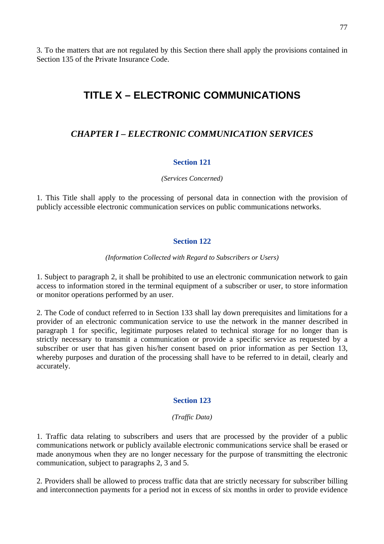3. To the matters that are not regulated by this Section there shall apply the provisions contained in Section 135 of the Private Insurance Code.

# **TITLE X – ELECTRONIC COMMUNICATIONS**

# *CHAPTER I – ELECTRONIC COMMUNICATION SERVICES*

## **Section 121**

#### *(Services Concerned)*

1. This Title shall apply to the processing of personal data in connection with the provision of publicly accessible electronic communication services on public communications networks.

# **Section 122**

#### *(Information Collected with Regard to Subscribers or Users)*

1. Subject to paragraph 2, it shall be prohibited to use an electronic communication network to gain access to information stored in the terminal equipment of a subscriber or user, to store information or monitor operations performed by an user.

2. The Code of conduct referred to in Section 133 shall lay down prerequisites and limitations for a provider of an electronic communication service to use the network in the manner described in paragraph 1 for specific, legitimate purposes related to technical storage for no longer than is strictly necessary to transmit a communication or provide a specific service as requested by a subscriber or user that has given his/her consent based on prior information as per Section 13, whereby purposes and duration of the processing shall have to be referred to in detail, clearly and accurately.

## **Section 123**

#### *(Traffic Data)*

1. Traffic data relating to subscribers and users that are processed by the provider of a public communications network or publicly available electronic communications service shall be erased or made anonymous when they are no longer necessary for the purpose of transmitting the electronic communication, subject to paragraphs 2, 3 and 5.

2. Providers shall be allowed to process traffic data that are strictly necessary for subscriber billing and interconnection payments for a period not in excess of six months in order to provide evidence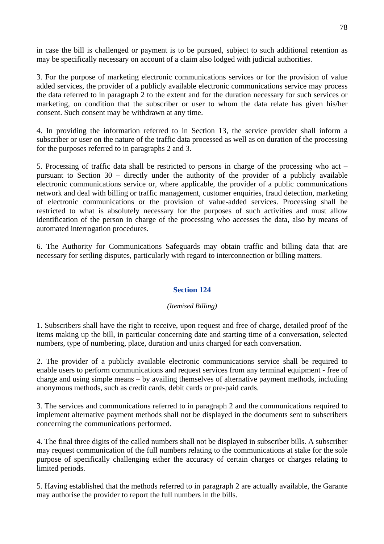in case the bill is challenged or payment is to be pursued, subject to such additional retention as may be specifically necessary on account of a claim also lodged with judicial authorities.

3. For the purpose of marketing electronic communications services or for the provision of value added services, the provider of a publicly available electronic communications service may process the data referred to in paragraph 2 to the extent and for the duration necessary for such services or marketing, on condition that the subscriber or user to whom the data relate has given his/her consent. Such consent may be withdrawn at any time.

4. In providing the information referred to in Section 13, the service provider shall inform a subscriber or user on the nature of the traffic data processed as well as on duration of the processing for the purposes referred to in paragraphs 2 and 3.

5. Processing of traffic data shall be restricted to persons in charge of the processing who act – pursuant to Section 30 – directly under the authority of the provider of a publicly available electronic communications service or, where applicable, the provider of a public communications network and deal with billing or traffic management, customer enquiries, fraud detection, marketing of electronic communications or the provision of value-added services. Processing shall be restricted to what is absolutely necessary for the purposes of such activities and must allow identification of the person in charge of the processing who accesses the data, also by means of automated interrogation procedures.

6. The Authority for Communications Safeguards may obtain traffic and billing data that are necessary for settling disputes, particularly with regard to interconnection or billing matters.

# **Section 124**

## *(Itemised Billing)*

1. Subscribers shall have the right to receive, upon request and free of charge, detailed proof of the items making up the bill, in particular concerning date and starting time of a conversation, selected numbers, type of numbering, place, duration and units charged for each conversation.

2. The provider of a publicly available electronic communications service shall be required to enable users to perform communications and request services from any terminal equipment - free of charge and using simple means – by availing themselves of alternative payment methods, including anonymous methods, such as credit cards, debit cards or pre-paid cards.

3. The services and communications referred to in paragraph 2 and the communications required to implement alternative payment methods shall not be displayed in the documents sent to subscribers concerning the communications performed.

4. The final three digits of the called numbers shall not be displayed in subscriber bills. A subscriber may request communication of the full numbers relating to the communications at stake for the sole purpose of specifically challenging either the accuracy of certain charges or charges relating to limited periods.

5. Having established that the methods referred to in paragraph 2 are actually available, the Garante may authorise the provider to report the full numbers in the bills.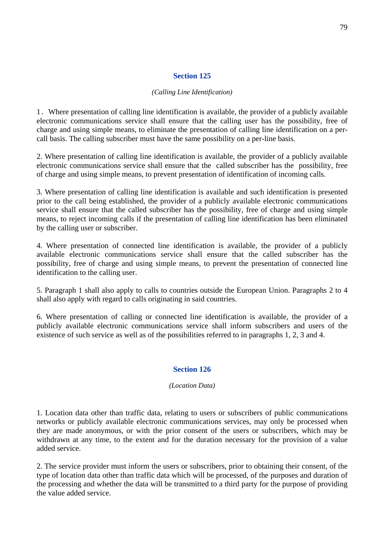## **Section 125**

#### *(Calling Line Identification)*

1. Where presentation of calling line identification is available, the provider of a publicly available electronic communications service shall ensure that the calling user has the possibility, free of charge and using simple means, to eliminate the presentation of calling line identification on a percall basis. The calling subscriber must have the same possibility on a per-line basis.

2. Where presentation of calling line identification is available, the provider of a publicly available electronic communications service shall ensure that the called subscriber has the possibility, free of charge and using simple means, to prevent presentation of identification of incoming calls.

3. Where presentation of calling line identification is available and such identification is presented prior to the call being established, the provider of a publicly available electronic communications service shall ensure that the called subscriber has the possibility, free of charge and using simple means, to reject incoming calls if the presentation of calling line identification has been eliminated by the calling user or subscriber.

4. Where presentation of connected line identification is available, the provider of a publicly available electronic communications service shall ensure that the called subscriber has the possibility, free of charge and using simple means, to prevent the presentation of connected line identification to the calling user.

5. Paragraph 1 shall also apply to calls to countries outside the European Union. Paragraphs 2 to 4 shall also apply with regard to calls originating in said countries.

6. Where presentation of calling or connected line identification is available, the provider of a publicly available electronic communications service shall inform subscribers and users of the existence of such service as well as of the possibilities referred to in paragraphs 1, 2, 3 and 4.

## **Section 126**

#### *(Location Data)*

1. Location data other than traffic data, relating to users or subscribers of public communications networks or publicly available electronic communications services, may only be processed when they are made anonymous, or with the prior consent of the users or subscribers, which may be withdrawn at any time, to the extent and for the duration necessary for the provision of a value added service.

2. The service provider must inform the users or subscribers, prior to obtaining their consent, of the type of location data other than traffic data which will be processed, of the purposes and duration of the processing and whether the data will be transmitted to a third party for the purpose of providing the value added service.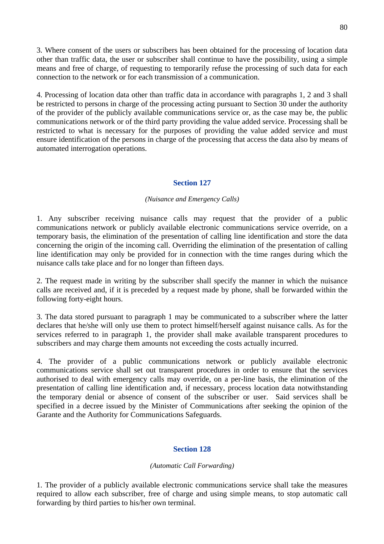3. Where consent of the users or subscribers has been obtained for the processing of location data other than traffic data, the user or subscriber shall continue to have the possibility, using a simple means and free of charge, of requesting to temporarily refuse the processing of such data for each connection to the network or for each transmission of a communication.

4. Processing of location data other than traffic data in accordance with paragraphs 1, 2 and 3 shall be restricted to persons in charge of the processing acting pursuant to Section 30 under the authority of the provider of the publicly available communications service or, as the case may be, the public communications network or of the third party providing the value added service. Processing shall be restricted to what is necessary for the purposes of providing the value added service and must ensure identification of the persons in charge of the processing that access the data also by means of automated interrogation operations.

# **Section 127**

#### *(Nuisance and Emergency Calls)*

1. Any subscriber receiving nuisance calls may request that the provider of a public communications network or publicly available electronic communications service override, on a temporary basis, the elimination of the presentation of calling line identification and store the data concerning the origin of the incoming call. Overriding the elimination of the presentation of calling line identification may only be provided for in connection with the time ranges during which the nuisance calls take place and for no longer than fifteen days.

2. The request made in writing by the subscriber shall specify the manner in which the nuisance calls are received and, if it is preceded by a request made by phone, shall be forwarded within the following forty-eight hours.

3. The data stored pursuant to paragraph 1 may be communicated to a subscriber where the latter declares that he/she will only use them to protect himself/herself against nuisance calls. As for the services referred to in paragraph 1, the provider shall make available transparent procedures to subscribers and may charge them amounts not exceeding the costs actually incurred.

4. The provider of a public communications network or publicly available electronic communications service shall set out transparent procedures in order to ensure that the services authorised to deal with emergency calls may override, on a per-line basis, the elimination of the presentation of calling line identification and, if necessary, process location data notwithstanding the temporary denial or absence of consent of the subscriber or user. Said services shall be specified in a decree issued by the Minister of Communications after seeking the opinion of the Garante and the Authority for Communications Safeguards.

## **Section 128**

#### *(Automatic Call Forwarding)*

1. The provider of a publicly available electronic communications service shall take the measures required to allow each subscriber, free of charge and using simple means, to stop automatic call forwarding by third parties to his/her own terminal.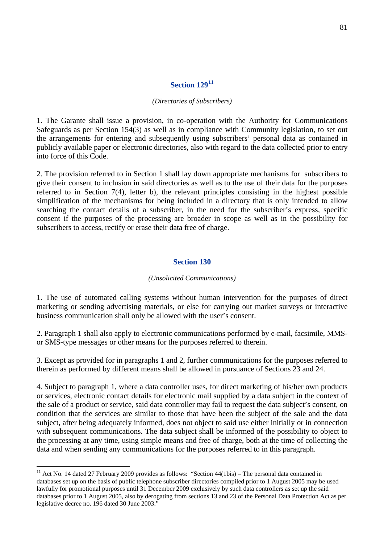# **Section 129[11](#page-80-0)**

#### *(Directories of Subscribers)*

1. The Garante shall issue a provision, in co-operation with the Authority for Communications Safeguards as per Section 154(3) as well as in compliance with Community legislation, to set out the arrangements for entering and subsequently using subscribers' personal data as contained in publicly available paper or electronic directories, also with regard to the data collected prior to entry into force of this Code.

2. The provision referred to in Section 1 shall lay down appropriate mechanisms for subscribers to give their consent to inclusion in said directories as well as to the use of their data for the purposes referred to in Section 7(4), letter b), the relevant principles consisting in the highest possible simplification of the mechanisms for being included in a directory that is only intended to allow searching the contact details of a subscriber, in the need for the subscriber's express, specific consent if the purposes of the processing are broader in scope as well as in the possibility for subscribers to access, rectify or erase their data free of charge.

#### **Section 130**

#### *(Unsolicited Communications)*

1. The use of automated calling systems without human intervention for the purposes of direct marketing or sending advertising materials, or else for carrying out market surveys or interactive business communication shall only be allowed with the user's consent.

2. Paragraph 1 shall also apply to electronic communications performed by e-mail, facsimile, MMSor SMS-type messages or other means for the purposes referred to therein.

3. Except as provided for in paragraphs 1 and 2, further communications for the purposes referred to therein as performed by different means shall be allowed in pursuance of Sections 23 and 24.

4. Subject to paragraph 1, where a data controller uses, for direct marketing of his/her own products or services, electronic contact details for electronic mail supplied by a data subject in the context of the sale of a product or service, said data controller may fail to request the data subject's consent, on condition that the services are similar to those that have been the subject of the sale and the data subject, after being adequately informed, does not object to said use either initially or in connection with subsequent communications. The data subject shall be informed of the possibility to object to the processing at any time, using simple means and free of charge, both at the time of collecting the data and when sending any communications for the purposes referred to in this paragraph.

<span id="page-80-0"></span><sup>&</sup>lt;sup>11</sup> Act No. 14 dated 27 February 2009 provides as follows: "Section  $44(1bis)$  – The personal data contained in databases set up on the basis of public telephone subscriber directories compiled prior to 1 August 2005 may be used lawfully for promotional purposes until 31 December 2009 exclusively by such data controllers as set up the said databases prior to 1 August 2005, also by derogating from sections 13 and 23 of the Personal Data Protection Act as per legislative decree no. 196 dated 30 June 2003."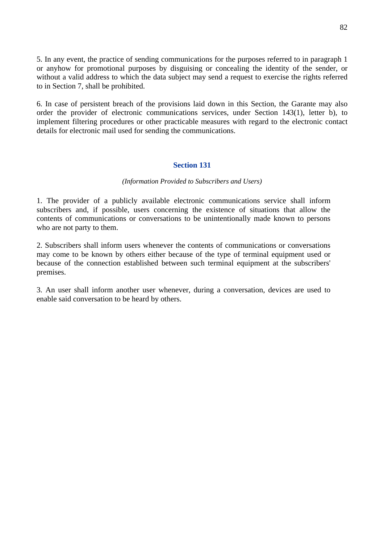5. In any event, the practice of sending communications for the purposes referred to in paragraph 1 or anyhow for promotional purposes by disguising or concealing the identity of the sender, or without a valid address to which the data subject may send a request to exercise the rights referred to in Section 7, shall be prohibited.

6. In case of persistent breach of the provisions laid down in this Section, the Garante may also order the provider of electronic communications services, under Section 143(1), letter b), to implement filtering procedures or other practicable measures with regard to the electronic contact details for electronic mail used for sending the communications.

## **Section 131**

#### *(Information Provided to Subscribers and Users)*

1. The provider of a publicly available electronic communications service shall inform subscribers and, if possible, users concerning the existence of situations that allow the contents of communications or conversations to be unintentionally made known to persons who are not party to them.

2. Subscribers shall inform users whenever the contents of communications or conversations may come to be known by others either because of the type of terminal equipment used or because of the connection established between such terminal equipment at the subscribers' premises.

3. An user shall inform another user whenever, during a conversation, devices are used to enable said conversation to be heard by others.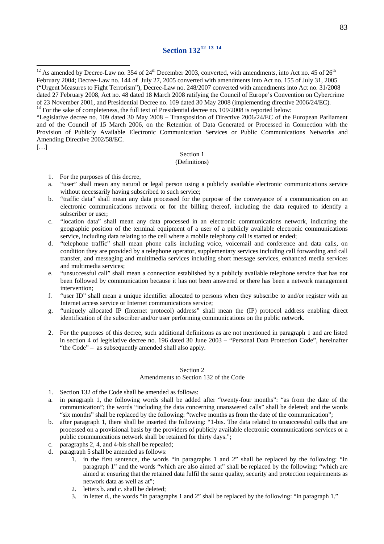# **Section 132[12](#page-82-0) [13](#page-82-1) [14](#page-82-2)**

<span id="page-82-0"></span><sup>12</sup> As amended by Decree-Law no. 354 of  $24<sup>th</sup>$  December 2003, converted, with amendments, into Act no. 45 of  $26<sup>th</sup>$ February 2004; Decree-Law no. 144 of July 27, 2005 converted with amendments into Act no. 155 of July 31, 2005 ("Urgent Measures to Fight Terrorism"), Decree-Law no. 248/2007 converted with amendments into Act no. 31/2008 dated 27 February 2008, Act no. 48 dated 18 March 2008 ratifying the Council of Europe's Convention on Cybercrime of 23 November 2001, and Presidential Decree no. 109 dated 30 May 2008 (implementing directive 2006/24/EC).

"Legislative decree no. 109 dated 30 May 2008 – Transposition of Directive 2006/24/EC of the European Parliament and of the Council of 15 March 2006, on the Retention of Data Generated or Processed in Connection with the Provision of Publicly Available Electronic Communication Services or Public Communications Networks and Amending Directive 2002/58/EC.

[…]

 $\overline{a}$ 

#### Section 1

#### (Definitions)

- 1. For the purposes of this decree,
- a. "user" shall mean any natural or legal person using a publicly available electronic communications service without necessarily having subscribed to such service;
- b. "traffic data" shall mean any data processed for the purpose of the conveyance of a communication on an electronic communications network or for the billing thereof, including the data required to identify a subscriber or user;
- c. "location data" shall mean any data processed in an electronic communications network, indicating the geographic position of the terminal equipment of a user of a publicly available electronic communications service, including data relating to the cell where a mobile telephony call is started or ended;
- d. "telephone traffic" shall mean phone calls including voice, voicemail and conference and data calls, on condition they are provided by a telephone operator, supplementary services including call forwarding and call transfer, and messaging and multimedia services including short message services, enhanced media services and multimedia services;
- e. "unsuccessful call" shall mean a connection established by a publicly available telephone service that has not been followed by communication because it has not been answered or there has been a network management intervention;
- f. "user ID" shall mean a unique identifier allocated to persons when they subscribe to and/or register with an Internet access service or Internet communications service;
- <span id="page-82-2"></span>g. "uniquely allocated IP (Internet protocol) address" shall mean the (IP) protocol address enabling direct identification of the subscriber and/or user performing communications on the public network.
- 2. For the purposes of this decree, such additional definitions as are not mentioned in paragraph 1 and are listed in section 4 of legislative decree no. 196 dated 30 June 2003 – "Personal Data Protection Code", hereinafter "the Code" – as subsequently amended shall also apply.

#### Section 2

#### Amendments to Section 132 of the Code

- 1. Section 132 of the Code shall be amended as follows:
- a. in paragraph 1, the following words shall be added after "twenty-four months": "as from the date of the communication"; the words "including the data concerning unanswered calls" shall be deleted; and the words "six months" shall be replaced by the following: "twelve months as from the date of the communication";
- b. after paragraph 1, there shall be inserted the following: "1-bis. The data related to unsuccessful calls that are processed on a provisional basis by the providers of publicly available electronic communications services or a public communications network shall be retained for thirty days.";
- c. paragraphs 2, 4, and 4-bis shall be repealed;
- d. paragraph 5 shall be amended as follows:
	- 1. in the first sentence, the words "in paragraphs 1 and 2" shall be replaced by the following: "in paragraph 1" and the words "which are also aimed at" shall be replaced by the following: "which are aimed at ensuring that the retained data fulfil the same quality, security and protection requirements as network data as well as at";
	- 2. letters b. and c. shall be deleted;
	- 3. in letter d., the words "in paragraphs 1 and 2" shall be replaced by the following: "in paragraph 1."

<span id="page-82-1"></span><sup>&</sup>lt;sup>13</sup> For the sake of completeness, the full text of Presidential decree no. 109/2008 is reported below: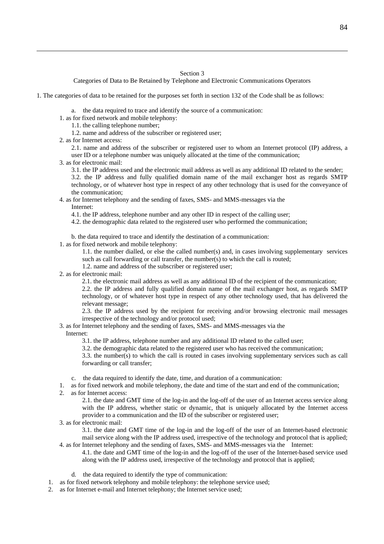#### Section 3

Categories of Data to Be Retained by Telephone and Electronic Communications Operators

1. The categories of data to be retained for the purposes set forth in section 132 of the Code shall be as follows:

- a. the data required to trace and identify the source of a communication:
- 1. as for fixed network and mobile telephony:
	- 1.1. the calling telephone number;
	- 1.2. name and address of the subscriber or registered user;
- 2. as for Internet access:

 $\overline{a}$ 

2.1. name and address of the subscriber or registered user to whom an Internet protocol (IP) address, a user ID or a telephone number was uniquely allocated at the time of the communication;

- 3. as for electronic mail:
	- 3.1. the IP address used and the electronic mail address as well as any additional ID related to the sender;

3.2. the IP address and fully qualified domain name of the mail exchanger host as regards SMTP technology, or of whatever host type in respect of any other technology that is used for the conveyance of the communication;

#### 4. as for Internet telephony and the sending of faxes, SMS- and MMS-messages via the Internet:

4.1. the IP address, telephone number and any other ID in respect of the calling user;

4.2. the demographic data related to the registered user who performed the communication;

b. the data required to trace and identify the destination of a communication:

1. as for fixed network and mobile telephony:

1.1. the number dialled, or else the called number(s) and, in cases involving supplementary services such as call forwarding or call transfer, the number(s) to which the call is routed;

1.2. name and address of the subscriber or registered user;

2. as for electronic mail:

2.1. the electronic mail address as well as any additional ID of the recipient of the communication;

2.2. the IP address and fully qualified domain name of the mail exchanger host, as regards SMTP technology, or of whatever host type in respect of any other technology used, that has delivered the relevant message;

2.3. the IP address used by the recipient for receiving and/or browsing electronic mail messages irrespective of the technology and/or protocol used;

- 3. as for Internet telephony and the sending of faxes, SMS- and MMS-messages via the Internet:
	- 3.1. the IP address, telephone number and any additional ID related to the called user;

3.2. the demographic data related to the registered user who has received the communication;

3.3. the number(s) to which the call is routed in cases involving supplementary services such as call forwarding or call transfer;

- c. the data required to identify the date, time, and duration of a communication:
- 1. as for fixed network and mobile telephony, the date and time of the start and end of the communication;
- 2. as for Internet access:

2.1. the date and GMT time of the log-in and the log-off of the user of an Internet access service along with the IP address, whether static or dynamic, that is uniquely allocated by the Internet access provider to a communication and the ID of the subscriber or registered user;

3. as for electronic mail:

3.1. the date and GMT time of the log-in and the log-off of the user of an Internet-based electronic mail service along with the IP address used, irrespective of the technology and protocol that is applied; 4. as for Internet telephony and the sending of faxes, SMS- and MMS-messages via the Internet:

- 4.1. the date and GMT time of the log-in and the log-off of the user of the Internet-based service used along with the IP address used, irrespective of the technology and protocol that is applied;
- d. the data required to identify the type of communication:
- 1. as for fixed network telephony and mobile telephony: the telephone service used;
- 2. as for Internet e-mail and Internet telephony; the Internet service used;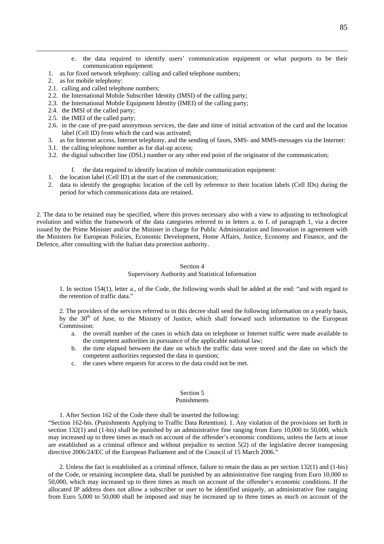- e. the data required to identify users' communication equipment or what purports to be their communication equipment:
- 1. as for fixed network telephony: calling and called telephone numbers;
- 2. as for mobile telephony:
- 2.1. calling and called telephone numbers;
- 2.2. the International Mobile Subscriber Identity (IMSI) of the calling party;
- 2.3. the International Mobile Equipment Identity (IMEI) of the calling party;
- 2.4. the IMSI of the called party;
- 2.5. the IMEI of the called party;
- 2.6. in the case of pre-paid anonymous services, the date and time of initial activation of the card and the location label (Cell ID) from which the card was activated;
- 3. as for Internet access, Internet telephony, and the sending of faxes, SMS- and MMS-messages via the Internet:
- 3.1. the calling telephone number as for dial-up access;
- 3.2. the digital subscriber line (DSL) number or any other end point of the originator of the communication;
	- f. the data required to identify location of mobile communication equipment:
- 1. the location label (Cell ID) at the start of the communication;
- 2. data to identify the geographic location of the cell by reference to their location labels (Cell IDs) during the period for which communications data are retained.

2. The data to be retained may be specified, where this proves necessary also with a view to adjusting to technological evolution and within the framework of the data categories referred to in letters a. to f. of paragraph 1, via a decree issued by the Prime Minister and/or the Minister in charge for Public Administration and Innovation in agreement with the Ministers for European Policies, Economic Development, Home Affairs, Justice, Economy and Finance, and the Defence, after consulting with the Italian data protection authority.

#### Section 4

#### Supervisory Authority and Statistical Information

1. In section 154(1), letter a., of the Code, the following words shall be added at the end: "and with regard to the retention of traffic data."

2. The providers of the services referred to in this decree shall send the following information on a yearly basis, by the 30<sup>th</sup> of June, to the Ministry of Justice, which shall forward such information to the European Commission:

- a. the overall number of the cases in which data on telephone or Internet traffic were made available to the competent authorities in pursuance of the applicable national law;
- b. the time elapsed between the date on which the traffic data were stored and the date on which the competent authorities requested the data in question;
- c. the cases where requests for access to the data could not be met.

#### Section 5

#### Punishments

1. After Section 162 of the Code there shall be inserted the following: "Section 162-bis. (Punishments Applying to Traffic Data Retention). 1. Any violation of the provisions set forth in section 132(1) and (1-bis) shall be punished by an administrative fine ranging from Euro 10,000 to 50,000, which may increased up to three times as much on account of the offender's economic conditions, unless the facts at issue are established as a criminal offence and without prejudice to section 5(2) of the legislative decree transposing directive 2006/24/EC of the European Parliament and of the Council of 15 March 2006."

2. Unless the fact is established as a criminal offence, failure to retain the data as per section 132(1) and (1-bis) of the Code, or retaining incomplete data, shall be punished by an administrative fine ranging from Euro 10,000 to 50,000, which may increased up to three times as much on account of the offender's economic conditions. If the allocated IP address does not allow a subscriber or user to be identified uniquely, an administrative fine ranging from Euro 5,000 to 50,000 shall be imposed and may be increased up to three times as much on account of the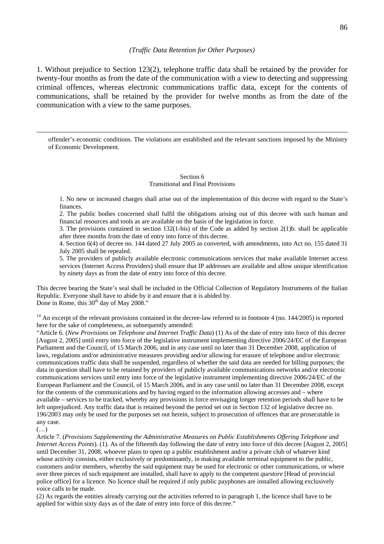#### *(Traffic Data Retention for Other Purposes)*

1. Without prejudice to Section 123(2), telephone traffic data shall be retained by the provider for twenty-four months as from the date of the communication with a view to detecting and suppressing criminal offences, whereas electronic communications traffic data, except for the contents of communications, shall be retained by the provider for twelve months as from the date of the communication with a view to the same purposes.

 offender's economic conditions. The violations are established and the relevant sanctions imposed by the Ministry of Economic Development.

#### Section 6 Transitional and Final Provisions

1. No new or increased charges shall arise out of the implementation of this decree with regard to the State's finances.

2. The public bodies concerned shall fulfil the obligations arising out of this decree with such human and financial resources and tools as are available on the basis of the legislation in force.

3. The provisions contained in section 132(1-bis) of the Code as added by section 2(1)b. shall be applicable after three months from the date of entry into force of this decree.

4. Section 6(4) of decree no. 144 dated 27 July 2005 as converted, with amendments, into Act no. 155 dated 31 July 2005 shall be repealed.

5. The providers of publicly available electronic communications services that make available Internet access services (Internet Access Providers) shall ensure that IP addresses are available and allow unique identification by ninety days as from the date of entry into force of this decree.

This decree bearing the State's seal shall be included in the Official Collection of Regulatory Instruments of the Italian Republic. Everyone shall have to abide by it and ensure that it is abided by. Done in Rome, this  $30<sup>th</sup>$  day of May 2008."

 $14$  An excerpt of the relevant provisions contained in the decree-law referred to in footnote 4 (no. 144/2005) is reported here for the sake of completeness, as subsequently amended:

"Article 6. (*New Provisions on Telephone and Internet Traffic Data*) (1) As of the date of entry into force of this decree [August 2, 2005] until entry into force of the legislative instrument implementing directive 2006/24/EC of the European Parliament and the Council, of 15 March 2006, and in any case until no later than 31 December 2008, application of laws, regulations and/or administrative measures providing and/or allowing for erasure of telephone and/or electronic communications traffic data shall be suspended, regardless of whether the said data are needed for billing purposes; the data in question shall have to be retained by providers of publicly available communications networks and/or electronic communications services until entry into force of the legislative instrument implementing directive 2006/24/EC of the European Parliament and the Council, of 15 March 2006, and in any case until no later than 31 December 2008, except for the contents of the communications and by having regard to the information allowing accesses and – where available – services to be tracked, whereby any provisions in force envisaging longer retention periods shall have to be left unprejudiced. Any traffic data that is retained beyond the period set out in Section 132 of legislative decree no. 196/2003 may only be used for the purposes set out herein, subject to prosecution of offences that are prosecutable in any case.

Article 7. (*Provisions Supplementing the Administrative Measures on Public Establishments Offering Telephone and Internet Access Points*). (1). As of the fifteenth day following the date of entry into force of this decree [August 2, 2005] until December 31, 2008, whoever plans to open up a public establishment and/or a private club of whatever kind whose activity consists, either exclusively or predominantly, in making available terminal equipment to the public, customers and/or members, whereby the said equipment may be used for electronic or other communications, or where over three pieces of such equipment are installed, shall have to apply to the competent *questore* [Head of provincial police office] for a licence. No licence shall be required if only public payphones are installed allowing exclusively voice calls to be made.

(2) As regards the entities already carrying out the activities referred to in paragraph 1, the licence shall have to be applied for within sixty days as of the date of entry into force of this decree."

<sup>(…)</sup>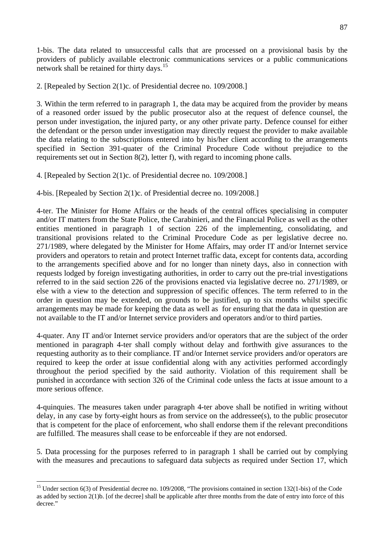1-bis. The data related to unsuccessful calls that are processed on a provisional basis by the providers of publicly available electronic communications services or a public communications network shall be retained for thirty days.<sup>[15](#page-86-0)</sup>

2. [Repealed by Section 2(1)c. of Presidential decree no. 109/2008.]

3. Within the term referred to in paragraph 1, the data may be acquired from the provider by means of a reasoned order issued by the public prosecutor also at the request of defence counsel, the person under investigation, the injured party, or any other private party. Defence counsel for either the defendant or the person under investigation may directly request the provider to make available the data relating to the subscriptions entered into by his/her client according to the arrangements specified in Section 391-quater of the Criminal Procedure Code without prejudice to the requirements set out in Section  $8(2)$ , letter f), with regard to incoming phone calls.

4. [Repealed by Section 2(1)c. of Presidential decree no. 109/2008.]

4-bis. [Repealed by Section 2(1)c. of Presidential decree no. 109/2008.]

4-ter. The Minister for Home Affairs or the heads of the central offices specialising in computer and/or IT matters from the State Police, the Carabinieri, and the Financial Police as well as the other entities mentioned in paragraph 1 of section 226 of the implementing, consolidating, and transitional provisions related to the Criminal Procedure Code as per legislative decree no. 271/1989, where delegated by the Minister for Home Affairs, may order IT and/or Internet service providers and operators to retain and protect Internet traffic data, except for contents data, according to the arrangements specified above and for no longer than ninety days, also in connection with requests lodged by foreign investigating authorities, in order to carry out the pre-trial investigations referred to in the said section 226 of the provisions enacted via legislative decree no. 271/1989, or else with a view to the detection and suppression of specific offences. The term referred to in the order in question may be extended, on grounds to be justified, up to six months whilst specific arrangements may be made for keeping the data as well as for ensuring that the data in question are not available to the IT and/or Internet service providers and operators and/or to third parties.

4-quater. Any IT and/or Internet service providers and/or operators that are the subject of the order mentioned in paragraph 4-ter shall comply without delay and forthwith give assurances to the requesting authority as to their compliance. IT and/or Internet service providers and/or operators are required to keep the order at issue confidential along with any activities performed accordingly throughout the period specified by the said authority. Violation of this requirement shall be punished in accordance with section 326 of the Criminal code unless the facts at issue amount to a more serious offence.

4-quinquies. The measures taken under paragraph 4-ter above shall be notified in writing without delay, in any case by forty-eight hours as from service on the addressee(s), to the public prosecutor that is competent for the place of enforcement, who shall endorse them if the relevant preconditions are fulfilled. The measures shall cease to be enforceable if they are not endorsed.

5. Data processing for the purposes referred to in paragraph 1 shall be carried out by complying with the measures and precautions to safeguard data subjects as required under Section 17, which

<span id="page-86-0"></span><sup>&</sup>lt;sup>15</sup> Under section 6(3) of Presidential decree no. 109/2008, "The provisions contained in section 132(1-bis) of the Code as added by section 2(1)b. [of the decree] shall be applicable after three months from the date of entry into force of this decree."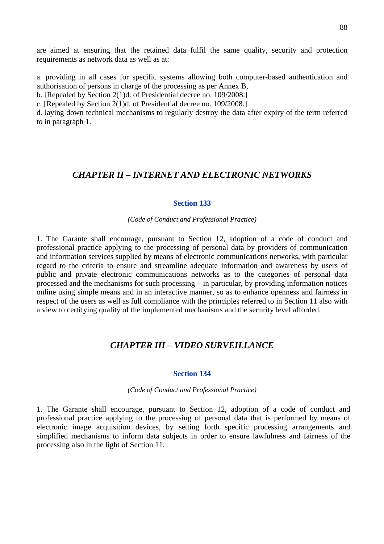are aimed at ensuring that the retained data fulfil the same quality, security and protection requirements as network data as well as at:

a. providing in all cases for specific systems allowing both computer-based authentication and authorisation of persons in charge of the processing as per Annex B,

b. [Repealed by Section 2(1)d. of Presidential decree no. 109/2008.]

c. [Repealed by Section 2(1)d. of Presidential decree no. 109/2008.]

d. laying down technical mechanisms to regularly destroy the data after expiry of the term referred to in paragraph 1.

# *CHAPTER II – INTERNET AND ELECTRONIC NETWORKS*

#### **Section 133**

*(Code of Conduct and Professional Practice)* 

1. The Garante shall encourage, pursuant to Section 12, adoption of a code of conduct and professional practice applying to the processing of personal data by providers of communication and information services supplied by means of electronic communications networks, with particular regard to the criteria to ensure and streamline adequate information and awareness by users of public and private electronic communications networks as to the categories of personal data processed and the mechanisms for such processing – in particular, by providing information notices online using simple means and in an interactive manner, so as to enhance openness and fairness in respect of the users as well as full compliance with the principles referred to in Section 11 also with a view to certifying quality of the implemented mechanisms and the security level afforded.

# *CHAPTER III – VIDEO SURVEILLANCE*

#### **Section 134**

*(Code of Conduct and Professional Practice)* 

1. The Garante shall encourage, pursuant to Section 12, adoption of a code of conduct and professional practice applying to the processing of personal data that is performed by means of electronic image acquisition devices, by setting forth specific processing arrangements and simplified mechanisms to inform data subjects in order to ensure lawfulness and fairness of the processing also in the light of Section 11.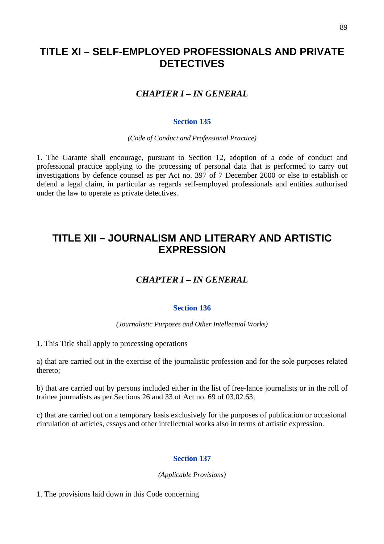# **TITLE XI – SELF-EMPLOYED PROFESSIONALS AND PRIVATE DETECTIVES**

# *CHAPTER I – IN GENERAL*

#### **Section 135**

*(Code of Conduct and Professional Practice)* 

1. The Garante shall encourage, pursuant to Section 12, adoption of a code of conduct and professional practice applying to the processing of personal data that is performed to carry out investigations by defence counsel as per Act no. 397 of 7 December 2000 or else to establish or defend a legal claim, in particular as regards self-employed professionals and entities authorised under the law to operate as private detectives.

# **TITLE XII – JOURNALISM AND LITERARY AND ARTISTIC EXPRESSION**

# *CHAPTER I – IN GENERAL*

#### **Section 136**

*(Journalistic Purposes and Other Intellectual Works)* 

1. This Title shall apply to processing operations

a) that are carried out in the exercise of the journalistic profession and for the sole purposes related thereto;

b) that are carried out by persons included either in the list of free-lance journalists or in the roll of trainee journalists as per Sections 26 and 33 of Act no. 69 of 03.02.63;

c) that are carried out on a temporary basis exclusively for the purposes of publication or occasional circulation of articles, essays and other intellectual works also in terms of artistic expression.

## **Section 137**

*(Applicable Provisions)* 

1. The provisions laid down in this Code concerning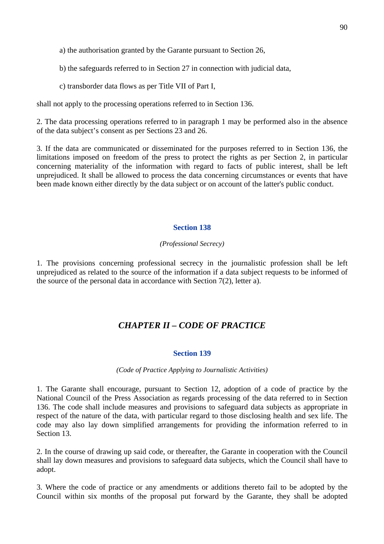a) the authorisation granted by the Garante pursuant to Section 26,

b) the safeguards referred to in Section 27 in connection with judicial data,

c) transborder data flows as per Title VII of Part I,

shall not apply to the processing operations referred to in Section 136.

2. The data processing operations referred to in paragraph 1 may be performed also in the absence of the data subject's consent as per Sections 23 and 26.

3. If the data are communicated or disseminated for the purposes referred to in Section 136, the limitations imposed on freedom of the press to protect the rights as per Section 2, in particular concerning materiality of the information with regard to facts of public interest, shall be left unprejudiced. It shall be allowed to process the data concerning circumstances or events that have been made known either directly by the data subject or on account of the latter's public conduct.

#### **Section 138**

#### *(Professional Secrecy)*

1. The provisions concerning professional secrecy in the journalistic profession shall be left unprejudiced as related to the source of the information if a data subject requests to be informed of the source of the personal data in accordance with Section 7(2), letter a).

# *CHAPTER II – CODE OF PRACTICE*

#### **Section 139**

*(Code of Practice Applying to Journalistic Activities)* 

1. The Garante shall encourage, pursuant to Section 12, adoption of a code of practice by the National Council of the Press Association as regards processing of the data referred to in Section 136. The code shall include measures and provisions to safeguard data subjects as appropriate in respect of the nature of the data*,* with particular regard to those disclosing health and sex life. The code may also lay down simplified arrangements for providing the information referred to in Section 13.

2. In the course of drawing up said code, or thereafter, the Garante in cooperation with the Council shall lay down measures and provisions to safeguard data subjects, which the Council shall have to adopt.

3. Where the code of practice or any amendments or additions thereto fail to be adopted by the Council within six months of the proposal put forward by the Garante, they shall be adopted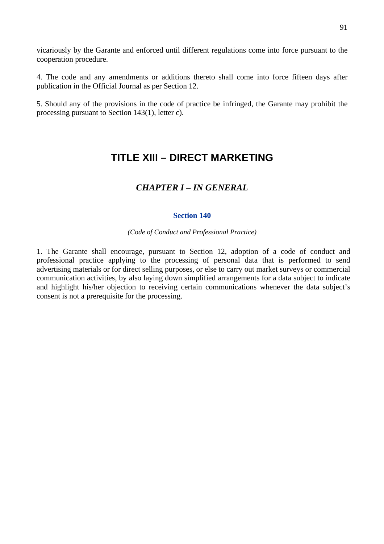vicariously by the Garante and enforced until different regulations come into force pursuant to the cooperation procedure.

4. The code and any amendments or additions thereto shall come into force fifteen days after publication in the Official Journal as per Section 12.

5. Should any of the provisions in the code of practice be infringed, the Garante may prohibit the processing pursuant to Section 143(1), letter c).

# **TITLE XIII – DIRECT MARKETING**

# *CHAPTER I – IN GENERAL*

## **Section 140**

#### *(Code of Conduct and Professional Practice)*

1. The Garante shall encourage, pursuant to Section 12, adoption of a code of conduct and professional practice applying to the processing of personal data that is performed to send advertising materials or for direct selling purposes, or else to carry out market surveys or commercial communication activities, by also laying down simplified arrangements for a data subject to indicate and highlight his/her objection to receiving certain communications whenever the data subject's consent is not a prerequisite for the processing.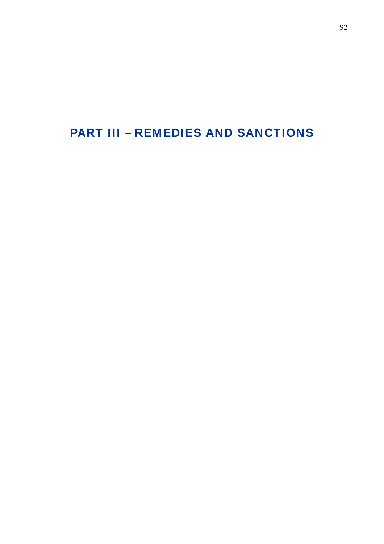# PART III – REMEDIES AND SANCTIONS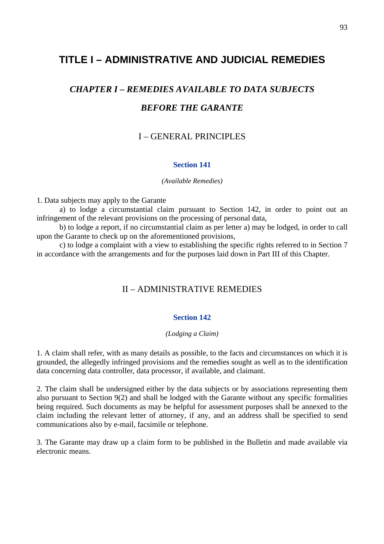# **TITLE I – ADMINISTRATIVE AND JUDICIAL REMEDIES**

# *CHAPTER I – REMEDIES AVAILABLE TO DATA SUBJECTS BEFORE THE GARANTE*

# I – GENERAL PRINCIPLES

## **Section 141**

#### *(Available Remedies)*

1. Data subjects may apply to the Garante

 a) to lodge a circumstantial claim pursuant to Section 142, in order to point out an infringement of the relevant provisions on the processing of personal data,

 b) to lodge a report, if no circumstantial claim as per letter a) may be lodged, in order to call upon the Garante to check up on the aforementioned provisions,

 c) to lodge a complaint with a view to establishing the specific rights referred to in Section 7 in accordance with the arrangements and for the purposes laid down in Part III of this Chapter.

# II – ADMINISTRATIVE REMEDIES

## **Section 142**

#### *(Lodging a Claim)*

1. A claim shall refer, with as many details as possible, to the facts and circumstances on which it is grounded, the allegedly infringed provisions and the remedies sought as well as to the identification data concerning data controller, data processor, if available, and claimant.

2. The claim shall be undersigned either by the data subjects or by associations representing them also pursuant to Section 9(2) and shall be lodged with the Garante without any specific formalities being required. Such documents as may be helpful for assessment purposes shall be annexed to the claim including the relevant letter of attorney, if any, and an address shall be specified to send communications also by e-mail, facsimile or telephone.

3. The Garante may draw up a claim form to be published in the Bulletin and made available via electronic means.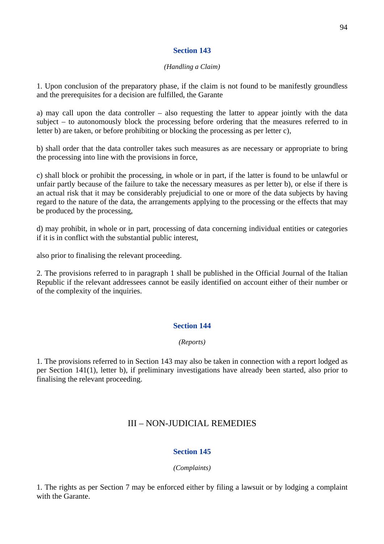## **Section 143**

#### *(Handling a Claim)*

1. Upon conclusion of the preparatory phase, if the claim is not found to be manifestly groundless and the prerequisites for a decision are fulfilled, the Garante

a) may call upon the data controller – also requesting the latter to appear jointly with the data subject – to autonomously block the processing before ordering that the measures referred to in letter b) are taken, or before prohibiting or blocking the processing as per letter c),

b) shall order that the data controller takes such measures as are necessary or appropriate to bring the processing into line with the provisions in force,

c) shall block or prohibit the processing, in whole or in part, if the latter is found to be unlawful or unfair partly because of the failure to take the necessary measures as per letter b), or else if there is an actual risk that it may be considerably prejudicial to one or more of the data subjects by having regard to the nature of the data, the arrangements applying to the processing or the effects that may be produced by the processing,

d) may prohibit, in whole or in part, processing of data concerning individual entities or categories if it is in conflict with the substantial public interest,

also prior to finalising the relevant proceeding.

2. The provisions referred to in paragraph 1 shall be published in the Official Journal of the Italian Republic if the relevant addressees cannot be easily identified on account either of their number or of the complexity of the inquiries.

# **Section 144**

## *(Reports)*

1. The provisions referred to in Section 143 may also be taken in connection with a report lodged as per Section 141(1), letter b), if preliminary investigations have already been started, also prior to finalising the relevant proceeding.

# III – NON-JUDICIAL REMEDIES

# **Section 145**

## *(Complaints)*

1. The rights as per Section 7 may be enforced either by filing a lawsuit or by lodging a complaint with the Garante.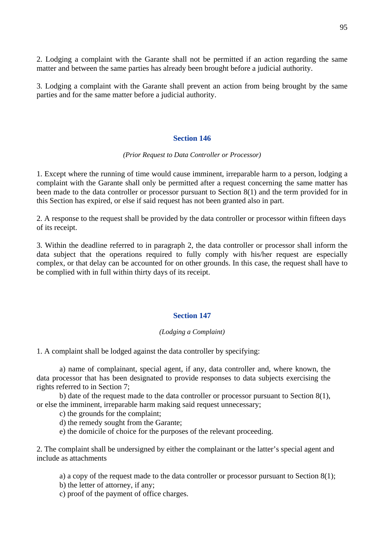2. Lodging a complaint with the Garante shall not be permitted if an action regarding the same matter and between the same parties has already been brought before a judicial authority.

3. Lodging a complaint with the Garante shall prevent an action from being brought by the same parties and for the same matter before a judicial authority.

#### **Section 146**

#### *(Prior Request to Data Controller or Processor)*

1. Except where the running of time would cause imminent, irreparable harm to a person, lodging a complaint with the Garante shall only be permitted after a request concerning the same matter has been made to the data controller or processor pursuant to Section 8(1) and the term provided for in this Section has expired, or else if said request has not been granted also in part.

2. A response to the request shall be provided by the data controller or processor within fifteen days of its receipt.

3. Within the deadline referred to in paragraph 2, the data controller or processor shall inform the data subject that the operations required to fully comply with his/her request are especially complex, or that delay can be accounted for on other grounds. In this case, the request shall have to be complied with in full within thirty days of its receipt.

#### **Section 147**

#### *(Lodging a Complaint)*

1. A complaint shall be lodged against the data controller by specifying:

 a) name of complainant, special agent, if any, data controller and, where known, the data processor that has been designated to provide responses to data subjects exercising the rights referred to in Section 7;

 b) date of the request made to the data controller or processor pursuant to Section 8(1), or else the imminent, irreparable harm making said request unnecessary;

c) the grounds for the complaint;

- d) the remedy sought from the Garante;
- e) the domicile of choice for the purposes of the relevant proceeding.

2. The complaint shall be undersigned by either the complainant or the latter's special agent and include as attachments

a) a copy of the request made to the data controller or processor pursuant to Section 8(1);

b) the letter of attorney, if any;

c) proof of the payment of office charges.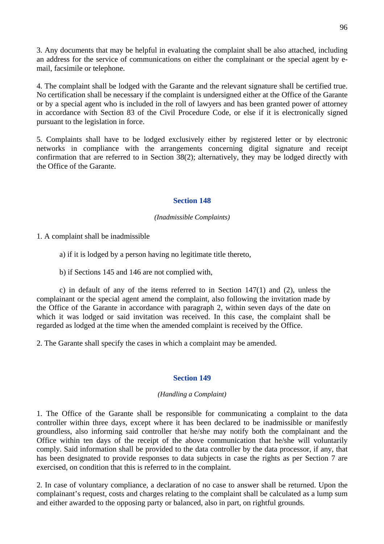3. Any documents that may be helpful in evaluating the complaint shall be also attached, including an address for the service of communications on either the complainant or the special agent by email, facsimile or telephone.

4. The complaint shall be lodged with the Garante and the relevant signature shall be certified true. No certification shall be necessary if the complaint is undersigned either at the Office of the Garante or by a special agent who is included in the roll of lawyers and has been granted power of attorney in accordance with Section 83 of the Civil Procedure Code, or else if it is electronically signed pursuant to the legislation in force.

5. Complaints shall have to be lodged exclusively either by registered letter or by electronic networks in compliance with the arrangements concerning digital signature and receipt confirmation that are referred to in Section 38(2); alternatively, they may be lodged directly with the Office of the Garante.

## **Section 148**

## *(Inadmissible Complaints)*

1. A complaint shall be inadmissible

a) if it is lodged by a person having no legitimate title thereto,

b) if Sections 145 and 146 are not complied with,

 c) in default of any of the items referred to in Section 147(1) and (2), unless the complainant or the special agent amend the complaint, also following the invitation made by the Office of the Garante in accordance with paragraph 2, within seven days of the date on which it was lodged or said invitation was received. In this case, the complaint shall be regarded as lodged at the time when the amended complaint is received by the Office.

2. The Garante shall specify the cases in which a complaint may be amended.

# **Section 149**

## *(Handling a Complaint)*

1. The Office of the Garante shall be responsible for communicating a complaint to the data controller within three days, except where it has been declared to be inadmissible or manifestly groundless, also informing said controller that he/she may notify both the complainant and the Office within ten days of the receipt of the above communication that he/she will voluntarily comply. Said information shall be provided to the data controller by the data processor, if any, that has been designated to provide responses to data subjects in case the rights as per Section 7 are exercised, on condition that this is referred to in the complaint.

2. In case of voluntary compliance, a declaration of no case to answer shall be returned. Upon the complainant's request, costs and charges relating to the complaint shall be calculated as a lump sum and either awarded to the opposing party or balanced, also in part, on rightful grounds.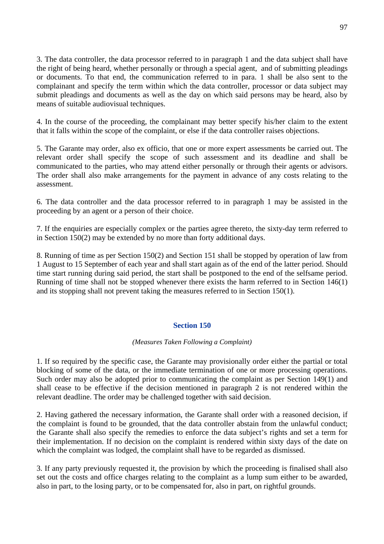3. The data controller, the data processor referred to in paragraph 1 and the data subject shall have the right of being heard, whether personally or through a special agent, and of submitting pleadings or documents. To that end, the communication referred to in para. 1 shall be also sent to the complainant and specify the term within which the data controller, processor or data subject may submit pleadings and documents as well as the day on which said persons may be heard, also by means of suitable audiovisual techniques.

4. In the course of the proceeding, the complainant may better specify his/her claim to the extent that it falls within the scope of the complaint, or else if the data controller raises objections.

5. The Garante may order, also ex officio, that one or more expert assessments be carried out. The relevant order shall specify the scope of such assessment and its deadline and shall be communicated to the parties, who may attend either personally or through their agents or advisors. The order shall also make arrangements for the payment in advance of any costs relating to the assessment.

6. The data controller and the data processor referred to in paragraph 1 may be assisted in the proceeding by an agent or a person of their choice.

7. If the enquiries are especially complex or the parties agree thereto, the sixty-day term referred to in Section 150(2) may be extended by no more than forty additional days.

8. Running of time as per Section 150(2) and Section 151 shall be stopped by operation of law from 1 August to 15 September of each year and shall start again as of the end of the latter period. Should time start running during said period, the start shall be postponed to the end of the selfsame period. Running of time shall not be stopped whenever there exists the harm referred to in Section 146(1) and its stopping shall not prevent taking the measures referred to in Section 150(1).

## **Section 150**

## *(Measures Taken Following a Complaint)*

1. If so required by the specific case, the Garante may provisionally order either the partial or total blocking of some of the data, or the immediate termination of one or more processing operations. Such order may also be adopted prior to communicating the complaint as per Section 149(1) and shall cease to be effective if the decision mentioned in paragraph 2 is not rendered within the relevant deadline. The order may be challenged together with said decision.

2. Having gathered the necessary information, the Garante shall order with a reasoned decision, if the complaint is found to be grounded, that the data controller abstain from the unlawful conduct; the Garante shall also specify the remedies to enforce the data subject's rights and set a term for their implementation. If no decision on the complaint is rendered within sixty days of the date on which the complaint was lodged, the complaint shall have to be regarded as dismissed.

3. If any party previously requested it, the provision by which the proceeding is finalised shall also set out the costs and office charges relating to the complaint as a lump sum either to be awarded, also in part, to the losing party, or to be compensated for, also in part, on rightful grounds.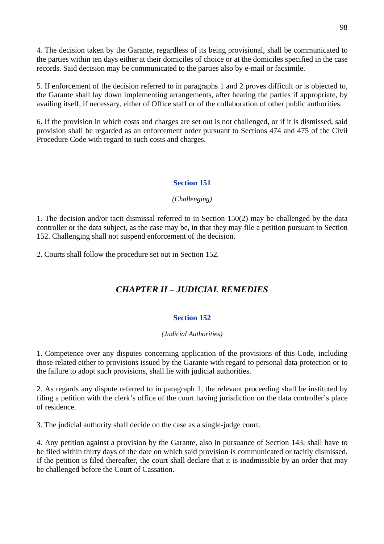4. The decision taken by the Garante, regardless of its being provisional, shall be communicated to the parties within ten days either at their domiciles of choice or at the domiciles specified in the case records. Said decision may be communicated to the parties also by e-mail or facsimile.

5. If enforcement of the decision referred to in paragraphs 1 and 2 proves difficult or is objected to, the Garante shall lay down implementing arrangements, after hearing the parties if appropriate, by availing itself, if necessary, either of Office staff or of the collaboration of other public authorities.

6. If the provision in which costs and charges are set out is not challenged, or if it is dismissed, said provision shall be regarded as an enforcement order pursuant to Sections 474 and 475 of the Civil Procedure Code with regard to such costs and charges.

# **Section 151**

# *(Challenging)*

1. The decision and/or tacit dismissal referred to in Section 150(2) may be challenged by the data controller or the data subject, as the case may be, in that they may file a petition pursuant to Section 152. Challenging shall not suspend enforcement of the decision.

2. Courts shall follow the procedure set out in Section 152.

# *CHAPTER II – JUDICIAL REMEDIES*

# **Section 152**

## *(Judicial Authorities)*

1. Competence over any disputes concerning application of the provisions of this Code, including those related either to provisions issued by the Garante with regard to personal data protection or to the failure to adopt such provisions, shall lie with judicial authorities.

2. As regards any dispute referred to in paragraph 1, the relevant proceeding shall be instituted by filing a petition with the clerk's office of the court having jurisdiction on the data controller's place of residence.

3. The judicial authority shall decide on the case as a single-judge court.

4. Any petition against a provision by the Garante, also in pursuance of Section 143, shall have to be filed within thirty days of the date on which said provision is communicated or tacitly dismissed. If the petition is filed thereafter, the court shall declare that it is inadmissible by an order that may be challenged before the Court of Cassation.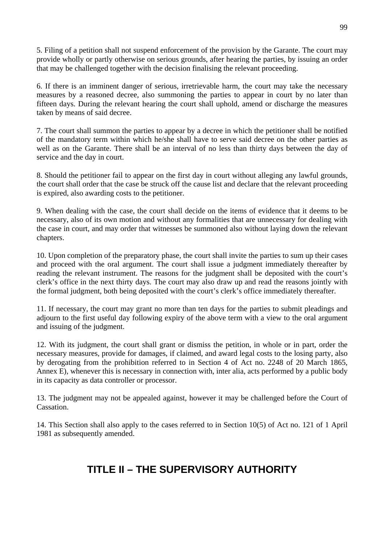5. Filing of a petition shall not suspend enforcement of the provision by the Garante. The court may provide wholly or partly otherwise on serious grounds, after hearing the parties, by issuing an order that may be challenged together with the decision finalising the relevant proceeding.

6. If there is an imminent danger of serious, irretrievable harm, the court may take the necessary measures by a reasoned decree, also summoning the parties to appear in court by no later than fifteen days. During the relevant hearing the court shall uphold, amend or discharge the measures taken by means of said decree.

7. The court shall summon the parties to appear by a decree in which the petitioner shall be notified of the mandatory term within which he/she shall have to serve said decree on the other parties as well as on the Garante. There shall be an interval of no less than thirty days between the day of service and the day in court.

8. Should the petitioner fail to appear on the first day in court without alleging any lawful grounds, the court shall order that the case be struck off the cause list and declare that the relevant proceeding is expired, also awarding costs to the petitioner.

9. When dealing with the case, the court shall decide on the items of evidence that it deems to be necessary, also of its own motion and without any formalities that are unnecessary for dealing with the case in court, and may order that witnesses be summoned also without laying down the relevant chapters.

10. Upon completion of the preparatory phase, the court shall invite the parties to sum up their cases and proceed with the oral argument. The court shall issue a judgment immediately thereafter by reading the relevant instrument. The reasons for the judgment shall be deposited with the court's clerk's office in the next thirty days. The court may also draw up and read the reasons jointly with the formal judgment, both being deposited with the court's clerk's office immediately thereafter.

11. If necessary, the court may grant no more than ten days for the parties to submit pleadings and adjourn to the first useful day following expiry of the above term with a view to the oral argument and issuing of the judgment.

12. With its judgment, the court shall grant or dismiss the petition, in whole or in part, order the necessary measures, provide for damages, if claimed, and award legal costs to the losing party, also by derogating from the prohibition referred to in Section 4 of Act no. 2248 of 20 March 1865, Annex E), whenever this is necessary in connection with, inter alia, acts performed by a public body in its capacity as data controller or processor.

13. The judgment may not be appealed against, however it may be challenged before the Court of Cassation.

14. This Section shall also apply to the cases referred to in Section 10(5) of Act no. 121 of 1 April 1981 as subsequently amended.

# **TITLE II – THE SUPERVISORY AUTHORITY**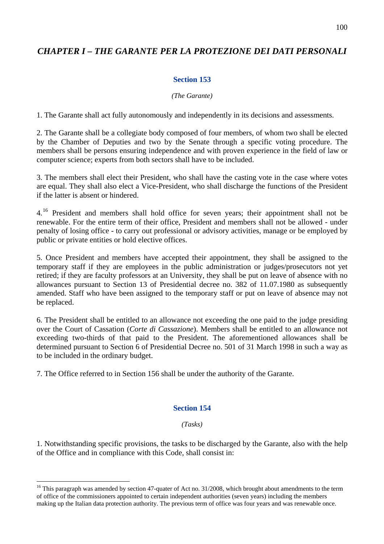# *CHAPTER I – THE GARANTE PER LA PROTEZIONE DEI DATI PERSONALI*

## **Section 153**

#### *(The Garante)*

1. The Garante shall act fully autonomously and independently in its decisions and assessments.

2. The Garante shall be a collegiate body composed of four members, of whom two shall be elected by the Chamber of Deputies and two by the Senate through a specific voting procedure. The members shall be persons ensuring independence and with proven experience in the field of law or computer science; experts from both sectors shall have to be included.

3. The members shall elect their President, who shall have the casting vote in the case where votes are equal. They shall also elect a Vice-President, who shall discharge the functions of the President if the latter is absent or hindered.

4.<sup>[16](#page-99-0)</sup> President and members shall hold office for seven years; their appointment shall not be renewable. For the entire term of their office, President and members shall not be allowed - under penalty of losing office - to carry out professional or advisory activities, manage or be employed by public or private entities or hold elective offices.

5. Once President and members have accepted their appointment, they shall be assigned to the temporary staff if they are employees in the public administration or judges/prosecutors not yet retired; if they are faculty professors at an University, they shall be put on leave of absence with no allowances pursuant to Section 13 of Presidential decree no. 382 of 11.07.1980 as subsequently amended. Staff who have been assigned to the temporary staff or put on leave of absence may not be replaced.

6. The President shall be entitled to an allowance not exceeding the one paid to the judge presiding over the Court of Cassation (*Corte di Cassazione*). Members shall be entitled to an allowance not exceeding two-thirds of that paid to the President. The aforementioned allowances shall be determined pursuant to Section 6 of Presidential Decree no. 501 of 31 March 1998 in such a way as to be included in the ordinary budget.

7. The Office referred to in Section 156 shall be under the authority of the Garante.

 $\overline{a}$ 

## **Section 154**

#### *(Tasks)*

1. Notwithstanding specific provisions, the tasks to be discharged by the Garante, also with the help of the Office and in compliance with this Code, shall consist in:

<span id="page-99-0"></span><sup>&</sup>lt;sup>16</sup> This paragraph was amended by section 47-quater of Act no. 31/2008, which brought about amendments to the term of office of the commissioners appointed to certain independent authorities (seven years) including the members making up the Italian data protection authority. The previous term of office was four years and was renewable once.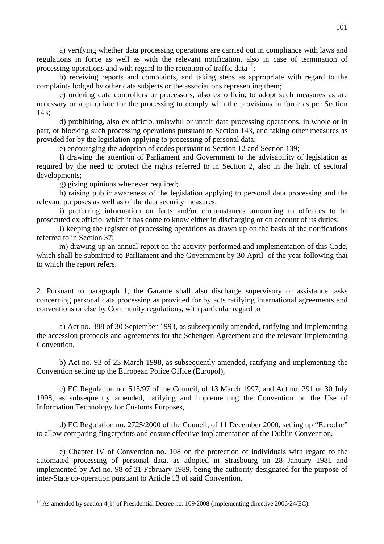a) verifying whether data processing operations are carried out in compliance with laws and regulations in force as well as with the relevant notification, also in case of termination of processing operations and with regard to the retention of traffic data<sup>[17](#page-100-0)</sup>;

 b) receiving reports and complaints, and taking steps as appropriate with regard to the complaints lodged by other data subjects or the associations representing them;

 c) ordering data controllers or processors, also ex officio, to adopt such measures as are necessary or appropriate for the processing to comply with the provisions in force as per Section 143;

 d) prohibiting, also ex officio, unlawful or unfair data processing operations, in whole or in part, or blocking such processing operations pursuant to Section 143, and taking other measures as provided for by the legislation applying to processing of personal data;

e) encouraging the adoption of codes pursuant to Section 12 and Section 139;

 f) drawing the attention of Parliament and Government to the advisability of legislation as required by the need to protect the rights referred to in Section 2, also in the light of sectoral developments;

g) giving opinions whenever required;

 h) raising public awareness of the legislation applying to personal data processing and the relevant purposes as well as of the data security measures;

 i) preferring information on facts and/or circumstances amounting to offences to be prosecuted ex officio, which it has come to know either in discharging or on account of its duties;

 l) keeping the register of processing operations as drawn up on the basis of the notifications referred to in Section 37;

 m) drawing up an annual report on the activity performed and implementation of this Code, which shall be submitted to Parliament and the Government by 30 April of the year following that to which the report refers.

2. Pursuant to paragraph 1, the Garante shall also discharge supervisory or assistance tasks concerning personal data processing as provided for by acts ratifying international agreements and conventions or else by Community regulations, with particular regard to

 a) Act no. 388 of 30 September 1993, as subsequently amended, ratifying and implementing the accession protocols and agreements for the Schengen Agreement and the relevant Implementing Convention,

 b) Act no. 93 of 23 March 1998, as subsequently amended, ratifying and implementing the Convention setting up the European Police Office (Europol),

 c) EC Regulation no. 515/97 of the Council, of 13 March 1997, and Act no. 291 of 30 July 1998, as subsequently amended, ratifying and implementing the Convention on the Use of Information Technology for Customs Purposes,

 d) EC Regulation no. 2725/2000 of the Council, of 11 December 2000, setting up "Eurodac" to allow comparing fingerprints and ensure effective implementation of the Dublin Convention,

 e) Chapter IV of Convention no. 108 on the protection of individuals with regard to the automated processing of personal data, as adopted in Strasbourg on 28 January 1981 and implemented by Act no. 98 of 21 February 1989, being the authority designated for the purpose of inter-State co-operation pursuant to Article 13 of said Convention.

<span id="page-100-0"></span><sup>&</sup>lt;sup>17</sup> As amended by section 4(1) of Presidential Decree no. 109/2008 (implementing directive 2006/24/EC).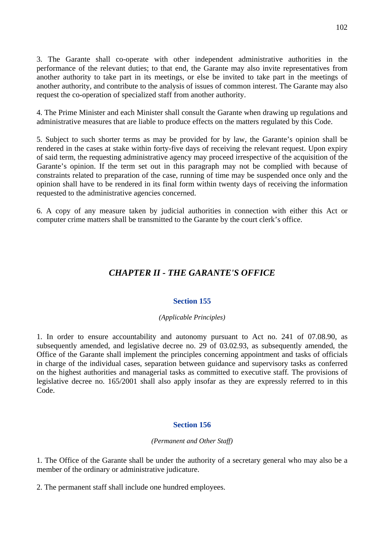3. The Garante shall co-operate with other independent administrative authorities in the performance of the relevant duties; to that end, the Garante may also invite representatives from another authority to take part in its meetings, or else be invited to take part in the meetings of another authority, and contribute to the analysis of issues of common interest. The Garante may also request the co-operation of specialized staff from another authority.

4. The Prime Minister and each Minister shall consult the Garante when drawing up regulations and administrative measures that are liable to produce effects on the matters regulated by this Code.

5. Subject to such shorter terms as may be provided for by law, the Garante's opinion shall be rendered in the cases at stake within forty-five days of receiving the relevant request. Upon expiry of said term, the requesting administrative agency may proceed irrespective of the acquisition of the Garante's opinion. If the term set out in this paragraph may not be complied with because of constraints related to preparation of the case, running of time may be suspended once only and the opinion shall have to be rendered in its final form within twenty days of receiving the information requested to the administrative agencies concerned.

6. A copy of any measure taken by judicial authorities in connection with either this Act or computer crime matters shall be transmitted to the Garante by the court clerk's office.

# *CHAPTER II - THE GARANTE'S OFFICE*

# **Section 155**

## *(Applicable Principles)*

1. In order to ensure accountability and autonomy pursuant to Act no. 241 of 07.08.90, as subsequently amended, and legislative decree no. 29 of 03.02.93, as subsequently amended, the Office of the Garante shall implement the principles concerning appointment and tasks of officials in charge of the individual cases, separation between guidance and supervisory tasks as conferred on the highest authorities and managerial tasks as committed to executive staff*.* The provisions of legislative decree no. 165/2001 shall also apply insofar as they are expressly referred to in this Code.

## **Section 156**

## *(Permanent and Other Staff)*

1. The Office of the Garante shall be under the authority of a secretary general who may also be a member of the ordinary or administrative judicature.

2. The permanent staff shall include one hundred employees.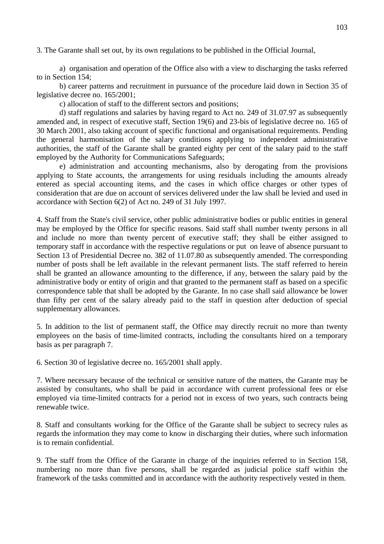3. The Garante shall set out, by its own regulations to be published in the Official Journal,

a) organisation and operation of the Office also with a view to discharging the tasks referred to in Section 154;

b) career patterns and recruitment in pursuance of the procedure laid down in Section 35 of legislative decree no. 165/2001;

c) allocation of staff to the different sectors and positions;

d) staff regulations and salaries by having regard to Act no. 249 of 31.07.97 as subsequently amended and, in respect of executive staff, Section 19(6) and 23-bis of legislative decree no. 165 of 30 March 2001, also taking account of specific functional and organisational requirements. Pending the general harmonisation of the salary conditions applying to independent administrative authorities, the staff of the Garante shall be granted eighty per cent of the salary paid to the staff employed by the Authority for Communications Safeguards;

e) administration and accounting mechanisms, also by derogating from the provisions applying to State accounts, the arrangements for using residuals including the amounts already entered as special accounting items, and the cases in which office charges or other types of consideration that are due on account of services delivered under the law shall be levied and used in accordance with Section 6(2) of Act no. 249 of 31 July 1997.

4. Staff from the State's civil service, other public administrative bodies or public entities in general may be employed by the Office for specific reasons. Said staff shall number twenty persons in all and include no more than twenty percent of executive staff; they shall be either assigned to temporary staff in accordance with the respective regulations or put on leave of absence pursuant to Section 13 of Presidential Decree no. 382 of 11.07.80 as subsequently amended. The corresponding number of posts shall be left available in the relevant permanent lists. The staff referred to herein shall be granted an allowance amounting to the difference, if any, between the salary paid by the administrative body or entity of origin and that granted to the permanent staff as based on a specific correspondence table that shall be adopted by the Garante. In no case shall said allowance be lower than fifty per cent of the salary already paid to the staff in question after deduction of special supplementary allowances.

5. In addition to the list of permanent staff, the Office may directly recruit no more than twenty employees on the basis of time-limited contracts, including the consultants hired on a temporary basis as per paragraph 7.

6. Section 30 of legislative decree no. 165/2001 shall apply.

7. Where necessary because of the technical or sensitive nature of the matters, the Garante may be assisted by consultants, who shall be paid in accordance with current professional fees or else employed via time-limited contracts for a period not in excess of two years, such contracts being renewable twice.

8. Staff and consultants working for the Office of the Garante shall be subject to secrecy rules as regards the information they may come to know in discharging their duties, where such information is to remain confidential.

9. The staff from the Office of the Garante in charge of the inquiries referred to in Section 158, numbering no more than five persons, shall be regarded as judicial police staff within the framework of the tasks committed and in accordance with the authority respectively vested in them.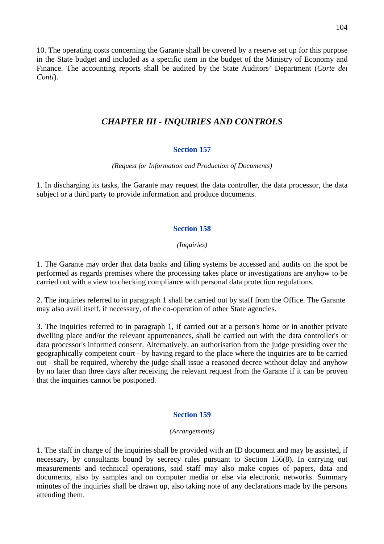10. The operating costs concerning the Garante shall be covered by a reserve set up for this purpose in the State budget and included as a specific item in the budget of the Ministry of Economy and Finance. The accounting reports shall be audited by the State Auditors' Department (*Corte dei Conti*).

# *CHAPTER III - INQUIRIES AND CONTROLS*

## **Section 157**

#### *(Request for Information and Production of Documents)*

1. In discharging its tasks, the Garante may request the data controller, the data processor, the data subject or a third party to provide information and produce documents.

## **Section 158**

## *(Inquiries)*

1. The Garante may order that data banks and filing systems be accessed and audits on the spot be performed as regards premises where the processing takes place or investigations are anyhow to be carried out with a view to checking compliance with personal data protection regulations.

2. The inquiries referred to in paragraph 1 shall be carried out by staff from the Office. The Garante may also avail itself, if necessary, of the co-operation of other State agencies.

3. The inquiries referred to in paragraph 1, if carried out at a person's home or in another private dwelling place and/or the relevant appurtenances, shall be carried out with the data controller's or data processor's informed consent. Alternatively, an authorisation from the judge presiding over the geographically competent court - by having regard to the place where the inquiries are to be carried out - shall be required, whereby the judge shall issue a reasoned decree without delay and anyhow by no later than three days after receiving the relevant request from the Garante if it can be proven that the inquiries cannot be postponed.

# **Section 159**

#### *(Arrangements)*

1. The staff in charge of the inquiries shall be provided with an ID document and may be assisted, if necessary, by consultants bound by secrecy rules pursuant to Section 156(8). In carrying out measurements and technical operations, said staff may also make copies of papers, data and documents, also by samples and on computer media or else via electronic networks. Summary minutes of the inquiries shall be drawn up, also taking note of any declarations made by the persons attending them.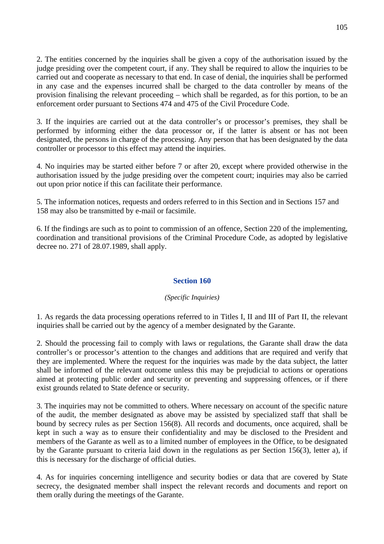2. The entities concerned by the inquiries shall be given a copy of the authorisation issued by the judge presiding over the competent court, if any. They shall be required to allow the inquiries to be carried out and cooperate as necessary to that end. In case of denial, the inquiries shall be performed in any case and the expenses incurred shall be charged to the data controller by means of the provision finalising the relevant proceeding – which shall be regarded, as for this portion, to be an enforcement order pursuant to Sections 474 and 475 of the Civil Procedure Code.

3. If the inquiries are carried out at the data controller's or processor's premises, they shall be performed by informing either the data processor or, if the latter is absent or has not been designated, the persons in charge of the processing. Any person that has been designated by the data controller or processor to this effect may attend the inquiries.

4. No inquiries may be started either before 7 or after 20, except where provided otherwise in the authorisation issued by the judge presiding over the competent court; inquiries may also be carried out upon prior notice if this can facilitate their performance.

5. The information notices, requests and orders referred to in this Section and in Sections 157 and 158 may also be transmitted by e-mail or facsimile.

6. If the findings are such as to point to commission of an offence, Section 220 of the implementing, coordination and transitional provisions of the Criminal Procedure Code, as adopted by legislative decree no. 271 of 28.07.1989, shall apply.

## **Section 160**

## *(Specific Inquiries)*

1. As regards the data processing operations referred to in Titles I, II and III of Part II, the relevant inquiries shall be carried out by the agency of a member designated by the Garante.

2. Should the processing fail to comply with laws or regulations, the Garante shall draw the data controller's or processor's attention to the changes and additions that are required and verify that they are implemented. Where the request for the inquiries was made by the data subject, the latter shall be informed of the relevant outcome unless this may be prejudicial to actions or operations aimed at protecting public order and security or preventing and suppressing offences, or if there exist grounds related to State defence or security.

3. The inquiries may not be committed to others. Where necessary on account of the specific nature of the audit, the member designated as above may be assisted by specialized staff that shall be bound by secrecy rules as per Section 156(8). All records and documents, once acquired, shall be kept in such a way as to ensure their confidentiality and may be disclosed to the President and members of the Garante as well as to a limited number of employees in the Office, to be designated by the Garante pursuant to criteria laid down in the regulations as per Section 156(3), letter a), if this is necessary for the discharge of official duties.

4. As for inquiries concerning intelligence and security bodies or data that are covered by State secrecy, the designated member shall inspect the relevant records and documents and report on them orally during the meetings of the Garante.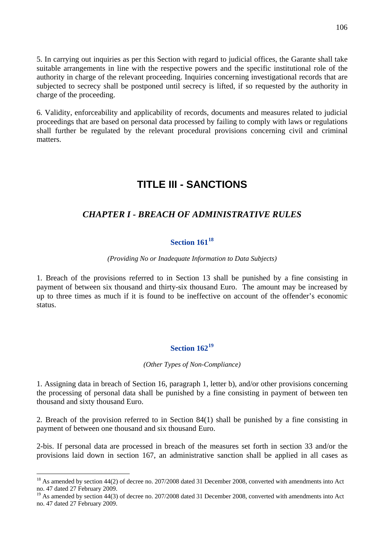5. In carrying out inquiries as per this Section with regard to judicial offices, the Garante shall take suitable arrangements in line with the respective powers and the specific institutional role of the authority in charge of the relevant proceeding. Inquiries concerning investigational records that are subjected to secrecy shall be postponed until secrecy is lifted, if so requested by the authority in charge of the proceeding.

6. Validity, enforceability and applicability of records, documents and measures related to judicial proceedings that are based on personal data processed by failing to comply with laws or regulations shall further be regulated by the relevant procedural provisions concerning civil and criminal matters.

# **TITLE III - SANCTIONS**

# *CHAPTER I - BREACH OF ADMINISTRATIVE RULES*

# **Section 161[18](#page-105-0)**

## *(Providing No or Inadequate Information to Data Subjects)*

1. Breach of the provisions referred to in Section 13 shall be punished by a fine consisting in payment of between six thousand and thirty-six thousand Euro. The amount may be increased by up to three times as much if it is found to be ineffective on account of the offender's economic status.

# **Section 162[19](#page-105-1)**

*(Other Types of Non-Compliance)* 

1. Assigning data in breach of Section 16, paragraph 1, letter b), and/or other provisions concerning the processing of personal data shall be punished by a fine consisting in payment of between ten thousand and sixty thousand Euro.

2. Breach of the provision referred to in Section 84(1) shall be punished by a fine consisting in payment of between one thousand and six thousand Euro.

2-bis. If personal data are processed in breach of the measures set forth in section 33 and/or the provisions laid down in section 167, an administrative sanction shall be applied in all cases as

<span id="page-105-0"></span> $18$  As amended by section 44(2) of decree no. 207/2008 dated 31 December 2008, converted with amendments into Act no. 47 dated 27 February 2009.

<span id="page-105-1"></span><sup>&</sup>lt;sup>19</sup> As amended by section 44(3) of decree no. 207/2008 dated 31 December 2008, converted with amendments into Act no. 47 dated 27 February 2009.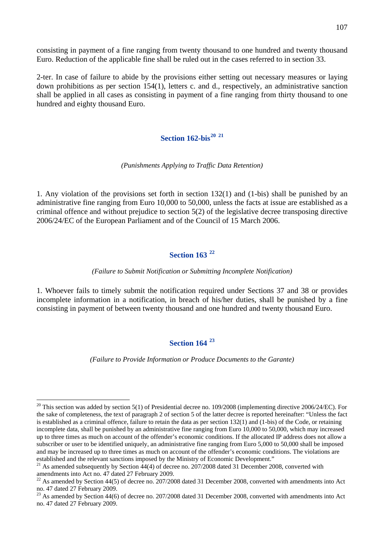consisting in payment of a fine ranging from twenty thousand to one hundred and twenty thousand Euro. Reduction of the applicable fine shall be ruled out in the cases referred to in section 33.

2-ter. In case of failure to abide by the provisions either setting out necessary measures or laying down prohibitions as per section 154(1), letters c. and d., respectively, an administrative sanction shall be applied in all cases as consisting in payment of a fine ranging from thirty thousand to one hundred and eighty thousand Euro.

## **Section 162-bis[20](#page-106-0) [21](#page-106-1)**

#### *(Punishments Applying to Traffic Data Retention)*

1. Any violation of the provisions set forth in section 132(1) and (1-bis) shall be punished by an administrative fine ranging from Euro 10,000 to 50,000, unless the facts at issue are established as a criminal offence and without prejudice to section 5(2) of the legislative decree transposing directive 2006/24/EC of the European Parliament and of the Council of 15 March 2006.

## **Section 163 [22](#page-106-2)**

*(Failure to Submit Notification or Submitting Incomplete Notification)* 

1. Whoever fails to timely submit the notification required under Sections 37 and 38 or provides incomplete information in a notification, in breach of his/her duties, shall be punished by a fine consisting in payment of between twenty thousand and one hundred and twenty thousand Euro.

# **Section 164 [23](#page-106-3)**

*(Failure to Provide Information or Produce Documents to the Garante)* 

<span id="page-106-0"></span> $^{20}$  This section was added by section 5(1) of Presidential decree no. 109/2008 (implementing directive 2006/24/EC). For the sake of completeness, the text of paragraph 2 of section 5 of the latter decree is reported hereinafter: "Unless the fact is established as a criminal offence, failure to retain the data as per section 132(1) and (1-bis) of the Code, or retaining incomplete data, shall be punished by an administrative fine ranging from Euro 10,000 to 50,000, which may increased up to three times as much on account of the offender's economic conditions. If the allocated IP address does not allow a subscriber or user to be identified uniquely, an administrative fine ranging from Euro 5,000 to 50,000 shall be imposed and may be increased up to three times as much on account of the offender's economic conditions. The violations are established and the relevant sanctions imposed by the Ministry of Economic Development."

<span id="page-106-1"></span> $^{21}$  As amended subsequently by Section  $44(4)$  of decree no. 207/2008 dated 31 December 2008, converted with amendments into Act no. 47 dated 27 February 2009.

<span id="page-106-2"></span> $^{22}$  As amended by Section 44(5) of decree no. 207/2008 dated 31 December 2008, converted with amendments into Act no. 47 dated 27 February 2009.

<span id="page-106-3"></span> $^{23}$  As amended by Section 44(6) of decree no. 207/2008 dated 31 December 2008, converted with amendments into Act no. 47 dated 27 February 2009.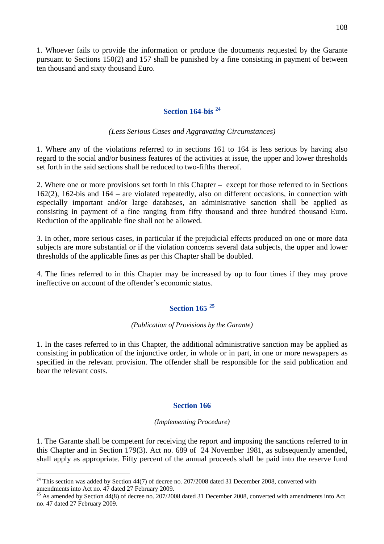1. Whoever fails to provide the information or produce the documents requested by the Garante pursuant to Sections 150(2) and 157 shall be punished by a fine consisting in payment of between ten thousand and sixty thousand Euro.

# **Section 164-bis [24](#page-107-0)**

## *(Less Serious Cases and Aggravating Circumstances)*

1. Where any of the violations referred to in sections 161 to 164 is less serious by having also regard to the social and/or business features of the activities at issue, the upper and lower thresholds set forth in the said sections shall be reduced to two-fifths thereof.

2. Where one or more provisions set forth in this Chapter – except for those referred to in Sections 162(2), 162-bis and 164 – are violated repeatedly, also on different occasions, in connection with especially important and/or large databases, an administrative sanction shall be applied as consisting in payment of a fine ranging from fifty thousand and three hundred thousand Euro. Reduction of the applicable fine shall not be allowed.

3. In other, more serious cases, in particular if the prejudicial effects produced on one or more data subjects are more substantial or if the violation concerns several data subjects, the upper and lower thresholds of the applicable fines as per this Chapter shall be doubled.

4. The fines referred to in this Chapter may be increased by up to four times if they may prove ineffective on account of the offender's economic status.

# **Section 165 [25](#page-107-1)**

## *(Publication of Provisions by the Garante)*

1. In the cases referred to in this Chapter, the additional administrative sanction may be applied as consisting in publication of the injunctive order, in whole or in part, in one or more newspapers as specified in the relevant provision. The offender shall be responsible for the said publication and bear the relevant costs.

## **Section 166**

## *(Implementing Procedure)*

1. The Garante shall be competent for receiving the report and imposing the sanctions referred to in this Chapter and in Section 179(3). Act no. 689 of 24 November 1981, as subsequently amended, shall apply as appropriate. Fifty percent of the annual proceeds shall be paid into the reserve fund

<span id="page-107-0"></span> $24$  This section was added by Section 44(7) of decree no. 207/2008 dated 31 December 2008, converted with amendments into Act no. 47 dated 27 February 2009.

<span id="page-107-1"></span><sup>&</sup>lt;sup>25</sup> As amended by Section 44(8) of decree no. 207/2008 dated 31 December 2008, converted with amendments into Act no. 47 dated 27 February 2009.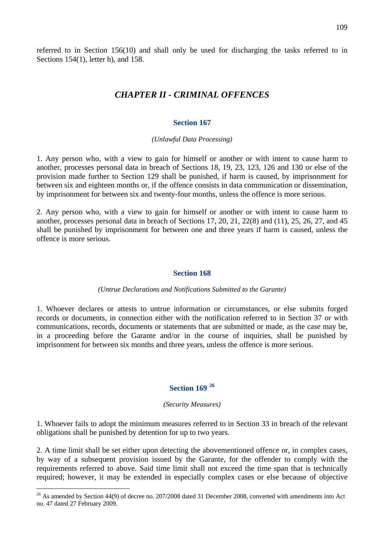referred to in Section 156(10) and shall only be used for discharging the tasks referred to in Sections 154(1), letter h), and 158.

# *CHAPTER II - CRIMINAL OFFENCES*

### **Section 167**

#### *(Unlawful Data Processing)*

1. Any person who, with a view to gain for himself or another or with intent to cause harm to another, processes personal data in breach of Sections 18, 19, 23, 123, 126 and 130 or else of the provision made further to Section 129 shall be punished, if harm is caused, by imprisonment for between six and eighteen months or, if the offence consists in data communication or dissemination, by imprisonment for between six and twenty-four months, unless the offence is more serious.

2. Any person who, with a view to gain for himself or another or with intent to cause harm to another, processes personal data in breach of Sections 17, 20, 21, 22(8) and (11), 25, 26, 27, and 45 shall be punished by imprisonment for between one and three years if harm is caused, unless the offence is more serious.

#### **Section 168**

#### *(Untrue Declarations and Notifications Submitted to the Garante)*

1. Whoever declares or attests to untrue information or circumstances, or else submits forged records or documents, in connection either with the notification referred to in Section 37 or with communications, records, documents or statements that are submitted or made, as the case may be, in a proceeding before the Garante and/or in the course of inquiries, shall be punished by imprisonment for between six months and three years, unless the offence is more serious.

# **Section 169 [26](#page-108-0)**

#### *(Security Measures)*

1. Whoever fails to adopt the minimum measures referred to in Section 33 in breach of the relevant obligations shall be punished by detention for up to two years.

2. A time limit shall be set either upon detecting the abovementioned offence or, in complex cases, by way of a subsequent provision issued by the Garante, for the offender to comply with the requirements referred to above. Said time limit shall not exceed the time span that is technically required; however, it may be extended in especially complex cases or else because of objective

 $\overline{a}$ 

<span id="page-108-0"></span> $^{26}$  As amended by Section 44(9) of decree no. 207/2008 dated 31 December 2008, converted with amendments into Act no. 47 dated 27 February 2009.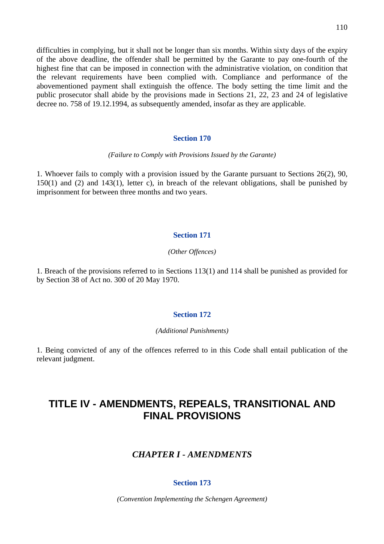difficulties in complying, but it shall not be longer than six months. Within sixty days of the expiry of the above deadline, the offender shall be permitted by the Garante to pay one-fourth of the highest fine that can be imposed in connection with the administrative violation, on condition that the relevant requirements have been complied with. Compliance and performance of the abovementioned payment shall extinguish the offence. The body setting the time limit and the public prosecutor shall abide by the provisions made in Sections 21, 22, 23 and 24 of legislative decree no. 758 of 19.12.1994, as subsequently amended, insofar as they are applicable.

# **Section 170**

#### *(Failure to Comply with Provisions Issued by the Garante)*

1. Whoever fails to comply with a provision issued by the Garante pursuant to Sections 26(2), 90, 150(1) and (2) and 143(1), letter c), in breach of the relevant obligations, shall be punished by imprisonment for between three months and two years.

#### **Section 171**

#### *(Other Offences)*

1. Breach of the provisions referred to in Sections 113(1) and 114 shall be punished as provided for by Section 38 of Act no. 300 of 20 May 1970.

## **Section 172**

*(Additional Punishments)* 

1. Being convicted of any of the offences referred to in this Code shall entail publication of the relevant judgment.

# **TITLE IV - AMENDMENTS, REPEALS, TRANSITIONAL AND FINAL PROVISIONS**

# *CHAPTER I - AMENDMENTS*

## **Section 173**

*(Convention Implementing the Schengen Agreement)*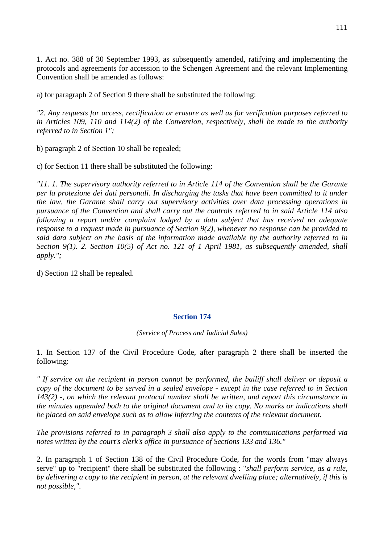1. Act no. 388 of 30 September 1993, as subsequently amended, ratifying and implementing the protocols and agreements for accession to the Schengen Agreement and the relevant Implementing Convention shall be amended as follows:

a) for paragraph 2 of Section 9 there shall be substituted the following:

*"2. Any requests for access, rectification or erasure as well as for verification purposes referred to in Articles 109, 110 and 114(2) of the Convention, respectively, shall be made to the authority referred to in Section 1";* 

b) paragraph 2 of Section 10 shall be repealed;

c) for Section 11 there shall be substituted the following:

*"11. 1. The supervisory authority referred to in Article 114 of the Convention shall be the Garante per la protezione dei dati personali. In discharging the tasks that have been committed to it under the law, the Garante shall carry out supervisory activities over data processing operations in pursuance of the Convention and shall carry out the controls referred to in said Article 114 also following a report and/or complaint lodged by a data subject that has received no adequate response to a request made in pursuance of Section 9(2), whenever no response can be provided to said data subject on the basis of the information made available by the authority referred to in Section 9(1). 2. Section 10(5) of Act no. 121 of 1 April 1981, as subsequently amended, shall apply.";* 

d) Section 12 shall be repealed.

# **Section 174**

*(Service of Process and Judicial Sales)* 

1. In Section 137 of the Civil Procedure Code, after paragraph 2 there shall be inserted the following:

*" If service on the recipient in person cannot be performed, the bailiff shall deliver or deposit a copy of the document to be served in a sealed envelope - except in the case referred to in Section 143(2) -, on which the relevant protocol number shall be written, and report this circumstance in the minutes appended both to the original document and to its copy. No marks or indications shall be placed on said envelope such as to allow inferring the contents of the relevant document.* 

*The provisions referred to in paragraph 3 shall also apply to the communications performed via notes written by the court's clerk's office in pursuance of Sections 133 and 136."* 

2. In paragraph 1 of Section 138 of the Civil Procedure Code, for the words from "may always serve" up to "recipient" there shall be substituted the following : "*shall perform service, as a rule, by delivering a copy to the recipient in person, at the relevant dwelling place; alternatively, if this is not possible,"*.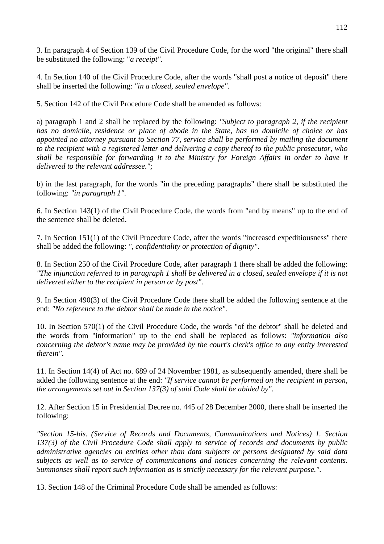3. In paragraph 4 of Section 139 of the Civil Procedure Code, for the word "the original" there shall be substituted the following: "*a receipt"*.

4. In Section 140 of the Civil Procedure Code, after the words "shall post a notice of deposit" there shall be inserted the following: *"in a closed, sealed envelope"*.

5. Section 142 of the Civil Procedure Code shall be amended as follows:

a) paragraph 1 and 2 shall be replaced by the following: *"Subject to paragraph 2, if the recipient has no domicile, residence or place of abode in the State, has no domicile of choice or has appointed no attorney pursuant to Section 77, service shall be performed by mailing the document to the recipient with a registered letter and delivering a copy thereof to the public prosecutor, who shall be responsible for forwarding it to the Ministry for Foreign Affairs in order to have it delivered to the relevant addressee."*;

b) in the last paragraph, for the words "in the preceding paragraphs" there shall be substituted the following: *"in paragraph 1"*.

6. In Section 143(1) of the Civil Procedure Code, the words from "and by means" up to the end of the sentence shall be deleted.

7. In Section 151(1) of the Civil Procedure Code, after the words "increased expeditiousness" there shall be added the following: *", confidentiality or protection of dignity"*.

8. In Section 250 of the Civil Procedure Code, after paragraph 1 there shall be added the following: *"The injunction referred to in paragraph 1 shall be delivered in a closed, sealed envelope if it is not delivered either to the recipient in person or by post"*.

9. In Section 490(3) of the Civil Procedure Code there shall be added the following sentence at the end: *"No reference to the debtor shall be made in the notice"*.

10. In Section 570(1) of the Civil Procedure Code, the words "of the debtor" shall be deleted and the words from "information" up to the end shall be replaced as follows: *"information also concerning the debtor's name may be provided by the court's clerk's office to any entity interested therein"*.

11. In Section 14(4) of Act no. 689 of 24 November 1981, as subsequently amended, there shall be added the following sentence at the end: *"If service cannot be performed on the recipient in person, the arrangements set out in Section 137(3) of said Code shall be abided by"*.

12. After Section 15 in Presidential Decree no. 445 of 28 December 2000, there shall be inserted the following:

*"Section 15-bis. (Service of Records and Documents, Communications and Notices) 1. Section 137(3) of the Civil Procedure Code shall apply to service of records and documents by public administrative agencies on entities other than data subjects or persons designated by said data subjects as well as to service of communications and notices concerning the relevant contents. Summonses shall report such information as is strictly necessary for the relevant purpose."*.

13. Section 148 of the Criminal Procedure Code shall be amended as follows: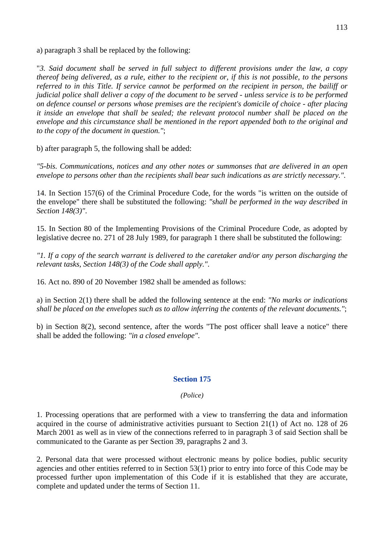a) paragraph 3 shall be replaced by the following:

"*3. Said document shall be served in full subject to different provisions under the law, a copy thereof being delivered, as a rule, either to the recipient or, if this is not possible, to the persons referred to in this Title. If service cannot be performed on the recipient in person, the bailiff or judicial police shall deliver a copy of the document to be served - unless service is to be performed on defence counsel or persons whose premises are the recipient's domicile of choice - after placing it inside an envelope that shall be sealed; the relevant protocol number shall be placed on the envelope and this circumstance shall be mentioned in the report appended both to the original and to the copy of the document in question."*;

b) after paragraph 5, the following shall be added:

*"5-bis. Communications, notices and any other notes or summonses that are delivered in an open envelope to persons other than the recipients shall bear such indications as are strictly necessary."*.

14. In Section 157(6) of the Criminal Procedure Code, for the words "is written on the outside of the envelope" there shall be substituted the following: *"shall be performed in the way described in Section 148(3)"*.

15. In Section 80 of the Implementing Provisions of the Criminal Procedure Code, as adopted by legislative decree no. 271 of 28 July 1989, for paragraph 1 there shall be substituted the following:

*"1. If a copy of the search warrant is delivered to the caretaker and/or any person discharging the relevant tasks, Section 148(3) of the Code shall apply."*.

16. Act no. 890 of 20 November 1982 shall be amended as follows:

a) in Section 2(1) there shall be added the following sentence at the end: *"No marks or indications shall be placed on the envelopes such as to allow inferring the contents of the relevant documents."*;

b) in Section 8(2), second sentence, after the words "The post officer shall leave a notice" there shall be added the following: *"in a closed envelope"*.

# **Section 175**

# *(Police)*

1. Processing operations that are performed with a view to transferring the data and information acquired in the course of administrative activities pursuant to Section 21(1) of Act no. 128 of 26 March 2001 as well as in view of the connections referred to in paragraph 3 of said Section shall be communicated to the Garante as per Section 39, paragraphs 2 and 3.

2. Personal data that were processed without electronic means by police bodies, public security agencies and other entities referred to in Section 53(1) prior to entry into force of this Code may be processed further upon implementation of this Code if it is established that they are accurate, complete and updated under the terms of Section 11.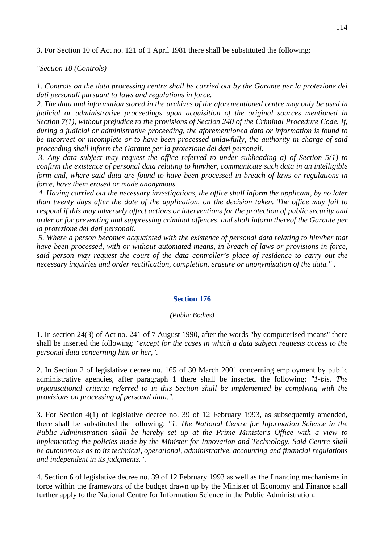3. For Section 10 of Act no. 121 of 1 April 1981 there shall be substituted the following:

*"Section 10 (Controls)* 

*1*. *Controls on the data processing centre shall be carried out by the Garante per la protezione dei dati personali pursuant to laws and regulations in force.* 

*2. The data and information stored in the archives of the aforementioned centre may only be used in judicial or administrative proceedings upon acquisition of the original sources mentioned in Section 7(1), without prejudice to the provisions of Section 240 of the Criminal Procedure Code. If, during a judicial or administrative proceeding, the aforementioned data or information is found to be incorrect or incomplete or to have been processed unlawfully, the authority in charge of said proceeding shall inform the Garante per la protezione dei dati personali.* 

 *3. Any data subject may request the office referred to under subheading a) of Section 5(1) to confirm the existence of personal data relating to him/her, communicate such data in an intelligible form and, where said data are found to have been processed in breach of laws or regulations in force, have them erased or made anonymous.* 

 *4. Having carried out the necessary investigations, the office shall inform the applicant, by no later than twenty days after the date of the application, on the decision taken. The office may fail to respond if this may adversely affect actions or interventions for the protection of public security and order or for preventing and suppressing criminal offences, and shall inform thereof the Garante per la protezione dei dati personali.* 

 *5. Where a person becomes acquainted with the existence of personal data relating to him/her that have been processed, with or without automated means, in breach of laws or provisions in force, said person may request the court of the data controller's place of residence to carry out the necessary inquiries and order rectification, completion, erasure or anonymisation of the data."* .

#### **Section 176**

#### *(Public Bodies)*

1. In section 24(3) of Act no. 241 of 7 August 1990, after the words "by computerised means" there shall be inserted the following: *"except for the cases in which a data subject requests access to the personal data concerning him or her,"*.

2. In Section 2 of legislative decree no. 165 of 30 March 2001 concerning employment by public administrative agencies, after paragraph 1 there shall be inserted the following: *"1-bis. The organisational criteria referred to in this Section shall be implemented by complying with the provisions on processing of personal data."*.

3. For Section 4(1) of legislative decree no. 39 of 12 February 1993, as subsequently amended, there shall be substituted the following: *"1. The National Centre for Information Science in the Public Administration shall be hereby set up at the Prime Minister's Office with a view to implementing the policies made by the Minister for Innovation and Technology. Said Centre shall be autonomous as to its technical, operational, administrative, accounting and financial regulations and independent in its judgments."*.

4. Section 6 of legislative decree no. 39 of 12 February 1993 as well as the financing mechanisms in force within the framework of the budget drawn up by the Minister of Economy and Finance shall further apply to the National Centre for Information Science in the Public Administration.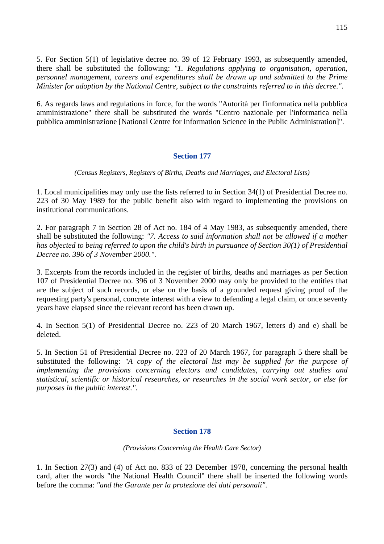5. For Section 5(1) of legislative decree no. 39 of 12 February 1993, as subsequently amended, there shall be substituted the following: *"1. Regulations applying to organisation, operation, personnel management, careers and expenditures shall be drawn up and submitted to the Prime Minister for adoption by the National Centre, subject to the constraints referred to in this decree."*.

6. As regards laws and regulations in force, for the words "Autorità per l'informatica nella pubblica amministrazione" there shall be substituted the words "Centro nazionale per l'informatica nella pubblica amministrazione [National Centre for Information Science in the Public Administration]".

# **Section 177**

*(Census Registers, Registers of Births, Deaths and Marriages, and Electoral Lists)* 

1. Local municipalities may only use the lists referred to in Section 34(1) of Presidential Decree no. 223 of 30 May 1989 for the public benefit also with regard to implementing the provisions on institutional communications.

2. For paragraph 7 in Section 28 of Act no. 184 of 4 May 1983, as subsequently amended, there shall be substituted the following: *"7. Access to said information shall not be allowed if a mother has objected to being referred to upon the child's birth in pursuance of Section 30(1) of Presidential Decree no. 396 of 3 November 2000."*.

3. Excerpts from the records included in the register of births, deaths and marriages as per Section 107 of Presidential Decree no. 396 of 3 November 2000 may only be provided to the entities that are the subject of such records, or else on the basis of a grounded request giving proof of the requesting party's personal, concrete interest with a view to defending a legal claim, or once seventy years have elapsed since the relevant record has been drawn up.

4. In Section 5(1) of Presidential Decree no. 223 of 20 March 1967, letters d) and e) shall be deleted.

5. In Section 51 of Presidential Decree no. 223 of 20 March 1967, for paragraph 5 there shall be substituted the following: *"A copy of the electoral list may be supplied for the purpose of implementing the provisions concerning electors and candidates, carrying out studies and statistical, scientific or historical researches, or researches in the social work sector, or else for purposes in the public interest."*.

# **Section 178**

### *(Provisions Concerning the Health Care Sector)*

1. In Section 27(3) and (4) of Act no. 833 of 23 December 1978, concerning the personal health card, after the words "the National Health Council" there shall be inserted the following words before the comma: *"and the Garante per la protezione dei dati personali"*.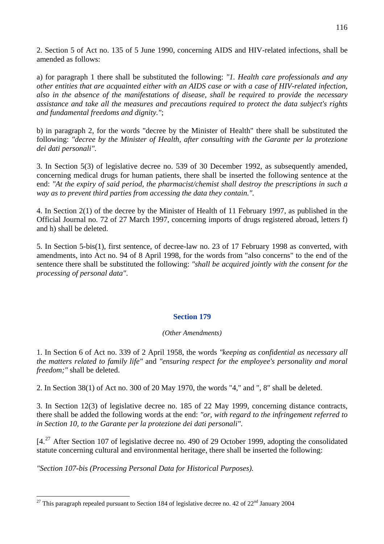2. Section 5 of Act no. 135 of 5 June 1990, concerning AIDS and HIV-related infections, shall be amended as follows:

a) for paragraph 1 there shall be substituted the following: *"1. Health care professionals and any other entities that are acquainted either with an AIDS case or with a case of HIV-related infection, also in the absence of the manifestations of disease, shall be required to provide the necessary assistance and take all the measures and precautions required to protect the data subject's rights and fundamental freedoms and dignity."*;

b) in paragraph 2, for the words "decree by the Minister of Health" there shall be substituted the following: *"decree by the Minister of Health, after consulting with the Garante per la protezione dei dati personali"*.

3. In Section 5(3) of legislative decree no. 539 of 30 December 1992, as subsequently amended, concerning medical drugs for human patients, there shall be inserted the following sentence at the end: *"At the expiry of said period, the pharmacist/chemist shall destroy the prescriptions in such a way as to prevent third parties from accessing the data they contain.".* 

4. In Section 2(1) of the decree by the Minister of Health of 11 February 1997, as published in the Official Journal no. 72 of 27 March 1997, concerning imports of drugs registered abroad, letters f) and h) shall be deleted.

5. In Section 5-bis(1), first sentence, of decree-law no. 23 of 17 February 1998 as converted, with amendments, into Act no. 94 of 8 April 1998, for the words from "also concerns" to the end of the sentence there shall be substituted the following: *"shall be acquired jointly with the consent for the processing of personal data"*.

# **Section 179**

# *(Other Amendments)*

1. In Section 6 of Act no. 339 of 2 April 1958, the words *"keeping as confidential as necessary all the matters related to family life"* and *"ensuring respect for the employee's personality and moral freedom;"* shall be deleted.

2. In Section 38(1) of Act no. 300 of 20 May 1970, the words "4," and ", 8" shall be deleted.

3. In Section 12(3) of legislative decree no. 185 of 22 May 1999, concerning distance contracts, there shall be added the following words at the end: *"or, with regard to the infringement referred to in Section 10, to the Garante per la protezione dei dati personali"*.

[4.<sup>[27](#page-115-0)</sup> After Section 107 of legislative decree no. 490 of 29 October 1999, adopting the consolidated statute concerning cultural and environmental heritage, there shall be inserted the following:

*"Section 107-bis (Processing Personal Data for Historical Purposes).* 

 $\overline{a}$ 

<span id="page-115-0"></span><sup>&</sup>lt;sup>27</sup> This paragraph repealed pursuant to Section 184 of legislative decree no. 42 of  $22<sup>nd</sup>$  January 2004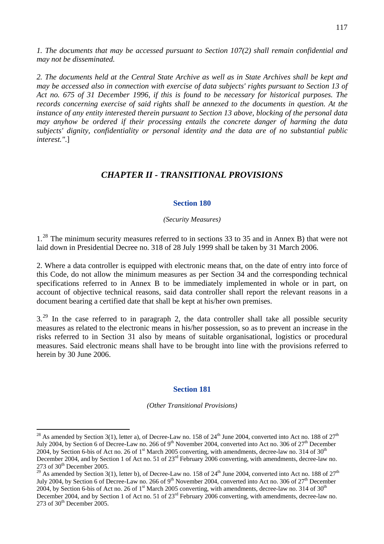*1. The documents that may be accessed pursuant to Section 107(2) shall remain confidential and may not be disseminated.* 

*2. The documents held at the Central State Archive as well as in State Archives shall be kept and may be accessed also in connection with exercise of data subjects' rights pursuant to Section 13 of Act no. 675 of 31 December 1996, if this is found to be necessary for historical purposes. The records concerning exercise of said rights shall be annexed to the documents in question. At the instance of any entity interested therein pursuant to Section 13 above, blocking of the personal data may anyhow be ordered if their processing entails the concrete danger of harming the data subjects' dignity, confidentiality or personal identity and the data are of no substantial public interest."*.]

# *CHAPTER II - TRANSITIONAL PROVISIONS*

#### **Section 180**

#### *(Security Measures)*

1<sup>[28](#page-116-0)</sup> The minimum security measures referred to in sections 33 to 35 and in Annex B) that were not laid down in Presidential Decree no. 318 of 28 July 1999 shall be taken by 31 March 2006.

2. Where a data controller is equipped with electronic means that, on the date of entry into force of this Code, do not allow the minimum measures as per Section 34 and the corresponding technical specifications referred to in Annex B to be immediately implemented in whole or in part, on account of objective technical reasons, said data controller shall report the relevant reasons in a document bearing a certified date that shall be kept at his/her own premises.

 $3.^{29}$  $3.^{29}$  $3.^{29}$  In the case referred to in paragraph 2, the data controller shall take all possible security measures as related to the electronic means in his/her possession, so as to prevent an increase in the risks referred to in Section 31 also by means of suitable organisational, logistics or procedural measures. Said electronic means shall have to be brought into line with the provisions referred to herein by 30 June 2006.

#### **Section 181**

*(Other Transitional Provisions)* 

 $\overline{a}$ 

<span id="page-116-0"></span><sup>&</sup>lt;sup>28</sup> As amended by Section 3(1), letter a), of Decree-Law no. 158 of 24<sup>th</sup> June 2004, converted into Act no. 188 of 27<sup>th</sup> July 2004, by Section 6 of Decree-Law no. 266 of 9<sup>th</sup> November 2004, converted into Act no. 306 of 27<sup>th</sup> December 2004, by Section 6-bis of Act no. 26 of 1<sup>st</sup> March 2005 converting, with amendments, decree-law no. 314 of 30<sup>th</sup> December 2004, and by Section 1 of Act no. 51 of 23<sup>rd</sup> February 2006 converting, with amendments, decree-law no.  $273$  of  $30<sup>th</sup>$  December 2005.

<span id="page-116-1"></span><sup>&</sup>lt;sup>29</sup> As amended by Section 3(1), letter b), of Decree-Law no. 158 of  $24<sup>th</sup>$  June 2004, converted into Act no. 188 of  $27<sup>th</sup>$ July 2004, by Section 6 of Decree-Law no. 266 of 9<sup>th</sup> November 2004, converted into Act no. 306 of 27<sup>th</sup> December 2004, by Section 6-bis of Act no. 26 of 1<sup>st</sup> March 2005 converting, with amendments, decree-law no. 314 of 30<sup>th</sup> December 2004, and by Section 1 of Act no. 51 of 23<sup>rd</sup> February 2006 converting, with amendments, decree-law no.  $273$  of  $30<sup>th</sup>$  December 2005.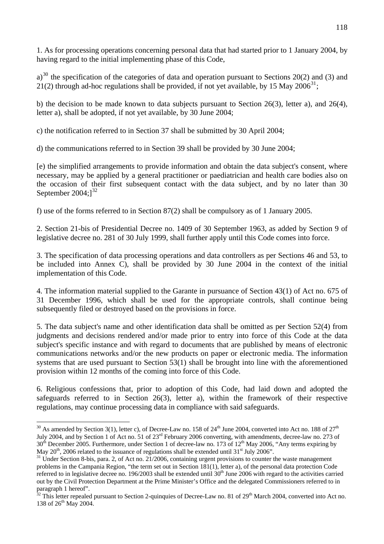1. As for processing operations concerning personal data that had started prior to 1 January 2004, by having regard to the initial implementing phase of this Code,

a)<sup>[30](#page-117-0)</sup> the specification of the categories of data and operation pursuant to Sections 20(2) and (3) and 21(2) through ad-hoc regulations shall be provided, if not yet available, by 15 May 2006<sup>[31](#page-117-1)</sup>;

b) the decision to be made known to data subjects pursuant to Section 26(3), letter a), and 26(4), letter a), shall be adopted, if not yet available, by 30 June 2004;

c) the notification referred to in Section 37 shall be submitted by 30 April 2004;

d) the communications referred to in Section 39 shall be provided by 30 June 2004;

[e) the simplified arrangements to provide information and obtain the data subject's consent, where necessary, may be applied by a general practitioner or paediatrician and health care bodies also on the occasion of their first subsequent contact with the data subject, and by no later than 30 September  $2004$ ; $]^{32}$  $]^{32}$  $]^{32}$ 

f) use of the forms referred to in Section 87(2) shall be compulsory as of 1 January 2005.

2. Section 21-bis of Presidential Decree no. 1409 of 30 September 1963, as added by Section 9 of legislative decree no. 281 of 30 July 1999, shall further apply until this Code comes into force.

3. The specification of data processing operations and data controllers as per Sections 46 and 53, to be included into Annex C), shall be provided by 30 June 2004 in the context of the initial implementation of this Code.

4. The information material supplied to the Garante in pursuance of Section 43(1) of Act no. 675 of 31 December 1996, which shall be used for the appropriate controls, shall continue being subsequently filed or destroyed based on the provisions in force.

5. The data subject's name and other identification data shall be omitted as per Section 52(4) from judgments and decisions rendered and/or made prior to entry into force of this Code at the data subject's specific instance and with regard to documents that are published by means of electronic communications networks and/or the new products on paper or electronic media. The information systems that are used pursuant to Section 53(1) shall be brought into line with the aforementioned provision within 12 months of the coming into force of this Code.

6. Religious confessions that, prior to adoption of this Code, had laid down and adopted the safeguards referred to in Section 26(3), letter a), within the framework of their respective regulations, may continue processing data in compliance with said safeguards.

<span id="page-117-0"></span> $\overline{a}$ <sup>30</sup> As amended by Section 3(1), letter c), of Decree-Law no. 158 of 24<sup>th</sup> June 2004, converted into Act no. 188 of 27<sup>th</sup> July 2004, and by Section 1 of Act no. 51 of 23rd February 2006 converting, with amendments, decree-law no. 273 of  $30^{th}$  December 2005. Furthermore, under Section 1 of decree-law no. 173 of  $12^{th}$  May 2006, "Any terms expiring by May  $20^{th}$ , 2006 related to the issuance of regulations shall be extended until  $31^{st}$  July 2006".

<span id="page-117-1"></span> $^{31}$  Under Section 8-bis, para. 2, of Act no. 21/2006, containing urgent provisions to counter the waste management problems in the Campania Region, "the term set out in Section 181(1), letter a), of the personal data protection Code referred to in legislative decree no. 196/2003 shall be extended until 30<sup>th</sup> June 2006 with regard to the activities carried out by the Civil Protection Department at the Prime Minister's Office and the delegated Commissioners referred to in paragraph 1 hereof".

<span id="page-117-2"></span> $32$  This letter repealed pursuant to Section 2-quinquies of Decree-Law no. 81 of 29<sup>th</sup> March 2004, converted into Act no. 138 of 26<sup>th</sup> May 2004.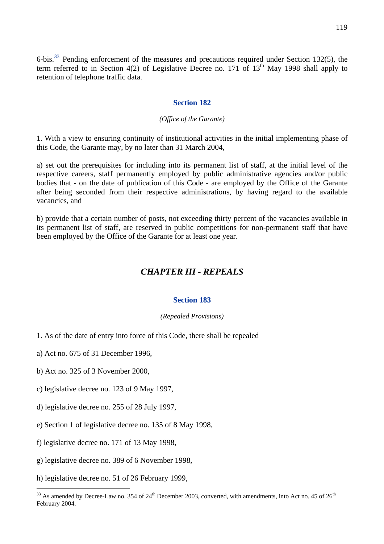6-bis.[33](#page-118-0) Pending enforcement of the measures and precautions required under Section 132(5), the term referred to in Section 4(2) of Legislative Decree no. 171 of  $13<sup>th</sup>$  May 1998 shall apply to retention of telephone traffic data.

## **Section 182**

#### *(Office of the Garante)*

1. With a view to ensuring continuity of institutional activities in the initial implementing phase of this Code, the Garante may, by no later than 31 March 2004,

a) set out the prerequisites for including into its permanent list of staff, at the initial level of the respective careers, staff permanently employed by public administrative agencies and/or public bodies that - on the date of publication of this Code - are employed by the Office of the Garante after being seconded from their respective administrations, by having regard to the available vacancies, and

b) provide that a certain number of posts, not exceeding thirty percent of the vacancies available in its permanent list of staff, are reserved in public competitions for non-permanent staff that have been employed by the Office of the Garante for at least one year.

# *CHAPTER III - REPEALS*

## **Section 183**

#### *(Repealed Provisions)*

- 1. As of the date of entry into force of this Code, there shall be repealed
- a) Act no. 675 of 31 December 1996,
- b) Act no. 325 of 3 November 2000,
- c) legislative decree no. 123 of 9 May 1997,
- d) legislative decree no. 255 of 28 July 1997,
- e) Section 1 of legislative decree no. 135 of 8 May 1998,
- f) legislative decree no. 171 of 13 May 1998,
- g) legislative decree no. 389 of 6 November 1998,
- h) legislative decree no. 51 of 26 February 1999,

 $\overline{a}$ 

<span id="page-118-0"></span><sup>&</sup>lt;sup>33</sup> As amended by Decree-Law no. 354 of 24<sup>th</sup> December 2003, converted, with amendments, into Act no. 45 of 26<sup>th</sup> February 2004.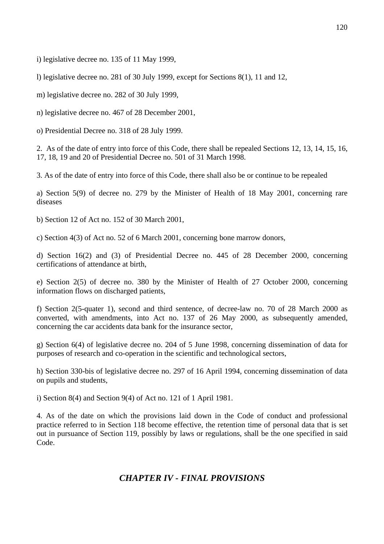i) legislative decree no. 135 of 11 May 1999,

l) legislative decree no. 281 of 30 July 1999, except for Sections 8(1), 11 and 12,

m) legislative decree no. 282 of 30 July 1999,

n) legislative decree no. 467 of 28 December 2001,

o) Presidential Decree no. 318 of 28 July 1999.

2. As of the date of entry into force of this Code, there shall be repealed Sections 12, 13, 14, 15, 16, 17, 18, 19 and 20 of Presidential Decree no. 501 of 31 March 1998.

3. As of the date of entry into force of this Code, there shall also be or continue to be repealed

a) Section 5(9) of decree no. 279 by the Minister of Health of 18 May 2001, concerning rare diseases

b) Section 12 of Act no. 152 of 30 March 2001,

c) Section 4(3) of Act no. 52 of 6 March 2001, concerning bone marrow donors,

d) Section 16(2) and (3) of Presidential Decree no. 445 of 28 December 2000, concerning certifications of attendance at birth,

e) Section 2(5) of decree no. 380 by the Minister of Health of 27 October 2000, concerning information flows on discharged patients,

f) Section 2(5-quater 1), second and third sentence, of decree-law no. 70 of 28 March 2000 as converted, with amendments, into Act no. 137 of 26 May 2000, as subsequently amended, concerning the car accidents data bank for the insurance sector,

g) Section 6(4) of legislative decree no. 204 of 5 June 1998, concerning dissemination of data for purposes of research and co-operation in the scientific and technological sectors,

h) Section 330-bis of legislative decree no. 297 of 16 April 1994, concerning dissemination of data on pupils and students,

i) Section 8(4) and Section 9(4) of Act no. 121 of 1 April 1981.

4. As of the date on which the provisions laid down in the Code of conduct and professional practice referred to in Section 118 become effective, the retention time of personal data that is set out in pursuance of Section 119, possibly by laws or regulations, shall be the one specified in said Code.

# *CHAPTER IV - FINAL PROVISIONS*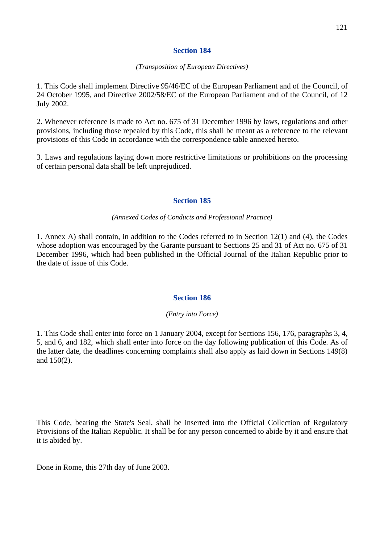# **Section 184**

## *(Transposition of European Directives)*

1. This Code shall implement Directive 95/46/EC of the European Parliament and of the Council, of 24 October 1995, and Directive 2002/58/EC of the European Parliament and of the Council, of 12 July 2002.

2. Whenever reference is made to Act no. 675 of 31 December 1996 by laws, regulations and other provisions, including those repealed by this Code, this shall be meant as a reference to the relevant provisions of this Code in accordance with the correspondence table annexed hereto.

3. Laws and regulations laying down more restrictive limitations or prohibitions on the processing of certain personal data shall be left unprejudiced.

# **Section 185**

# *(Annexed Codes of Conducts and Professional Practice)*

1. Annex A) shall contain, in addition to the Codes referred to in Section 12(1) and (4), the Codes whose adoption was encouraged by the Garante pursuant to Sections 25 and 31 of Act no. 675 of 31 December 1996, which had been published in the Official Journal of the Italian Republic prior to the date of issue of this Code.

# **Section 186**

# *(Entry into Force)*

1. This Code shall enter into force on 1 January 2004, except for Sections 156, 176, paragraphs 3, 4, 5, and 6, and 182, which shall enter into force on the day following publication of this Code. As of the latter date, the deadlines concerning complaints shall also apply as laid down in Sections 149(8) and 150(2).

This Code, bearing the State's Seal, shall be inserted into the Official Collection of Regulatory Provisions of the Italian Republic. It shall be for any person concerned to abide by it and ensure that it is abided by.

Done in Rome, this 27th day of June 2003.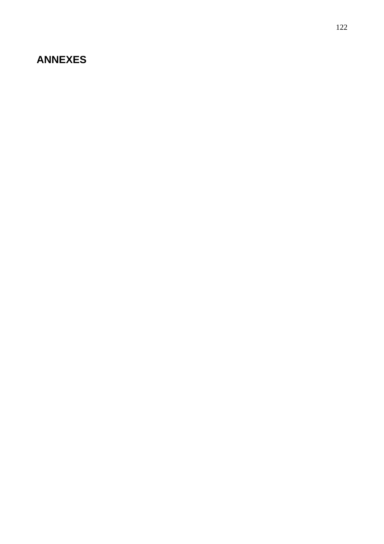# **ANNEXES**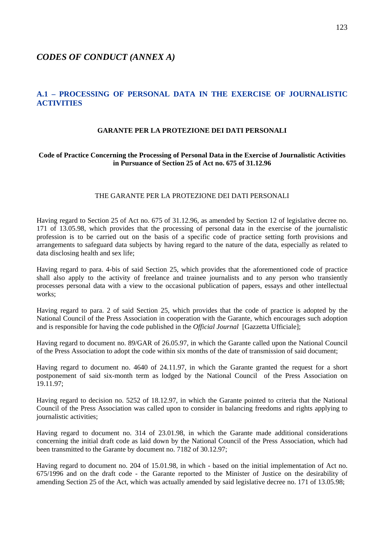# *CODES OF CONDUCT (ANNEX A)*

# **A.1 – PROCESSING OF PERSONAL DATA IN THE EXERCISE OF JOURNALISTIC ACTIVITIES**

#### **GARANTE PER LA PROTEZIONE DEI DATI PERSONALI**

### **Code of Practice Concerning the Processing of Personal Data in the Exercise of Journalistic Activities in Pursuance of Section 25 of Act no. 675 of 31.12.96**

#### THE GARANTE PER LA PROTEZIONE DEI DATI PERSONALI

Having regard to Section 25 of Act no. 675 of 31.12.96, as amended by Section 12 of legislative decree no. 171 of 13.05.98, which provides that the processing of personal data in the exercise of the journalistic profession is to be carried out on the basis of a specific code of practice setting forth provisions and arrangements to safeguard data subjects by having regard to the nature of the data, especially as related to data disclosing health and sex life;

Having regard to para. 4-bis of said Section 25, which provides that the aforementioned code of practice shall also apply to the activity of freelance and trainee journalists and to any person who transiently processes personal data with a view to the occasional publication of papers, essays and other intellectual works;

Having regard to para. 2 of said Section 25, which provides that the code of practice is adopted by the National Council of the Press Association in cooperation with the Garante, which encourages such adoption and is responsible for having the code published in the *Official Journal* [Gazzetta Ufficiale];

Having regard to document no. 89/GAR of 26.05.97, in which the Garante called upon the National Council of the Press Association to adopt the code within six months of the date of transmission of said document;

Having regard to document no. 4640 of 24.11.97, in which the Garante granted the request for a short postponement of said six-month term as lodged by the National Council of the Press Association on 19.11.97;

Having regard to decision no. 5252 of 18.12.97, in which the Garante pointed to criteria that the National Council of the Press Association was called upon to consider in balancing freedoms and rights applying to journalistic activities;

Having regard to document no. 314 of 23.01.98, in which the Garante made additional considerations concerning the initial draft code as laid down by the National Council of the Press Association, which had been transmitted to the Garante by document no. 7182 of 30.12.97;

Having regard to document no. 204 of 15.01.98, in which - based on the initial implementation of Act no. 675/1996 and on the draft code - the Garante reported to the Minister of Justice on the desirability of amending Section 25 of the Act, which was actually amended by said legislative decree no. 171 of 13.05.98;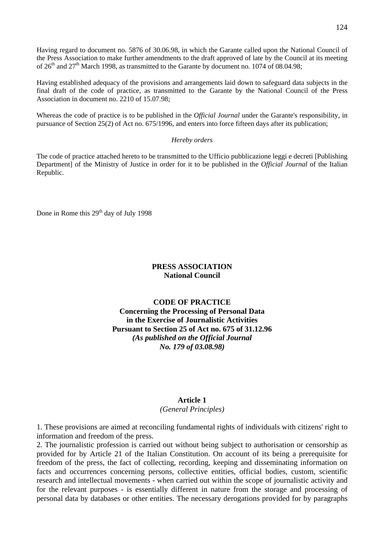Having regard to document no. 5876 of 30.06.98, in which the Garante called upon the National Council of the Press Association to make further amendments to the draft approved of late by the Council at its meeting of 26<sup>th</sup> and 27<sup>th</sup> March 1998, as transmitted to the Garante by document no. 1074 of 08.04.98;

Having established adequacy of the provisions and arrangements laid down to safeguard data subjects in the final draft of the code of practice, as transmitted to the Garante by the National Council of the Press Association in document no. 2210 of 15.07.98;

Whereas the code of practice is to be published in the *Official Journal* under the Garante's responsibility, in pursuance of Section 25(2) of Act no. 675/1996, and enters into force fifteen days after its publication;

#### *Hereby orders*

The code of practice attached hereto to be transmitted to the Ufficio pubblicazione leggi e decreti [Publishing Department] of the Ministry of Justice in order for it to be published in the *Official Journal* of the Italian Republic.

Done in Rome this 29<sup>th</sup> day of July 1998

# **PRESS ASSOCIATION National Council**

# **CODE OF PRACTICE Concerning the Processing of Personal Data in the Exercise of Journalistic Activities Pursuant to Section 25 of Act no. 675 of 31.12.96**  *(As published on the Official Journal No. 179 of 03.08.98)*

# **Article 1**

*(General Principles)* 

1. These provisions are aimed at reconciling fundamental rights of individuals with citizens' right to information and freedom of the press.

2. The journalistic profession is carried out without being subject to authorisation or censorship as provided for by Article 21 of the Italian Constitution. On account of its being a prerequisite for freedom of the press, the fact of collecting, recording, keeping and disseminating information on facts and occurrences concerning persons, collective entities, official bodies, custom, scientific research and intellectual movements - when carried out within the scope of journalistic activity and for the relevant purposes - is essentially different in nature from the storage and processing of personal data by databases or other entities. The necessary derogations provided for by paragraphs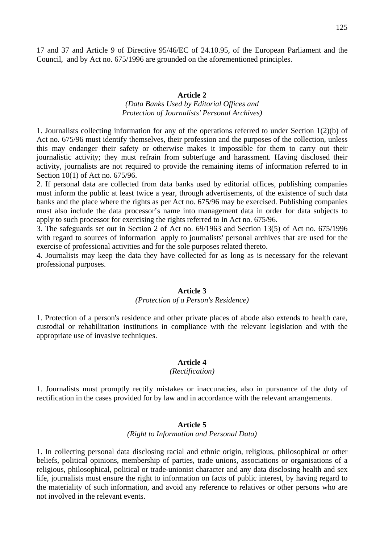17 and 37 and Article 9 of Directive 95/46/EC of 24.10.95, of the European Parliament and the Council, and by Act no. 675/1996 are grounded on the aforementioned principles.

## **Article 2**

# *(Data Banks Used by Editorial Offices and Protection of Journalists' Personal Archives)*

1. Journalists collecting information for any of the operations referred to under Section 1(2)(b) of Act no. 675/96 must identify themselves, their profession and the purposes of the collection, unless this may endanger their safety or otherwise makes it impossible for them to carry out their journalistic activity; they must refrain from subterfuge and harassment. Having disclosed their activity, journalists are not required to provide the remaining items of information referred to in Section 10(1) of Act no. 675/96.

2. If personal data are collected from data banks used by editorial offices, publishing companies must inform the public at least twice a year, through advertisements, of the existence of such data banks and the place where the rights as per Act no. 675/96 may be exercised. Publishing companies must also include the data processor's name into management data in order for data subjects to apply to such processor for exercising the rights referred to in Act no. 675/96.

3. The safeguards set out in Section 2 of Act no. 69/1963 and Section 13(5) of Act no. 675/1996 with regard to sources of information apply to journalists' personal archives that are used for the exercise of professional activities and for the sole purposes related thereto.

4. Journalists may keep the data they have collected for as long as is necessary for the relevant professional purposes.

#### **Article 3**

## *(Protection of a Person's Residence)*

1. Protection of a person's residence and other private places of abode also extends to health care, custodial or rehabilitation institutions in compliance with the relevant legislation and with the appropriate use of invasive techniques.

#### **Article 4**

# *(Rectification)*

1. Journalists must promptly rectify mistakes or inaccuracies, also in pursuance of the duty of rectification in the cases provided for by law and in accordance with the relevant arrangements.

# **Article 5**

#### *(Right to Information and Personal Data)*

1. In collecting personal data disclosing racial and ethnic origin, religious, philosophical or other beliefs, political opinions, membership of parties, trade unions, associations or organisations of a religious, philosophical, political or trade-unionist character and any data disclosing health and sex life, journalists must ensure the right to information on facts of public interest, by having regard to the materiality of such information, and avoid any reference to relatives or other persons who are not involved in the relevant events.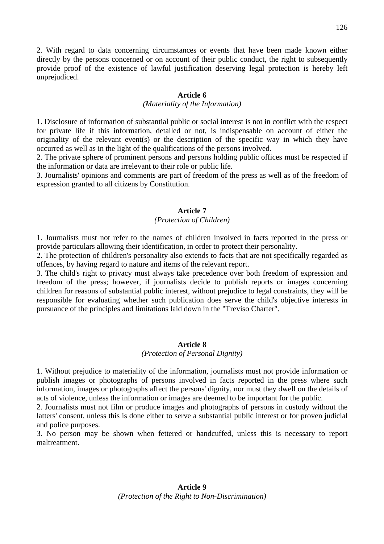2. With regard to data concerning circumstances or events that have been made known either directly by the persons concerned or on account of their public conduct, the right to subsequently provide proof of the existence of lawful justification deserving legal protection is hereby left unprejudiced.

# **Article 6**

# *(Materiality of the Information)*

1. Disclosure of information of substantial public or social interest is not in conflict with the respect for private life if this information, detailed or not, is indispensable on account of either the originality of the relevant event(s) or the description of the specific way in which they have occurred as well as in the light of the qualifications of the persons involved.

2. The private sphere of prominent persons and persons holding public offices must be respected if the information or data are irrelevant to their role or public life.

3. Journalists' opinions and comments are part of freedom of the press as well as of the freedom of expression granted to all citizens by Constitution.

# **Article 7**

# *(Protection of Children)*

1. Journalists must not refer to the names of children involved in facts reported in the press or provide particulars allowing their identification, in order to protect their personality.

2. The protection of children's personality also extends to facts that are not specifically regarded as offences, by having regard to nature and items of the relevant report.

3. The child's right to privacy must always take precedence over both freedom of expression and freedom of the press; however, if journalists decide to publish reports or images concerning children for reasons of substantial public interest, without prejudice to legal constraints, they will be responsible for evaluating whether such publication does serve the child's objective interests in pursuance of the principles and limitations laid down in the "Treviso Charter".

### **Article 8**

### *(Protection of Personal Dignity)*

1. Without prejudice to materiality of the information, journalists must not provide information or publish images or photographs of persons involved in facts reported in the press where such information, images or photographs affect the persons' dignity, nor must they dwell on the details of acts of violence, unless the information or images are deemed to be important for the public.

2. Journalists must not film or produce images and photographs of persons in custody without the latters' consent, unless this is done either to serve a substantial public interest or for proven judicial and police purposes.

3. No person may be shown when fettered or handcuffed, unless this is necessary to report maltreatment.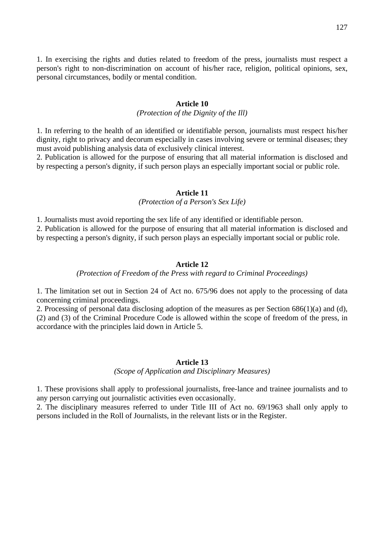1. In exercising the rights and duties related to freedom of the press, journalists must respect a person's right to non-discrimination on account of his/her race, religion, political opinions, sex, personal circumstances, bodily or mental condition.

# **Article 10**

## *(Protection of the Dignity of the Ill)*

1. In referring to the health of an identified or identifiable person, journalists must respect his/her dignity, right to privacy and decorum especially in cases involving severe or terminal diseases; they must avoid publishing analysis data of exclusively clinical interest.

2. Publication is allowed for the purpose of ensuring that all material information is disclosed and by respecting a person's dignity, if such person plays an especially important social or public role.

#### **Article 11**

# *(Protection of a Person's Sex Life)*

1. Journalists must avoid reporting the sex life of any identified or identifiable person.

2. Publication is allowed for the purpose of ensuring that all material information is disclosed and by respecting a person's dignity, if such person plays an especially important social or public role.

#### **Article 12**

*(Protection of Freedom of the Press with regard to Criminal Proceedings)* 

1. The limitation set out in Section 24 of Act no. 675/96 does not apply to the processing of data concerning criminal proceedings.

2. Processing of personal data disclosing adoption of the measures as per Section 686(1)(a) and (d), (2) and (3) of the Criminal Procedure Code is allowed within the scope of freedom of the press, in accordance with the principles laid down in Article 5.

#### **Article 13**

*(Scope of Application and Disciplinary Measures)* 

1. These provisions shall apply to professional journalists, free-lance and trainee journalists and to any person carrying out journalistic activities even occasionally.

2. The disciplinary measures referred to under Title III of Act no. 69/1963 shall only apply to persons included in the Roll of Journalists, in the relevant lists or in the Register.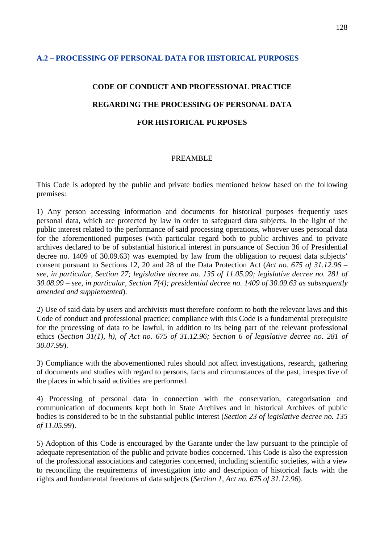# **A.2 – PROCESSING OF PERSONAL DATA FOR HISTORICAL PURPOSES**

# **CODE OF CONDUCT AND PROFESSIONAL PRACTICE REGARDING THE PROCESSING OF PERSONAL DATA FOR HISTORICAL PURPOSES**

# PREAMBLE

This Code is adopted by the public and private bodies mentioned below based on the following premises:

1) Any person accessing information and documents for historical purposes frequently uses personal data, which are protected by law in order to safeguard data subjects. In the light of the public interest related to the performance of said processing operations, whoever uses personal data for the aforementioned purposes (with particular regard both to public archives and to private archives declared to be of substantial historical interest in pursuance of Section 36 of Presidential decree no. 1409 of 30.09.63) was exempted by law from the obligation to request data subjects' consent pursuant to Sections 12, 20 and 28 of the Data Protection Act (*Act no. 675 of 31.12.96 – see, in particular, Section 27; legislative decree no. 135 of 11.05.99; legislative decree no. 281 of 30.08.99 – see, in particular, Section 7(4); presidential decree no. 1409 of 30.09.63 as subsequently amended and supplemented*).

2) Use of said data by users and archivists must therefore conform to both the relevant laws and this Code of conduct and professional practice; compliance with this Code is a fundamental prerequisite for the processing of data to be lawful, in addition to its being part of the relevant professional ethics (*Section 31(1), h), of Act no. 675 of 31.12.96; Section 6 of legislative decree no. 281 of 30.07.99*).

3) Compliance with the abovementioned rules should not affect investigations, research, gathering of documents and studies with regard to persons, facts and circumstances of the past, irrespective of the places in which said activities are performed.

4) Processing of personal data in connection with the conservation, categorisation and communication of documents kept both in State Archives and in historical Archives of public bodies is considered to be in the substantial public interest (*Section 23 of legislative decree no. 135 of 11.05.99*).

5) Adoption of this Code is encouraged by the Garante under the law pursuant to the principle of adequate representation of the public and private bodies concerned. This Code is also the expression of the professional associations and categories concerned, including scientific societies, with a view to reconciling the requirements of investigation into and description of historical facts with the rights and fundamental freedoms of data subjects (*Section 1, Act no. 675 of 31.12.96*).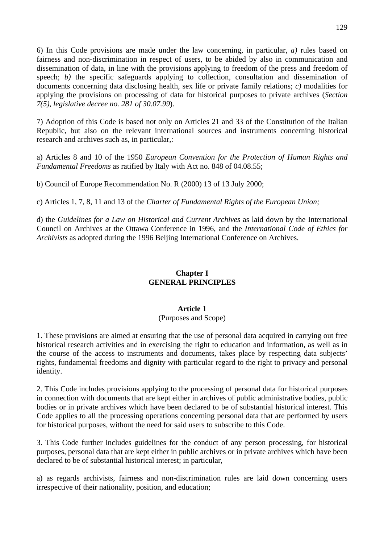6) In this Code provisions are made under the law concerning, in particular, *a)* rules based on fairness and non-discrimination in respect of users, to be abided by also in communication and dissemination of data, in line with the provisions applying to freedom of the press and freedom of speech; *b*) the specific safeguards applying to collection, consultation and dissemination of documents concerning data disclosing health, sex life or private family relations; *c)* modalities for applying the provisions on processing of data for historical purposes to private archives (*Section 7(5), legislative decree no. 281 of 30.07.99*).

7) Adoption of this Code is based not only on Articles 21 and 33 of the Constitution of the Italian Republic, but also on the relevant international sources and instruments concerning historical research and archives such as, in particular,:

a) Articles 8 and 10 of the 1950 *European Convention for the Protection of Human Rights and Fundamental Freedoms* as ratified by Italy with Act no. 848 of 04.08.55;

b) Council of Europe Recommendation No. R (2000) 13 of 13 July 2000;

c) Articles 1, 7, 8, 11 and 13 of the *Charter of Fundamental Rights of the European Union;* 

d) the *Guidelines for a Law on Historical and Current Archives* as laid down by the International Council on Archives at the Ottawa Conference in 1996, and the *International Code of Ethics for Archivists* as adopted during the 1996 Beijing International Conference on Archives.

# **Chapter I GENERAL PRINCIPLES**

# **Article 1**

# (Purposes and Scope)

1. These provisions are aimed at ensuring that the use of personal data acquired in carrying out free historical research activities and in exercising the right to education and information, as well as in the course of the access to instruments and documents, takes place by respecting data subjects' rights, fundamental freedoms and dignity with particular regard to the right to privacy and personal identity.

2. This Code includes provisions applying to the processing of personal data for historical purposes in connection with documents that are kept either in archives of public administrative bodies, public bodies or in private archives which have been declared to be of substantial historical interest. This Code applies to all the processing operations concerning personal data that are performed by users for historical purposes, without the need for said users to subscribe to this Code.

3. This Code further includes guidelines for the conduct of any person processing, for historical purposes, personal data that are kept either in public archives or in private archives which have been declared to be of substantial historical interest; in particular,

a) as regards archivists, fairness and non-discrimination rules are laid down concerning users irrespective of their nationality, position, and education;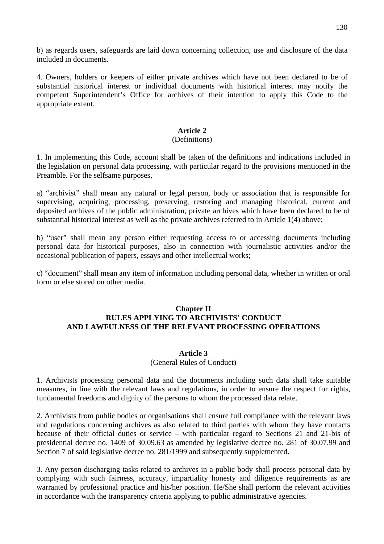b) as regards users, safeguards are laid down concerning collection, use and disclosure of the data included in documents.

4. Owners, holders or keepers of either private archives which have not been declared to be of substantial historical interest or individual documents with historical interest may notify the competent Superintendent's Office for archives of their intention to apply this Code to the appropriate extent.

# **Article 2**

# (Definitions)

1. In implementing this Code, account shall be taken of the definitions and indications included in the legislation on personal data processing, with particular regard to the provisions mentioned in the Preamble. For the selfsame purposes,

a) "archivist" shall mean any natural or legal person, body or association that is responsible for supervising, acquiring, processing, preserving, restoring and managing historical, current and deposited archives of the public administration, private archives which have been declared to be of substantial historical interest as well as the private archives referred to in Article 1(4) above;

b) "user" shall mean any person either requesting access to or accessing documents including personal data for historical purposes, also in connection with journalistic activities and/or the occasional publication of papers, essays and other intellectual works;

c) "document" shall mean any item of information including personal data, whether in written or oral form or else stored on other media.

# **Chapter II RULES APPLYING TO ARCHIVISTS' CONDUCT AND LAWFULNESS OF THE RELEVANT PROCESSING OPERATIONS**

# **Article 3**

## (General Rules of Conduct)

1. Archivists processing personal data and the documents including such data shall take suitable measures, in line with the relevant laws and regulations, in order to ensure the respect for rights, fundamental freedoms and dignity of the persons to whom the processed data relate.

2. Archivists from public bodies or organisations shall ensure full compliance with the relevant laws and regulations concerning archives as also related to third parties with whom they have contacts because of their official duties or service – with particular regard to Sections 21 and 21-bis of presidential decree no. 1409 of 30.09.63 as amended by legislative decree no. 281 of 30.07.99 and Section 7 of said legislative decree no. 281/1999 and subsequently supplemented.

3. Any person discharging tasks related to archives in a public body shall process personal data by complying with such fairness, accuracy, impartiality honesty and diligence requirements as are warranted by professional practice and his/her position. He/She shall perform the relevant activities in accordance with the transparency criteria applying to public administrative agencies.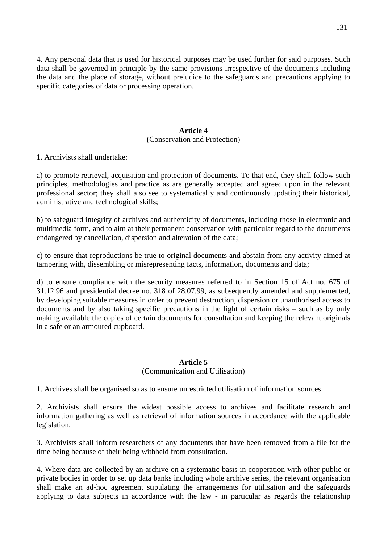4. Any personal data that is used for historical purposes may be used further for said purposes. Such data shall be governed in principle by the same provisions irrespective of the documents including the data and the place of storage, without prejudice to the safeguards and precautions applying to specific categories of data or processing operation.

# **Article 4**  (Conservation and Protection)

1. Archivists shall undertake:

a) to promote retrieval, acquisition and protection of documents. To that end, they shall follow such principles, methodologies and practice as are generally accepted and agreed upon in the relevant professional sector; they shall also see to systematically and continuously updating their historical, administrative and technological skills;

b) to safeguard integrity of archives and authenticity of documents, including those in electronic and multimedia form, and to aim at their permanent conservation with particular regard to the documents endangered by cancellation, dispersion and alteration of the data;

c) to ensure that reproductions be true to original documents and abstain from any activity aimed at tampering with, dissembling or misrepresenting facts, information, documents and data;

d) to ensure compliance with the security measures referred to in Section 15 of Act no. 675 of 31.12.96 and presidential decree no. 318 of 28.07.99, as subsequently amended and supplemented, by developing suitable measures in order to prevent destruction, dispersion or unauthorised access to documents and by also taking specific precautions in the light of certain risks – such as by only making available the copies of certain documents for consultation and keeping the relevant originals in a safe or an armoured cupboard.

# **Article 5**

# (Communication and Utilisation)

1. Archives shall be organised so as to ensure unrestricted utilisation of information sources.

2. Archivists shall ensure the widest possible access to archives and facilitate research and information gathering as well as retrieval of information sources in accordance with the applicable legislation.

3. Archivists shall inform researchers of any documents that have been removed from a file for the time being because of their being withheld from consultation.

4. Where data are collected by an archive on a systematic basis in cooperation with other public or private bodies in order to set up data banks including whole archive series, the relevant organisation shall make an ad-hoc agreement stipulating the arrangements for utilisation and the safeguards applying to data subjects in accordance with the law - in particular as regards the relationship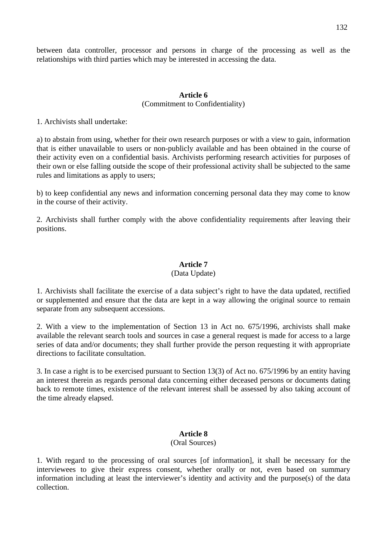between data controller, processor and persons in charge of the processing as well as the relationships with third parties which may be interested in accessing the data.

# **Article 6**  (Commitment to Confidentiality)

1. Archivists shall undertake:

a) to abstain from using, whether for their own research purposes or with a view to gain, information that is either unavailable to users or non-publicly available and has been obtained in the course of their activity even on a confidential basis. Archivists performing research activities for purposes of their own or else falling outside the scope of their professional activity shall be subjected to the same rules and limitations as apply to users;

b) to keep confidential any news and information concerning personal data they may come to know in the course of their activity.

2. Archivists shall further comply with the above confidentiality requirements after leaving their positions.

# **Article 7**

## (Data Update)

1. Archivists shall facilitate the exercise of a data subject's right to have the data updated, rectified or supplemented and ensure that the data are kept in a way allowing the original source to remain separate from any subsequent accessions.

2. With a view to the implementation of Section 13 in Act no. 675/1996, archivists shall make available the relevant search tools and sources in case a general request is made for access to a large series of data and/or documents; they shall further provide the person requesting it with appropriate directions to facilitate consultation.

3. In case a right is to be exercised pursuant to Section 13(3) of Act no. 675/1996 by an entity having an interest therein as regards personal data concerning either deceased persons or documents dating back to remote times, existence of the relevant interest shall be assessed by also taking account of the time already elapsed.

# **Article 8**

### (Oral Sources)

1. With regard to the processing of oral sources [of information], it shall be necessary for the interviewees to give their express consent, whether orally or not, even based on summary information including at least the interviewer's identity and activity and the purpose(s) of the data collection.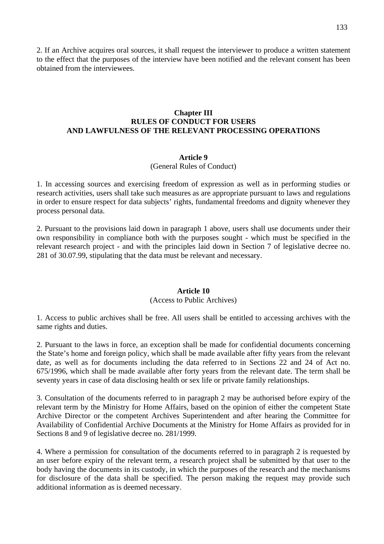2. If an Archive acquires oral sources, it shall request the interviewer to produce a written statement to the effect that the purposes of the interview have been notified and the relevant consent has been obtained from the interviewees.

# **Chapter III RULES OF CONDUCT FOR USERS AND LAWFULNESS OF THE RELEVANT PROCESSING OPERATIONS**

# **Article 9**

### (General Rules of Conduct)

1. In accessing sources and exercising freedom of expression as well as in performing studies or research activities, users shall take such measures as are appropriate pursuant to laws and regulations in order to ensure respect for data subjects' rights, fundamental freedoms and dignity whenever they process personal data.

2. Pursuant to the provisions laid down in paragraph 1 above, users shall use documents under their own responsibility in compliance both with the purposes sought - which must be specified in the relevant research project - and with the principles laid down in Section 7 of legislative decree no. 281 of 30.07.99, stipulating that the data must be relevant and necessary.

### **Article 10**

## (Access to Public Archives)

1. Access to public archives shall be free. All users shall be entitled to accessing archives with the same rights and duties.

2. Pursuant to the laws in force, an exception shall be made for confidential documents concerning the State's home and foreign policy, which shall be made available after fifty years from the relevant date, as well as for documents including the data referred to in Sections 22 and 24 of Act no. 675/1996, which shall be made available after forty years from the relevant date. The term shall be seventy years in case of data disclosing health or sex life or private family relationships.

3. Consultation of the documents referred to in paragraph 2 may be authorised before expiry of the relevant term by the Ministry for Home Affairs, based on the opinion of either the competent State Archive Director or the competent Archives Superintendent and after hearing the Committee for Availability of Confidential Archive Documents at the Ministry for Home Affairs as provided for in Sections 8 and 9 of legislative decree no. 281/1999.

4. Where a permission for consultation of the documents referred to in paragraph 2 is requested by an user before expiry of the relevant term, a research project shall be submitted by that user to the body having the documents in its custody, in which the purposes of the research and the mechanisms for disclosure of the data shall be specified. The person making the request may provide such additional information as is deemed necessary.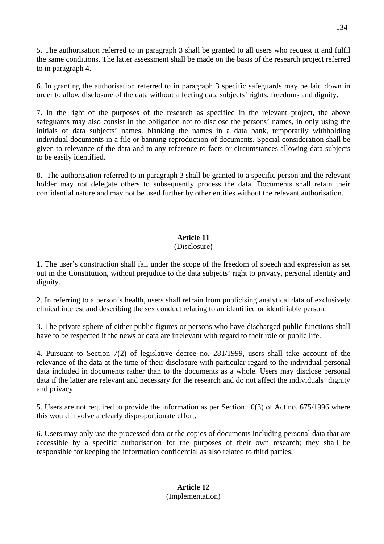5. The authorisation referred to in paragraph 3 shall be granted to all users who request it and fulfil the same conditions. The latter assessment shall be made on the basis of the research project referred to in paragraph 4.

6. In granting the authorisation referred to in paragraph 3 specific safeguards may be laid down in order to allow disclosure of the data without affecting data subjects' rights, freedoms and dignity.

7. In the light of the purposes of the research as specified in the relevant project, the above safeguards may also consist in the obligation not to disclose the persons' names, in only using the initials of data subjects' names, blanking the names in a data bank, temporarily withholding individual documents in a file or banning reproduction of documents. Special consideration shall be given to relevance of the data and to any reference to facts or circumstances allowing data subjects to be easily identified.

8. The authorisation referred to in paragraph 3 shall be granted to a specific person and the relevant holder may not delegate others to subsequently process the data. Documents shall retain their confidential nature and may not be used further by other entities without the relevant authorisation.

# **Article 11**

# (Disclosure)

1. The user's construction shall fall under the scope of the freedom of speech and expression as set out in the Constitution, without prejudice to the data subjects' right to privacy, personal identity and dignity.

2. In referring to a person's health, users shall refrain from publicising analytical data of exclusively clinical interest and describing the sex conduct relating to an identified or identifiable person.

3. The private sphere of either public figures or persons who have discharged public functions shall have to be respected if the news or data are irrelevant with regard to their role or public life.

4. Pursuant to Section 7(2) of legislative decree no. 281/1999, users shall take account of the relevance of the data at the time of their disclosure with particular regard to the individual personal data included in documents rather than to the documents as a whole. Users may disclose personal data if the latter are relevant and necessary for the research and do not affect the individuals' dignity and privacy.

5. Users are not required to provide the information as per Section 10(3) of Act no. 675/1996 where this would involve a clearly disproportionate effort.

6. Users may only use the processed data or the copies of documents including personal data that are accessible by a specific authorisation for the purposes of their own research; they shall be responsible for keeping the information confidential as also related to third parties.

> **Article 12**  (Implementation)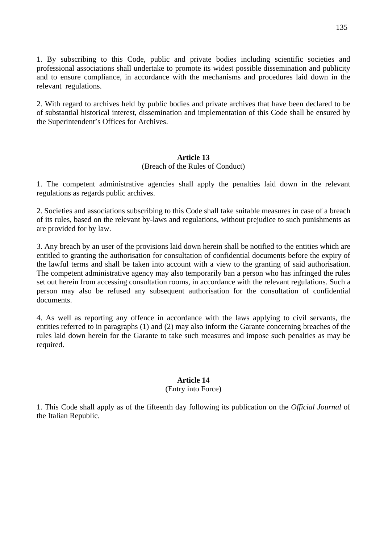1. By subscribing to this Code, public and private bodies including scientific societies and professional associations shall undertake to promote its widest possible dissemination and publicity and to ensure compliance, in accordance with the mechanisms and procedures laid down in the relevant regulations.

2. With regard to archives held by public bodies and private archives that have been declared to be of substantial historical interest, dissemination and implementation of this Code shall be ensured by the Superintendent's Offices for Archives.

# **Article 13**

# (Breach of the Rules of Conduct)

1. The competent administrative agencies shall apply the penalties laid down in the relevant regulations as regards public archives.

2. Societies and associations subscribing to this Code shall take suitable measures in case of a breach of its rules, based on the relevant by-laws and regulations, without prejudice to such punishments as are provided for by law.

3. Any breach by an user of the provisions laid down herein shall be notified to the entities which are entitled to granting the authorisation for consultation of confidential documents before the expiry of the lawful terms and shall be taken into account with a view to the granting of said authorisation. The competent administrative agency may also temporarily ban a person who has infringed the rules set out herein from accessing consultation rooms, in accordance with the relevant regulations. Such a person may also be refused any subsequent authorisation for the consultation of confidential documents.

4. As well as reporting any offence in accordance with the laws applying to civil servants, the entities referred to in paragraphs (1) and (2) may also inform the Garante concerning breaches of the rules laid down herein for the Garante to take such measures and impose such penalties as may be required.

# **Article 14**

# (Entry into Force)

1. This Code shall apply as of the fifteenth day following its publication on the *Official Journal* of the Italian Republic.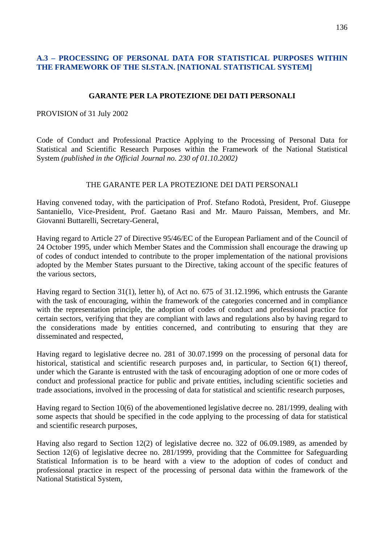# **A.3 – PROCESSING OF PERSONAL DATA FOR STATISTICAL PURPOSES WITHIN THE FRAMEWORK OF THE SI.STA.N. [NATIONAL STATISTICAL SYSTEM]**

# **GARANTE PER LA PROTEZIONE DEI DATI PERSONALI**

# PROVISION of 31 July 2002

Code of Conduct and Professional Practice Applying to the Processing of Personal Data for Statistical and Scientific Research Purposes within the Framework of the National Statistical System *(published in the Official Journal no. 230 of 01.10.2002)* 

# THE GARANTE PER LA PROTEZIONE DEI DATI PERSONALI

Having convened today, with the participation of Prof. Stefano Rodotà, President, Prof. Giuseppe Santaniello, Vice-President, Prof. Gaetano Rasi and Mr. Mauro Paissan, Members, and Mr. Giovanni Buttarelli, Secretary-General,

Having regard to Article 27 of Directive 95/46/EC of the European Parliament and of the Council of 24 October 1995, under which Member States and the Commission shall encourage the drawing up of codes of conduct intended to contribute to the proper implementation of the national provisions adopted by the Member States pursuant to the Directive, taking account of the specific features of the various sectors,

Having regard to Section 31(1), letter h), of Act no. 675 of 31.12.1996, which entrusts the Garante with the task of encouraging, within the framework of the categories concerned and in compliance with the representation principle, the adoption of codes of conduct and professional practice for certain sectors, verifying that they are compliant with laws and regulations also by having regard to the considerations made by entities concerned, and contributing to ensuring that they are disseminated and respected,

Having regard to legislative decree no. 281 of 30.07.1999 on the processing of personal data for historical, statistical and scientific research purposes and, in particular, to Section 6(1) thereof, under which the Garante is entrusted with the task of encouraging adoption of one or more codes of conduct and professional practice for public and private entities, including scientific societies and trade associations, involved in the processing of data for statistical and scientific research purposes,

Having regard to Section 10(6) of the abovementioned legislative decree no. 281/1999, dealing with some aspects that should be specified in the code applying to the processing of data for statistical and scientific research purposes,

Having also regard to Section 12(2) of legislative decree no. 322 of 06.09.1989, as amended by Section 12(6) of legislative decree no. 281/1999, providing that the Committee for Safeguarding Statistical Information is to be heard with a view to the adoption of codes of conduct and professional practice in respect of the processing of personal data within the framework of the National Statistical System,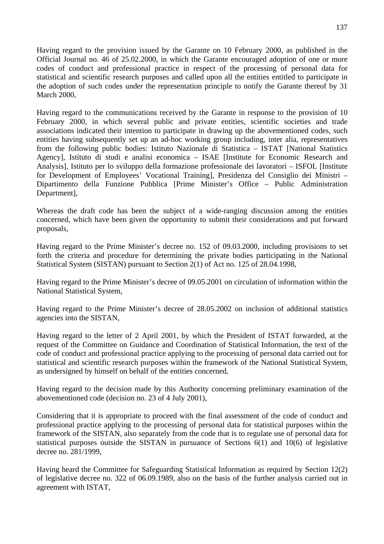Having regard to the provision issued by the Garante on 10 February 2000, as published in the Official Journal no. 46 of 25.02.2000, in which the Garante encouraged adoption of one or more codes of conduct and professional practice in respect of the processing of personal data for statistical and scientific research purposes and called upon all the entities entitled to participate in the adoption of such codes under the representation principle to notify the Garante thereof by 31 March 2000,

Having regard to the communications received by the Garante in response to the provision of 10 February 2000, in which several public and private entities, scientific societies and trade associations indicated their intention to participate in drawing up the abovementioned codes, such entities having subsequently set up an ad-hoc working group including, inter alia, representatives from the following public bodies: Istituto Nazionale di Statistica – ISTAT [National Statistics Agency], Istituto di studi e analisi economica – ISAE [Institute for Economic Research and Analysis], Istituto per lo sviluppo della formazione professionale dei lavoratori – ISFOL [Institute for Development of Employees' Vocational Training], Presidenza del Consiglio dei Ministri – Dipartimento della Funzione Pubblica [Prime Minister's Office – Public Administration Department],

Whereas the draft code has been the subject of a wide-ranging discussion among the entities concerned, which have been given the opportunity to submit their considerations and put forward proposals,

Having regard to the Prime Minister's decree no. 152 of 09.03.2000, including provisions to set forth the criteria and procedure for determining the private bodies participating in the National Statistical System (SISTAN) pursuant to Section 2(1) of Act no. 125 of 28.04.1998,

Having regard to the Prime Minister's decree of 09.05.2001 on circulation of information within the National Statistical System,

Having regard to the Prime Minister's decree of 28.05.2002 on inclusion of additional statistics agencies into the SISTAN,

Having regard to the letter of 2 April 2001, by which the President of ISTAT forwarded, at the request of the Committee on Guidance and Coordination of Statistical Information, the text of the code of conduct and professional practice applying to the processing of personal data carried out for statistical and scientific research purposes within the framework of the National Statistical System, as undersigned by himself on behalf of the entities concerned,

Having regard to the decision made by this Authority concerning preliminary examination of the abovementioned code (decision no. 23 of 4 July 2001),

Considering that it is appropriate to proceed with the final assessment of the code of conduct and professional practice applying to the processing of personal data for statistical purposes within the framework of the SISTAN, also separately from the code that is to regulate use of personal data for statistical purposes outside the SISTAN in pursuance of Sections 6(1) and 10(6) of legislative decree no. 281/1999,

Having heard the Committee for Safeguarding Statistical Information as required by Section 12(2) of legislative decree no. 322 of 06.09.1989, also on the basis of the further analysis carried out in agreement with ISTAT,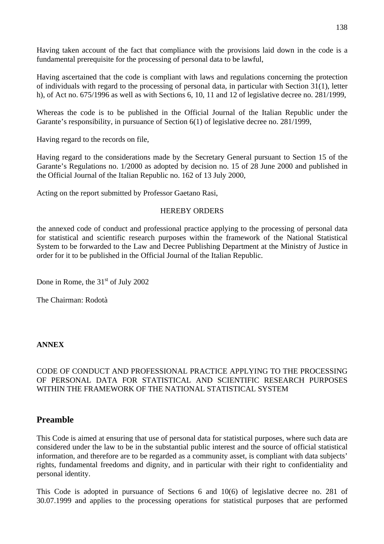Having taken account of the fact that compliance with the provisions laid down in the code is a fundamental prerequisite for the processing of personal data to be lawful,

Having ascertained that the code is compliant with laws and regulations concerning the protection of individuals with regard to the processing of personal data, in particular with Section 31(1), letter h), of Act no. 675/1996 as well as with Sections 6, 10, 11 and 12 of legislative decree no. 281/1999,

Whereas the code is to be published in the Official Journal of the Italian Republic under the Garante's responsibility, in pursuance of Section 6(1) of legislative decree no. 281/1999,

Having regard to the records on file,

Having regard to the considerations made by the Secretary General pursuant to Section 15 of the Garante's Regulations no. 1/2000 as adopted by decision no. 15 of 28 June 2000 and published in the Official Journal of the Italian Republic no. 162 of 13 July 2000,

Acting on the report submitted by Professor Gaetano Rasi,

# HEREBY ORDERS

the annexed code of conduct and professional practice applying to the processing of personal data for statistical and scientific research purposes within the framework of the National Statistical System to be forwarded to the Law and Decree Publishing Department at the Ministry of Justice in order for it to be published in the Official Journal of the Italian Republic.

Done in Rome, the  $31<sup>st</sup>$  of July 2002

The Chairman: Rodotà

# **ANNEX**

# CODE OF CONDUCT AND PROFESSIONAL PRACTICE APPLYING TO THE PROCESSING OF PERSONAL DATA FOR STATISTICAL AND SCIENTIFIC RESEARCH PURPOSES WITHIN THE FRAMEWORK OF THE NATIONAL STATISTICAL SYSTEM

# **Preamble**

This Code is aimed at ensuring that use of personal data for statistical purposes, where such data are considered under the law to be in the substantial public interest and the source of official statistical information, and therefore are to be regarded as a community asset, is compliant with data subjects' rights, fundamental freedoms and dignity, and in particular with their right to confidentiality and personal identity.

This Code is adopted in pursuance of Sections 6 and 10(6) of legislative decree no. 281 of 30.07.1999 and applies to the processing operations for statistical purposes that are performed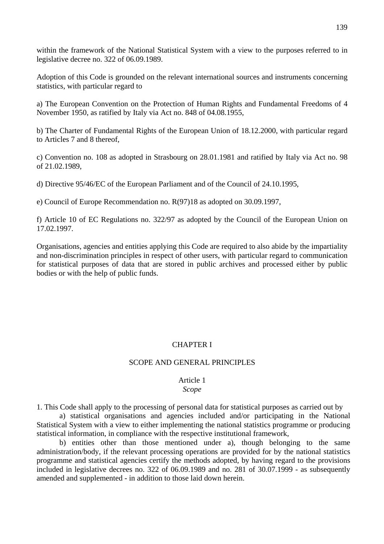within the framework of the National Statistical System with a view to the purposes referred to in legislative decree no. 322 of 06.09.1989.

Adoption of this Code is grounded on the relevant international sources and instruments concerning statistics, with particular regard to

a) The European Convention on the Protection of Human Rights and Fundamental Freedoms of 4 November 1950, as ratified by Italy via Act no. 848 of 04.08.1955,

b) The Charter of Fundamental Rights of the European Union of 18.12.2000, with particular regard to Articles 7 and 8 thereof,

c) Convention no. 108 as adopted in Strasbourg on 28.01.1981 and ratified by Italy via Act no. 98 of 21.02.1989,

d) Directive 95/46/EC of the European Parliament and of the Council of 24.10.1995,

e) Council of Europe Recommendation no. R(97)18 as adopted on 30.09.1997,

f) Article 10 of EC Regulations no. 322/97 as adopted by the Council of the European Union on 17.02.1997.

Organisations, agencies and entities applying this Code are required to also abide by the impartiality and non-discrimination principles in respect of other users, with particular regard to communication for statistical purposes of data that are stored in public archives and processed either by public bodies or with the help of public funds.

# CHAPTER I

### SCOPE AND GENERAL PRINCIPLES

# Article 1

# *Scope*

1. This Code shall apply to the processing of personal data for statistical purposes as carried out by

 a) statistical organisations and agencies included and/or participating in the National Statistical System with a view to either implementing the national statistics programme or producing statistical information, in compliance with the respective institutional framework,

 b) entities other than those mentioned under a), though belonging to the same administration/body, if the relevant processing operations are provided for by the national statistics programme and statistical agencies certify the methods adopted, by having regard to the provisions included in legislative decrees no. 322 of 06.09.1989 and no. 281 of 30.07.1999 - as subsequently amended and supplemented - in addition to those laid down herein.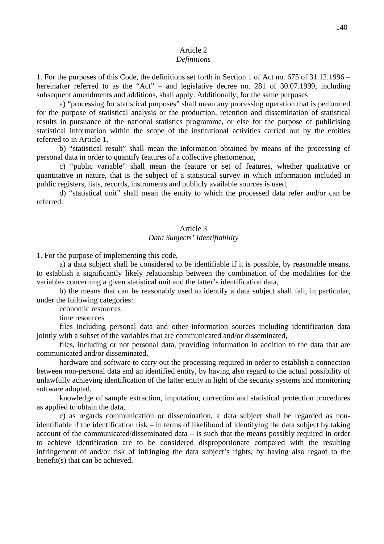# Article 2

# *Definitions*

1. For the purposes of this Code, the definitions set forth in Section 1 of Act no. 675 of 31.12.1996 – hereinafter referred to as the "Act" – and legislative decree no. 281 of 30.07.1999, including subsequent amendments and additions, shall apply. Additionally, for the same purposes

 a) "processing for statistical purposes" shall mean any processing operation that is performed for the purpose of statistical analysis or the production, retention and dissemination of statistical results in pursuance of the national statistics programme, or else for the purpose of publicising statistical information within the scope of the institutional activities carried out by the entities referred to in Article 1,

 b) "statistical result" shall mean the information obtained by means of the processing of personal data in order to quantify features of a collective phenomenon,

 c) "public variable" shall mean the feature or set of features, whether qualitative or quantitative in nature, that is the subject of a statistical survey in which information included in public registers, lists, records, instruments and publicly available sources is used,

 d) "statistical unit" shall mean the entity to which the processed data refer and/or can be referred.

# Article 3

### *Data Subjects' Identifiability*

1. For the purpose of implementing this code,

 a) a data subject shall be considered to be identifiable if it is possible, by reasonable means, to establish a significantly likely relationship between the combination of the modalities for the variables concerning a given statistical unit and the latter's identification data,

 b) the means that can be reasonably used to identify a data subject shall fall, in particular, under the following categories:

economic resources

time resources

 files including personal data and other information sources including identification data jointly with a subset of the variables that are communicated and/or disseminated,

 files, including or not personal data, providing information in addition to the data that are communicated and/or disseminated,

 hardware and software to carry out the processing required in order to establish a connection between non-personal data and an identified entity, by having also regard to the actual possibility of unlawfully achieving identification of the latter entity in light of the security systems and monitoring software adopted,

 knowledge of sample extraction, imputation, correction and statistical protection procedures as applied to obtain the data,

 c) as regards communication or dissemination, a data subject shall be regarded as nonidentifiable if the identification risk – in terms of likelihood of identifying the data subject by taking account of the communicated/disseminated data – is such that the means possibly required in order to achieve identification are to be considered disproportionate compared with the resulting infringement of and/or risk of infringing the data subject's rights, by having also regard to the benefit(s) that can be achieved.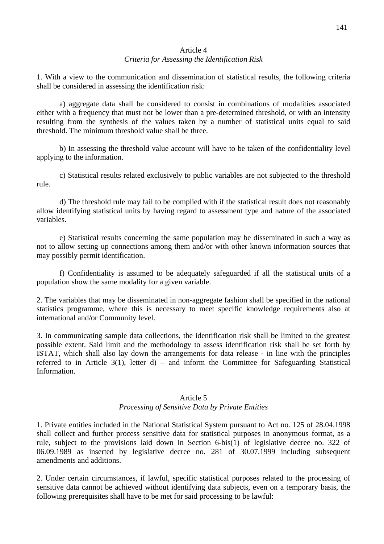# Article 4

# *Criteria for Assessing the Identification Risk*

1. With a view to the communication and dissemination of statistical results, the following criteria shall be considered in assessing the identification risk:

 a) aggregate data shall be considered to consist in combinations of modalities associated either with a frequency that must not be lower than a pre-determined threshold, or with an intensity resulting from the synthesis of the values taken by a number of statistical units equal to said threshold. The minimum threshold value shall be three.

 b) In assessing the threshold value account will have to be taken of the confidentiality level applying to the information.

 c) Statistical results related exclusively to public variables are not subjected to the threshold rule.

 d) The threshold rule may fail to be complied with if the statistical result does not reasonably allow identifying statistical units by having regard to assessment type and nature of the associated variables.

 e) Statistical results concerning the same population may be disseminated in such a way as not to allow setting up connections among them and/or with other known information sources that may possibly permit identification.

 f) Confidentiality is assumed to be adequately safeguarded if all the statistical units of a population show the same modality for a given variable.

2. The variables that may be disseminated in non-aggregate fashion shall be specified in the national statistics programme, where this is necessary to meet specific knowledge requirements also at international and/or Community level.

3. In communicating sample data collections, the identification risk shall be limited to the greatest possible extent. Said limit and the methodology to assess identification risk shall be set forth by ISTAT, which shall also lay down the arrangements for data release - in line with the principles referred to in Article 3(1), letter d) – and inform the Committee for Safeguarding Statistical Information.

# Article 5 *Processing of Sensitive Data by Private Entities*

1. Private entities included in the National Statistical System pursuant to Act no. 125 of 28.04.1998 shall collect and further process sensitive data for statistical purposes in anonymous format, as a rule, subject to the provisions laid down in Section 6-bis(1) of legislative decree no. 322 of 06.09.1989 as inserted by legislative decree no. 281 of 30.07.1999 including subsequent amendments and additions.

2. Under certain circumstances, if lawful, specific statistical purposes related to the processing of sensitive data cannot be achieved without identifying data subjects, even on a temporary basis, the following prerequisites shall have to be met for said processing to be lawful: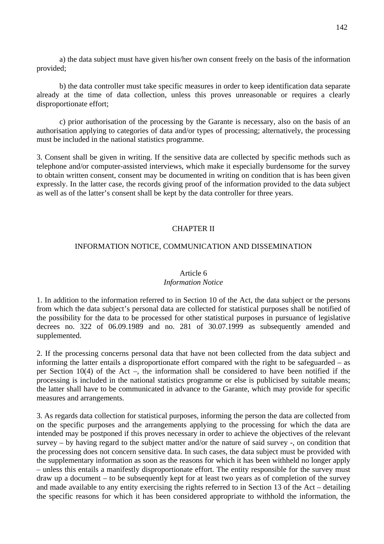a) the data subject must have given his/her own consent freely on the basis of the information provided;

 b) the data controller must take specific measures in order to keep identification data separate already at the time of data collection, unless this proves unreasonable or requires a clearly disproportionate effort;

 c) prior authorisation of the processing by the Garante is necessary, also on the basis of an authorisation applying to categories of data and/or types of processing; alternatively, the processing must be included in the national statistics programme.

3. Consent shall be given in writing. If the sensitive data are collected by specific methods such as telephone and/or computer-assisted interviews, which make it especially burdensome for the survey to obtain written consent, consent may be documented in writing on condition that is has been given expressly. In the latter case, the records giving proof of the information provided to the data subject as well as of the latter's consent shall be kept by the data controller for three years.

# CHAPTER II

# INFORMATION NOTICE, COMMUNICATION AND DISSEMINATION

## Article 6

### *Information Notice*

1. In addition to the information referred to in Section 10 of the Act, the data subject or the persons from which the data subject's personal data are collected for statistical purposes shall be notified of the possibility for the data to be processed for other statistical purposes in pursuance of legislative decrees no. 322 of 06.09.1989 and no. 281 of 30.07.1999 as subsequently amended and supplemented.

2. If the processing concerns personal data that have not been collected from the data subject and informing the latter entails a disproportionate effort compared with the right to be safeguarded – as per Section 10(4) of the Act –, the information shall be considered to have been notified if the processing is included in the national statistics programme or else is publicised by suitable means; the latter shall have to be communicated in advance to the Garante, which may provide for specific measures and arrangements.

3. As regards data collection for statistical purposes, informing the person the data are collected from on the specific purposes and the arrangements applying to the processing for which the data are intended may be postponed if this proves necessary in order to achieve the objectives of the relevant survey – by having regard to the subject matter and/or the nature of said survey -, on condition that the processing does not concern sensitive data. In such cases, the data subject must be provided with the supplementary information as soon as the reasons for which it has been withheld no longer apply – unless this entails a manifestly disproportionate effort. The entity responsible for the survey must draw up a document – to be subsequently kept for at least two years as of completion of the survey and made available to any entity exercising the rights referred to in Section 13 of the Act – detailing the specific reasons for which it has been considered appropriate to withhold the information, the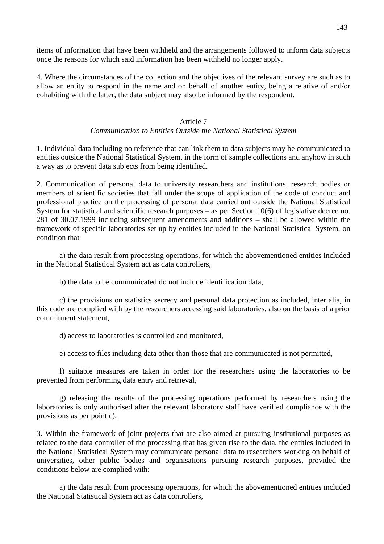items of information that have been withheld and the arrangements followed to inform data subjects once the reasons for which said information has been withheld no longer apply.

4. Where the circumstances of the collection and the objectives of the relevant survey are such as to allow an entity to respond in the name and on behalf of another entity, being a relative of and/or cohabiting with the latter, the data subject may also be informed by the respondent.

## Article 7

# *Communication to Entities Outside the National Statistical System*

1. Individual data including no reference that can link them to data subjects may be communicated to entities outside the National Statistical System, in the form of sample collections and anyhow in such a way as to prevent data subjects from being identified.

2. Communication of personal data to university researchers and institutions, research bodies or members of scientific societies that fall under the scope of application of the code of conduct and professional practice on the processing of personal data carried out outside the National Statistical System for statistical and scientific research purposes – as per Section 10(6) of legislative decree no. 281 of 30.07.1999 including subsequent amendments and additions – shall be allowed within the framework of specific laboratories set up by entities included in the National Statistical System, on condition that

 a) the data result from processing operations, for which the abovementioned entities included in the National Statistical System act as data controllers,

b) the data to be communicated do not include identification data,

 c) the provisions on statistics secrecy and personal data protection as included, inter alia, in this code are complied with by the researchers accessing said laboratories, also on the basis of a prior commitment statement,

d) access to laboratories is controlled and monitored,

e) access to files including data other than those that are communicated is not permitted,

 f) suitable measures are taken in order for the researchers using the laboratories to be prevented from performing data entry and retrieval,

 g) releasing the results of the processing operations performed by researchers using the laboratories is only authorised after the relevant laboratory staff have verified compliance with the provisions as per point c).

3. Within the framework of joint projects that are also aimed at pursuing institutional purposes as related to the data controller of the processing that has given rise to the data, the entities included in the National Statistical System may communicate personal data to researchers working on behalf of universities, other public bodies and organisations pursuing research purposes, provided the conditions below are complied with:

 a) the data result from processing operations, for which the abovementioned entities included the National Statistical System act as data controllers,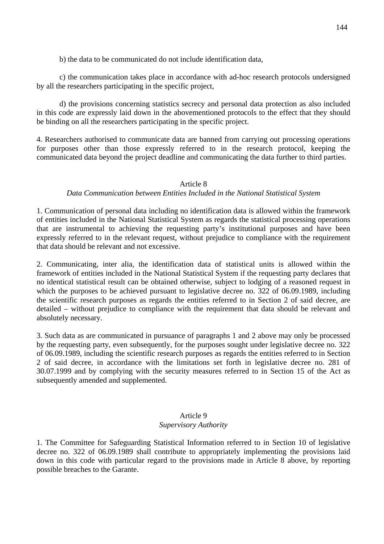b) the data to be communicated do not include identification data,

 c) the communication takes place in accordance with ad-hoc research protocols undersigned by all the researchers participating in the specific project,

 d) the provisions concerning statistics secrecy and personal data protection as also included in this code are expressly laid down in the abovementioned protocols to the effect that they should be binding on all the researchers participating in the specific project.

4. Researchers authorised to communicate data are banned from carrying out processing operations for purposes other than those expressly referred to in the research protocol, keeping the communicated data beyond the project deadline and communicating the data further to third parties.

# Article 8

# *Data Communication between Entities Included in the National Statistical System*

1. Communication of personal data including no identification data is allowed within the framework of entities included in the National Statistical System as regards the statistical processing operations that are instrumental to achieving the requesting party's institutional purposes and have been expressly referred to in the relevant request, without prejudice to compliance with the requirement that data should be relevant and not excessive.

2. Communicating, inter alia, the identification data of statistical units is allowed within the framework of entities included in the National Statistical System if the requesting party declares that no identical statistical result can be obtained otherwise, subject to lodging of a reasoned request in which the purposes to be achieved pursuant to legislative decree no. 322 of 06.09.1989, including the scientific research purposes as regards the entities referred to in Section 2 of said decree, are detailed – without prejudice to compliance with the requirement that data should be relevant and absolutely necessary.

3. Such data as are communicated in pursuance of paragraphs 1 and 2 above may only be processed by the requesting party, even subsequently, for the purposes sought under legislative decree no. 322 of 06.09.1989, including the scientific research purposes as regards the entities referred to in Section 2 of said decree, in accordance with the limitations set forth in legislative decree no. 281 of 30.07.1999 and by complying with the security measures referred to in Section 15 of the Act as subsequently amended and supplemented.

### Article 9

## *Supervisory Authority*

1. The Committee for Safeguarding Statistical Information referred to in Section 10 of legislative decree no. 322 of 06.09.1989 shall contribute to appropriately implementing the provisions laid down in this code with particular regard to the provisions made in Article 8 above, by reporting possible breaches to the Garante.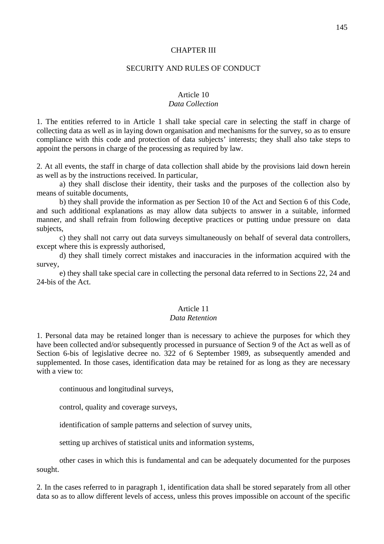#### CHAPTER III

#### SECURITY AND RULES OF CONDUCT

#### Article 10

#### *Data Collection*

1. The entities referred to in Article 1 shall take special care in selecting the staff in charge of collecting data as well as in laying down organisation and mechanisms for the survey, so as to ensure compliance with this code and protection of data subjects' interests; they shall also take steps to appoint the persons in charge of the processing as required by law.

2. At all events, the staff in charge of data collection shall abide by the provisions laid down herein as well as by the instructions received. In particular,

 a) they shall disclose their identity, their tasks and the purposes of the collection also by means of suitable documents,

 b) they shall provide the information as per Section 10 of the Act and Section 6 of this Code, and such additional explanations as may allow data subjects to answer in a suitable, informed manner, and shall refrain from following deceptive practices or putting undue pressure on data subjects,

 c) they shall not carry out data surveys simultaneously on behalf of several data controllers, except where this is expressly authorised,

 d) they shall timely correct mistakes and inaccuracies in the information acquired with the survey,

 e) they shall take special care in collecting the personal data referred to in Sections 22, 24 and 24-bis of the Act.

### Article 11

#### *Data Retention*

1. Personal data may be retained longer than is necessary to achieve the purposes for which they have been collected and/or subsequently processed in pursuance of Section 9 of the Act as well as of Section 6-bis of legislative decree no. 322 of 6 September 1989, as subsequently amended and supplemented. In those cases, identification data may be retained for as long as they are necessary with a view to:

continuous and longitudinal surveys,

control, quality and coverage surveys,

identification of sample patterns and selection of survey units,

setting up archives of statistical units and information systems,

 other cases in which this is fundamental and can be adequately documented for the purposes sought.

2. In the cases referred to in paragraph 1, identification data shall be stored separately from all other data so as to allow different levels of access, unless this proves impossible on account of the specific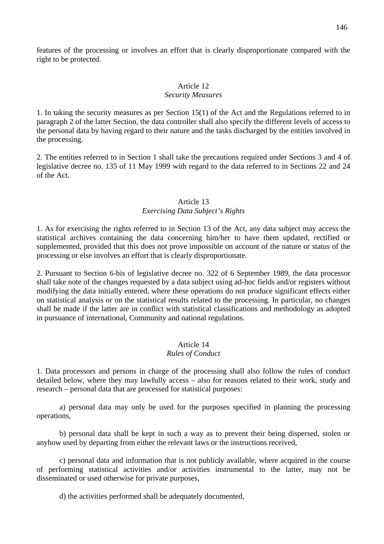features of the processing or involves an effort that is clearly disproportionate compared with the right to be protected.

# Article 12

### *Security Measures*

1. In taking the security measures as per Section 15(1) of the Act and the Regulations referred to in paragraph 2 of the latter Section, the data controller shall also specify the different levels of access to the personal data by having regard to their nature and the tasks discharged by the entities involved in the processing.

2. The entities referred to in Section 1 shall take the precautions required under Sections 3 and 4 of legislative decree no. 135 of 11 May 1999 with regard to the data referred to in Sections 22 and 24 of the Act.

### Article 13 *Exercising Data Subject's Rights*

1. As for exercising the rights referred to in Section 13 of the Act, any data subject may access the statistical archives containing the data concerning him/her to have them updated, rectified or supplemented, provided that this does not prove impossible on account of the nature or status of the processing or else involves an effort that is clearly disproportionate.

2. Pursuant to Section 6-bis of legislative decree no. 322 of 6 September 1989, the data processor shall take note of the changes requested by a data subject using ad-hoc fields and/or registers without modifying the data initially entered, where these operations do not produce significant effects either on statistical analysis or on the statistical results related to the processing. In particular, no changes shall be made if the latter are in conflict with statistical classifications and methodology as adopted in pursuance of international, Community and national regulations.

# Article 14

# *Rules of Conduct*

1. Data processors and persons in charge of the processing shall also follow the rules of conduct detailed below, where they may lawfully access – also for reasons related to their work, study and research – personal data that are processed for statistical purposes:

 a) personal data may only be used for the purposes specified in planning the processing operations,

 b) personal data shall be kept in such a way as to prevent their being dispersed, stolen or anyhow used by departing from either the relevant laws or the instructions received,

 c) personal data and information that is not publicly available, where acquired in the course of performing statistical activities and/or activities instrumental to the latter, may not be disseminated or used otherwise for private purposes,

d) the activities performed shall be adequately documented,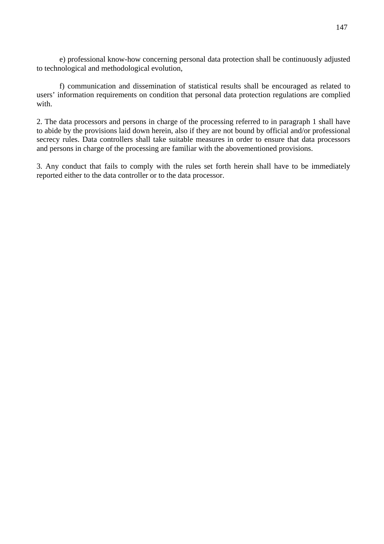e) professional know-how concerning personal data protection shall be continuously adjusted to technological and methodological evolution,

 f) communication and dissemination of statistical results shall be encouraged as related to users' information requirements on condition that personal data protection regulations are complied with.

2. The data processors and persons in charge of the processing referred to in paragraph 1 shall have to abide by the provisions laid down herein, also if they are not bound by official and/or professional secrecy rules. Data controllers shall take suitable measures in order to ensure that data processors and persons in charge of the processing are familiar with the abovementioned provisions.

3. Any conduct that fails to comply with the rules set forth herein shall have to be immediately reported either to the data controller or to the data processor.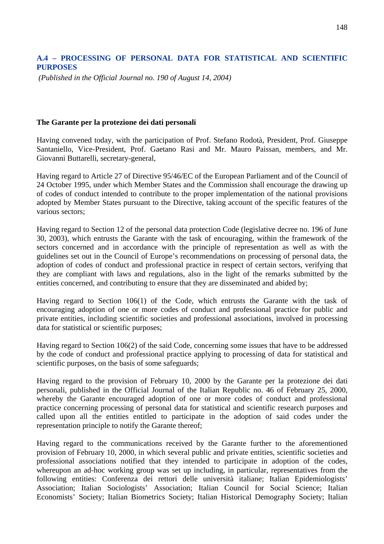# **A.4 – PROCESSING OF PERSONAL DATA FOR STATISTICAL AND SCIENTIFIC PURPOSES**

 *(Published in the Official Journal no. 190 of August 14, 2004)* 

#### **The Garante per la protezione dei dati personali**

Having convened today, with the participation of Prof. Stefano Rodotà, President, Prof. Giuseppe Santaniello, Vice-President, Prof. Gaetano Rasi and Mr. Mauro Paissan, members, and Mr. Giovanni Buttarelli, secretary-general,

Having regard to Article 27 of Directive 95/46/EC of the European Parliament and of the Council of 24 October 1995, under which Member States and the Commission shall encourage the drawing up of codes of conduct intended to contribute to the proper implementation of the national provisions adopted by Member States pursuant to the Directive, taking account of the specific features of the various sectors;

Having regard to Section 12 of the personal data protection Code (legislative decree no. 196 of June 30, 2003), which entrusts the Garante with the task of encouraging, within the framework of the sectors concerned and in accordance with the principle of representation as well as with the guidelines set out in the Council of Europe's recommendations on processing of personal data, the adoption of codes of conduct and professional practice in respect of certain sectors, verifying that they are compliant with laws and regulations, also in the light of the remarks submitted by the entities concerned, and contributing to ensure that they are disseminated and abided by;

Having regard to Section 106(1) of the Code, which entrusts the Garante with the task of encouraging adoption of one or more codes of conduct and professional practice for public and private entities, including scientific societies and professional associations, involved in processing data for statistical or scientific purposes;

Having regard to Section 106(2) of the said Code, concerning some issues that have to be addressed by the code of conduct and professional practice applying to processing of data for statistical and scientific purposes, on the basis of some safeguards;

Having regard to the provision of February 10, 2000 by the Garante per la protezione dei dati personali, published in the Official Journal of the Italian Republic no. 46 of February 25, 2000, whereby the Garante encouraged adoption of one or more codes of conduct and professional practice concerning processing of personal data for statistical and scientific research purposes and called upon all the entities entitled to participate in the adoption of said codes under the representation principle to notify the Garante thereof;

Having regard to the communications received by the Garante further to the aforementioned provision of February 10, 2000, in which several public and private entities, scientific societies and professional associations notified that they intended to participate in adoption of the codes, whereupon an ad-hoc working group was set up including, in particular, representatives from the following entities: Conferenza dei rettori delle università italiane; Italian Epidemiologists' Association; Italian Sociologists' Association; Italian Council for Social Science; Italian Economists' Society; Italian Biometrics Society; Italian Historical Demography Society; Italian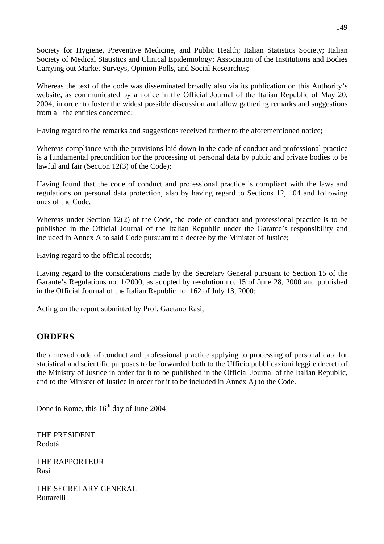Society for Hygiene, Preventive Medicine, and Public Health; Italian Statistics Society; Italian Society of Medical Statistics and Clinical Epidemiology; Association of the Institutions and Bodies Carrying out Market Surveys, Opinion Polls, and Social Researches;

Whereas the text of the code was disseminated broadly also via its publication on this Authority's website, as communicated by a notice in the Official Journal of the Italian Republic of May 20, 2004, in order to foster the widest possible discussion and allow gathering remarks and suggestions from all the entities concerned;

Having regard to the remarks and suggestions received further to the aforementioned notice;

Whereas compliance with the provisions laid down in the code of conduct and professional practice is a fundamental precondition for the processing of personal data by public and private bodies to be lawful and fair (Section 12(3) of the Code);

Having found that the code of conduct and professional practice is compliant with the laws and regulations on personal data protection, also by having regard to Sections 12, 104 and following ones of the Code,

Whereas under Section 12(2) of the Code, the code of conduct and professional practice is to be published in the Official Journal of the Italian Republic under the Garante's responsibility and included in Annex A to said Code pursuant to a decree by the Minister of Justice;

Having regard to the official records;

Having regard to the considerations made by the Secretary General pursuant to Section 15 of the Garante's Regulations no. 1/2000, as adopted by resolution no. 15 of June 28, 2000 and published in the Official Journal of the Italian Republic no. 162 of July 13, 2000;

Acting on the report submitted by Prof. Gaetano Rasi,

# **ORDERS**

the annexed code of conduct and professional practice applying to processing of personal data for statistical and scientific purposes to be forwarded both to the Ufficio pubblicazioni leggi e decreti of the Ministry of Justice in order for it to be published in the Official Journal of the Italian Republic, and to the Minister of Justice in order for it to be included in Annex A) to the Code.

Done in Rome, this  $16<sup>th</sup>$  day of June 2004

THE PRESIDENT Rodotà

THE RAPPORTEUR Rasi

THE SECRETARY GENERAL Buttarelli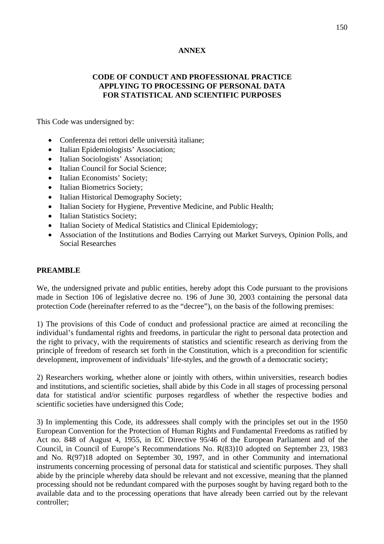# **ANNEX**

### **CODE OF CONDUCT AND PROFESSIONAL PRACTICE APPLYING TO PROCESSING OF PERSONAL DATA FOR STATISTICAL AND SCIENTIFIC PURPOSES**

This Code was undersigned by:

- Conferenza dei rettori delle università italiane;
- Italian Epidemiologists' Association;
- Italian Sociologists' Association;
- Italian Council for Social Science:
- Italian Economists' Society;
- Italian Biometrics Society;
- Italian Historical Demography Society;
- Italian Society for Hygiene, Preventive Medicine, and Public Health;
- Italian Statistics Society;
- Italian Society of Medical Statistics and Clinical Epidemiology;
- Association of the Institutions and Bodies Carrying out Market Surveys, Opinion Polls, and Social Researches

### **PREAMBLE**

We, the undersigned private and public entities, hereby adopt this Code pursuant to the provisions made in Section 106 of legislative decree no. 196 of June 30, 2003 containing the personal data protection Code (hereinafter referred to as the "decree"), on the basis of the following premises:

1) The provisions of this Code of conduct and professional practice are aimed at reconciling the individual's fundamental rights and freedoms, in particular the right to personal data protection and the right to privacy, with the requirements of statistics and scientific research as deriving from the principle of freedom of research set forth in the Constitution, which is a precondition for scientific development, improvement of individuals' life-styles, and the growth of a democratic society;

2) Researchers working, whether alone or jointly with others, within universities, research bodies and institutions, and scientific societies, shall abide by this Code in all stages of processing personal data for statistical and/or scientific purposes regardless of whether the respective bodies and scientific societies have undersigned this Code;

3) In implementing this Code, its addressees shall comply with the principles set out in the 1950 European Convention for the Protection of Human Rights and Fundamental Freedoms as ratified by Act no. 848 of August 4, 1955, in EC Directive 95/46 of the European Parliament and of the Council, in Council of Europe's Recommendations No. R(83)10 adopted on September 23, 1983 and No. R(97)18 adopted on September 30, 1997, and in other Community and international instruments concerning processing of personal data for statistical and scientific purposes. They shall abide by the principle whereby data should be relevant and not excessive, meaning that the planned processing should not be redundant compared with the purposes sought by having regard both to the available data and to the processing operations that have already been carried out by the relevant controller;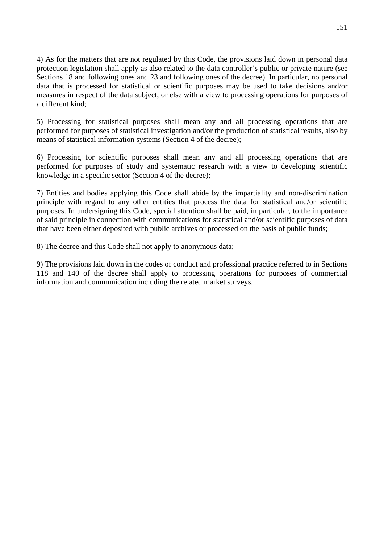4) As for the matters that are not regulated by this Code, the provisions laid down in personal data protection legislation shall apply as also related to the data controller's public or private nature (see Sections 18 and following ones and 23 and following ones of the decree). In particular, no personal data that is processed for statistical or scientific purposes may be used to take decisions and/or measures in respect of the data subject, or else with a view to processing operations for purposes of a different kind;

5) Processing for statistical purposes shall mean any and all processing operations that are performed for purposes of statistical investigation and/or the production of statistical results, also by means of statistical information systems (Section 4 of the decree);

6) Processing for scientific purposes shall mean any and all processing operations that are performed for purposes of study and systematic research with a view to developing scientific knowledge in a specific sector (Section 4 of the decree);

7) Entities and bodies applying this Code shall abide by the impartiality and non-discrimination principle with regard to any other entities that process the data for statistical and/or scientific purposes. In undersigning this Code, special attention shall be paid, in particular, to the importance of said principle in connection with communications for statistical and/or scientific purposes of data that have been either deposited with public archives or processed on the basis of public funds;

8) The decree and this Code shall not apply to anonymous data;

9) The provisions laid down in the codes of conduct and professional practice referred to in Sections 118 and 140 of the decree shall apply to processing operations for purposes of commercial information and communication including the related market surveys.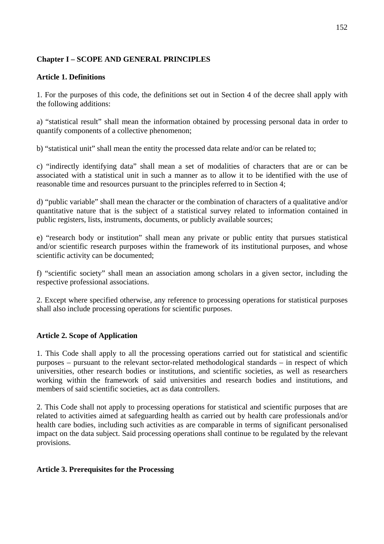# **Chapter I – SCOPE AND GENERAL PRINCIPLES**

## **Article 1. Definitions**

1. For the purposes of this code, the definitions set out in Section 4 of the decree shall apply with the following additions:

a) "statistical result" shall mean the information obtained by processing personal data in order to quantify components of a collective phenomenon;

b) "statistical unit" shall mean the entity the processed data relate and/or can be related to;

c) "indirectly identifying data" shall mean a set of modalities of characters that are or can be associated with a statistical unit in such a manner as to allow it to be identified with the use of reasonable time and resources pursuant to the principles referred to in Section 4;

d) "public variable" shall mean the character or the combination of characters of a qualitative and/or quantitative nature that is the subject of a statistical survey related to information contained in public registers, lists, instruments, documents, or publicly available sources;

e) "research body or institution" shall mean any private or public entity that pursues statistical and/or scientific research purposes within the framework of its institutional purposes, and whose scientific activity can be documented;

f) "scientific society" shall mean an association among scholars in a given sector, including the respective professional associations.

2. Except where specified otherwise, any reference to processing operations for statistical purposes shall also include processing operations for scientific purposes.

## **Article 2. Scope of Application**

1. This Code shall apply to all the processing operations carried out for statistical and scientific purposes – pursuant to the relevant sector-related methodological standards – in respect of which universities, other research bodies or institutions, and scientific societies, as well as researchers working within the framework of said universities and research bodies and institutions, and members of said scientific societies, act as data controllers.

2. This Code shall not apply to processing operations for statistical and scientific purposes that are related to activities aimed at safeguarding health as carried out by health care professionals and/or health care bodies, including such activities as are comparable in terms of significant personalised impact on the data subject. Said processing operations shall continue to be regulated by the relevant provisions.

### **Article 3. Prerequisites for the Processing**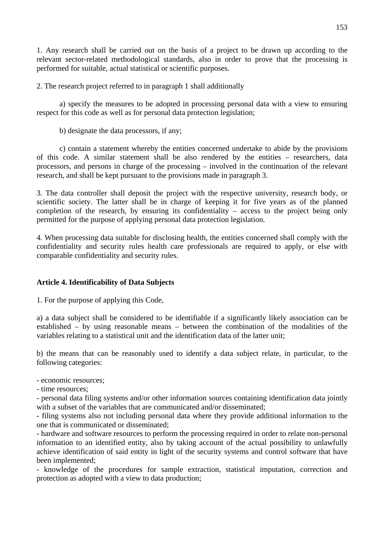1. Any research shall be carried out on the basis of a project to be drawn up according to the relevant sector-related methodological standards, also in order to prove that the processing is performed for suitable, actual statistical or scientific purposes.

2. The research project referred to in paragraph 1 shall additionally

 a) specify the measures to be adopted in processing personal data with a view to ensuring respect for this code as well as for personal data protection legislation;

b) designate the data processors, if any;

 c) contain a statement whereby the entities concerned undertake to abide by the provisions of this code. A similar statement shall be also rendered by the entities – researchers, data processors, and persons in charge of the processing – involved in the continuation of the relevant research, and shall be kept pursuant to the provisions made in paragraph 3.

3. The data controller shall deposit the project with the respective university, research body, or scientific society. The latter shall be in charge of keeping it for five years as of the planned completion of the research, by ensuring its confidentiality – access to the project being only permitted for the purpose of applying personal data protection legislation.

4. When processing data suitable for disclosing health, the entities concerned shall comply with the confidentiality and security rules health care professionals are required to apply, or else with comparable confidentiality and security rules.

## **Article 4. Identificability of Data Subjects**

1. For the purpose of applying this Code,

a) a data subject shall be considered to be identifiable if a significantly likely association can be established – by using reasonable means – between the combination of the modalities of the variables relating to a statistical unit and the identification data of the latter unit;

b) the means that can be reasonably used to identify a data subject relate, in particular, to the following categories:

- economic resources;

- time resources;

- personal data filing systems and/or other information sources containing identification data jointly with a subset of the variables that are communicated and/or disseminated:

- filing systems also not including personal data where they provide additional information to the one that is communicated or disseminated;

- hardware and software resources to perform the processing required in order to relate non-personal information to an identified entity, also by taking account of the actual possibility to unlawfully achieve identification of said entity in light of the security systems and control software that have been implemented;

- knowledge of the procedures for sample extraction, statistical imputation, correction and protection as adopted with a view to data production;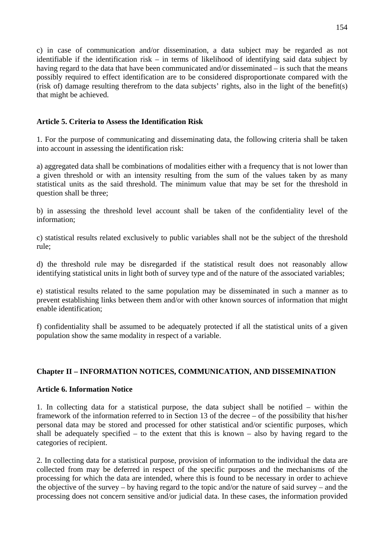c) in case of communication and/or dissemination, a data subject may be regarded as not identifiable if the identification risk – in terms of likelihood of identifying said data subject by having regard to the data that have been communicated and/or disseminated – is such that the means possibly required to effect identification are to be considered disproportionate compared with the (risk of) damage resulting therefrom to the data subjects' rights, also in the light of the benefit(s) that might be achieved.

### **Article 5. Criteria to Assess the Identification Risk**

1. For the purpose of communicating and disseminating data, the following criteria shall be taken into account in assessing the identification risk:

a) aggregated data shall be combinations of modalities either with a frequency that is not lower than a given threshold or with an intensity resulting from the sum of the values taken by as many statistical units as the said threshold. The minimum value that may be set for the threshold in question shall be three;

b) in assessing the threshold level account shall be taken of the confidentiality level of the information;

c) statistical results related exclusively to public variables shall not be the subject of the threshold rule;

d) the threshold rule may be disregarded if the statistical result does not reasonably allow identifying statistical units in light both of survey type and of the nature of the associated variables;

e) statistical results related to the same population may be disseminated in such a manner as to prevent establishing links between them and/or with other known sources of information that might enable identification;

f) confidentiality shall be assumed to be adequately protected if all the statistical units of a given population show the same modality in respect of a variable.

## **Chapter II – INFORMATION NOTICES, COMMUNICATION, AND DISSEMINATION**

### **Article 6. Information Notice**

1. In collecting data for a statistical purpose, the data subject shall be notified – within the framework of the information referred to in Section 13 of the decree – of the possibility that his/her personal data may be stored and processed for other statistical and/or scientific purposes, which shall be adequately specified – to the extent that this is known – also by having regard to the categories of recipient.

2. In collecting data for a statistical purpose, provision of information to the individual the data are collected from may be deferred in respect of the specific purposes and the mechanisms of the processing for which the data are intended, where this is found to be necessary in order to achieve the objective of the survey – by having regard to the topic and/or the nature of said survey – and the processing does not concern sensitive and/or judicial data. In these cases, the information provided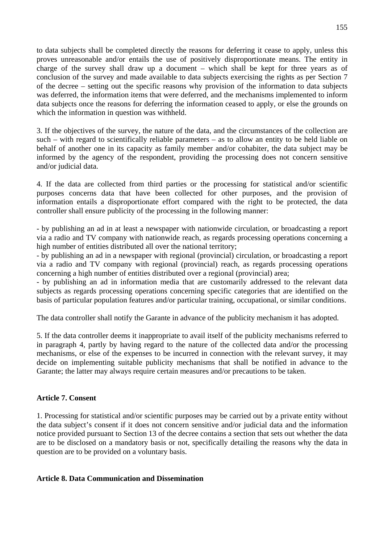to data subjects shall be completed directly the reasons for deferring it cease to apply, unless this proves unreasonable and/or entails the use of positively disproportionate means. The entity in charge of the survey shall draw up a document – which shall be kept for three years as of conclusion of the survey and made available to data subjects exercising the rights as per Section 7 of the decree – setting out the specific reasons why provision of the information to data subjects was deferred, the information items that were deferred, and the mechanisms implemented to inform data subjects once the reasons for deferring the information ceased to apply, or else the grounds on which the information in question was withheld.

3. If the objectives of the survey, the nature of the data, and the circumstances of the collection are such – with regard to scientifically reliable parameters – as to allow an entity to be held liable on behalf of another one in its capacity as family member and/or cohabiter, the data subject may be informed by the agency of the respondent, providing the processing does not concern sensitive and/or judicial data.

4. If the data are collected from third parties or the processing for statistical and/or scientific purposes concerns data that have been collected for other purposes, and the provision of information entails a disproportionate effort compared with the right to be protected, the data controller shall ensure publicity of the processing in the following manner:

- by publishing an ad in at least a newspaper with nationwide circulation, or broadcasting a report via a radio and TV company with nationwide reach, as regards processing operations concerning a high number of entities distributed all over the national territory;

- by publishing an ad in a newspaper with regional (provincial) circulation, or broadcasting a report via a radio and TV company with regional (provincial) reach, as regards processing operations concerning a high number of entities distributed over a regional (provincial) area;

- by publishing an ad in information media that are customarily addressed to the relevant data subjects as regards processing operations concerning specific categories that are identified on the basis of particular population features and/or particular training, occupational, or similar conditions.

The data controller shall notify the Garante in advance of the publicity mechanism it has adopted.

5. If the data controller deems it inappropriate to avail itself of the publicity mechanisms referred to in paragraph 4, partly by having regard to the nature of the collected data and/or the processing mechanisms, or else of the expenses to be incurred in connection with the relevant survey, it may decide on implementing suitable publicity mechanisms that shall be notified in advance to the Garante; the latter may always require certain measures and/or precautions to be taken.

## **Article 7. Consent**

1. Processing for statistical and/or scientific purposes may be carried out by a private entity without the data subject's consent if it does not concern sensitive and/or judicial data and the information notice provided pursuant to Section 13 of the decree contains a section that sets out whether the data are to be disclosed on a mandatory basis or not, specifically detailing the reasons why the data in question are to be provided on a voluntary basis.

### **Article 8. Data Communication and Dissemination**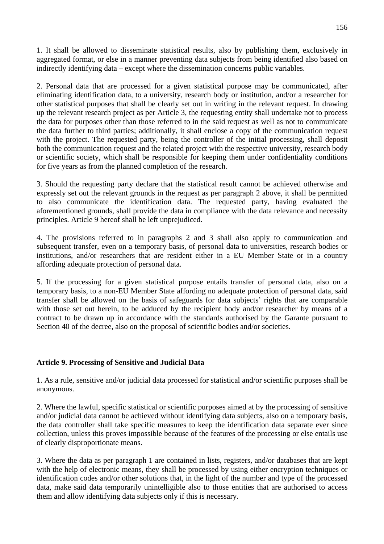1. It shall be allowed to disseminate statistical results, also by publishing them, exclusively in aggregated format, or else in a manner preventing data subjects from being identified also based on indirectly identifying data – except where the dissemination concerns public variables.

2. Personal data that are processed for a given statistical purpose may be communicated, after eliminating identification data, to a university, research body or institution, and/or a researcher for other statistical purposes that shall be clearly set out in writing in the relevant request. In drawing up the relevant research project as per Article 3, the requesting entity shall undertake not to process the data for purposes other than those referred to in the said request as well as not to communicate the data further to third parties; additionally, it shall enclose a copy of the communication request with the project. The requested party, being the controller of the initial processing, shall deposit both the communication request and the related project with the respective university, research body or scientific society, which shall be responsible for keeping them under confidentiality conditions for five years as from the planned completion of the research.

3. Should the requesting party declare that the statistical result cannot be achieved otherwise and expressly set out the relevant grounds in the request as per paragraph 2 above, it shall be permitted to also communicate the identification data. The requested party, having evaluated the aforementioned grounds, shall provide the data in compliance with the data relevance and necessity principles. Article 9 hereof shall be left unprejudiced.

4. The provisions referred to in paragraphs 2 and 3 shall also apply to communication and subsequent transfer, even on a temporary basis, of personal data to universities, research bodies or institutions, and/or researchers that are resident either in a EU Member State or in a country affording adequate protection of personal data.

5. If the processing for a given statistical purpose entails transfer of personal data, also on a temporary basis, to a non-EU Member State affording no adequate protection of personal data, said transfer shall be allowed on the basis of safeguards for data subjects' rights that are comparable with those set out herein, to be adduced by the recipient body and/or researcher by means of a contract to be drawn up in accordance with the standards authorised by the Garante pursuant to Section 40 of the decree, also on the proposal of scientific bodies and/or societies.

## **Article 9. Processing of Sensitive and Judicial Data**

1. As a rule, sensitive and/or judicial data processed for statistical and/or scientific purposes shall be anonymous.

2. Where the lawful, specific statistical or scientific purposes aimed at by the processing of sensitive and/or judicial data cannot be achieved without identifying data subjects, also on a temporary basis, the data controller shall take specific measures to keep the identification data separate ever since collection, unless this proves impossible because of the features of the processing or else entails use of clearly disproportionate means.

3. Where the data as per paragraph 1 are contained in lists, registers, and/or databases that are kept with the help of electronic means, they shall be processed by using either encryption techniques or identification codes and/or other solutions that, in the light of the number and type of the processed data, make said data temporarily unintelligible also to those entities that are authorised to access them and allow identifying data subjects only if this is necessary.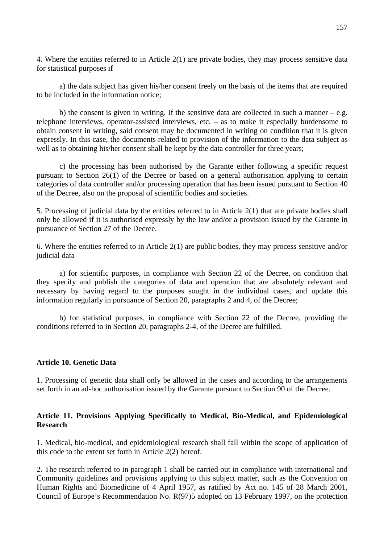4. Where the entities referred to in Article 2(1) are private bodies, they may process sensitive data for statistical purposes if

 a) the data subject has given his/her consent freely on the basis of the items that are required to be included in the information notice;

b) the consent is given in writing. If the sensitive data are collected in such a manner  $-e.g.$ telephone interviews, operator-assisted interviews, etc. – as to make it especially burdensome to obtain consent in writing, said consent may be documented in writing on condition that it is given expressly. In this case, the documents related to provision of the information to the data subject as well as to obtaining his/her consent shall be kept by the data controller for three years;

 c) the processing has been authorised by the Garante either following a specific request pursuant to Section 26(1) of the Decree or based on a general authorisation applying to certain categories of data controller and/or processing operation that has been issued pursuant to Section 40 of the Decree, also on the proposal of scientific bodies and societies.

5. Processing of judicial data by the entities referred to in Article 2(1) that are private bodies shall only be allowed if it is authorised expressly by the law and/or a provision issued by the Garante in pursuance of Section 27 of the Decree.

6. Where the entities referred to in Article 2(1) are public bodies, they may process sensitive and/or judicial data

 a) for scientific purposes, in compliance with Section 22 of the Decree, on condition that they specify and publish the categories of data and operation that are absolutely relevant and necessary by having regard to the purposes sought in the individual cases, and update this information regularly in pursuance of Section 20, paragraphs 2 and 4, of the Decree;

 b) for statistical purposes, in compliance with Section 22 of the Decree, providing the conditions referred to in Section 20, paragraphs 2-4, of the Decree are fulfilled.

### **Article 10. Genetic Data**

1. Processing of genetic data shall only be allowed in the cases and according to the arrangements set forth in an ad-hoc authorisation issued by the Garante pursuant to Section 90 of the Decree.

### **Article 11. Provisions Applying Specifically to Medical, Bio-Medical, and Epidemiological Research**

1. Medical, bio-medical, and epidemiological research shall fall within the scope of application of this code to the extent set forth in Article 2(2) hereof.

2. The research referred to in paragraph 1 shall be carried out in compliance with international and Community guidelines and provisions applying to this subject matter, such as the Convention on Human Rights and Biomedicine of 4 April 1957, as ratified by Act no. 145 of 28 March 2001, Council of Europe's Recommendation No. R(97)5 adopted on 13 February 1997, on the protection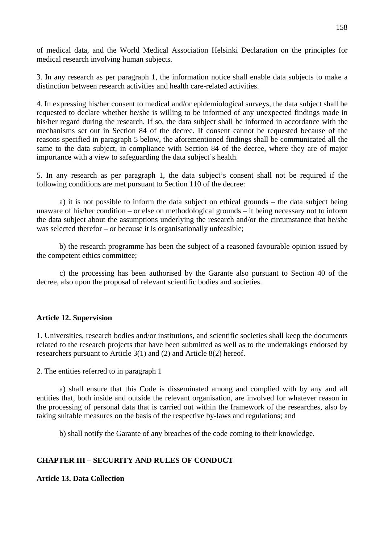of medical data, and the World Medical Association Helsinki Declaration on the principles for medical research involving human subjects.

3. In any research as per paragraph 1, the information notice shall enable data subjects to make a distinction between research activities and health care-related activities.

4. In expressing his/her consent to medical and/or epidemiological surveys, the data subject shall be requested to declare whether he/she is willing to be informed of any unexpected findings made in his/her regard during the research. If so, the data subject shall be informed in accordance with the mechanisms set out in Section 84 of the decree. If consent cannot be requested because of the reasons specified in paragraph 5 below, the aforementioned findings shall be communicated all the same to the data subject, in compliance with Section 84 of the decree, where they are of major importance with a view to safeguarding the data subject's health.

5. In any research as per paragraph 1, the data subject's consent shall not be required if the following conditions are met pursuant to Section 110 of the decree:

 a) it is not possible to inform the data subject on ethical grounds – the data subject being unaware of his/her condition – or else on methodological grounds – it being necessary not to inform the data subject about the assumptions underlying the research and/or the circumstance that he/she was selected therefor – or because it is organisationally unfeasible;

 b) the research programme has been the subject of a reasoned favourable opinion issued by the competent ethics committee;

 c) the processing has been authorised by the Garante also pursuant to Section 40 of the decree, also upon the proposal of relevant scientific bodies and societies.

#### **Article 12. Supervision**

1. Universities, research bodies and/or institutions, and scientific societies shall keep the documents related to the research projects that have been submitted as well as to the undertakings endorsed by researchers pursuant to Article 3(1) and (2) and Article 8(2) hereof.

2. The entities referred to in paragraph 1

 a) shall ensure that this Code is disseminated among and complied with by any and all entities that, both inside and outside the relevant organisation, are involved for whatever reason in the processing of personal data that is carried out within the framework of the researches, also by taking suitable measures on the basis of the respective by-laws and regulations; and

b) shall notify the Garante of any breaches of the code coming to their knowledge.

### **CHAPTER III – SECURITY AND RULES OF CONDUCT**

**Article 13. Data Collection**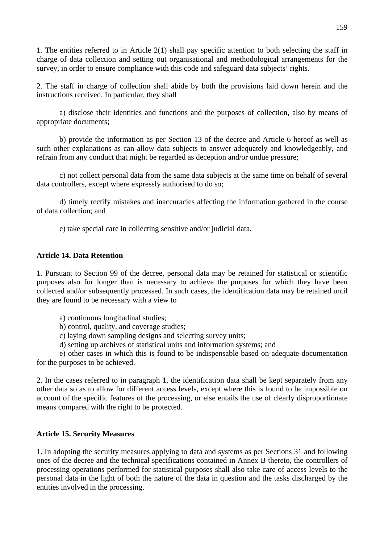1. The entities referred to in Article 2(1) shall pay specific attention to both selecting the staff in charge of data collection and setting out organisational and methodological arrangements for the survey, in order to ensure compliance with this code and safeguard data subjects' rights.

2. The staff in charge of collection shall abide by both the provisions laid down herein and the instructions received. In particular, they shall

 a) disclose their identities and functions and the purposes of collection, also by means of appropriate documents;

 b) provide the information as per Section 13 of the decree and Article 6 hereof as well as such other explanations as can allow data subjects to answer adequately and knowledgeably, and refrain from any conduct that might be regarded as deception and/or undue pressure;

 c) not collect personal data from the same data subjects at the same time on behalf of several data controllers, except where expressly authorised to do so;

 d) timely rectify mistakes and inaccuracies affecting the information gathered in the course of data collection; and

e) take special care in collecting sensitive and/or judicial data.

#### **Article 14. Data Retention**

1. Pursuant to Section 99 of the decree, personal data may be retained for statistical or scientific purposes also for longer than is necessary to achieve the purposes for which they have been collected and/or subsequently processed. In such cases, the identification data may be retained until they are found to be necessary with a view to

a) continuous longitudinal studies;

b) control, quality, and coverage studies;

- c) laying down sampling designs and selecting survey units;
- d) setting up archives of statistical units and information systems; and

 e) other cases in which this is found to be indispensable based on adequate documentation for the purposes to be achieved.

2. In the cases referred to in paragraph 1, the identification data shall be kept separately from any other data so as to allow for different access levels, except where this is found to be impossible on account of the specific features of the processing, or else entails the use of clearly disproportionate means compared with the right to be protected.

#### **Article 15. Security Measures**

1. In adopting the security measures applying to data and systems as per Sections 31 and following ones of the decree and the technical specifications contained in Annex B thereto, the controllers of processing operations performed for statistical purposes shall also take care of access levels to the personal data in the light of both the nature of the data in question and the tasks discharged by the entities involved in the processing.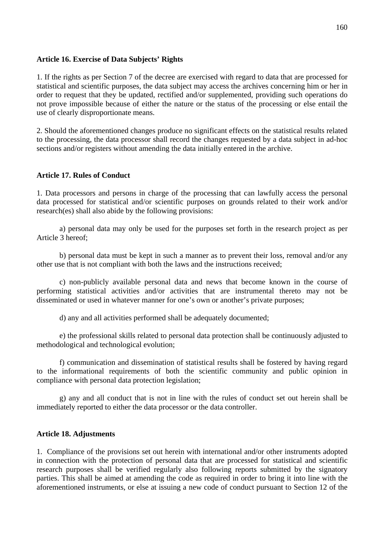#### **Article 16. Exercise of Data Subjects' Rights**

1. If the rights as per Section 7 of the decree are exercised with regard to data that are processed for statistical and scientific purposes, the data subject may access the archives concerning him or her in order to request that they be updated, rectified and/or supplemented, providing such operations do not prove impossible because of either the nature or the status of the processing or else entail the use of clearly disproportionate means.

2. Should the aforementioned changes produce no significant effects on the statistical results related to the processing, the data processor shall record the changes requested by a data subject in ad-hoc sections and/or registers without amending the data initially entered in the archive.

### **Article 17. Rules of Conduct**

1. Data processors and persons in charge of the processing that can lawfully access the personal data processed for statistical and/or scientific purposes on grounds related to their work and/or research(es) shall also abide by the following provisions:

 a) personal data may only be used for the purposes set forth in the research project as per Article 3 hereof;

 b) personal data must be kept in such a manner as to prevent their loss, removal and/or any other use that is not compliant with both the laws and the instructions received;

 c) non-publicly available personal data and news that become known in the course of performing statistical activities and/or activities that are instrumental thereto may not be disseminated or used in whatever manner for one's own or another's private purposes;

d) any and all activities performed shall be adequately documented;

 e) the professional skills related to personal data protection shall be continuously adjusted to methodological and technological evolution;

 f) communication and dissemination of statistical results shall be fostered by having regard to the informational requirements of both the scientific community and public opinion in compliance with personal data protection legislation;

 g) any and all conduct that is not in line with the rules of conduct set out herein shall be immediately reported to either the data processor or the data controller.

### **Article 18. Adjustments**

1. Compliance of the provisions set out herein with international and/or other instruments adopted in connection with the protection of personal data that are processed for statistical and scientific research purposes shall be verified regularly also following reports submitted by the signatory parties. This shall be aimed at amending the code as required in order to bring it into line with the aforementioned instruments, or else at issuing a new code of conduct pursuant to Section 12 of the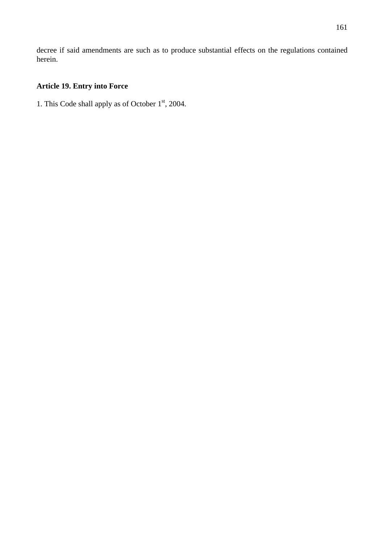decree if said amendments are such as to produce substantial effects on the regulations contained herein.

# **Article 19. Entry into Force**

1. This Code shall apply as of October  $1<sup>st</sup>$ , 2004.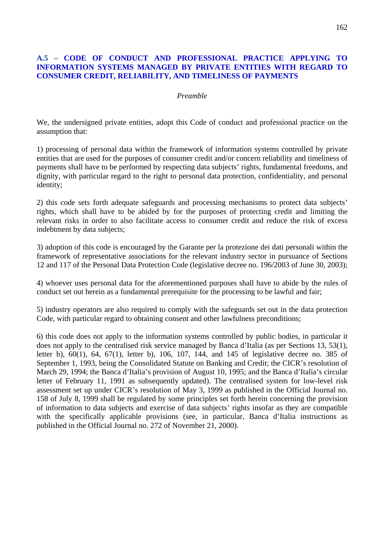### **A.5 – CODE OF CONDUCT AND PROFESSIONAL PRACTICE APPLYING TO INFORMATION SYSTEMS MANAGED BY PRIVATE ENTITIES WITH REGARD TO CONSUMER CREDIT, RELIABILITY, AND TIMELINESS OF PAYMENTS**

#### *Preamble*

We, the undersigned private entities, adopt this Code of conduct and professional practice on the assumption that:

1) processing of personal data within the framework of information systems controlled by private entities that are used for the purposes of consumer credit and/or concern reliability and timeliness of payments shall have to be performed by respecting data subjects' rights, fundamental freedoms, and dignity, with particular regard to the right to personal data protection, confidentiality, and personal identity;

2) this code sets forth adequate safeguards and processing mechanisms to protect data subjects' rights, which shall have to be abided by for the purposes of protecting credit and limiting the relevant risks in order to also facilitate access to consumer credit and reduce the risk of excess indebtment by data subjects;

3) adoption of this code is encouraged by the Garante per la protezione dei dati personali within the framework of representative associations for the relevant industry sector in pursuance of Sections 12 and 117 of the Personal Data Protection Code (legislative decree no. 196/2003 of June 30, 2003);

4) whoever uses personal data for the aforementioned purposes shall have to abide by the rules of conduct set out herein as a fundamental prerequisite for the processing to be lawful and fair;

5) industry operators are also required to comply with the safeguards set out in the data protection Code, with particular regard to obtaining consent and other lawfulness preconditions;

6) this code does not apply to the information systems controlled by public bodies, in particular it does not apply to the centralised risk service managed by Banca d'Italia (as per Sections 13, 53(1), letter b), 60(1), 64, 67(1), letter b), 106, 107, 144, and 145 of legislative decree no. 385 of September 1, 1993, being the Consolidated Statute on Banking and Credit; the CICR's resolution of March 29, 1994; the Banca d'Italia's provision of August 10, 1995; and the Banca d'Italia's circular letter of February 11, 1991 as subsequently updated). The centralised system for low-level risk assessment set up under CICR's resolution of May 3, 1999 as published in the Official Journal no. 158 of July 8, 1999 shall be regulated by some principles set forth herein concerning the provision of information to data subjects and exercise of data subjects' rights insofar as they are compatible with the specifically applicable provisions (see, in particular, Banca d'Italia instructions as published in the Official Journal no. 272 of November 21, 2000).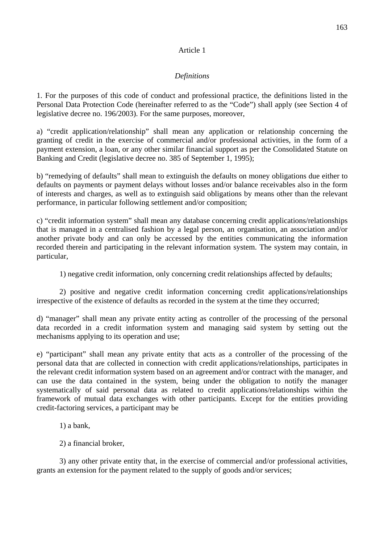# Article 1

# *Definitions*

1. For the purposes of this code of conduct and professional practice, the definitions listed in the Personal Data Protection Code (hereinafter referred to as the "Code") shall apply (see Section 4 of legislative decree no. 196/2003). For the same purposes, moreover,

a) "credit application/relationship" shall mean any application or relationship concerning the granting of credit in the exercise of commercial and/or professional activities, in the form of a payment extension, a loan, or any other similar financial support as per the Consolidated Statute on Banking and Credit (legislative decree no. 385 of September 1, 1995);

b) "remedying of defaults" shall mean to extinguish the defaults on money obligations due either to defaults on payments or payment delays without losses and/or balance receivables also in the form of interests and charges, as well as to extinguish said obligations by means other than the relevant performance, in particular following settlement and/or composition;

c) "credit information system" shall mean any database concerning credit applications/relationships that is managed in a centralised fashion by a legal person, an organisation, an association and/or another private body and can only be accessed by the entities communicating the information recorded therein and participating in the relevant information system. The system may contain, in particular,

1) negative credit information, only concerning credit relationships affected by defaults;

2) positive and negative credit information concerning credit applications/relationships irrespective of the existence of defaults as recorded in the system at the time they occurred;

d) "manager" shall mean any private entity acting as controller of the processing of the personal data recorded in a credit information system and managing said system by setting out the mechanisms applying to its operation and use;

e) "participant" shall mean any private entity that acts as a controller of the processing of the personal data that are collected in connection with credit applications/relationships, participates in the relevant credit information system based on an agreement and/or contract with the manager, and can use the data contained in the system, being under the obligation to notify the manager systematically of said personal data as related to credit applications/relationships within the framework of mutual data exchanges with other participants. Except for the entities providing credit-factoring services, a participant may be

- 1) a bank,
- 2) a financial broker,

 3) any other private entity that, in the exercise of commercial and/or professional activities, grants an extension for the payment related to the supply of goods and/or services;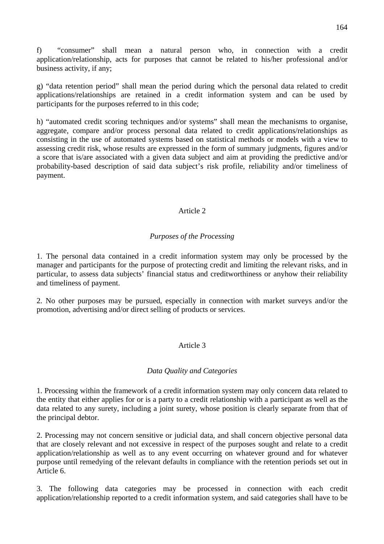f) "consumer" shall mean a natural person who, in connection with a credit application/relationship, acts for purposes that cannot be related to his/her professional and/or business activity, if any;

g) "data retention period" shall mean the period during which the personal data related to credit applications/relationships are retained in a credit information system and can be used by participants for the purposes referred to in this code;

h) "automated credit scoring techniques and/or systems" shall mean the mechanisms to organise, aggregate, compare and/or process personal data related to credit applications/relationships as consisting in the use of automated systems based on statistical methods or models with a view to assessing credit risk, whose results are expressed in the form of summary judgments, figures and/or a score that is/are associated with a given data subject and aim at providing the predictive and/or probability-based description of said data subject's risk profile, reliability and/or timeliness of payment.

## Article 2

### *Purposes of the Processing*

1. The personal data contained in a credit information system may only be processed by the manager and participants for the purpose of protecting credit and limiting the relevant risks, and in particular, to assess data subjects' financial status and creditworthiness or anyhow their reliability and timeliness of payment.

2. No other purposes may be pursued, especially in connection with market surveys and/or the promotion, advertising and/or direct selling of products or services.

## Article 3

### *Data Quality and Categories*

1. Processing within the framework of a credit information system may only concern data related to the entity that either applies for or is a party to a credit relationship with a participant as well as the data related to any surety, including a joint surety, whose position is clearly separate from that of the principal debtor.

2. Processing may not concern sensitive or judicial data, and shall concern objective personal data that are closely relevant and not excessive in respect of the purposes sought and relate to a credit application/relationship as well as to any event occurring on whatever ground and for whatever purpose until remedying of the relevant defaults in compliance with the retention periods set out in Article 6.

3. The following data categories may be processed in connection with each credit application/relationship reported to a credit information system, and said categories shall have to be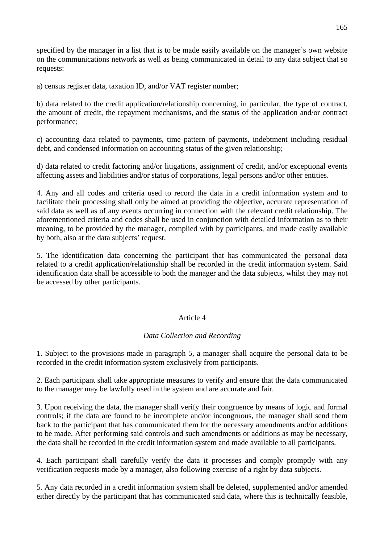specified by the manager in a list that is to be made easily available on the manager's own website on the communications network as well as being communicated in detail to any data subject that so requests:

a) census register data, taxation ID, and/or VAT register number;

b) data related to the credit application/relationship concerning, in particular, the type of contract, the amount of credit, the repayment mechanisms, and the status of the application and/or contract performance;

c) accounting data related to payments, time pattern of payments, indebtment including residual debt, and condensed information on accounting status of the given relationship;

d) data related to credit factoring and/or litigations, assignment of credit, and/or exceptional events affecting assets and liabilities and/or status of corporations, legal persons and/or other entities.

4. Any and all codes and criteria used to record the data in a credit information system and to facilitate their processing shall only be aimed at providing the objective, accurate representation of said data as well as of any events occurring in connection with the relevant credit relationship. The aforementioned criteria and codes shall be used in conjunction with detailed information as to their meaning, to be provided by the manager, complied with by participants, and made easily available by both, also at the data subjects' request.

5. The identification data concerning the participant that has communicated the personal data related to a credit application/relationship shall be recorded in the credit information system. Said identification data shall be accessible to both the manager and the data subjects, whilst they may not be accessed by other participants.

## Article 4

### *Data Collection and Recording*

1. Subject to the provisions made in paragraph 5, a manager shall acquire the personal data to be recorded in the credit information system exclusively from participants.

2. Each participant shall take appropriate measures to verify and ensure that the data communicated to the manager may be lawfully used in the system and are accurate and fair.

3. Upon receiving the data, the manager shall verify their congruence by means of logic and formal controls; if the data are found to be incomplete and/or incongruous, the manager shall send them back to the participant that has communicated them for the necessary amendments and/or additions to be made. After performing said controls and such amendments or additions as may be necessary, the data shall be recorded in the credit information system and made available to all participants.

4. Each participant shall carefully verify the data it processes and comply promptly with any verification requests made by a manager, also following exercise of a right by data subjects.

5. Any data recorded in a credit information system shall be deleted, supplemented and/or amended either directly by the participant that has communicated said data, where this is technically feasible,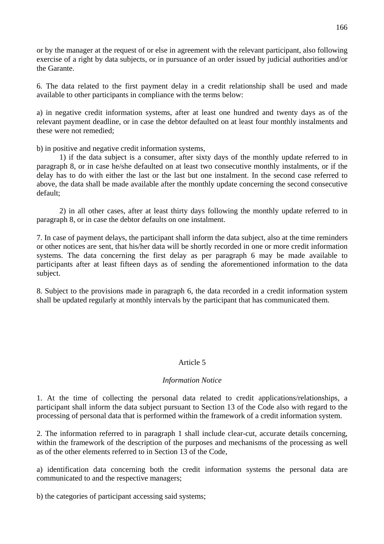or by the manager at the request of or else in agreement with the relevant participant, also following exercise of a right by data subjects, or in pursuance of an order issued by judicial authorities and/or the Garante.

6. The data related to the first payment delay in a credit relationship shall be used and made available to other participants in compliance with the terms below:

a) in negative credit information systems, after at least one hundred and twenty days as of the relevant payment deadline, or in case the debtor defaulted on at least four monthly instalments and these were not remedied;

b) in positive and negative credit information systems,

 1) if the data subject is a consumer, after sixty days of the monthly update referred to in paragraph 8, or in case he/she defaulted on at least two consecutive monthly instalments, or if the delay has to do with either the last or the last but one instalment. In the second case referred to above, the data shall be made available after the monthly update concerning the second consecutive default;

 2) in all other cases, after at least thirty days following the monthly update referred to in paragraph 8, or in case the debtor defaults on one instalment.

7. In case of payment delays, the participant shall inform the data subject, also at the time reminders or other notices are sent, that his/her data will be shortly recorded in one or more credit information systems. The data concerning the first delay as per paragraph 6 may be made available to participants after at least fifteen days as of sending the aforementioned information to the data subject.

8. Subject to the provisions made in paragraph 6, the data recorded in a credit information system shall be updated regularly at monthly intervals by the participant that has communicated them.

## Article 5

### *Information Notice*

1. At the time of collecting the personal data related to credit applications/relationships, a participant shall inform the data subject pursuant to Section 13 of the Code also with regard to the processing of personal data that is performed within the framework of a credit information system.

2. The information referred to in paragraph 1 shall include clear-cut, accurate details concerning, within the framework of the description of the purposes and mechanisms of the processing as well as of the other elements referred to in Section 13 of the Code,

a) identification data concerning both the credit information systems the personal data are communicated to and the respective managers;

b) the categories of participant accessing said systems;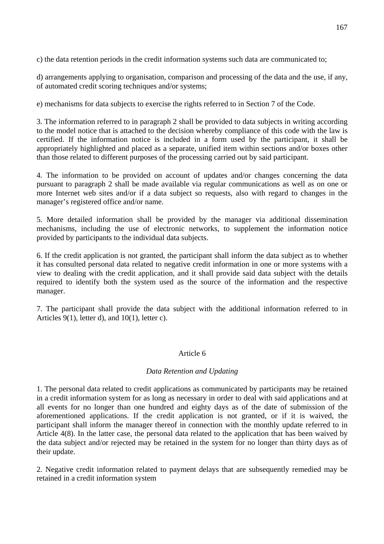c) the data retention periods in the credit information systems such data are communicated to;

d) arrangements applying to organisation, comparison and processing of the data and the use, if any, of automated credit scoring techniques and/or systems;

e) mechanisms for data subjects to exercise the rights referred to in Section 7 of the Code.

3. The information referred to in paragraph 2 shall be provided to data subjects in writing according to the model notice that is attached to the decision whereby compliance of this code with the law is certified. If the information notice is included in a form used by the participant, it shall be appropriately highlighted and placed as a separate, unified item within sections and/or boxes other than those related to different purposes of the processing carried out by said participant.

4. The information to be provided on account of updates and/or changes concerning the data pursuant to paragraph 2 shall be made available via regular communications as well as on one or more Internet web sites and/or if a data subject so requests, also with regard to changes in the manager's registered office and/or name.

5. More detailed information shall be provided by the manager via additional dissemination mechanisms, including the use of electronic networks, to supplement the information notice provided by participants to the individual data subjects.

6. If the credit application is not granted, the participant shall inform the data subject as to whether it has consulted personal data related to negative credit information in one or more systems with a view to dealing with the credit application, and it shall provide said data subject with the details required to identify both the system used as the source of the information and the respective manager.

7. The participant shall provide the data subject with the additional information referred to in Articles 9(1), letter d), and 10(1), letter c).

### Article 6

### *Data Retention and Updating*

1. The personal data related to credit applications as communicated by participants may be retained in a credit information system for as long as necessary in order to deal with said applications and at all events for no longer than one hundred and eighty days as of the date of submission of the aforementioned applications. If the credit application is not granted, or if it is waived, the participant shall inform the manager thereof in connection with the monthly update referred to in Article 4(8). In the latter case, the personal data related to the application that has been waived by the data subject and/or rejected may be retained in the system for no longer than thirty days as of their update.

2. Negative credit information related to payment delays that are subsequently remedied may be retained in a credit information system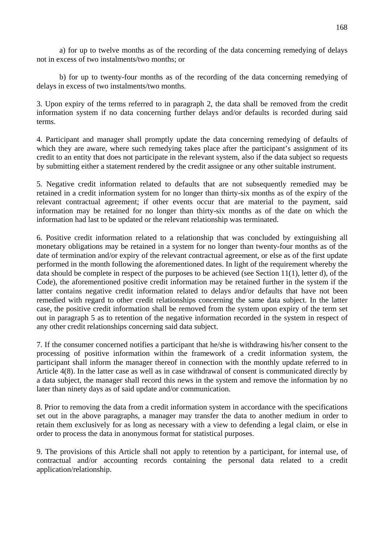a) for up to twelve months as of the recording of the data concerning remedying of delays not in excess of two instalments/two months; or

 b) for up to twenty-four months as of the recording of the data concerning remedying of delays in excess of two instalments/two months.

3. Upon expiry of the terms referred to in paragraph 2, the data shall be removed from the credit information system if no data concerning further delays and/or defaults is recorded during said terms.

4. Participant and manager shall promptly update the data concerning remedying of defaults of which they are aware, where such remedying takes place after the participant's assignment of its credit to an entity that does not participate in the relevant system, also if the data subject so requests by submitting either a statement rendered by the credit assignee or any other suitable instrument.

5. Negative credit information related to defaults that are not subsequently remedied may be retained in a credit information system for no longer than thirty-six months as of the expiry of the relevant contractual agreement; if other events occur that are material to the payment, said information may be retained for no longer than thirty-six months as of the date on which the information had last to be updated or the relevant relationship was terminated.

6. Positive credit information related to a relationship that was concluded by extinguishing all monetary obligations may be retained in a system for no longer than twenty-four months as of the date of termination and/or expiry of the relevant contractual agreement, or else as of the first update performed in the month following the aforementioned dates. In light of the requirement whereby the data should be complete in respect of the purposes to be achieved (see Section 11(1), letter d), of the Code), the aforementioned positive credit information may be retained further in the system if the latter contains negative credit information related to delays and/or defaults that have not been remedied with regard to other credit relationships concerning the same data subject. In the latter case, the positive credit information shall be removed from the system upon expiry of the term set out in paragraph 5 as to retention of the negative information recorded in the system in respect of any other credit relationships concerning said data subject.

7. If the consumer concerned notifies a participant that he/she is withdrawing his/her consent to the processing of positive information within the framework of a credit information system, the participant shall inform the manager thereof in connection with the monthly update referred to in Article 4(8). In the latter case as well as in case withdrawal of consent is communicated directly by a data subject, the manager shall record this news in the system and remove the information by no later than ninety days as of said update and/or communication.

8. Prior to removing the data from a credit information system in accordance with the specifications set out in the above paragraphs, a manager may transfer the data to another medium in order to retain them exclusively for as long as necessary with a view to defending a legal claim, or else in order to process the data in anonymous format for statistical purposes.

9. The provisions of this Article shall not apply to retention by a participant, for internal use, of contractual and/or accounting records containing the personal data related to a credit application/relationship.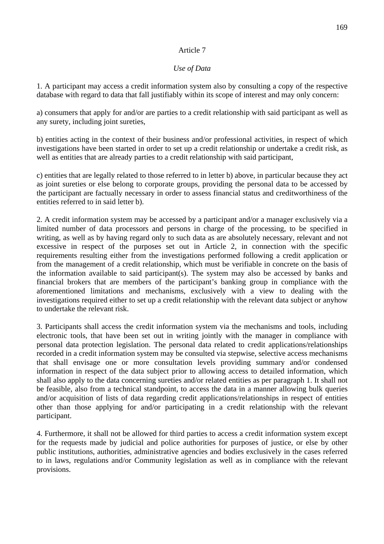## Article 7

### *Use of Data*

1. A participant may access a credit information system also by consulting a copy of the respective database with regard to data that fall justifiably within its scope of interest and may only concern:

a) consumers that apply for and/or are parties to a credit relationship with said participant as well as any surety, including joint sureties,

b) entities acting in the context of their business and/or professional activities, in respect of which investigations have been started in order to set up a credit relationship or undertake a credit risk, as well as entities that are already parties to a credit relationship with said participant,

c) entities that are legally related to those referred to in letter b) above, in particular because they act as joint sureties or else belong to corporate groups, providing the personal data to be accessed by the participant are factually necessary in order to assess financial status and creditworthiness of the entities referred to in said letter b).

2. A credit information system may be accessed by a participant and/or a manager exclusively via a limited number of data processors and persons in charge of the processing, to be specified in writing, as well as by having regard only to such data as are absolutely necessary, relevant and not excessive in respect of the purposes set out in Article 2, in connection with the specific requirements resulting either from the investigations performed following a credit application or from the management of a credit relationship, which must be verifiable in concrete on the basis of the information available to said participant(s). The system may also be accessed by banks and financial brokers that are members of the participant's banking group in compliance with the aforementioned limitations and mechanisms, exclusively with a view to dealing with the investigations required either to set up a credit relationship with the relevant data subject or anyhow to undertake the relevant risk.

3. Participants shall access the credit information system via the mechanisms and tools, including electronic tools, that have been set out in writing jointly with the manager in compliance with personal data protection legislation. The personal data related to credit applications/relationships recorded in a credit information system may be consulted via stepwise, selective access mechanisms that shall envisage one or more consultation levels providing summary and/or condensed information in respect of the data subject prior to allowing access to detailed information, which shall also apply to the data concerning sureties and/or related entities as per paragraph 1. It shall not be feasible, also from a technical standpoint, to access the data in a manner allowing bulk queries and/or acquisition of lists of data regarding credit applications/relationships in respect of entities other than those applying for and/or participating in a credit relationship with the relevant participant.

4. Furthermore, it shall not be allowed for third parties to access a credit information system except for the requests made by judicial and police authorities for purposes of justice, or else by other public institutions, authorities, administrative agencies and bodies exclusively in the cases referred to in laws, regulations and/or Community legislation as well as in compliance with the relevant provisions.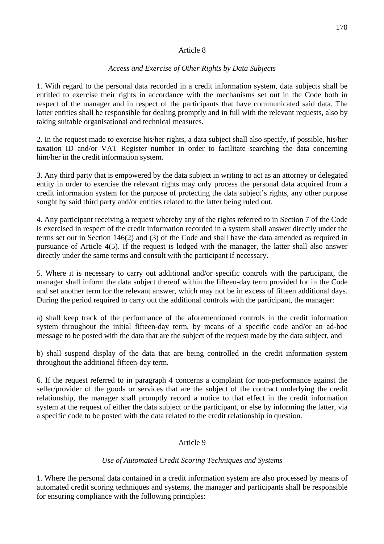## Article 8

## *Access and Exercise of Other Rights by Data Subjects*

1. With regard to the personal data recorded in a credit information system, data subjects shall be entitled to exercise their rights in accordance with the mechanisms set out in the Code both in respect of the manager and in respect of the participants that have communicated said data. The latter entities shall be responsible for dealing promptly and in full with the relevant requests, also by taking suitable organisational and technical measures.

2. In the request made to exercise his/her rights, a data subject shall also specify, if possible, his/her taxation ID and/or VAT Register number in order to facilitate searching the data concerning him/her in the credit information system.

3. Any third party that is empowered by the data subject in writing to act as an attorney or delegated entity in order to exercise the relevant rights may only process the personal data acquired from a credit information system for the purpose of protecting the data subject's rights, any other purpose sought by said third party and/or entities related to the latter being ruled out.

4. Any participant receiving a request whereby any of the rights referred to in Section 7 of the Code is exercised in respect of the credit information recorded in a system shall answer directly under the terms set out in Section 146(2) and (3) of the Code and shall have the data amended as required in pursuance of Article 4(5). If the request is lodged with the manager, the latter shall also answer directly under the same terms and consult with the participant if necessary.

5. Where it is necessary to carry out additional and/or specific controls with the participant, the manager shall inform the data subject thereof within the fifteen-day term provided for in the Code and set another term for the relevant answer, which may not be in excess of fifteen additional days. During the period required to carry out the additional controls with the participant, the manager:

a) shall keep track of the performance of the aforementioned controls in the credit information system throughout the initial fifteen-day term, by means of a specific code and/or an ad-hoc message to be posted with the data that are the subject of the request made by the data subject, and

b) shall suspend display of the data that are being controlled in the credit information system throughout the additional fifteen-day term.

6. If the request referred to in paragraph 4 concerns a complaint for non-performance against the seller/provider of the goods or services that are the subject of the contract underlying the credit relationship, the manager shall promptly record a notice to that effect in the credit information system at the request of either the data subject or the participant, or else by informing the latter, via a specific code to be posted with the data related to the credit relationship in question.

## Article 9

### *Use of Automated Credit Scoring Techniques and Systems*

1. Where the personal data contained in a credit information system are also processed by means of automated credit scoring techniques and systems, the manager and participants shall be responsible for ensuring compliance with the following principles: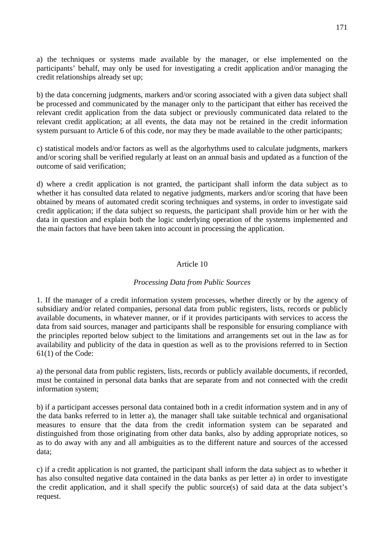a) the techniques or systems made available by the manager, or else implemented on the participants' behalf, may only be used for investigating a credit application and/or managing the credit relationships already set up;

b) the data concerning judgments, markers and/or scoring associated with a given data subject shall be processed and communicated by the manager only to the participant that either has received the relevant credit application from the data subject or previously communicated data related to the relevant credit application; at all events, the data may not be retained in the credit information system pursuant to Article 6 of this code, nor may they be made available to the other participants;

c) statistical models and/or factors as well as the algorhythms used to calculate judgments, markers and/or scoring shall be verified regularly at least on an annual basis and updated as a function of the outcome of said verification;

d) where a credit application is not granted, the participant shall inform the data subject as to whether it has consulted data related to negative judgments, markers and/or scoring that have been obtained by means of automated credit scoring techniques and systems, in order to investigate said credit application; if the data subject so requests, the participant shall provide him or her with the data in question and explain both the logic underlying operation of the systems implemented and the main factors that have been taken into account in processing the application.

### Article 10

### *Processing Data from Public Sources*

1. If the manager of a credit information system processes, whether directly or by the agency of subsidiary and/or related companies, personal data from public registers, lists, records or publicly available documents, in whatever manner, or if it provides participants with services to access the data from said sources, manager and participants shall be responsible for ensuring compliance with the principles reported below subject to the limitations and arrangements set out in the law as for availability and publicity of the data in question as well as to the provisions referred to in Section 61(1) of the Code:

a) the personal data from public registers, lists, records or publicly available documents, if recorded, must be contained in personal data banks that are separate from and not connected with the credit information system;

b) if a participant accesses personal data contained both in a credit information system and in any of the data banks referred to in letter a), the manager shall take suitable technical and organisational measures to ensure that the data from the credit information system can be separated and distinguished from those originating from other data banks, also by adding appropriate notices, so as to do away with any and all ambiguities as to the different nature and sources of the accessed data;

c) if a credit application is not granted, the participant shall inform the data subject as to whether it has also consulted negative data contained in the data banks as per letter a) in order to investigate the credit application, and it shall specify the public source(s) of said data at the data subject's request.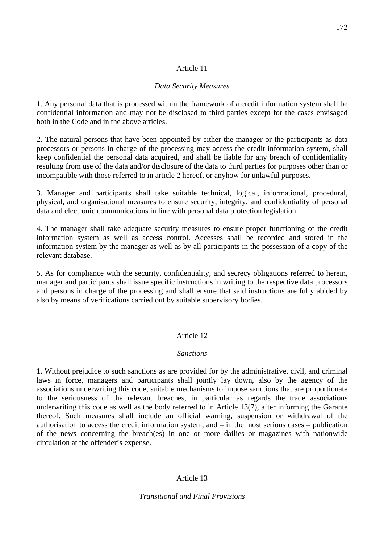### Article 11

### *Data Security Measures*

1. Any personal data that is processed within the framework of a credit information system shall be confidential information and may not be disclosed to third parties except for the cases envisaged both in the Code and in the above articles.

2. The natural persons that have been appointed by either the manager or the participants as data processors or persons in charge of the processing may access the credit information system, shall keep confidential the personal data acquired, and shall be liable for any breach of confidentiality resulting from use of the data and/or disclosure of the data to third parties for purposes other than or incompatible with those referred to in article 2 hereof, or anyhow for unlawful purposes.

3. Manager and participants shall take suitable technical, logical, informational, procedural, physical, and organisational measures to ensure security, integrity, and confidentiality of personal data and electronic communications in line with personal data protection legislation.

4. The manager shall take adequate security measures to ensure proper functioning of the credit information system as well as access control. Accesses shall be recorded and stored in the information system by the manager as well as by all participants in the possession of a copy of the relevant database.

5. As for compliance with the security, confidentiality, and secrecy obligations referred to herein, manager and participants shall issue specific instructions in writing to the respective data processors and persons in charge of the processing and shall ensure that said instructions are fully abided by also by means of verifications carried out by suitable supervisory bodies.

### Article 12

### *Sanctions*

1. Without prejudice to such sanctions as are provided for by the administrative, civil, and criminal laws in force, managers and participants shall jointly lay down, also by the agency of the associations underwriting this code, suitable mechanisms to impose sanctions that are proportionate to the seriousness of the relevant breaches, in particular as regards the trade associations underwriting this code as well as the body referred to in Article 13(7), after informing the Garante thereof. Such measures shall include an official warning, suspension or withdrawal of the authorisation to access the credit information system, and – in the most serious cases – publication of the news concerning the breach(es) in one or more dailies or magazines with nationwide circulation at the offender's expense.

## Article 13

*Transitional and Final Provisions*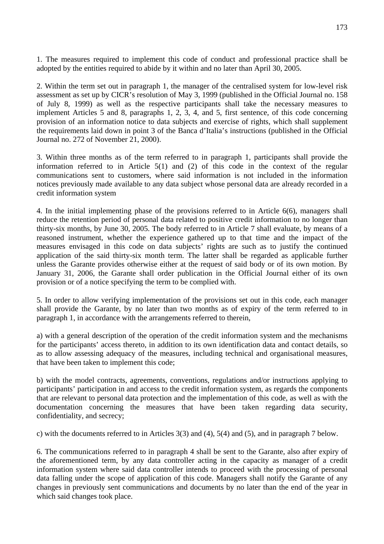1. The measures required to implement this code of conduct and professional practice shall be adopted by the entities required to abide by it within and no later than April 30, 2005.

2. Within the term set out in paragraph 1, the manager of the centralised system for low-level risk assessment as set up by CICR's resolution of May 3, 1999 (published in the Official Journal no. 158 of July 8, 1999) as well as the respective participants shall take the necessary measures to implement Articles 5 and 8, paragraphs 1, 2, 3, 4, and 5, first sentence, of this code concerning provision of an information notice to data subjects and exercise of rights, which shall supplement the requirements laid down in point 3 of the Banca d'Italia's instructions (published in the Official Journal no. 272 of November 21, 2000).

3. Within three months as of the term referred to in paragraph 1, participants shall provide the information referred to in Article 5(1) and (2) of this code in the context of the regular communications sent to customers, where said information is not included in the information notices previously made available to any data subject whose personal data are already recorded in a credit information system

4. In the initial implementing phase of the provisions referred to in Article 6(6), managers shall reduce the retention period of personal data related to positive credit information to no longer than thirty-six months, by June 30, 2005. The body referred to in Article 7 shall evaluate, by means of a reasoned instrument, whether the experience gathered up to that time and the impact of the measures envisaged in this code on data subjects' rights are such as to justify the continued application of the said thirty-six month term. The latter shall be regarded as applicable further unless the Garante provides otherwise either at the request of said body or of its own motion. By January 31, 2006, the Garante shall order publication in the Official Journal either of its own provision or of a notice specifying the term to be complied with.

5. In order to allow verifying implementation of the provisions set out in this code, each manager shall provide the Garante, by no later than two months as of expiry of the term referred to in paragraph 1, in accordance with the arrangements referred to therein,

a) with a general description of the operation of the credit information system and the mechanisms for the participants' access thereto, in addition to its own identification data and contact details, so as to allow assessing adequacy of the measures, including technical and organisational measures, that have been taken to implement this code;

b) with the model contracts, agreements, conventions, regulations and/or instructions applying to participants' participation in and access to the credit information system, as regards the components that are relevant to personal data protection and the implementation of this code, as well as with the documentation concerning the measures that have been taken regarding data security, confidentiality, and secrecy;

c) with the documents referred to in Articles 3(3) and (4), 5(4) and (5), and in paragraph 7 below.

6. The communications referred to in paragraph 4 shall be sent to the Garante, also after expiry of the aforementioned term, by any data controller acting in the capacity as manager of a credit information system where said data controller intends to proceed with the processing of personal data falling under the scope of application of this code. Managers shall notify the Garante of any changes in previously sent communications and documents by no later than the end of the year in which said changes took place.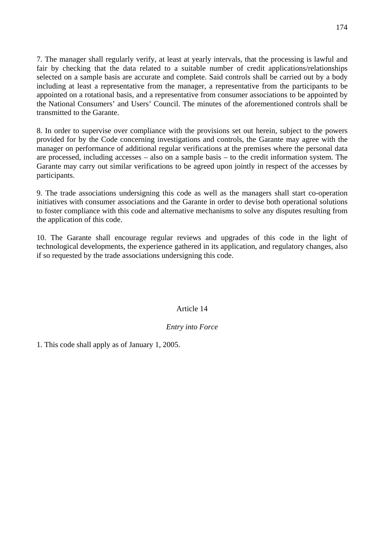7. The manager shall regularly verify, at least at yearly intervals, that the processing is lawful and fair by checking that the data related to a suitable number of credit applications/relationships selected on a sample basis are accurate and complete. Said controls shall be carried out by a body including at least a representative from the manager, a representative from the participants to be appointed on a rotational basis, and a representative from consumer associations to be appointed by the National Consumers' and Users' Council. The minutes of the aforementioned controls shall be transmitted to the Garante.

8. In order to supervise over compliance with the provisions set out herein, subject to the powers provided for by the Code concerning investigations and controls, the Garante may agree with the manager on performance of additional regular verifications at the premises where the personal data are processed, including accesses – also on a sample basis – to the credit information system. The Garante may carry out similar verifications to be agreed upon jointly in respect of the accesses by participants.

9. The trade associations undersigning this code as well as the managers shall start co-operation initiatives with consumer associations and the Garante in order to devise both operational solutions to foster compliance with this code and alternative mechanisms to solve any disputes resulting from the application of this code.

10. The Garante shall encourage regular reviews and upgrades of this code in the light of technological developments, the experience gathered in its application, and regulatory changes, also if so requested by the trade associations undersigning this code.

## Article 14

### *Entry into Force*

1. This code shall apply as of January 1, 2005.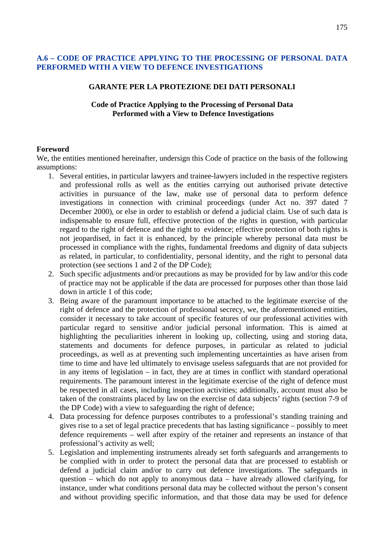### **A.6 – CODE OF PRACTICE APPLYING TO THE PROCESSING OF PERSONAL DATA PERFORMED WITH A VIEW TO DEFENCE INVESTIGATIONS**

#### **GARANTE PER LA PROTEZIONE DEI DATI PERSONALI**

### **Code of Practice Applying to the Processing of Personal Data Performed with a View to Defence Investigations**

#### **Foreword**

We, the entities mentioned hereinafter, undersign this Code of practice on the basis of the following assumptions:

- 1. Several entities, in particular lawyers and trainee-lawyers included in the respective registers and professional rolls as well as the entities carrying out authorised private detective activities in pursuance of the law, make use of personal data to perform defence investigations in connection with criminal proceedings (under Act no. 397 dated 7 December 2000), or else in order to establish or defend a judicial claim. Use of such data is indispensable to ensure full, effective protection of the rights in question, with particular regard to the right of defence and the right to evidence; effective protection of both rights is not jeopardised, in fact it is enhanced, by the principle whereby personal data must be processed in compliance with the rights, fundamental freedoms and dignity of data subjects as related, in particular, to confidentiality, personal identity, and the right to personal data protection (see sections 1 and 2 of the DP Code);
- 2. Such specific adjustments and/or precautions as may be provided for by law and/or this code of practice may not be applicable if the data are processed for purposes other than those laid down in article 1 of this code;
- 3. Being aware of the paramount importance to be attached to the legitimate exercise of the right of defence and the protection of professional secrecy, we, the aforementioned entities, consider it necessary to take account of specific features of our professional activities with particular regard to sensitive and/or judicial personal information. This is aimed at highlighting the peculiarities inherent in looking up, collecting, using and storing data, statements and documents for defence purposes, in particular as related to judicial proceedings, as well as at preventing such implementing uncertainties as have arisen from time to time and have led ultimately to envisage useless safeguards that are not provided for in any items of legislation – in fact, they are at times in conflict with standard operational requirements. The paramount interest in the legitimate exercise of the right of defence must be respected in all cases, including inspection activities; additionally, account must also be taken of the constraints placed by law on the exercise of data subjects' rights (section 7-9 of the DP Code) with a view to safeguarding the right of defence;
- 4. Data processing for defence purposes contributes to a professional's standing training and gives rise to a set of legal practice precedents that has lasting significance – possibly to meet defence requirements – well after expiry of the retainer and represents an instance of that professional's activity as well;
- 5. Legislation and implementing instruments already set forth safeguards and arrangements to be complied with in order to protect the personal data that are processed to establish or defend a judicial claim and/or to carry out defence investigations. The safeguards in question – which do not apply to anonymous data – have already allowed clarifying, for instance, under what conditions personal data may be collected without the person's consent and without providing specific information, and that those data may be used for defence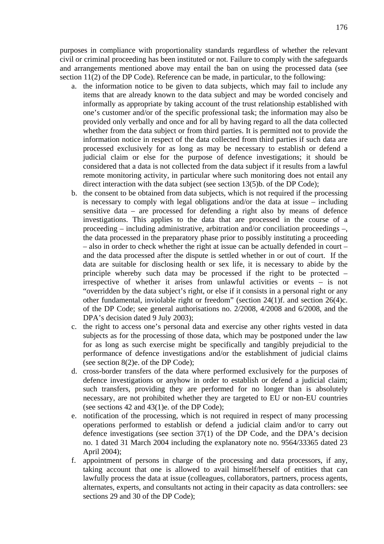purposes in compliance with proportionality standards regardless of whether the relevant civil or criminal proceeding has been instituted or not. Failure to comply with the safeguards and arrangements mentioned above may entail the ban on using the processed data (see section 11(2) of the DP Code). Reference can be made, in particular, to the following:

- a. the information notice to be given to data subjects, which may fail to include any items that are already known to the data subject and may be worded concisely and informally as appropriate by taking account of the trust relationship established with one's customer and/or of the specific professional task; the information may also be provided only verbally and once and for all by having regard to all the data collected whether from the data subject or from third parties. It is permitted not to provide the information notice in respect of the data collected from third parties if such data are processed exclusively for as long as may be necessary to establish or defend a judicial claim or else for the purpose of defence investigations; it should be considered that a data is not collected from the data subject if it results from a lawful remote monitoring activity, in particular where such monitoring does not entail any direct interaction with the data subject (see section 13(5)b. of the DP Code);
- b. the consent to be obtained from data subjects, which is not required if the processing is necessary to comply with legal obligations and/or the data at issue – including sensitive data – are processed for defending a right also by means of defence investigations. This applies to the data that are processed in the course of a proceeding – including administrative, arbitration and/or conciliation proceedings –, the data processed in the preparatory phase prior to possibly instituting a proceeding – also in order to check whether the right at issue can be actually defended in court – and the data processed after the dispute is settled whether in or out of court. If the data are suitable for disclosing health or sex life, it is necessary to abide by the principle whereby such data may be processed if the right to be protected – irrespective of whether it arises from unlawful activities or events – is not "overridden by the data subject's right, or else if it consists in a personal right or any other fundamental, inviolable right or freedom" (section 24(1)f. and section 26(4)c. of the DP Code; see general authorisations no. 2/2008, 4/2008 and 6/2008, and the DPA's decision dated 9 July 2003);
- c. the right to access one's personal data and exercise any other rights vested in data subjects as for the processing of those data, which may be postponed under the law for as long as such exercise might be specifically and tangibly prejudicial to the performance of defence investigations and/or the establishment of judicial claims (see section 8(2)e. of the DP Code);
- d. cross-border transfers of the data where performed exclusively for the purposes of defence investigations or anyhow in order to establish or defend a judicial claim; such transfers, providing they are performed for no longer than is absolutely necessary, are not prohibited whether they are targeted to EU or non-EU countries (see sections 42 and 43(1)e. of the DP Code);
- e. notification of the processing, which is not required in respect of many processing operations performed to establish or defend a judicial claim and/or to carry out defence investigations (see section 37(1) of the DP Code, and the DPA's decision no. 1 dated 31 March 2004 including the explanatory note no. 9564/33365 dated 23 April 2004);
- f. appointment of persons in charge of the processing and data processors, if any, taking account that one is allowed to avail himself/herself of entities that can lawfully process the data at issue (colleagues, collaborators, partners, process agents, alternates, experts, and consultants not acting in their capacity as data controllers: see sections 29 and 30 of the DP Code);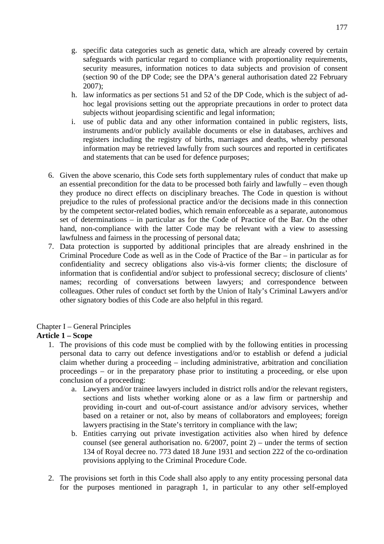- g. specific data categories such as genetic data, which are already covered by certain safeguards with particular regard to compliance with proportionality requirements, security measures, information notices to data subjects and provision of consent (section 90 of the DP Code; see the DPA's general authorisation dated 22 February 2007);
- h. law informatics as per sections 51 and 52 of the DP Code, which is the subject of adhoc legal provisions setting out the appropriate precautions in order to protect data subjects without jeopardising scientific and legal information;
- i. use of public data and any other information contained in public registers, lists, instruments and/or publicly available documents or else in databases, archives and registers including the registry of births, marriages and deaths, whereby personal information may be retrieved lawfully from such sources and reported in certificates and statements that can be used for defence purposes;
- 6. Given the above scenario, this Code sets forth supplementary rules of conduct that make up an essential precondition for the data to be processed both fairly and lawfully – even though they produce no direct effects on disciplinary breaches. The Code in question is without prejudice to the rules of professional practice and/or the decisions made in this connection by the competent sector-related bodies, which remain enforceable as a separate, autonomous set of determinations – in particular as for the Code of Practice of the Bar. On the other hand, non-compliance with the latter Code may be relevant with a view to assessing lawfulness and fairness in the processing of personal data;
- 7. Data protection is supported by additional principles that are already enshrined in the Criminal Procedure Code as well as in the Code of Practice of the Bar – in particular as for confidentiality and secrecy obligations also vis-à-vis former clients; the disclosure of information that is confidential and/or subject to professional secrecy; disclosure of clients' names; recording of conversations between lawyers; and correspondence between colleagues. Other rules of conduct set forth by the Union of Italy's Criminal Lawyers and/or other signatory bodies of this Code are also helpful in this regard.

## Chapter I – General Principles

## **Article 1 – Scope**

- 1. The provisions of this code must be complied with by the following entities in processing personal data to carry out defence investigations and/or to establish or defend a judicial claim whether during a proceeding – including administrative, arbitration and conciliation proceedings – or in the preparatory phase prior to instituting a proceeding, or else upon conclusion of a proceeding:
	- a. Lawyers and/or trainee lawyers included in district rolls and/or the relevant registers, sections and lists whether working alone or as a law firm or partnership and providing in-court and out-of-court assistance and/or advisory services, whether based on a retainer or not, also by means of collaborators and employees; foreign lawyers practising in the State's territory in compliance with the law;
	- b. Entities carrying out private investigation activities also when hired by defence counsel (see general authorisation no.  $6/2007$ , point 2) – under the terms of section 134 of Royal decree no. 773 dated 18 June 1931 and section 222 of the co-ordination provisions applying to the Criminal Procedure Code.
- 2. The provisions set forth in this Code shall also apply to any entity processing personal data for the purposes mentioned in paragraph 1, in particular to any other self-employed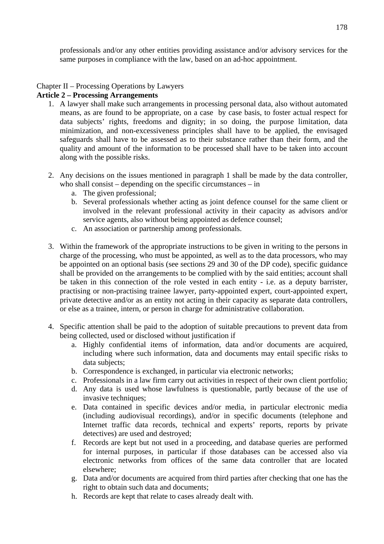professionals and/or any other entities providing assistance and/or advisory services for the same purposes in compliance with the law, based on an ad-hoc appointment.

# Chapter II – Processing Operations by Lawyers

### **Article 2 – Processing Arrangements**

- 1. A lawyer shall make such arrangements in processing personal data, also without automated means, as are found to be appropriate, on a case by case basis, to foster actual respect for data subjects' rights, freedoms and dignity; in so doing, the purpose limitation, data minimization, and non-excessiveness principles shall have to be applied, the envisaged safeguards shall have to be assessed as to their substance rather than their form, and the quality and amount of the information to be processed shall have to be taken into account along with the possible risks.
- 2. Any decisions on the issues mentioned in paragraph 1 shall be made by the data controller, who shall consist – depending on the specific circumstances – in
	- a. The given professional;
	- b. Several professionals whether acting as joint defence counsel for the same client or involved in the relevant professional activity in their capacity as advisors and/or service agents, also without being appointed as defence counsel;
	- c. An association or partnership among professionals.
- 3. Within the framework of the appropriate instructions to be given in writing to the persons in charge of the processing, who must be appointed, as well as to the data processors, who may be appointed on an optional basis (see sections 29 and 30 of the DP code), specific guidance shall be provided on the arrangements to be complied with by the said entities; account shall be taken in this connection of the role vested in each entity - i.e. as a deputy barrister, practising or non-practising trainee lawyer, party-appointed expert, court-appointed expert, private detective and/or as an entity not acting in their capacity as separate data controllers, or else as a trainee, intern, or person in charge for administrative collaboration.
- 4. Specific attention shall be paid to the adoption of suitable precautions to prevent data from being collected, used or disclosed without justification if
	- a. Highly confidential items of information, data and/or documents are acquired, including where such information, data and documents may entail specific risks to data subjects;
	- b. Correspondence is exchanged, in particular via electronic networks;
	- c. Professionals in a law firm carry out activities in respect of their own client portfolio;
	- d. Any data is used whose lawfulness is questionable, partly because of the use of invasive techniques;
	- e. Data contained in specific devices and/or media, in particular electronic media (including audiovisual recordings), and/or in specific documents (telephone and Internet traffic data records, technical and experts' reports, reports by private detectives) are used and destroyed;
	- f. Records are kept but not used in a proceeding, and database queries are performed for internal purposes, in particular if those databases can be accessed also via electronic networks from offices of the same data controller that are located elsewhere;
	- g. Data and/or documents are acquired from third parties after checking that one has the right to obtain such data and documents;
	- h. Records are kept that relate to cases already dealt with.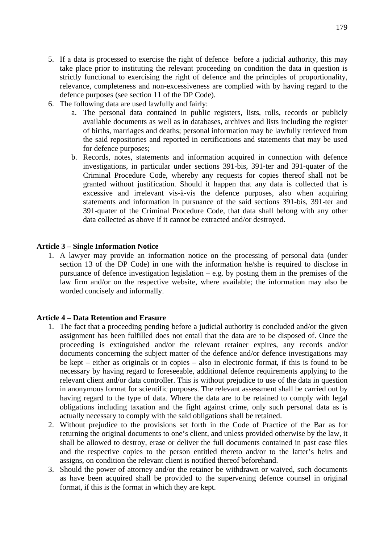- 5. If a data is processed to exercise the right of defence before a judicial authority, this may take place prior to instituting the relevant proceeding on condition the data in question is strictly functional to exercising the right of defence and the principles of proportionality, relevance, completeness and non-excessiveness are complied with by having regard to the defence purposes (see section 11 of the DP Code).
- 6. The following data are used lawfully and fairly:
	- a. The personal data contained in public registers, lists, rolls, records or publicly available documents as well as in databases, archives and lists including the register of births, marriages and deaths; personal information may be lawfully retrieved from the said repositories and reported in certifications and statements that may be used for defence purposes;
	- b. Records, notes, statements and information acquired in connection with defence investigations, in particular under sections 391-bis, 391-ter and 391-quater of the Criminal Procedure Code, whereby any requests for copies thereof shall not be granted without justification. Should it happen that any data is collected that is excessive and irrelevant vis-à-vis the defence purposes, also when acquiring statements and information in pursuance of the said sections 391-bis, 391-ter and 391-quater of the Criminal Procedure Code, that data shall belong with any other data collected as above if it cannot be extracted and/or destroyed.

### **Article 3 – Single Information Notice**

1. A lawyer may provide an information notice on the processing of personal data (under section 13 of the DP Code) in one with the information he/she is required to disclose in pursuance of defence investigation legislation – e.g. by posting them in the premises of the law firm and/or on the respective website, where available; the information may also be worded concisely and informally.

### **Article 4 – Data Retention and Erasure**

- 1. The fact that a proceeding pending before a judicial authority is concluded and/or the given assignment has been fulfilled does not entail that the data are to be disposed of. Once the proceeding is extinguished and/or the relevant retainer expires, any records and/or documents concerning the subject matter of the defence and/or defence investigations may be kept – either as originals or in copies – also in electronic format, if this is found to be necessary by having regard to foreseeable, additional defence requirements applying to the relevant client and/or data controller. This is without prejudice to use of the data in question in anonymous format for scientific purposes. The relevant assessment shall be carried out by having regard to the type of data. Where the data are to be retained to comply with legal obligations including taxation and the fight against crime, only such personal data as is actually necessary to comply with the said obligations shall be retained.
- 2. Without prejudice to the provisions set forth in the Code of Practice of the Bar as for returning the original documents to one's client, and unless provided otherwise by the law, it shall be allowed to destroy, erase or deliver the full documents contained in past case files and the respective copies to the person entitled thereto and/or to the latter's heirs and assigns, on condition the relevant client is notified thereof beforehand.
- 3. Should the power of attorney and/or the retainer be withdrawn or waived, such documents as have been acquired shall be provided to the supervening defence counsel in original format, if this is the format in which they are kept.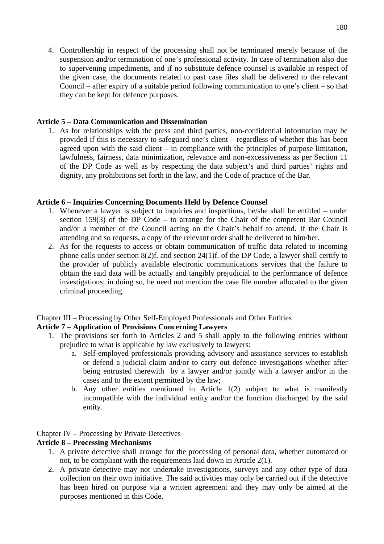4. Controllership in respect of the processing shall not be terminated merely because of the suspension and/or termination of one's professional activity. In case of termination also due to supervening impediments, and if no substitute defence counsel is available in respect of the given case, the documents related to past case files shall be delivered to the relevant Council – after expiry of a suitable period following communication to one's client – so that they can be kept for defence purposes.

### **Article 5 – Data Communication and Dissemination**

1. As for relationships with the press and third parties, non-confidential information may be provided if this is necessary to safeguard one's client – regardless of whether this has been agreed upon with the said client – in compliance with the principles of purpose limitation, lawfulness, fairness, data minimization, relevance and non-excessiveness as per Section 11 of the DP Code as well as by respecting the data subject's and third parties' rights and dignity, any prohibitions set forth in the law, and the Code of practice of the Bar.

## **Article 6 – Inquiries Concerning Documents Held by Defence Counsel**

- 1. Whenever a lawyer is subject to inquiries and inspections, he/she shall be entitled under section 159(3) of the DP Code – to arrange for the Chair of the competent Bar Council and/or a member of the Council acting on the Chair's behalf to attend. If the Chair is attending and so requests, a copy of the relevant order shall be delivered to him/her.
- 2. As for the requests to access or obtain communication of traffic data related to incoming phone calls under section 8(2)f. and section 24(1)f. of the DP Code, a lawyer shall certify to the provider of publicly available electronic communications services that the failure to obtain the said data will be actually and tangibly prejudicial to the performance of defence investigations; in doing so, he need not mention the case file number allocated to the given criminal proceeding.

## Chapter III – Processing by Other Self-Employed Professionals and Other Entities

## **Article 7 – Application of Provisions Concerning Lawyers**

- 1. The provisions set forth in Articles 2 and 5 shall apply to the following entities without prejudice to what is applicable by law exclusively to lawyers:
	- a. Self-employed professionals providing advisory and assistance services to establish or defend a judicial claim and/or to carry out defence investigations whether after being entrusted therewith by a lawyer and/or jointly with a lawyer and/or in the cases and to the extent permitted by the law;
	- b. Any other entities mentioned in Article 1(2) subject to what is manifestly incompatible with the individual entity and/or the function discharged by the said entity.

## Chapter IV – Processing by Private Detectives

## **Article 8 – Processing Mechanisms**

- 1. A private detective shall arrange for the processing of personal data, whether automated or not, to be compliant with the requirements laid down in Article 2(1).
- 2. A private detective may not undertake investigations, surveys and any other type of data collection on their own initiative. The said activities may only be carried out if the detective has been hired on purpose via a written agreement and they may only be aimed at the purposes mentioned in this Code.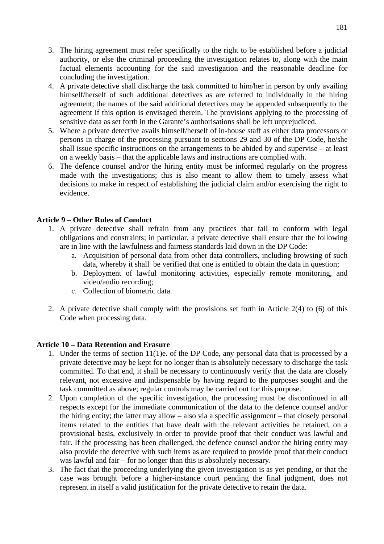- 3. The hiring agreement must refer specifically to the right to be established before a judicial authority, or else the criminal proceeding the investigation relates to, along with the main factual elements accounting for the said investigation and the reasonable deadline for concluding the investigation.
- 4. A private detective shall discharge the task committed to him/her in person by only availing himself/herself of such additional detectives as are referred to individually in the hiring agreement; the names of the said additional detectives may be appended subsequently to the agreement if this option is envisaged therein. The provisions applying to the processing of sensitive data as set forth in the Garante's authorisations shall be left unprejudiced.
- 5. Where a private detective avails himself/herself of in-house staff as either data processors or persons in charge of the processing pursuant to sections 29 and 30 of the DP Code, he/she shall issue specific instructions on the arrangements to be abided by and supervise – at least on a weekly basis – that the applicable laws and instructions are complied with.
- 6. The defence counsel and/or the hiring entity must be informed regularly on the progress made with the investigations; this is also meant to allow them to timely assess what decisions to make in respect of establishing the judicial claim and/or exercising the right to evidence.

# **Article 9 – Other Rules of Conduct**

- 1. A private detective shall refrain from any practices that fail to conform with legal obligations and constraints; in particular, a private detective shall ensure that the following are in line with the lawfulness and fairness standards laid down in the DP Code:
	- a. Acquisition of personal data from other data controllers, including browsing of such data, whereby it shall be verified that one is entitled to obtain the data in question;
	- b. Deployment of lawful monitoring activities, especially remote monitoring, and video/audio recording;
	- c. Collection of biometric data.
- 2. A private detective shall comply with the provisions set forth in Article 2(4) to (6) of this Code when processing data.

## **Article 10 – Data Retention and Erasure**

- 1. Under the terms of section 11(1)e. of the DP Code, any personal data that is processed by a private detective may be kept for no longer than is absolutely necessary to discharge the task committed. To that end, it shall be necessary to continuously verify that the data are closely relevant, not excessive and indispensable by having regard to the purposes sought and the task committed as above; regular controls may be carried out for this purpose.
- 2. Upon completion of the specific investigation, the processing must be discontinued in all respects except for the immediate communication of the data to the defence counsel and/or the hiring entity; the latter may allow – also via a specific assignment – that closely personal items related to the entities that have dealt with the relevant activities be retained, on a provisional basis, exclusively in order to provide proof that their conduct was lawful and fair. If the processing has been challenged, the defence counsel and/or the hiring entity may also provide the detective with such items as are required to provide proof that their conduct was lawful and fair – for no longer than this is absolutely necessary.
- 3. The fact that the proceeding underlying the given investigation is as yet pending, or that the case was brought before a higher-instance court pending the final judgment, does not represent in itself a valid justification for the private detective to retain the data.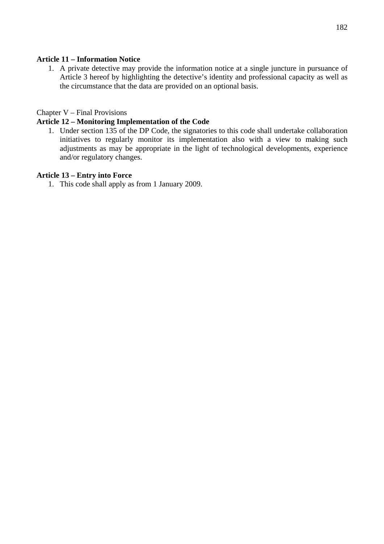# **Article 11 – Information Notice**

1. A private detective may provide the information notice at a single juncture in pursuance of Article 3 hereof by highlighting the detective's identity and professional capacity as well as the circumstance that the data are provided on an optional basis.

# Chapter V – Final Provisions

## **Article 12 – Monitoring Implementation of the Code**

1. Under section 135 of the DP Code, the signatories to this code shall undertake collaboration initiatives to regularly monitor its implementation also with a view to making such adjustments as may be appropriate in the light of technological developments, experience and/or regulatory changes.

## **Article 13 – Entry into Force**

1. This code shall apply as from 1 January 2009.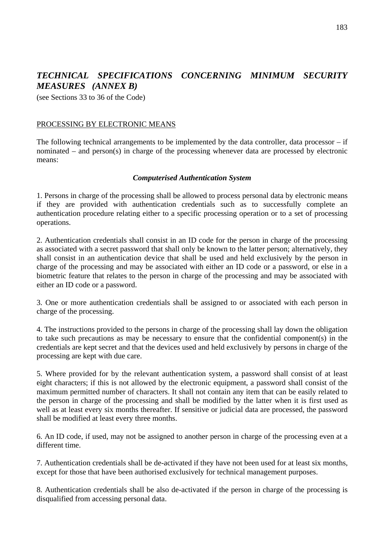# *TECHNICAL SPECIFICATIONS CONCERNING MINIMUM SECURITY MEASURES (ANNEX B)*

(see Sections 33 to 36 of the Code)

#### PROCESSING BY ELECTRONIC MEANS

The following technical arrangements to be implemented by the data controller, data processor – if nominated – and person(s) in charge of the processing whenever data are processed by electronic means:

#### *Computerised Authentication System*

1. Persons in charge of the processing shall be allowed to process personal data by electronic means if they are provided with authentication credentials such as to successfully complete an authentication procedure relating either to a specific processing operation or to a set of processing operations.

2. Authentication credentials shall consist in an ID code for the person in charge of the processing as associated with a secret password that shall only be known to the latter person; alternatively, they shall consist in an authentication device that shall be used and held exclusively by the person in charge of the processing and may be associated with either an ID code or a password, or else in a biometric feature that relates to the person in charge of the processing and may be associated with either an ID code or a password.

3. One or more authentication credentials shall be assigned to or associated with each person in charge of the processing.

4. The instructions provided to the persons in charge of the processing shall lay down the obligation to take such precautions as may be necessary to ensure that the confidential component(s) in the credentials are kept secret and that the devices used and held exclusively by persons in charge of the processing are kept with due care.

5. Where provided for by the relevant authentication system, a password shall consist of at least eight characters; if this is not allowed by the electronic equipment, a password shall consist of the maximum permitted number of characters. It shall not contain any item that can be easily related to the person in charge of the processing and shall be modified by the latter when it is first used as well as at least every six months thereafter. If sensitive or judicial data are processed, the password shall be modified at least every three months.

6. An ID code, if used, may not be assigned to another person in charge of the processing even at a different time.

7. Authentication credentials shall be de-activated if they have not been used for at least six months, except for those that have been authorised exclusively for technical management purposes.

8. Authentication credentials shall be also de-activated if the person in charge of the processing is disqualified from accessing personal data.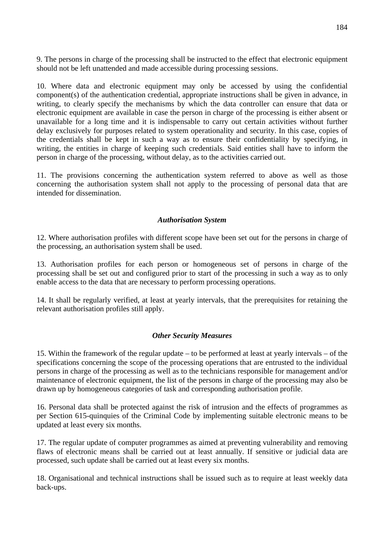9. The persons in charge of the processing shall be instructed to the effect that electronic equipment should not be left unattended and made accessible during processing sessions.

10. Where data and electronic equipment may only be accessed by using the confidential component(s) of the authentication credential, appropriate instructions shall be given in advance, in writing, to clearly specify the mechanisms by which the data controller can ensure that data or electronic equipment are available in case the person in charge of the processing is either absent or unavailable for a long time and it is indispensable to carry out certain activities without further delay exclusively for purposes related to system operationality and security. In this case, copies of the credentials shall be kept in such a way as to ensure their confidentiality by specifying, in writing, the entities in charge of keeping such credentials. Said entities shall have to inform the person in charge of the processing, without delay, as to the activities carried out.

11. The provisions concerning the authentication system referred to above as well as those concerning the authorisation system shall not apply to the processing of personal data that are intended for dissemination.

## *Authorisation System*

12. Where authorisation profiles with different scope have been set out for the persons in charge of the processing, an authorisation system shall be used.

13. Authorisation profiles for each person or homogeneous set of persons in charge of the processing shall be set out and configured prior to start of the processing in such a way as to only enable access to the data that are necessary to perform processing operations.

14. It shall be regularly verified, at least at yearly intervals, that the prerequisites for retaining the relevant authorisation profiles still apply.

## *Other Security Measures*

15. Within the framework of the regular update – to be performed at least at yearly intervals – of the specifications concerning the scope of the processing operations that are entrusted to the individual persons in charge of the processing as well as to the technicians responsible for management and/or maintenance of electronic equipment, the list of the persons in charge of the processing may also be drawn up by homogeneous categories of task and corresponding authorisation profile.

16. Personal data shall be protected against the risk of intrusion and the effects of programmes as per Section 615-quinquies of the Criminal Code by implementing suitable electronic means to be updated at least every six months.

17. The regular update of computer programmes as aimed at preventing vulnerability and removing flaws of electronic means shall be carried out at least annually. If sensitive or judicial data are processed, such update shall be carried out at least every six months.

18. Organisational and technical instructions shall be issued such as to require at least weekly data back-ups.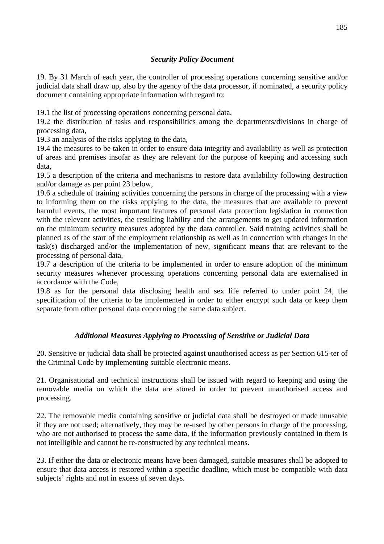# *Security Policy Document*

19. By 31 March of each year, the controller of processing operations concerning sensitive and/or judicial data shall draw up, also by the agency of the data processor, if nominated, a security policy document containing appropriate information with regard to:

19.1 the list of processing operations concerning personal data,

19.2 the distribution of tasks and responsibilities among the departments/divisions in charge of processing data,

19.3 an analysis of the risks applying to the data,

19.4 the measures to be taken in order to ensure data integrity and availability as well as protection of areas and premises insofar as they are relevant for the purpose of keeping and accessing such data,

19.5 a description of the criteria and mechanisms to restore data availability following destruction and/or damage as per point 23 below,

19.6 a schedule of training activities concerning the persons in charge of the processing with a view to informing them on the risks applying to the data, the measures that are available to prevent harmful events, the most important features of personal data protection legislation in connection with the relevant activities, the resulting liability and the arrangements to get updated information on the minimum security measures adopted by the data controller. Said training activities shall be planned as of the start of the employment relationship as well as in connection with changes in the task(s) discharged and/or the implementation of new, significant means that are relevant to the processing of personal data,

19.7 a description of the criteria to be implemented in order to ensure adoption of the minimum security measures whenever processing operations concerning personal data are externalised in accordance with the Code,

19.8 as for the personal data disclosing health and sex life referred to under point 24, the specification of the criteria to be implemented in order to either encrypt such data or keep them separate from other personal data concerning the same data subject.

# *Additional Measures Applying to Processing of Sensitive or Judicial Data*

20. Sensitive or judicial data shall be protected against unauthorised access as per Section 615-ter of the Criminal Code by implementing suitable electronic means.

21. Organisational and technical instructions shall be issued with regard to keeping and using the removable media on which the data are stored in order to prevent unauthorised access and processing.

22. The removable media containing sensitive or judicial data shall be destroyed or made unusable if they are not used; alternatively, they may be re-used by other persons in charge of the processing, who are not authorised to process the same data, if the information previously contained in them is not intelligible and cannot be re-constructed by any technical means.

23. If either the data or electronic means have been damaged, suitable measures shall be adopted to ensure that data access is restored within a specific deadline, which must be compatible with data subjects' rights and not in excess of seven days.